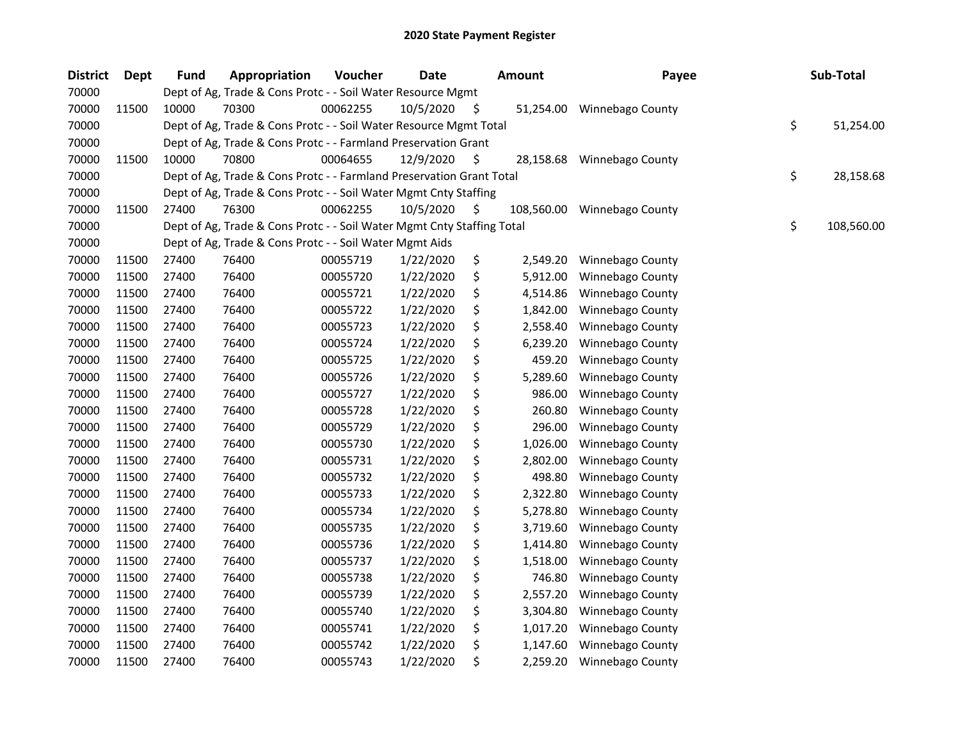| <b>District</b> | <b>Dept</b> | <b>Fund</b> | Appropriation                                                          | Voucher  | <b>Date</b> |     | <b>Amount</b> | Payee                   | Sub-Total        |
|-----------------|-------------|-------------|------------------------------------------------------------------------|----------|-------------|-----|---------------|-------------------------|------------------|
| 70000           |             |             | Dept of Ag, Trade & Cons Protc - - Soil Water Resource Mgmt            |          |             |     |               |                         |                  |
| 70000           | 11500       | 10000       | 70300                                                                  | 00062255 | 10/5/2020   | \$. | 51,254.00     | <b>Winnebago County</b> |                  |
| 70000           |             |             | Dept of Ag, Trade & Cons Protc - - Soil Water Resource Mgmt Total      |          |             |     |               |                         | \$<br>51,254.00  |
| 70000           |             |             | Dept of Ag, Trade & Cons Protc - - Farmland Preservation Grant         |          |             |     |               |                         |                  |
| 70000           | 11500       | 10000       | 70800                                                                  | 00064655 | 12/9/2020   | S   | 28,158.68     | Winnebago County        |                  |
| 70000           |             |             | Dept of Ag, Trade & Cons Protc - - Farmland Preservation Grant Total   |          |             |     |               |                         | \$<br>28,158.68  |
| 70000           |             |             | Dept of Ag, Trade & Cons Protc - - Soil Water Mgmt Cnty Staffing       |          |             |     |               |                         |                  |
| 70000           | 11500       | 27400       | 76300                                                                  | 00062255 | 10/5/2020   | \$. | 108,560.00    | Winnebago County        |                  |
| 70000           |             |             | Dept of Ag, Trade & Cons Protc - - Soil Water Mgmt Cnty Staffing Total |          |             |     |               |                         | \$<br>108,560.00 |
| 70000           |             |             | Dept of Ag, Trade & Cons Protc - - Soil Water Mgmt Aids                |          |             |     |               |                         |                  |
| 70000           | 11500       | 27400       | 76400                                                                  | 00055719 | 1/22/2020   | \$  | 2,549.20      | Winnebago County        |                  |
| 70000           | 11500       | 27400       | 76400                                                                  | 00055720 | 1/22/2020   | \$  | 5,912.00      | Winnebago County        |                  |
| 70000           | 11500       | 27400       | 76400                                                                  | 00055721 | 1/22/2020   | \$  | 4,514.86      | Winnebago County        |                  |
| 70000           | 11500       | 27400       | 76400                                                                  | 00055722 | 1/22/2020   | \$  | 1,842.00      | Winnebago County        |                  |
| 70000           | 11500       | 27400       | 76400                                                                  | 00055723 | 1/22/2020   | \$  | 2,558.40      | Winnebago County        |                  |
| 70000           | 11500       | 27400       | 76400                                                                  | 00055724 | 1/22/2020   | \$  | 6,239.20      | Winnebago County        |                  |
| 70000           | 11500       | 27400       | 76400                                                                  | 00055725 | 1/22/2020   | \$  | 459.20        | Winnebago County        |                  |
| 70000           | 11500       | 27400       | 76400                                                                  | 00055726 | 1/22/2020   | \$  | 5,289.60      | Winnebago County        |                  |
| 70000           | 11500       | 27400       | 76400                                                                  | 00055727 | 1/22/2020   | \$  | 986.00        | Winnebago County        |                  |
| 70000           | 11500       | 27400       | 76400                                                                  | 00055728 | 1/22/2020   | \$  | 260.80        | Winnebago County        |                  |
| 70000           | 11500       | 27400       | 76400                                                                  | 00055729 | 1/22/2020   | \$  | 296.00        | Winnebago County        |                  |
| 70000           | 11500       | 27400       | 76400                                                                  | 00055730 | 1/22/2020   | \$  | 1,026.00      | Winnebago County        |                  |
| 70000           | 11500       | 27400       | 76400                                                                  | 00055731 | 1/22/2020   | \$  | 2,802.00      | Winnebago County        |                  |
| 70000           | 11500       | 27400       | 76400                                                                  | 00055732 | 1/22/2020   | \$  | 498.80        | Winnebago County        |                  |
| 70000           | 11500       | 27400       | 76400                                                                  | 00055733 | 1/22/2020   | \$  | 2,322.80      | Winnebago County        |                  |
| 70000           | 11500       | 27400       | 76400                                                                  | 00055734 | 1/22/2020   | \$  | 5,278.80      | Winnebago County        |                  |
| 70000           | 11500       | 27400       | 76400                                                                  | 00055735 | 1/22/2020   | \$  | 3,719.60      | Winnebago County        |                  |
| 70000           | 11500       | 27400       | 76400                                                                  | 00055736 | 1/22/2020   | \$  | 1,414.80      | Winnebago County        |                  |
| 70000           | 11500       | 27400       | 76400                                                                  | 00055737 | 1/22/2020   | \$  | 1,518.00      | Winnebago County        |                  |
| 70000           | 11500       | 27400       | 76400                                                                  | 00055738 | 1/22/2020   | \$  | 746.80        | Winnebago County        |                  |
| 70000           | 11500       | 27400       | 76400                                                                  | 00055739 | 1/22/2020   | \$  | 2,557.20      | Winnebago County        |                  |
| 70000           | 11500       | 27400       | 76400                                                                  | 00055740 | 1/22/2020   | \$  | 3,304.80      | Winnebago County        |                  |
| 70000           | 11500       | 27400       | 76400                                                                  | 00055741 | 1/22/2020   | \$  | 1,017.20      | Winnebago County        |                  |
| 70000           | 11500       | 27400       | 76400                                                                  | 00055742 | 1/22/2020   | \$  | 1,147.60      | Winnebago County        |                  |
| 70000           | 11500       | 27400       | 76400                                                                  | 00055743 | 1/22/2020   | \$  | 2,259.20      | Winnebago County        |                  |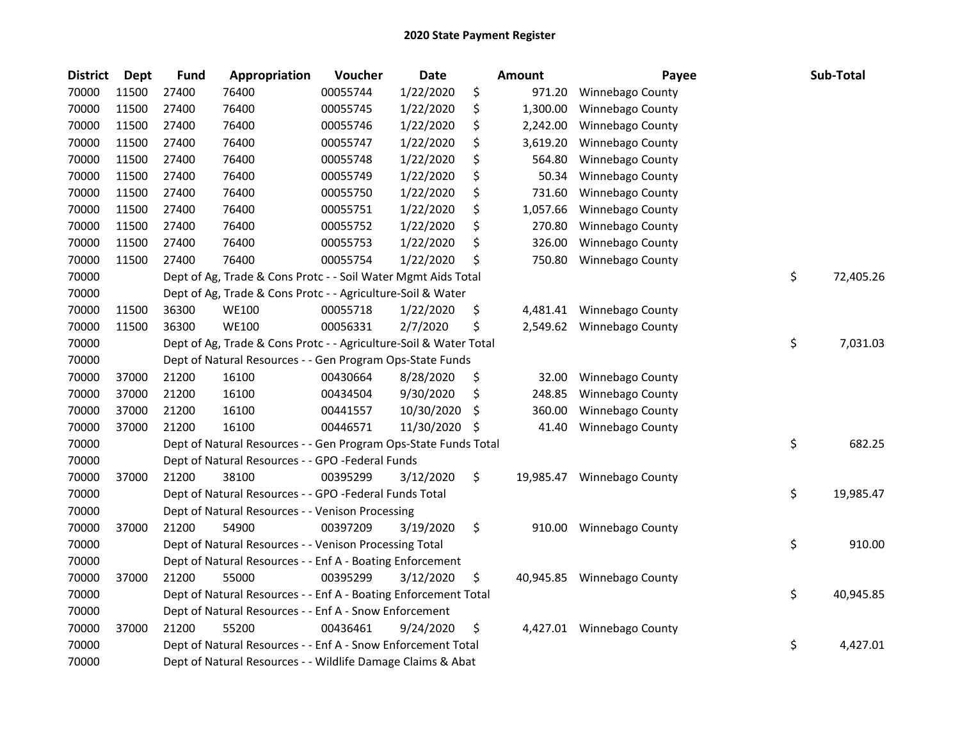| <b>District</b> | <b>Dept</b> | <b>Fund</b> | Appropriation                                                     | Voucher  | <b>Date</b> |     | Amount    | Payee                     | Sub-Total       |
|-----------------|-------------|-------------|-------------------------------------------------------------------|----------|-------------|-----|-----------|---------------------------|-----------------|
| 70000           | 11500       | 27400       | 76400                                                             | 00055744 | 1/22/2020   | \$  | 971.20    | Winnebago County          |                 |
| 70000           | 11500       | 27400       | 76400                                                             | 00055745 | 1/22/2020   | \$  | 1,300.00  | Winnebago County          |                 |
| 70000           | 11500       | 27400       | 76400                                                             | 00055746 | 1/22/2020   | \$  | 2,242.00  | Winnebago County          |                 |
| 70000           | 11500       | 27400       | 76400                                                             | 00055747 | 1/22/2020   | \$  | 3,619.20  | Winnebago County          |                 |
| 70000           | 11500       | 27400       | 76400                                                             | 00055748 | 1/22/2020   | \$  | 564.80    | Winnebago County          |                 |
| 70000           | 11500       | 27400       | 76400                                                             | 00055749 | 1/22/2020   | \$  | 50.34     | Winnebago County          |                 |
| 70000           | 11500       | 27400       | 76400                                                             | 00055750 | 1/22/2020   | \$  | 731.60    | Winnebago County          |                 |
| 70000           | 11500       | 27400       | 76400                                                             | 00055751 | 1/22/2020   | \$  | 1,057.66  | Winnebago County          |                 |
| 70000           | 11500       | 27400       | 76400                                                             | 00055752 | 1/22/2020   | \$  | 270.80    | Winnebago County          |                 |
| 70000           | 11500       | 27400       | 76400                                                             | 00055753 | 1/22/2020   | \$  | 326.00    | Winnebago County          |                 |
| 70000           | 11500       | 27400       | 76400                                                             | 00055754 | 1/22/2020   | \$  | 750.80    | Winnebago County          |                 |
| 70000           |             |             | Dept of Ag, Trade & Cons Protc - - Soil Water Mgmt Aids Total     |          |             |     |           |                           | \$<br>72,405.26 |
| 70000           |             |             | Dept of Ag, Trade & Cons Protc - - Agriculture-Soil & Water       |          |             |     |           |                           |                 |
| 70000           | 11500       | 36300       | <b>WE100</b>                                                      | 00055718 | 1/22/2020   | \$  |           | 4,481.41 Winnebago County |                 |
| 70000           | 11500       | 36300       | <b>WE100</b>                                                      | 00056331 | 2/7/2020    | \$  |           | 2,549.62 Winnebago County |                 |
| 70000           |             |             | Dept of Ag, Trade & Cons Protc - - Agriculture-Soil & Water Total |          |             |     |           |                           | \$<br>7,031.03  |
| 70000           |             |             | Dept of Natural Resources - - Gen Program Ops-State Funds         |          |             |     |           |                           |                 |
| 70000           | 37000       | 21200       | 16100                                                             | 00430664 | 8/28/2020   | \$  | 32.00     | Winnebago County          |                 |
| 70000           | 37000       | 21200       | 16100                                                             | 00434504 | 9/30/2020   | \$  | 248.85    | Winnebago County          |                 |
| 70000           | 37000       | 21200       | 16100                                                             | 00441557 | 10/30/2020  | S   | 360.00    | Winnebago County          |                 |
| 70000           | 37000       | 21200       | 16100                                                             | 00446571 | 11/30/2020  | \$. | 41.40     | Winnebago County          |                 |
| 70000           |             |             | Dept of Natural Resources - - Gen Program Ops-State Funds Total   |          |             |     |           |                           | \$<br>682.25    |
| 70000           |             |             | Dept of Natural Resources - - GPO -Federal Funds                  |          |             |     |           |                           |                 |
| 70000           | 37000       | 21200       | 38100                                                             | 00395299 | 3/12/2020   | \$  | 19,985.47 | Winnebago County          |                 |
| 70000           |             |             | Dept of Natural Resources - - GPO -Federal Funds Total            |          |             |     |           |                           | \$<br>19,985.47 |
| 70000           |             |             | Dept of Natural Resources - - Venison Processing                  |          |             |     |           |                           |                 |
| 70000           | 37000       | 21200       | 54900                                                             | 00397209 | 3/19/2020   | \$  | 910.00    | Winnebago County          |                 |
| 70000           |             |             | Dept of Natural Resources - - Venison Processing Total            |          |             |     |           |                           | \$<br>910.00    |
| 70000           |             |             | Dept of Natural Resources - - Enf A - Boating Enforcement         |          |             |     |           |                           |                 |
| 70000           | 37000       | 21200       | 55000                                                             | 00395299 | 3/12/2020   | \$  | 40,945.85 | Winnebago County          |                 |
| 70000           |             |             | Dept of Natural Resources - - Enf A - Boating Enforcement Total   |          |             |     |           |                           | \$<br>40,945.85 |
| 70000           |             |             | Dept of Natural Resources - - Enf A - Snow Enforcement            |          |             |     |           |                           |                 |
| 70000           | 37000       | 21200       | 55200                                                             | 00436461 | 9/24/2020   | \$  |           | 4,427.01 Winnebago County |                 |
| 70000           |             |             | Dept of Natural Resources - - Enf A - Snow Enforcement Total      |          |             |     |           |                           | \$<br>4,427.01  |
| 70000           |             |             | Dept of Natural Resources - - Wildlife Damage Claims & Abat       |          |             |     |           |                           |                 |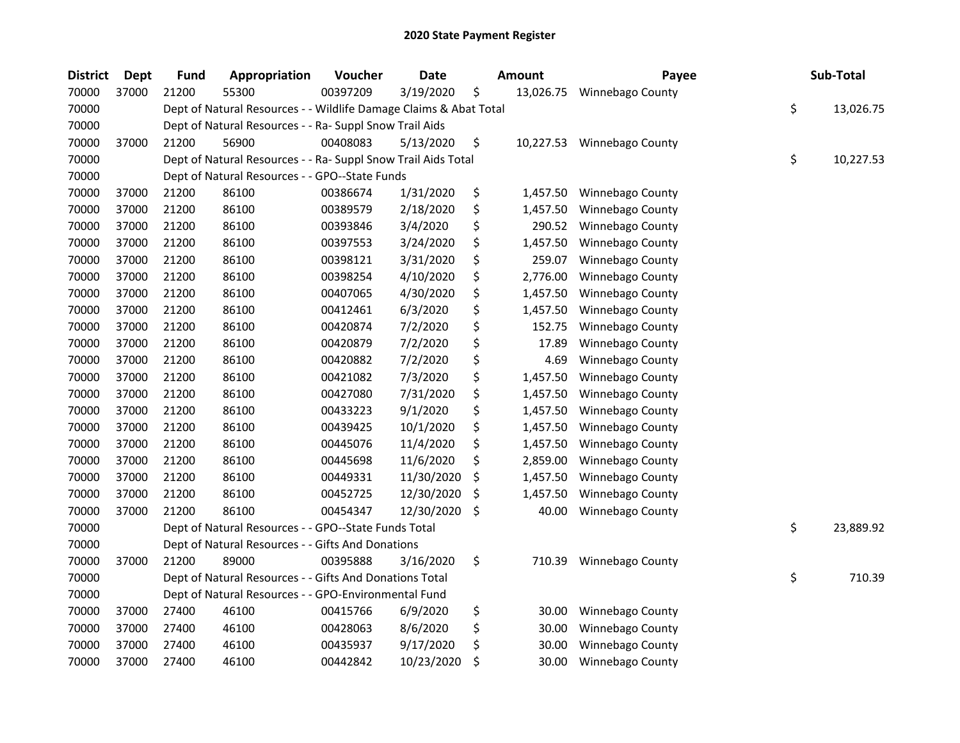| <b>District</b> | <b>Dept</b> | <b>Fund</b> | Appropriation                                                     | Voucher  | <b>Date</b> | Amount          | Payee                      | Sub-Total       |
|-----------------|-------------|-------------|-------------------------------------------------------------------|----------|-------------|-----------------|----------------------------|-----------------|
| 70000           | 37000       | 21200       | 55300                                                             | 00397209 | 3/19/2020   | \$<br>13,026.75 | Winnebago County           |                 |
| 70000           |             |             | Dept of Natural Resources - - Wildlife Damage Claims & Abat Total |          |             |                 |                            | \$<br>13,026.75 |
| 70000           |             |             | Dept of Natural Resources - - Ra- Suppl Snow Trail Aids           |          |             |                 |                            |                 |
| 70000           | 37000       | 21200       | 56900                                                             | 00408083 | 5/13/2020   | \$              | 10,227.53 Winnebago County |                 |
| 70000           |             |             | Dept of Natural Resources - - Ra- Suppl Snow Trail Aids Total     |          |             |                 |                            | \$<br>10,227.53 |
| 70000           |             |             | Dept of Natural Resources - - GPO--State Funds                    |          |             |                 |                            |                 |
| 70000           | 37000       | 21200       | 86100                                                             | 00386674 | 1/31/2020   | \$<br>1,457.50  | Winnebago County           |                 |
| 70000           | 37000       | 21200       | 86100                                                             | 00389579 | 2/18/2020   | \$<br>1,457.50  | Winnebago County           |                 |
| 70000           | 37000       | 21200       | 86100                                                             | 00393846 | 3/4/2020    | \$<br>290.52    | Winnebago County           |                 |
| 70000           | 37000       | 21200       | 86100                                                             | 00397553 | 3/24/2020   | \$<br>1,457.50  | Winnebago County           |                 |
| 70000           | 37000       | 21200       | 86100                                                             | 00398121 | 3/31/2020   | \$<br>259.07    | Winnebago County           |                 |
| 70000           | 37000       | 21200       | 86100                                                             | 00398254 | 4/10/2020   | \$<br>2,776.00  | Winnebago County           |                 |
| 70000           | 37000       | 21200       | 86100                                                             | 00407065 | 4/30/2020   | \$<br>1,457.50  | Winnebago County           |                 |
| 70000           | 37000       | 21200       | 86100                                                             | 00412461 | 6/3/2020    | \$<br>1,457.50  | Winnebago County           |                 |
| 70000           | 37000       | 21200       | 86100                                                             | 00420874 | 7/2/2020    | \$<br>152.75    | Winnebago County           |                 |
| 70000           | 37000       | 21200       | 86100                                                             | 00420879 | 7/2/2020    | \$<br>17.89     | Winnebago County           |                 |
| 70000           | 37000       | 21200       | 86100                                                             | 00420882 | 7/2/2020    | \$<br>4.69      | Winnebago County           |                 |
| 70000           | 37000       | 21200       | 86100                                                             | 00421082 | 7/3/2020    | \$<br>1,457.50  | Winnebago County           |                 |
| 70000           | 37000       | 21200       | 86100                                                             | 00427080 | 7/31/2020   | \$<br>1,457.50  | Winnebago County           |                 |
| 70000           | 37000       | 21200       | 86100                                                             | 00433223 | 9/1/2020    | \$<br>1,457.50  | Winnebago County           |                 |
| 70000           | 37000       | 21200       | 86100                                                             | 00439425 | 10/1/2020   | \$<br>1,457.50  | Winnebago County           |                 |
| 70000           | 37000       | 21200       | 86100                                                             | 00445076 | 11/4/2020   | \$<br>1,457.50  | Winnebago County           |                 |
| 70000           | 37000       | 21200       | 86100                                                             | 00445698 | 11/6/2020   | \$<br>2,859.00  | Winnebago County           |                 |
| 70000           | 37000       | 21200       | 86100                                                             | 00449331 | 11/30/2020  | \$<br>1,457.50  | Winnebago County           |                 |
| 70000           | 37000       | 21200       | 86100                                                             | 00452725 | 12/30/2020  | \$<br>1,457.50  | Winnebago County           |                 |
| 70000           | 37000       | 21200       | 86100                                                             | 00454347 | 12/30/2020  | \$<br>40.00     | Winnebago County           |                 |
| 70000           |             |             | Dept of Natural Resources - - GPO--State Funds Total              |          |             |                 |                            | \$<br>23,889.92 |
| 70000           |             |             | Dept of Natural Resources - - Gifts And Donations                 |          |             |                 |                            |                 |
| 70000           | 37000       | 21200       | 89000                                                             | 00395888 | 3/16/2020   | \$<br>710.39    | Winnebago County           |                 |
| 70000           |             |             | Dept of Natural Resources - - Gifts And Donations Total           |          |             |                 |                            | \$<br>710.39    |
| 70000           |             |             | Dept of Natural Resources - - GPO-Environmental Fund              |          |             |                 |                            |                 |
| 70000           | 37000       | 27400       | 46100                                                             | 00415766 | 6/9/2020    | \$<br>30.00     | Winnebago County           |                 |
| 70000           | 37000       | 27400       | 46100                                                             | 00428063 | 8/6/2020    | \$<br>30.00     | Winnebago County           |                 |
| 70000           | 37000       | 27400       | 46100                                                             | 00435937 | 9/17/2020   | \$<br>30.00     | Winnebago County           |                 |
| 70000           | 37000       | 27400       | 46100                                                             | 00442842 | 10/23/2020  | \$<br>30.00     | Winnebago County           |                 |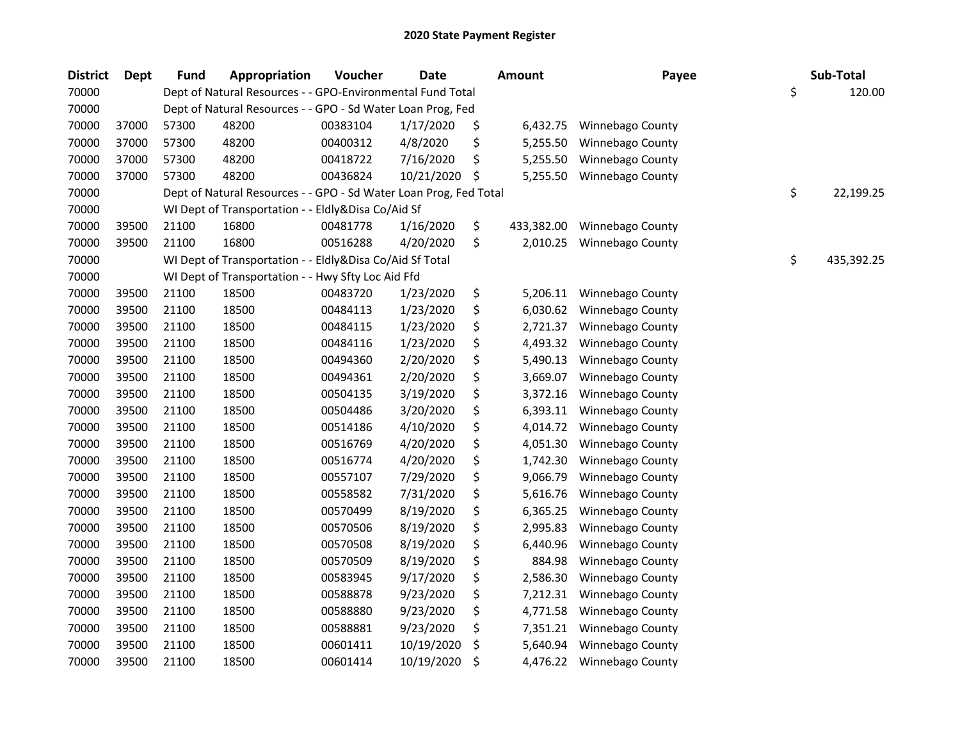| <b>District</b> | Dept  | Fund  | Appropriation                                                     | Voucher  | <b>Date</b> | <b>Amount</b>    | Payee            | Sub-Total        |
|-----------------|-------|-------|-------------------------------------------------------------------|----------|-------------|------------------|------------------|------------------|
| 70000           |       |       | Dept of Natural Resources - - GPO-Environmental Fund Total        |          |             |                  |                  | \$<br>120.00     |
| 70000           |       |       | Dept of Natural Resources - - GPO - Sd Water Loan Prog, Fed       |          |             |                  |                  |                  |
| 70000           | 37000 | 57300 | 48200                                                             | 00383104 | 1/17/2020   | \$<br>6,432.75   | Winnebago County |                  |
| 70000           | 37000 | 57300 | 48200                                                             | 00400312 | 4/8/2020    | \$<br>5,255.50   | Winnebago County |                  |
| 70000           | 37000 | 57300 | 48200                                                             | 00418722 | 7/16/2020   | \$<br>5,255.50   | Winnebago County |                  |
| 70000           | 37000 | 57300 | 48200                                                             | 00436824 | 10/21/2020  | \$<br>5,255.50   | Winnebago County |                  |
| 70000           |       |       | Dept of Natural Resources - - GPO - Sd Water Loan Prog, Fed Total |          |             |                  |                  | \$<br>22,199.25  |
| 70000           |       |       | WI Dept of Transportation - - Eldly&Disa Co/Aid Sf                |          |             |                  |                  |                  |
| 70000           | 39500 | 21100 | 16800                                                             | 00481778 | 1/16/2020   | \$<br>433,382.00 | Winnebago County |                  |
| 70000           | 39500 | 21100 | 16800                                                             | 00516288 | 4/20/2020   | \$<br>2,010.25   | Winnebago County |                  |
| 70000           |       |       | WI Dept of Transportation - - Eldly&Disa Co/Aid Sf Total          |          |             |                  |                  | \$<br>435,392.25 |
| 70000           |       |       | WI Dept of Transportation - - Hwy Sfty Loc Aid Ffd                |          |             |                  |                  |                  |
| 70000           | 39500 | 21100 | 18500                                                             | 00483720 | 1/23/2020   | \$<br>5,206.11   | Winnebago County |                  |
| 70000           | 39500 | 21100 | 18500                                                             | 00484113 | 1/23/2020   | \$<br>6,030.62   | Winnebago County |                  |
| 70000           | 39500 | 21100 | 18500                                                             | 00484115 | 1/23/2020   | \$<br>2,721.37   | Winnebago County |                  |
| 70000           | 39500 | 21100 | 18500                                                             | 00484116 | 1/23/2020   | \$<br>4,493.32   | Winnebago County |                  |
| 70000           | 39500 | 21100 | 18500                                                             | 00494360 | 2/20/2020   | \$<br>5,490.13   | Winnebago County |                  |
| 70000           | 39500 | 21100 | 18500                                                             | 00494361 | 2/20/2020   | \$<br>3,669.07   | Winnebago County |                  |
| 70000           | 39500 | 21100 | 18500                                                             | 00504135 | 3/19/2020   | \$<br>3,372.16   | Winnebago County |                  |
| 70000           | 39500 | 21100 | 18500                                                             | 00504486 | 3/20/2020   | \$<br>6,393.11   | Winnebago County |                  |
| 70000           | 39500 | 21100 | 18500                                                             | 00514186 | 4/10/2020   | \$<br>4,014.72   | Winnebago County |                  |
| 70000           | 39500 | 21100 | 18500                                                             | 00516769 | 4/20/2020   | \$<br>4,051.30   | Winnebago County |                  |
| 70000           | 39500 | 21100 | 18500                                                             | 00516774 | 4/20/2020   | \$<br>1,742.30   | Winnebago County |                  |
| 70000           | 39500 | 21100 | 18500                                                             | 00557107 | 7/29/2020   | \$<br>9,066.79   | Winnebago County |                  |
| 70000           | 39500 | 21100 | 18500                                                             | 00558582 | 7/31/2020   | \$<br>5,616.76   | Winnebago County |                  |
| 70000           | 39500 | 21100 | 18500                                                             | 00570499 | 8/19/2020   | \$<br>6,365.25   | Winnebago County |                  |
| 70000           | 39500 | 21100 | 18500                                                             | 00570506 | 8/19/2020   | \$<br>2,995.83   | Winnebago County |                  |
| 70000           | 39500 | 21100 | 18500                                                             | 00570508 | 8/19/2020   | \$<br>6,440.96   | Winnebago County |                  |
| 70000           | 39500 | 21100 | 18500                                                             | 00570509 | 8/19/2020   | \$<br>884.98     | Winnebago County |                  |
| 70000           | 39500 | 21100 | 18500                                                             | 00583945 | 9/17/2020   | \$<br>2,586.30   | Winnebago County |                  |
| 70000           | 39500 | 21100 | 18500                                                             | 00588878 | 9/23/2020   | \$<br>7,212.31   | Winnebago County |                  |
| 70000           | 39500 | 21100 | 18500                                                             | 00588880 | 9/23/2020   | \$<br>4,771.58   | Winnebago County |                  |
| 70000           | 39500 | 21100 | 18500                                                             | 00588881 | 9/23/2020   | \$<br>7,351.21   | Winnebago County |                  |
| 70000           | 39500 | 21100 | 18500                                                             | 00601411 | 10/19/2020  | \$<br>5,640.94   | Winnebago County |                  |
| 70000           | 39500 | 21100 | 18500                                                             | 00601414 | 10/19/2020  | \$<br>4,476.22   | Winnebago County |                  |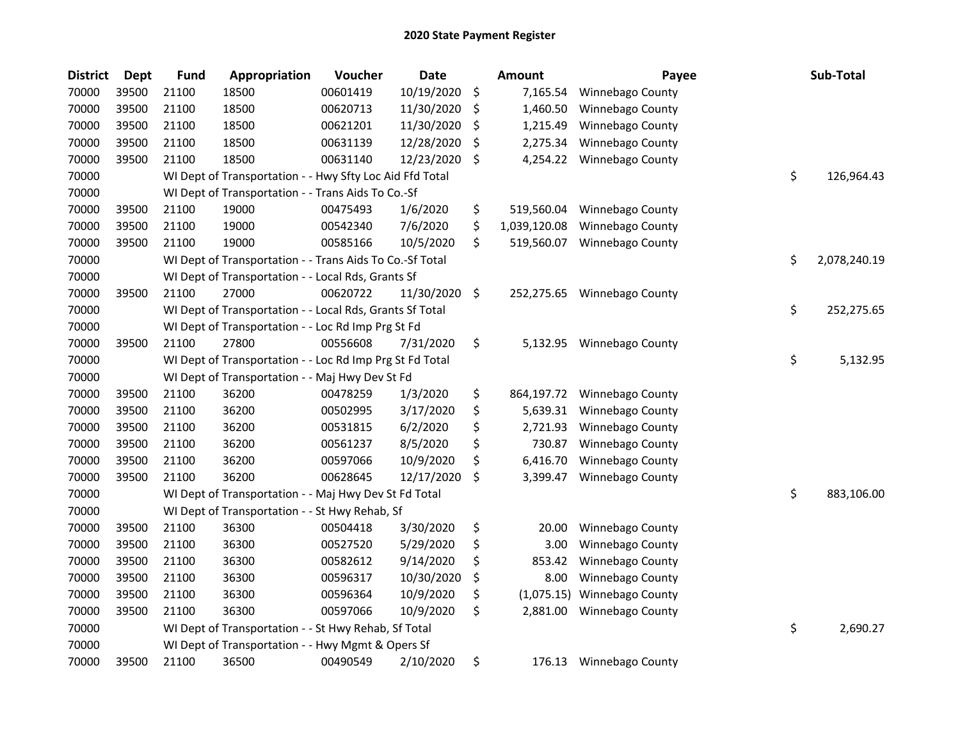| <b>District</b> | Dept  | <b>Fund</b> | Appropriation                                            | Voucher  | <b>Date</b> | <b>Amount</b>      | Payee                   | Sub-Total          |
|-----------------|-------|-------------|----------------------------------------------------------|----------|-------------|--------------------|-------------------------|--------------------|
| 70000           | 39500 | 21100       | 18500                                                    | 00601419 | 10/19/2020  | \$<br>7,165.54     | Winnebago County        |                    |
| 70000           | 39500 | 21100       | 18500                                                    | 00620713 | 11/30/2020  | \$<br>1,460.50     | Winnebago County        |                    |
| 70000           | 39500 | 21100       | 18500                                                    | 00621201 | 11/30/2020  | \$<br>1,215.49     | Winnebago County        |                    |
| 70000           | 39500 | 21100       | 18500                                                    | 00631139 | 12/28/2020  | \$<br>2,275.34     | Winnebago County        |                    |
| 70000           | 39500 | 21100       | 18500                                                    | 00631140 | 12/23/2020  | \$<br>4,254.22     | <b>Winnebago County</b> |                    |
| 70000           |       |             | WI Dept of Transportation - - Hwy Sfty Loc Aid Ffd Total |          |             |                    |                         | \$<br>126,964.43   |
| 70000           |       |             | WI Dept of Transportation - - Trans Aids To Co.-Sf       |          |             |                    |                         |                    |
| 70000           | 39500 | 21100       | 19000                                                    | 00475493 | 1/6/2020    | \$<br>519,560.04   | <b>Winnebago County</b> |                    |
| 70000           | 39500 | 21100       | 19000                                                    | 00542340 | 7/6/2020    | \$<br>1,039,120.08 | Winnebago County        |                    |
| 70000           | 39500 | 21100       | 19000                                                    | 00585166 | 10/5/2020   | \$<br>519,560.07   | <b>Winnebago County</b> |                    |
| 70000           |       |             | WI Dept of Transportation - - Trans Aids To Co.-Sf Total |          |             |                    |                         | \$<br>2,078,240.19 |
| 70000           |       |             | WI Dept of Transportation - - Local Rds, Grants Sf       |          |             |                    |                         |                    |
| 70000           | 39500 | 21100       | 27000                                                    | 00620722 | 11/30/2020  | \$<br>252,275.65   | <b>Winnebago County</b> |                    |
| 70000           |       |             | WI Dept of Transportation - - Local Rds, Grants Sf Total |          |             |                    |                         | \$<br>252,275.65   |
| 70000           |       |             | WI Dept of Transportation - - Loc Rd Imp Prg St Fd       |          |             |                    |                         |                    |
| 70000           | 39500 | 21100       | 27800                                                    | 00556608 | 7/31/2020   | \$<br>5,132.95     | Winnebago County        |                    |
| 70000           |       |             | WI Dept of Transportation - - Loc Rd Imp Prg St Fd Total |          |             |                    |                         | \$<br>5,132.95     |
| 70000           |       |             | WI Dept of Transportation - - Maj Hwy Dev St Fd          |          |             |                    |                         |                    |
| 70000           | 39500 | 21100       | 36200                                                    | 00478259 | 1/3/2020    | \$<br>864,197.72   | Winnebago County        |                    |
| 70000           | 39500 | 21100       | 36200                                                    | 00502995 | 3/17/2020   | \$<br>5,639.31     | Winnebago County        |                    |
| 70000           | 39500 | 21100       | 36200                                                    | 00531815 | 6/2/2020    | \$<br>2,721.93     | Winnebago County        |                    |
| 70000           | 39500 | 21100       | 36200                                                    | 00561237 | 8/5/2020    | \$<br>730.87       | Winnebago County        |                    |
| 70000           | 39500 | 21100       | 36200                                                    | 00597066 | 10/9/2020   | \$<br>6,416.70     | Winnebago County        |                    |
| 70000           | 39500 | 21100       | 36200                                                    | 00628645 | 12/17/2020  | \$<br>3,399.47     | Winnebago County        |                    |
| 70000           |       |             | WI Dept of Transportation - - Maj Hwy Dev St Fd Total    |          |             |                    |                         | \$<br>883,106.00   |
| 70000           |       |             | WI Dept of Transportation - - St Hwy Rehab, Sf           |          |             |                    |                         |                    |
| 70000           | 39500 | 21100       | 36300                                                    | 00504418 | 3/30/2020   | \$<br>20.00        | Winnebago County        |                    |
| 70000           | 39500 | 21100       | 36300                                                    | 00527520 | 5/29/2020   | \$<br>3.00         | Winnebago County        |                    |
| 70000           | 39500 | 21100       | 36300                                                    | 00582612 | 9/14/2020   | \$<br>853.42       | Winnebago County        |                    |
| 70000           | 39500 | 21100       | 36300                                                    | 00596317 | 10/30/2020  | \$<br>8.00         | Winnebago County        |                    |
| 70000           | 39500 | 21100       | 36300                                                    | 00596364 | 10/9/2020   | \$<br>(1,075.15)   | Winnebago County        |                    |
| 70000           | 39500 | 21100       | 36300                                                    | 00597066 | 10/9/2020   | \$<br>2,881.00     | Winnebago County        |                    |
| 70000           |       |             | WI Dept of Transportation - - St Hwy Rehab, Sf Total     |          |             |                    |                         | \$<br>2,690.27     |
| 70000           |       |             | WI Dept of Transportation - - Hwy Mgmt & Opers Sf        |          |             |                    |                         |                    |
| 70000           | 39500 | 21100       | 36500                                                    | 00490549 | 2/10/2020   | \$<br>176.13       | <b>Winnebago County</b> |                    |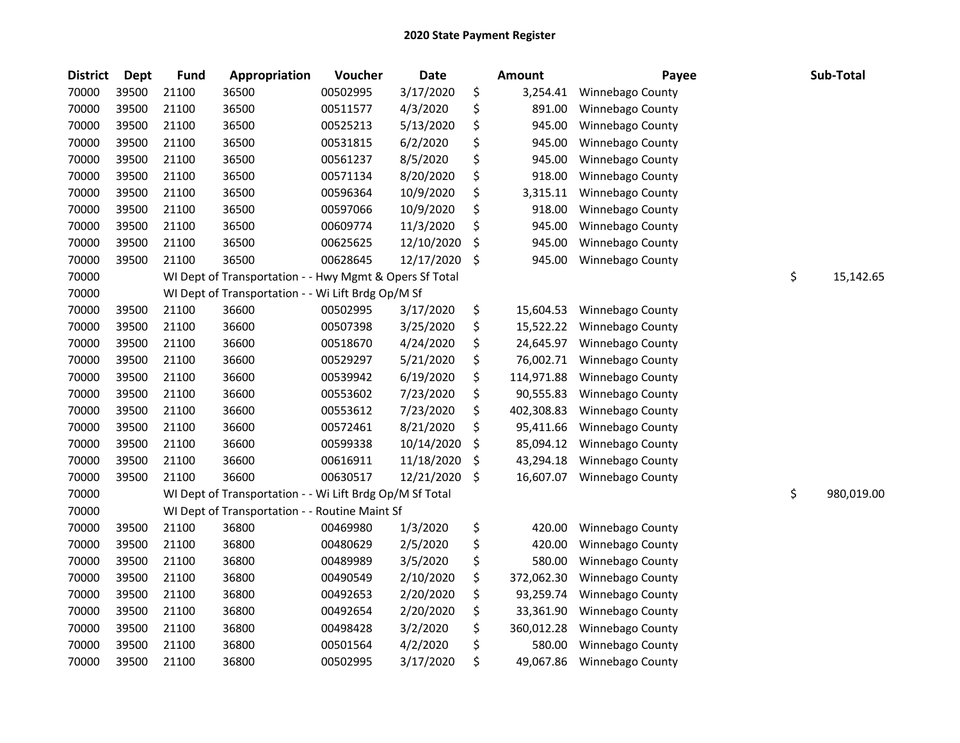| <b>District</b> | <b>Dept</b> | <b>Fund</b> | Appropriation                                            | Voucher  | <b>Date</b> |         | <b>Amount</b> | Payee            | Sub-Total        |
|-----------------|-------------|-------------|----------------------------------------------------------|----------|-------------|---------|---------------|------------------|------------------|
| 70000           | 39500       | 21100       | 36500                                                    | 00502995 | 3/17/2020   | \$      | 3,254.41      | Winnebago County |                  |
| 70000           | 39500       | 21100       | 36500                                                    | 00511577 | 4/3/2020    | \$      | 891.00        | Winnebago County |                  |
| 70000           | 39500       | 21100       | 36500                                                    | 00525213 | 5/13/2020   | \$      | 945.00        | Winnebago County |                  |
| 70000           | 39500       | 21100       | 36500                                                    | 00531815 | 6/2/2020    | \$      | 945.00        | Winnebago County |                  |
| 70000           | 39500       | 21100       | 36500                                                    | 00561237 | 8/5/2020    | \$      | 945.00        | Winnebago County |                  |
| 70000           | 39500       | 21100       | 36500                                                    | 00571134 | 8/20/2020   | \$      | 918.00        | Winnebago County |                  |
| 70000           | 39500       | 21100       | 36500                                                    | 00596364 | 10/9/2020   | \$      | 3,315.11      | Winnebago County |                  |
| 70000           | 39500       | 21100       | 36500                                                    | 00597066 | 10/9/2020   | \$      | 918.00        | Winnebago County |                  |
| 70000           | 39500       | 21100       | 36500                                                    | 00609774 | 11/3/2020   | \$      | 945.00        | Winnebago County |                  |
| 70000           | 39500       | 21100       | 36500                                                    | 00625625 | 12/10/2020  | \$      | 945.00        | Winnebago County |                  |
| 70000           | 39500       | 21100       | 36500                                                    | 00628645 | 12/17/2020  | \$      | 945.00        | Winnebago County |                  |
| 70000           |             |             | WI Dept of Transportation - - Hwy Mgmt & Opers Sf Total  |          |             |         |               |                  | \$<br>15,142.65  |
| 70000           |             |             | WI Dept of Transportation - - Wi Lift Brdg Op/M Sf       |          |             |         |               |                  |                  |
| 70000           | 39500       | 21100       | 36600                                                    | 00502995 | 3/17/2020   | \$      | 15,604.53     | Winnebago County |                  |
| 70000           | 39500       | 21100       | 36600                                                    | 00507398 | 3/25/2020   | \$      | 15,522.22     | Winnebago County |                  |
| 70000           | 39500       | 21100       | 36600                                                    | 00518670 | 4/24/2020   | \$      | 24,645.97     | Winnebago County |                  |
| 70000           | 39500       | 21100       | 36600                                                    | 00529297 | 5/21/2020   | \$      | 76,002.71     | Winnebago County |                  |
| 70000           | 39500       | 21100       | 36600                                                    | 00539942 | 6/19/2020   | \$      | 114,971.88    | Winnebago County |                  |
| 70000           | 39500       | 21100       | 36600                                                    | 00553602 | 7/23/2020   | \$      | 90,555.83     | Winnebago County |                  |
| 70000           | 39500       | 21100       | 36600                                                    | 00553612 | 7/23/2020   | \$      | 402,308.83    | Winnebago County |                  |
| 70000           | 39500       | 21100       | 36600                                                    | 00572461 | 8/21/2020   | \$      | 95,411.66     | Winnebago County |                  |
| 70000           | 39500       | 21100       | 36600                                                    | 00599338 | 10/14/2020  | \$      | 85,094.12     | Winnebago County |                  |
| 70000           | 39500       | 21100       | 36600                                                    | 00616911 | 11/18/2020  | \$      | 43,294.18     | Winnebago County |                  |
| 70000           | 39500       | 21100       | 36600                                                    | 00630517 | 12/21/2020  | $\zeta$ | 16,607.07     | Winnebago County |                  |
| 70000           |             |             | WI Dept of Transportation - - Wi Lift Brdg Op/M Sf Total |          |             |         |               |                  | \$<br>980,019.00 |
| 70000           |             |             | WI Dept of Transportation - - Routine Maint Sf           |          |             |         |               |                  |                  |
| 70000           | 39500       | 21100       | 36800                                                    | 00469980 | 1/3/2020    | \$      | 420.00        | Winnebago County |                  |
| 70000           | 39500       | 21100       | 36800                                                    | 00480629 | 2/5/2020    | \$      | 420.00        | Winnebago County |                  |
| 70000           | 39500       | 21100       | 36800                                                    | 00489989 | 3/5/2020    | \$      | 580.00        | Winnebago County |                  |
| 70000           | 39500       | 21100       | 36800                                                    | 00490549 | 2/10/2020   | \$      | 372,062.30    | Winnebago County |                  |
| 70000           | 39500       | 21100       | 36800                                                    | 00492653 | 2/20/2020   | \$      | 93,259.74     | Winnebago County |                  |
| 70000           | 39500       | 21100       | 36800                                                    | 00492654 | 2/20/2020   | \$      | 33,361.90     | Winnebago County |                  |
| 70000           | 39500       | 21100       | 36800                                                    | 00498428 | 3/2/2020    | \$      | 360,012.28    | Winnebago County |                  |
| 70000           | 39500       | 21100       | 36800                                                    | 00501564 | 4/2/2020    | \$      | 580.00        | Winnebago County |                  |
| 70000           | 39500       | 21100       | 36800                                                    | 00502995 | 3/17/2020   | \$      | 49,067.86     | Winnebago County |                  |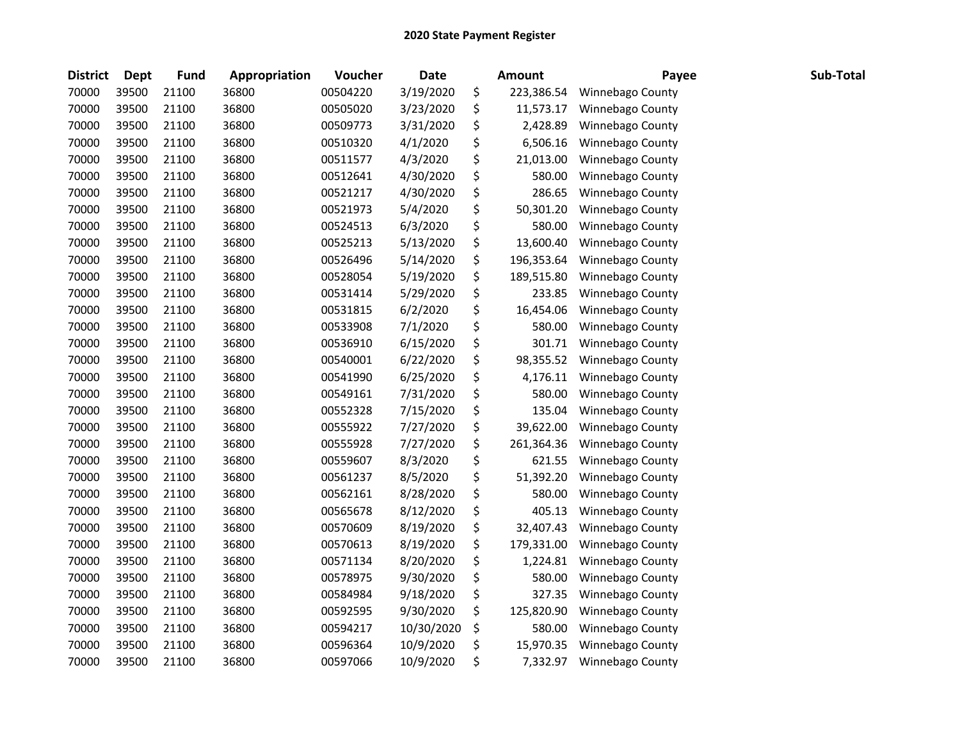| <b>District</b> | <b>Dept</b> | Fund  | Appropriation | Voucher  | <b>Date</b> | <b>Amount</b>    | Payee            | Sub-Total |
|-----------------|-------------|-------|---------------|----------|-------------|------------------|------------------|-----------|
| 70000           | 39500       | 21100 | 36800         | 00504220 | 3/19/2020   | \$<br>223,386.54 | Winnebago County |           |
| 70000           | 39500       | 21100 | 36800         | 00505020 | 3/23/2020   | \$<br>11,573.17  | Winnebago County |           |
| 70000           | 39500       | 21100 | 36800         | 00509773 | 3/31/2020   | \$<br>2,428.89   | Winnebago County |           |
| 70000           | 39500       | 21100 | 36800         | 00510320 | 4/1/2020    | \$<br>6,506.16   | Winnebago County |           |
| 70000           | 39500       | 21100 | 36800         | 00511577 | 4/3/2020    | \$<br>21,013.00  | Winnebago County |           |
| 70000           | 39500       | 21100 | 36800         | 00512641 | 4/30/2020   | \$<br>580.00     | Winnebago County |           |
| 70000           | 39500       | 21100 | 36800         | 00521217 | 4/30/2020   | \$<br>286.65     | Winnebago County |           |
| 70000           | 39500       | 21100 | 36800         | 00521973 | 5/4/2020    | \$<br>50,301.20  | Winnebago County |           |
| 70000           | 39500       | 21100 | 36800         | 00524513 | 6/3/2020    | \$<br>580.00     | Winnebago County |           |
| 70000           | 39500       | 21100 | 36800         | 00525213 | 5/13/2020   | \$<br>13,600.40  | Winnebago County |           |
| 70000           | 39500       | 21100 | 36800         | 00526496 | 5/14/2020   | \$<br>196,353.64 | Winnebago County |           |
| 70000           | 39500       | 21100 | 36800         | 00528054 | 5/19/2020   | \$<br>189,515.80 | Winnebago County |           |
| 70000           | 39500       | 21100 | 36800         | 00531414 | 5/29/2020   | \$<br>233.85     | Winnebago County |           |
| 70000           | 39500       | 21100 | 36800         | 00531815 | 6/2/2020    | \$<br>16,454.06  | Winnebago County |           |
| 70000           | 39500       | 21100 | 36800         | 00533908 | 7/1/2020    | \$<br>580.00     | Winnebago County |           |
| 70000           | 39500       | 21100 | 36800         | 00536910 | 6/15/2020   | \$<br>301.71     | Winnebago County |           |
| 70000           | 39500       | 21100 | 36800         | 00540001 | 6/22/2020   | \$<br>98,355.52  | Winnebago County |           |
| 70000           | 39500       | 21100 | 36800         | 00541990 | 6/25/2020   | \$<br>4,176.11   | Winnebago County |           |
| 70000           | 39500       | 21100 | 36800         | 00549161 | 7/31/2020   | \$<br>580.00     | Winnebago County |           |
| 70000           | 39500       | 21100 | 36800         | 00552328 | 7/15/2020   | \$<br>135.04     | Winnebago County |           |
| 70000           | 39500       | 21100 | 36800         | 00555922 | 7/27/2020   | \$<br>39,622.00  | Winnebago County |           |
| 70000           | 39500       | 21100 | 36800         | 00555928 | 7/27/2020   | \$<br>261,364.36 | Winnebago County |           |
| 70000           | 39500       | 21100 | 36800         | 00559607 | 8/3/2020    | \$<br>621.55     | Winnebago County |           |
| 70000           | 39500       | 21100 | 36800         | 00561237 | 8/5/2020    | \$<br>51,392.20  | Winnebago County |           |
| 70000           | 39500       | 21100 | 36800         | 00562161 | 8/28/2020   | \$<br>580.00     | Winnebago County |           |
| 70000           | 39500       | 21100 | 36800         | 00565678 | 8/12/2020   | \$<br>405.13     | Winnebago County |           |
| 70000           | 39500       | 21100 | 36800         | 00570609 | 8/19/2020   | \$<br>32,407.43  | Winnebago County |           |
| 70000           | 39500       | 21100 | 36800         | 00570613 | 8/19/2020   | \$<br>179,331.00 | Winnebago County |           |
| 70000           | 39500       | 21100 | 36800         | 00571134 | 8/20/2020   | \$<br>1,224.81   | Winnebago County |           |
| 70000           | 39500       | 21100 | 36800         | 00578975 | 9/30/2020   | \$<br>580.00     | Winnebago County |           |
| 70000           | 39500       | 21100 | 36800         | 00584984 | 9/18/2020   | \$<br>327.35     | Winnebago County |           |
| 70000           | 39500       | 21100 | 36800         | 00592595 | 9/30/2020   | \$<br>125,820.90 | Winnebago County |           |
| 70000           | 39500       | 21100 | 36800         | 00594217 | 10/30/2020  | \$<br>580.00     | Winnebago County |           |
| 70000           | 39500       | 21100 | 36800         | 00596364 | 10/9/2020   | \$<br>15,970.35  | Winnebago County |           |
| 70000           | 39500       | 21100 | 36800         | 00597066 | 10/9/2020   | \$<br>7,332.97   | Winnebago County |           |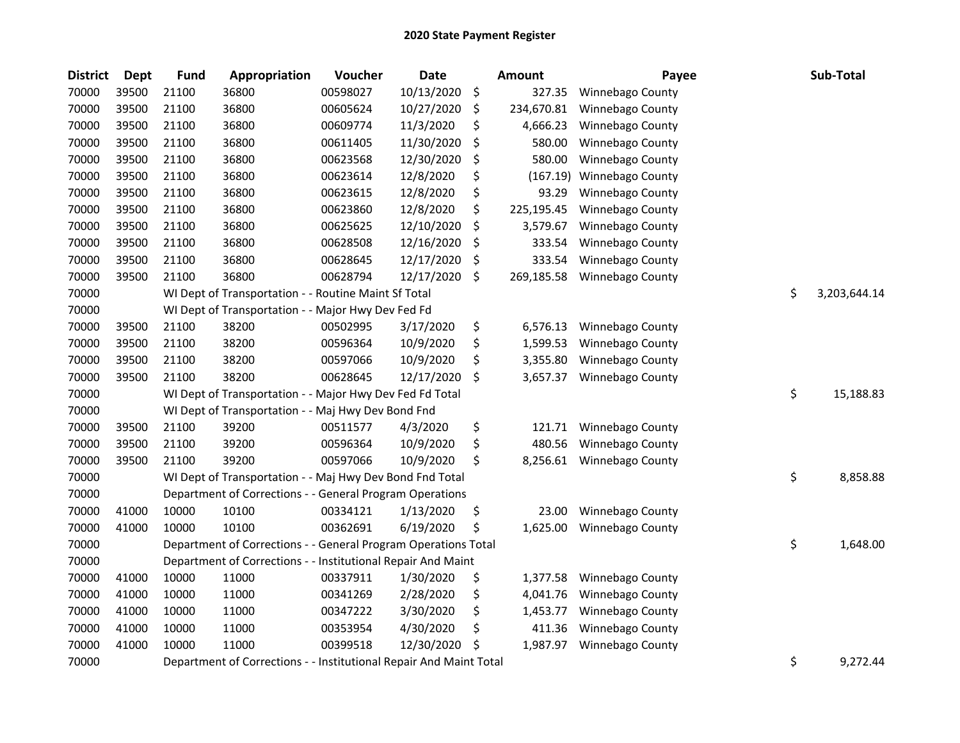| <b>District</b> | Dept  | <b>Fund</b> | <b>Appropriation</b>                                               | Voucher  | <b>Date</b> | <b>Amount</b>    | Payee            | Sub-Total          |
|-----------------|-------|-------------|--------------------------------------------------------------------|----------|-------------|------------------|------------------|--------------------|
| 70000           | 39500 | 21100       | 36800                                                              | 00598027 | 10/13/2020  | \$<br>327.35     | Winnebago County |                    |
| 70000           | 39500 | 21100       | 36800                                                              | 00605624 | 10/27/2020  | \$<br>234,670.81 | Winnebago County |                    |
| 70000           | 39500 | 21100       | 36800                                                              | 00609774 | 11/3/2020   | \$<br>4,666.23   | Winnebago County |                    |
| 70000           | 39500 | 21100       | 36800                                                              | 00611405 | 11/30/2020  | \$<br>580.00     | Winnebago County |                    |
| 70000           | 39500 | 21100       | 36800                                                              | 00623568 | 12/30/2020  | \$<br>580.00     | Winnebago County |                    |
| 70000           | 39500 | 21100       | 36800                                                              | 00623614 | 12/8/2020   | \$<br>(167.19)   | Winnebago County |                    |
| 70000           | 39500 | 21100       | 36800                                                              | 00623615 | 12/8/2020   | \$<br>93.29      | Winnebago County |                    |
| 70000           | 39500 | 21100       | 36800                                                              | 00623860 | 12/8/2020   | \$<br>225,195.45 | Winnebago County |                    |
| 70000           | 39500 | 21100       | 36800                                                              | 00625625 | 12/10/2020  | \$<br>3,579.67   | Winnebago County |                    |
| 70000           | 39500 | 21100       | 36800                                                              | 00628508 | 12/16/2020  | \$<br>333.54     | Winnebago County |                    |
| 70000           | 39500 | 21100       | 36800                                                              | 00628645 | 12/17/2020  | \$<br>333.54     | Winnebago County |                    |
| 70000           | 39500 | 21100       | 36800                                                              | 00628794 | 12/17/2020  | \$<br>269,185.58 | Winnebago County |                    |
| 70000           |       |             | WI Dept of Transportation - - Routine Maint Sf Total               |          |             |                  |                  | \$<br>3,203,644.14 |
| 70000           |       |             | WI Dept of Transportation - - Major Hwy Dev Fed Fd                 |          |             |                  |                  |                    |
| 70000           | 39500 | 21100       | 38200                                                              | 00502995 | 3/17/2020   | \$<br>6,576.13   | Winnebago County |                    |
| 70000           | 39500 | 21100       | 38200                                                              | 00596364 | 10/9/2020   | \$<br>1,599.53   | Winnebago County |                    |
| 70000           | 39500 | 21100       | 38200                                                              | 00597066 | 10/9/2020   | \$<br>3,355.80   | Winnebago County |                    |
| 70000           | 39500 | 21100       | 38200                                                              | 00628645 | 12/17/2020  | \$<br>3,657.37   | Winnebago County |                    |
| 70000           |       |             | WI Dept of Transportation - - Major Hwy Dev Fed Fd Total           |          |             |                  |                  | \$<br>15,188.83    |
| 70000           |       |             | WI Dept of Transportation - - Maj Hwy Dev Bond Fnd                 |          |             |                  |                  |                    |
| 70000           | 39500 | 21100       | 39200                                                              | 00511577 | 4/3/2020    | \$<br>121.71     | Winnebago County |                    |
| 70000           | 39500 | 21100       | 39200                                                              | 00596364 | 10/9/2020   | \$<br>480.56     | Winnebago County |                    |
| 70000           | 39500 | 21100       | 39200                                                              | 00597066 | 10/9/2020   | \$<br>8,256.61   | Winnebago County |                    |
| 70000           |       |             | WI Dept of Transportation - - Maj Hwy Dev Bond Fnd Total           |          |             |                  |                  | \$<br>8,858.88     |
| 70000           |       |             | Department of Corrections - - General Program Operations           |          |             |                  |                  |                    |
| 70000           | 41000 | 10000       | 10100                                                              | 00334121 | 1/13/2020   | \$<br>23.00      | Winnebago County |                    |
| 70000           | 41000 | 10000       | 10100                                                              | 00362691 | 6/19/2020   | \$<br>1,625.00   | Winnebago County |                    |
| 70000           |       |             | Department of Corrections - - General Program Operations Total     |          |             |                  |                  | \$<br>1,648.00     |
| 70000           |       |             | Department of Corrections - - Institutional Repair And Maint       |          |             |                  |                  |                    |
| 70000           | 41000 | 10000       | 11000                                                              | 00337911 | 1/30/2020   | \$<br>1,377.58   | Winnebago County |                    |
| 70000           | 41000 | 10000       | 11000                                                              | 00341269 | 2/28/2020   | \$<br>4,041.76   | Winnebago County |                    |
| 70000           | 41000 | 10000       | 11000                                                              | 00347222 | 3/30/2020   | \$<br>1,453.77   | Winnebago County |                    |
| 70000           | 41000 | 10000       | 11000                                                              | 00353954 | 4/30/2020   | \$<br>411.36     | Winnebago County |                    |
| 70000           | 41000 | 10000       | 11000                                                              | 00399518 | 12/30/2020  | \$<br>1,987.97   | Winnebago County |                    |
| 70000           |       |             | Department of Corrections - - Institutional Repair And Maint Total |          |             |                  |                  | \$<br>9,272.44     |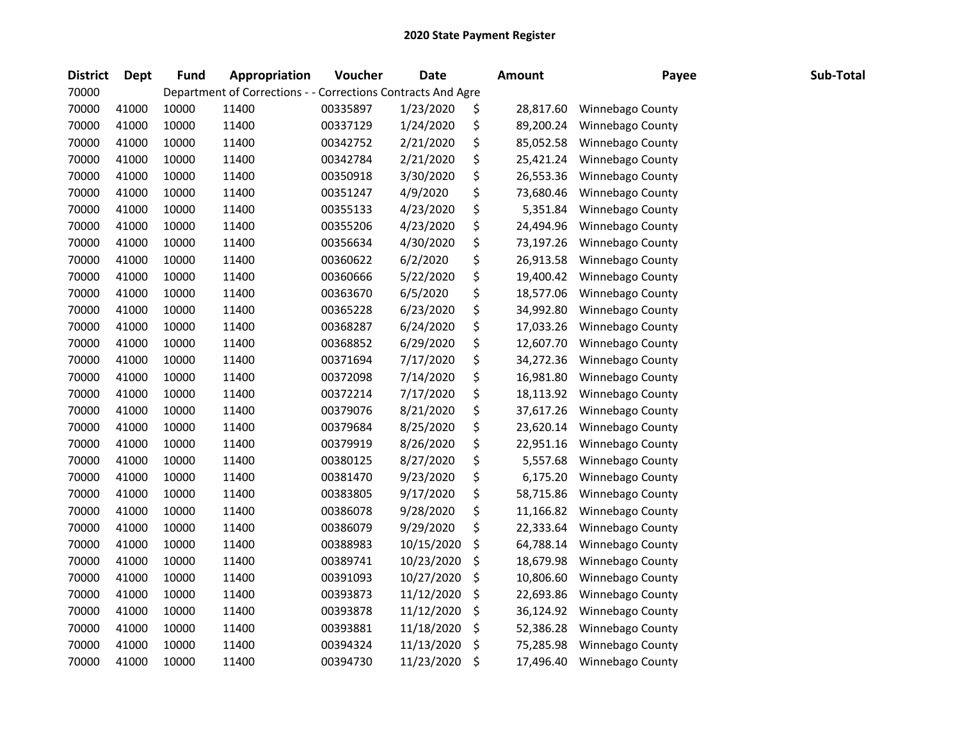| <b>District</b> | <b>Dept</b> | <b>Fund</b> | Appropriation                                                | Voucher  | <b>Date</b> | Amount          | Payee            | Sub-Total |
|-----------------|-------------|-------------|--------------------------------------------------------------|----------|-------------|-----------------|------------------|-----------|
| 70000           |             |             | Department of Corrections - - Corrections Contracts And Agre |          |             |                 |                  |           |
| 70000           | 41000       | 10000       | 11400                                                        | 00335897 | 1/23/2020   | \$<br>28,817.60 | Winnebago County |           |
| 70000           | 41000       | 10000       | 11400                                                        | 00337129 | 1/24/2020   | \$<br>89,200.24 | Winnebago County |           |
| 70000           | 41000       | 10000       | 11400                                                        | 00342752 | 2/21/2020   | \$<br>85,052.58 | Winnebago County |           |
| 70000           | 41000       | 10000       | 11400                                                        | 00342784 | 2/21/2020   | \$<br>25,421.24 | Winnebago County |           |
| 70000           | 41000       | 10000       | 11400                                                        | 00350918 | 3/30/2020   | \$<br>26,553.36 | Winnebago County |           |
| 70000           | 41000       | 10000       | 11400                                                        | 00351247 | 4/9/2020    | \$<br>73,680.46 | Winnebago County |           |
| 70000           | 41000       | 10000       | 11400                                                        | 00355133 | 4/23/2020   | \$<br>5,351.84  | Winnebago County |           |
| 70000           | 41000       | 10000       | 11400                                                        | 00355206 | 4/23/2020   | \$<br>24,494.96 | Winnebago County |           |
| 70000           | 41000       | 10000       | 11400                                                        | 00356634 | 4/30/2020   | \$<br>73,197.26 | Winnebago County |           |
| 70000           | 41000       | 10000       | 11400                                                        | 00360622 | 6/2/2020    | \$<br>26,913.58 | Winnebago County |           |
| 70000           | 41000       | 10000       | 11400                                                        | 00360666 | 5/22/2020   | \$<br>19,400.42 | Winnebago County |           |
| 70000           | 41000       | 10000       | 11400                                                        | 00363670 | 6/5/2020    | \$<br>18,577.06 | Winnebago County |           |
| 70000           | 41000       | 10000       | 11400                                                        | 00365228 | 6/23/2020   | \$<br>34,992.80 | Winnebago County |           |
| 70000           | 41000       | 10000       | 11400                                                        | 00368287 | 6/24/2020   | \$<br>17,033.26 | Winnebago County |           |
| 70000           | 41000       | 10000       | 11400                                                        | 00368852 | 6/29/2020   | \$<br>12,607.70 | Winnebago County |           |
| 70000           | 41000       | 10000       | 11400                                                        | 00371694 | 7/17/2020   | \$<br>34,272.36 | Winnebago County |           |
| 70000           | 41000       | 10000       | 11400                                                        | 00372098 | 7/14/2020   | \$<br>16,981.80 | Winnebago County |           |
| 70000           | 41000       | 10000       | 11400                                                        | 00372214 | 7/17/2020   | \$<br>18,113.92 | Winnebago County |           |
| 70000           | 41000       | 10000       | 11400                                                        | 00379076 | 8/21/2020   | \$<br>37,617.26 | Winnebago County |           |
| 70000           | 41000       | 10000       | 11400                                                        | 00379684 | 8/25/2020   | \$<br>23,620.14 | Winnebago County |           |
| 70000           | 41000       | 10000       | 11400                                                        | 00379919 | 8/26/2020   | \$<br>22,951.16 | Winnebago County |           |
| 70000           | 41000       | 10000       | 11400                                                        | 00380125 | 8/27/2020   | \$<br>5,557.68  | Winnebago County |           |
| 70000           | 41000       | 10000       | 11400                                                        | 00381470 | 9/23/2020   | \$<br>6,175.20  | Winnebago County |           |
| 70000           | 41000       | 10000       | 11400                                                        | 00383805 | 9/17/2020   | \$<br>58,715.86 | Winnebago County |           |
| 70000           | 41000       | 10000       | 11400                                                        | 00386078 | 9/28/2020   | \$<br>11,166.82 | Winnebago County |           |
| 70000           | 41000       | 10000       | 11400                                                        | 00386079 | 9/29/2020   | \$<br>22,333.64 | Winnebago County |           |
| 70000           | 41000       | 10000       | 11400                                                        | 00388983 | 10/15/2020  | \$<br>64,788.14 | Winnebago County |           |
| 70000           | 41000       | 10000       | 11400                                                        | 00389741 | 10/23/2020  | \$<br>18,679.98 | Winnebago County |           |
| 70000           | 41000       | 10000       | 11400                                                        | 00391093 | 10/27/2020  | \$<br>10,806.60 | Winnebago County |           |
| 70000           | 41000       | 10000       | 11400                                                        | 00393873 | 11/12/2020  | \$<br>22,693.86 | Winnebago County |           |
| 70000           | 41000       | 10000       | 11400                                                        | 00393878 | 11/12/2020  | \$<br>36,124.92 | Winnebago County |           |
| 70000           | 41000       | 10000       | 11400                                                        | 00393881 | 11/18/2020  | \$<br>52,386.28 | Winnebago County |           |
| 70000           | 41000       | 10000       | 11400                                                        | 00394324 | 11/13/2020  | \$<br>75,285.98 | Winnebago County |           |
| 70000           | 41000       | 10000       | 11400                                                        | 00394730 | 11/23/2020  | \$<br>17,496.40 | Winnebago County |           |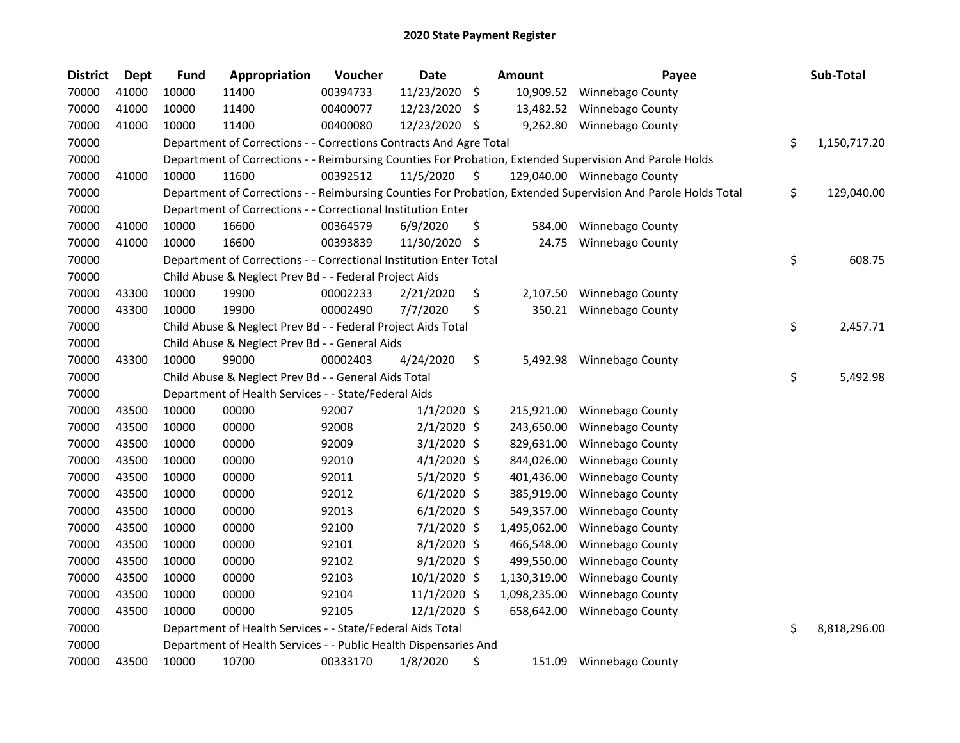| <b>District</b> | <b>Dept</b> | <b>Fund</b> | Appropriation                                                      | Voucher  | <b>Date</b>   |     | <b>Amount</b> | Payee                                                                                                         | Sub-Total          |
|-----------------|-------------|-------------|--------------------------------------------------------------------|----------|---------------|-----|---------------|---------------------------------------------------------------------------------------------------------------|--------------------|
| 70000           | 41000       | 10000       | 11400                                                              | 00394733 | 11/23/2020    | \$  | 10,909.52     | Winnebago County                                                                                              |                    |
| 70000           | 41000       | 10000       | 11400                                                              | 00400077 | 12/23/2020    | \$  | 13,482.52     | Winnebago County                                                                                              |                    |
| 70000           | 41000       | 10000       | 11400                                                              | 00400080 | 12/23/2020    | -S  | 9,262.80      | Winnebago County                                                                                              |                    |
| 70000           |             |             | Department of Corrections - - Corrections Contracts And Agre Total |          |               |     |               |                                                                                                               | \$<br>1,150,717.20 |
| 70000           |             |             |                                                                    |          |               |     |               | Department of Corrections - - Reimbursing Counties For Probation, Extended Supervision And Parole Holds       |                    |
| 70000           | 41000       | 10000       | 11600                                                              | 00392512 | 11/5/2020     | \$. |               | 129,040.00 Winnebago County                                                                                   |                    |
| 70000           |             |             |                                                                    |          |               |     |               | Department of Corrections - - Reimbursing Counties For Probation, Extended Supervision And Parole Holds Total | \$<br>129,040.00   |
| 70000           |             |             | Department of Corrections - - Correctional Institution Enter       |          |               |     |               |                                                                                                               |                    |
| 70000           | 41000       | 10000       | 16600                                                              | 00364579 | 6/9/2020      | \$  | 584.00        | Winnebago County                                                                                              |                    |
| 70000           | 41000       | 10000       | 16600                                                              | 00393839 | 11/30/2020    | \$  | 24.75         | <b>Winnebago County</b>                                                                                       |                    |
| 70000           |             |             | Department of Corrections - - Correctional Institution Enter Total |          |               |     |               |                                                                                                               | \$<br>608.75       |
| 70000           |             |             | Child Abuse & Neglect Prev Bd - - Federal Project Aids             |          |               |     |               |                                                                                                               |                    |
| 70000           | 43300       | 10000       | 19900                                                              | 00002233 | 2/21/2020     | \$  | 2,107.50      | Winnebago County                                                                                              |                    |
| 70000           | 43300       | 10000       | 19900                                                              | 00002490 | 7/7/2020      | \$  | 350.21        | <b>Winnebago County</b>                                                                                       |                    |
| 70000           |             |             | Child Abuse & Neglect Prev Bd - - Federal Project Aids Total       |          |               |     |               |                                                                                                               | \$<br>2,457.71     |
| 70000           |             |             | Child Abuse & Neglect Prev Bd - - General Aids                     |          |               |     |               |                                                                                                               |                    |
| 70000           | 43300       | 10000       | 99000                                                              | 00002403 | 4/24/2020     | \$  | 5,492.98      | Winnebago County                                                                                              |                    |
| 70000           |             |             | Child Abuse & Neglect Prev Bd - - General Aids Total               |          |               |     |               |                                                                                                               | \$<br>5,492.98     |
| 70000           |             |             | Department of Health Services - - State/Federal Aids               |          |               |     |               |                                                                                                               |                    |
| 70000           | 43500       | 10000       | 00000                                                              | 92007    | $1/1/2020$ \$ |     | 215,921.00    | Winnebago County                                                                                              |                    |
| 70000           | 43500       | 10000       | 00000                                                              | 92008    | $2/1/2020$ \$ |     | 243,650.00    | Winnebago County                                                                                              |                    |
| 70000           | 43500       | 10000       | 00000                                                              | 92009    | $3/1/2020$ \$ |     | 829,631.00    | Winnebago County                                                                                              |                    |
| 70000           | 43500       | 10000       | 00000                                                              | 92010    | $4/1/2020$ \$ |     | 844,026.00    | <b>Winnebago County</b>                                                                                       |                    |
| 70000           | 43500       | 10000       | 00000                                                              | 92011    | $5/1/2020$ \$ |     | 401,436.00    | Winnebago County                                                                                              |                    |
| 70000           | 43500       | 10000       | 00000                                                              | 92012    | $6/1/2020$ \$ |     | 385,919.00    | Winnebago County                                                                                              |                    |
| 70000           | 43500       | 10000       | 00000                                                              | 92013    | $6/1/2020$ \$ |     | 549,357.00    | Winnebago County                                                                                              |                    |
| 70000           | 43500       | 10000       | 00000                                                              | 92100    | 7/1/2020 \$   |     | 1,495,062.00  | Winnebago County                                                                                              |                    |
| 70000           | 43500       | 10000       | 00000                                                              | 92101    | $8/1/2020$ \$ |     | 466,548.00    | Winnebago County                                                                                              |                    |
| 70000           | 43500       | 10000       | 00000                                                              | 92102    | $9/1/2020$ \$ |     | 499,550.00    | Winnebago County                                                                                              |                    |
| 70000           | 43500       | 10000       | 00000                                                              | 92103    | 10/1/2020 \$  |     | 1,130,319.00  | Winnebago County                                                                                              |                    |
| 70000           | 43500       | 10000       | 00000                                                              | 92104    | 11/1/2020 \$  |     | 1,098,235.00  | Winnebago County                                                                                              |                    |
| 70000           | 43500       | 10000       | 00000                                                              | 92105    | 12/1/2020 \$  |     | 658,642.00    | Winnebago County                                                                                              |                    |
| 70000           |             |             | Department of Health Services - - State/Federal Aids Total         |          |               |     |               |                                                                                                               | \$<br>8,818,296.00 |
| 70000           |             |             | Department of Health Services - - Public Health Dispensaries And   |          |               |     |               |                                                                                                               |                    |
| 70000           | 43500       | 10000       | 10700                                                              | 00333170 | 1/8/2020      | \$  | 151.09        | <b>Winnebago County</b>                                                                                       |                    |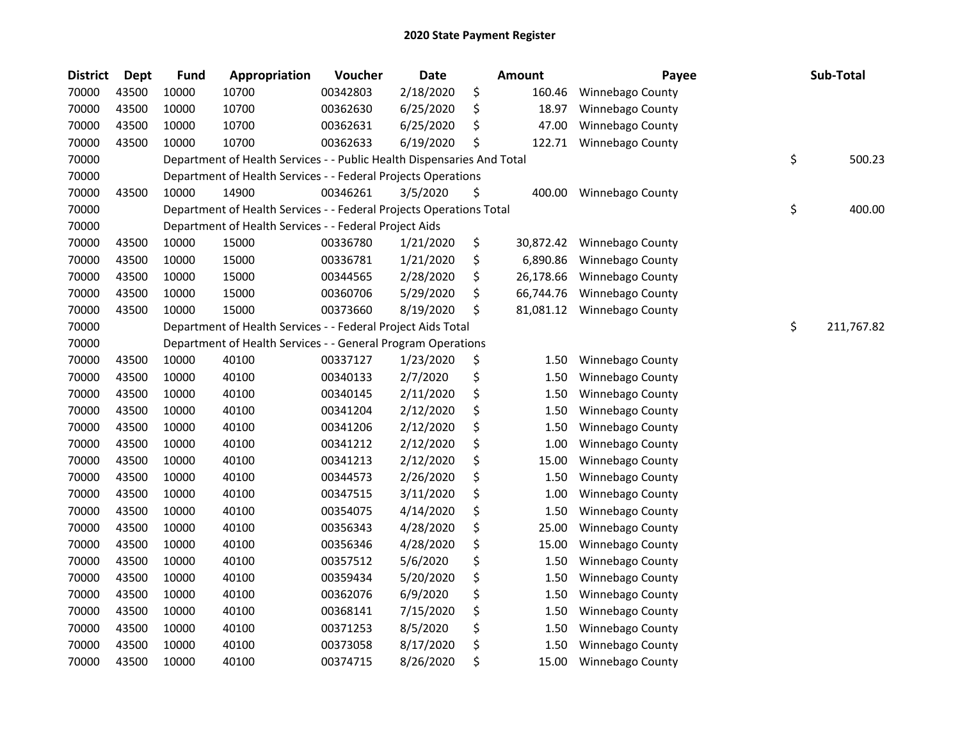| <b>District</b> | <b>Dept</b> | Fund  | Appropriation                                                          | Voucher  | <b>Date</b> |    | Amount    | Payee            | Sub-Total        |
|-----------------|-------------|-------|------------------------------------------------------------------------|----------|-------------|----|-----------|------------------|------------------|
| 70000           | 43500       | 10000 | 10700                                                                  | 00342803 | 2/18/2020   | \$ | 160.46    | Winnebago County |                  |
| 70000           | 43500       | 10000 | 10700                                                                  | 00362630 | 6/25/2020   | \$ | 18.97     | Winnebago County |                  |
| 70000           | 43500       | 10000 | 10700                                                                  | 00362631 | 6/25/2020   | \$ | 47.00     | Winnebago County |                  |
| 70000           | 43500       | 10000 | 10700                                                                  | 00362633 | 6/19/2020   | Ś  | 122.71    | Winnebago County |                  |
| 70000           |             |       | Department of Health Services - - Public Health Dispensaries And Total |          |             |    |           |                  | \$<br>500.23     |
| 70000           |             |       | Department of Health Services - - Federal Projects Operations          |          |             |    |           |                  |                  |
| 70000           | 43500       | 10000 | 14900                                                                  | 00346261 | 3/5/2020    | \$ | 400.00    | Winnebago County |                  |
| 70000           |             |       | Department of Health Services - - Federal Projects Operations Total    |          |             |    |           |                  | \$<br>400.00     |
| 70000           |             |       | Department of Health Services - - Federal Project Aids                 |          |             |    |           |                  |                  |
| 70000           | 43500       | 10000 | 15000                                                                  | 00336780 | 1/21/2020   | \$ | 30,872.42 | Winnebago County |                  |
| 70000           | 43500       | 10000 | 15000                                                                  | 00336781 | 1/21/2020   | \$ | 6,890.86  | Winnebago County |                  |
| 70000           | 43500       | 10000 | 15000                                                                  | 00344565 | 2/28/2020   | \$ | 26,178.66 | Winnebago County |                  |
| 70000           | 43500       | 10000 | 15000                                                                  | 00360706 | 5/29/2020   | \$ | 66,744.76 | Winnebago County |                  |
| 70000           | 43500       | 10000 | 15000                                                                  | 00373660 | 8/19/2020   | \$ | 81,081.12 | Winnebago County |                  |
| 70000           |             |       | Department of Health Services - - Federal Project Aids Total           |          |             |    |           |                  | \$<br>211,767.82 |
| 70000           |             |       | Department of Health Services - - General Program Operations           |          |             |    |           |                  |                  |
| 70000           | 43500       | 10000 | 40100                                                                  | 00337127 | 1/23/2020   | \$ | 1.50      | Winnebago County |                  |
| 70000           | 43500       | 10000 | 40100                                                                  | 00340133 | 2/7/2020    | \$ | 1.50      | Winnebago County |                  |
| 70000           | 43500       | 10000 | 40100                                                                  | 00340145 | 2/11/2020   | \$ | 1.50      | Winnebago County |                  |
| 70000           | 43500       | 10000 | 40100                                                                  | 00341204 | 2/12/2020   | \$ | 1.50      | Winnebago County |                  |
| 70000           | 43500       | 10000 | 40100                                                                  | 00341206 | 2/12/2020   | \$ | 1.50      | Winnebago County |                  |
| 70000           | 43500       | 10000 | 40100                                                                  | 00341212 | 2/12/2020   | \$ | 1.00      | Winnebago County |                  |
| 70000           | 43500       | 10000 | 40100                                                                  | 00341213 | 2/12/2020   | \$ | 15.00     | Winnebago County |                  |
| 70000           | 43500       | 10000 | 40100                                                                  | 00344573 | 2/26/2020   | \$ | 1.50      | Winnebago County |                  |
| 70000           | 43500       | 10000 | 40100                                                                  | 00347515 | 3/11/2020   | \$ | 1.00      | Winnebago County |                  |
| 70000           | 43500       | 10000 | 40100                                                                  | 00354075 | 4/14/2020   | \$ | 1.50      | Winnebago County |                  |
| 70000           | 43500       | 10000 | 40100                                                                  | 00356343 | 4/28/2020   | \$ | 25.00     | Winnebago County |                  |
| 70000           | 43500       | 10000 | 40100                                                                  | 00356346 | 4/28/2020   | \$ | 15.00     | Winnebago County |                  |
| 70000           | 43500       | 10000 | 40100                                                                  | 00357512 | 5/6/2020    | \$ | 1.50      | Winnebago County |                  |
| 70000           | 43500       | 10000 | 40100                                                                  | 00359434 | 5/20/2020   | \$ | 1.50      | Winnebago County |                  |
| 70000           | 43500       | 10000 | 40100                                                                  | 00362076 | 6/9/2020    | \$ | 1.50      | Winnebago County |                  |
| 70000           | 43500       | 10000 | 40100                                                                  | 00368141 | 7/15/2020   | \$ | 1.50      | Winnebago County |                  |
| 70000           | 43500       | 10000 | 40100                                                                  | 00371253 | 8/5/2020    | \$ | 1.50      | Winnebago County |                  |
| 70000           | 43500       | 10000 | 40100                                                                  | 00373058 | 8/17/2020   | \$ | 1.50      | Winnebago County |                  |
| 70000           | 43500       | 10000 | 40100                                                                  | 00374715 | 8/26/2020   | \$ | 15.00     | Winnebago County |                  |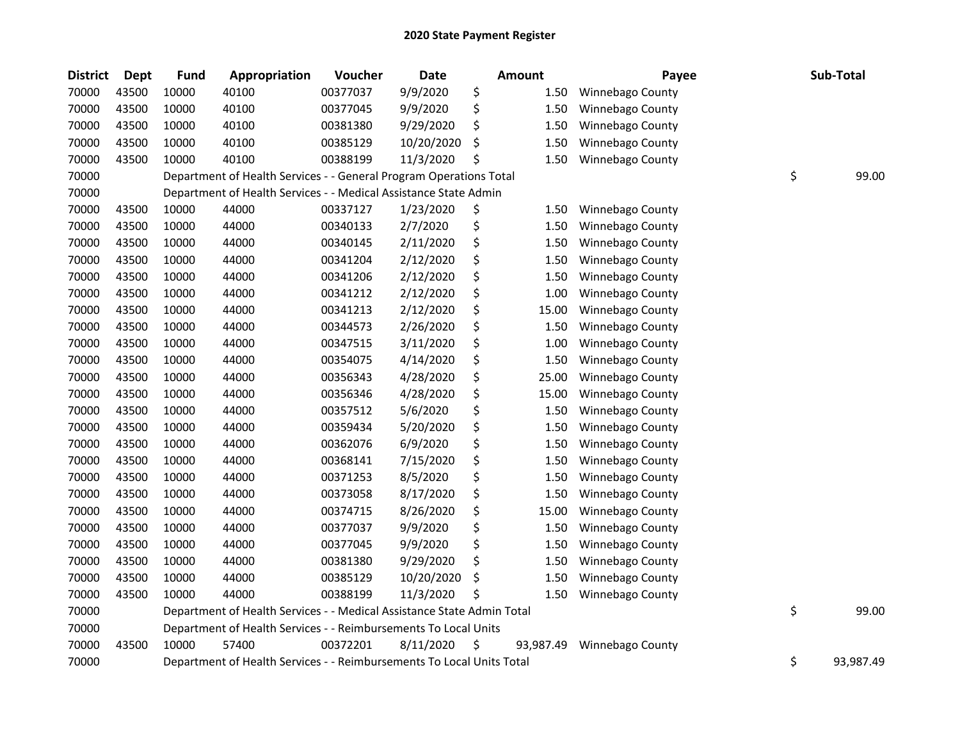| <b>District</b> | <b>Dept</b> | <b>Fund</b> | <b>Appropriation</b>                                                   | Voucher  | Date       | <b>Amount</b>   | Payee                   | Sub-Total       |
|-----------------|-------------|-------------|------------------------------------------------------------------------|----------|------------|-----------------|-------------------------|-----------------|
| 70000           | 43500       | 10000       | 40100                                                                  | 00377037 | 9/9/2020   | \$<br>1.50      | Winnebago County        |                 |
| 70000           | 43500       | 10000       | 40100                                                                  | 00377045 | 9/9/2020   | \$<br>1.50      | Winnebago County        |                 |
| 70000           | 43500       | 10000       | 40100                                                                  | 00381380 | 9/29/2020  | \$<br>1.50      | Winnebago County        |                 |
| 70000           | 43500       | 10000       | 40100                                                                  | 00385129 | 10/20/2020 | \$<br>1.50      | Winnebago County        |                 |
| 70000           | 43500       | 10000       | 40100                                                                  | 00388199 | 11/3/2020  | \$<br>1.50      | Winnebago County        |                 |
| 70000           |             |             | Department of Health Services - - General Program Operations Total     |          |            |                 |                         | \$<br>99.00     |
| 70000           |             |             | Department of Health Services - - Medical Assistance State Admin       |          |            |                 |                         |                 |
| 70000           | 43500       | 10000       | 44000                                                                  | 00337127 | 1/23/2020  | \$<br>1.50      | <b>Winnebago County</b> |                 |
| 70000           | 43500       | 10000       | 44000                                                                  | 00340133 | 2/7/2020   | \$<br>1.50      | Winnebago County        |                 |
| 70000           | 43500       | 10000       | 44000                                                                  | 00340145 | 2/11/2020  | \$<br>1.50      | Winnebago County        |                 |
| 70000           | 43500       | 10000       | 44000                                                                  | 00341204 | 2/12/2020  | \$<br>1.50      | Winnebago County        |                 |
| 70000           | 43500       | 10000       | 44000                                                                  | 00341206 | 2/12/2020  | \$<br>1.50      | Winnebago County        |                 |
| 70000           | 43500       | 10000       | 44000                                                                  | 00341212 | 2/12/2020  | \$<br>1.00      | Winnebago County        |                 |
| 70000           | 43500       | 10000       | 44000                                                                  | 00341213 | 2/12/2020  | \$<br>15.00     | Winnebago County        |                 |
| 70000           | 43500       | 10000       | 44000                                                                  | 00344573 | 2/26/2020  | \$<br>1.50      | Winnebago County        |                 |
| 70000           | 43500       | 10000       | 44000                                                                  | 00347515 | 3/11/2020  | \$<br>1.00      | Winnebago County        |                 |
| 70000           | 43500       | 10000       | 44000                                                                  | 00354075 | 4/14/2020  | \$<br>1.50      | Winnebago County        |                 |
| 70000           | 43500       | 10000       | 44000                                                                  | 00356343 | 4/28/2020  | \$<br>25.00     | Winnebago County        |                 |
| 70000           | 43500       | 10000       | 44000                                                                  | 00356346 | 4/28/2020  | \$<br>15.00     | Winnebago County        |                 |
| 70000           | 43500       | 10000       | 44000                                                                  | 00357512 | 5/6/2020   | \$<br>1.50      | Winnebago County        |                 |
| 70000           | 43500       | 10000       | 44000                                                                  | 00359434 | 5/20/2020  | \$<br>1.50      | Winnebago County        |                 |
| 70000           | 43500       | 10000       | 44000                                                                  | 00362076 | 6/9/2020   | \$<br>1.50      | Winnebago County        |                 |
| 70000           | 43500       | 10000       | 44000                                                                  | 00368141 | 7/15/2020  | \$<br>1.50      | Winnebago County        |                 |
| 70000           | 43500       | 10000       | 44000                                                                  | 00371253 | 8/5/2020   | \$<br>1.50      | Winnebago County        |                 |
| 70000           | 43500       | 10000       | 44000                                                                  | 00373058 | 8/17/2020  | \$<br>1.50      | Winnebago County        |                 |
| 70000           | 43500       | 10000       | 44000                                                                  | 00374715 | 8/26/2020  | \$<br>15.00     | Winnebago County        |                 |
| 70000           | 43500       | 10000       | 44000                                                                  | 00377037 | 9/9/2020   | \$<br>1.50      | Winnebago County        |                 |
| 70000           | 43500       | 10000       | 44000                                                                  | 00377045 | 9/9/2020   | \$<br>1.50      | Winnebago County        |                 |
| 70000           | 43500       | 10000       | 44000                                                                  | 00381380 | 9/29/2020  | \$<br>1.50      | Winnebago County        |                 |
| 70000           | 43500       | 10000       | 44000                                                                  | 00385129 | 10/20/2020 | \$<br>1.50      | Winnebago County        |                 |
| 70000           | 43500       | 10000       | 44000                                                                  | 00388199 | 11/3/2020  | \$<br>1.50      | Winnebago County        |                 |
| 70000           |             |             | Department of Health Services - - Medical Assistance State Admin Total |          |            |                 |                         | \$<br>99.00     |
| 70000           |             |             | Department of Health Services - - Reimbursements To Local Units        |          |            |                 |                         |                 |
| 70000           | 43500       | 10000       | 57400                                                                  | 00372201 | 8/11/2020  | \$<br>93,987.49 | Winnebago County        |                 |
| 70000           |             |             | Department of Health Services - - Reimbursements To Local Units Total  |          |            |                 |                         | \$<br>93,987.49 |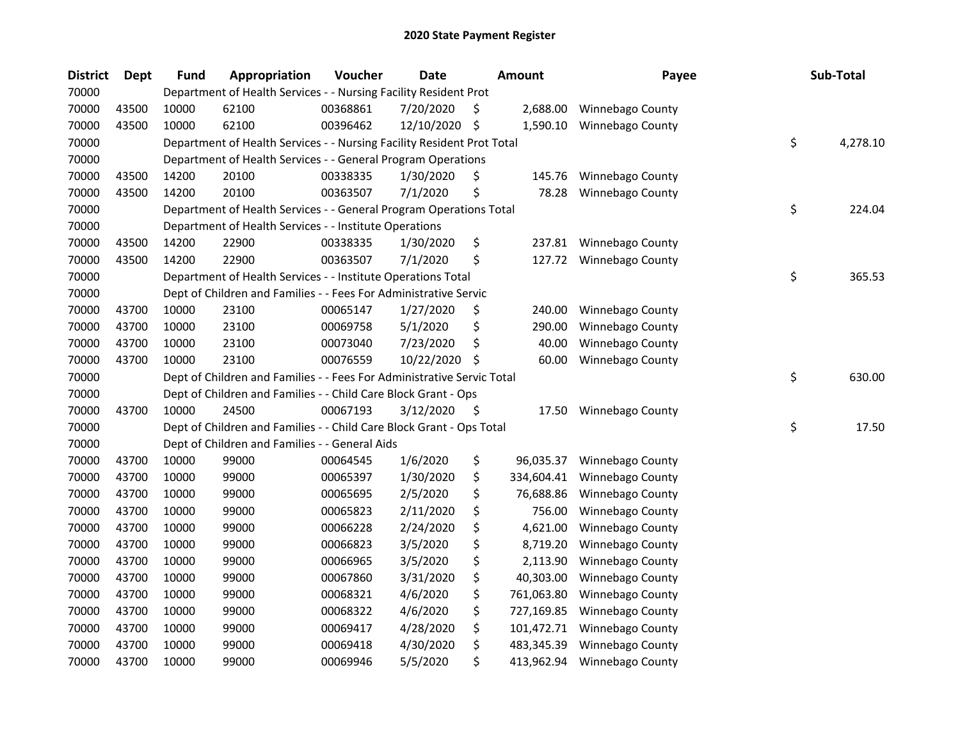| <b>District</b> | <b>Dept</b> | <b>Fund</b> | Appropriation                                                          | Voucher  | <b>Date</b> |     | Amount     | Payee                   | Sub-Total      |
|-----------------|-------------|-------------|------------------------------------------------------------------------|----------|-------------|-----|------------|-------------------------|----------------|
| 70000           |             |             | Department of Health Services - - Nursing Facility Resident Prot       |          |             |     |            |                         |                |
| 70000           | 43500       | 10000       | 62100                                                                  | 00368861 | 7/20/2020   | \$. | 2,688.00   | <b>Winnebago County</b> |                |
| 70000           | 43500       | 10000       | 62100                                                                  | 00396462 | 12/10/2020  | \$  | 1,590.10   | <b>Winnebago County</b> |                |
| 70000           |             |             | Department of Health Services - - Nursing Facility Resident Prot Total |          |             |     |            |                         | \$<br>4,278.10 |
| 70000           |             |             | Department of Health Services - - General Program Operations           |          |             |     |            |                         |                |
| 70000           | 43500       | 14200       | 20100                                                                  | 00338335 | 1/30/2020   | \$  | 145.76     | Winnebago County        |                |
| 70000           | 43500       | 14200       | 20100                                                                  | 00363507 | 7/1/2020    | \$  | 78.28      | Winnebago County        |                |
| 70000           |             |             | Department of Health Services - - General Program Operations Total     |          |             |     |            |                         | \$<br>224.04   |
| 70000           |             |             | Department of Health Services - - Institute Operations                 |          |             |     |            |                         |                |
| 70000           | 43500       | 14200       | 22900                                                                  | 00338335 | 1/30/2020   | \$  | 237.81     | Winnebago County        |                |
| 70000           | 43500       | 14200       | 22900                                                                  | 00363507 | 7/1/2020    | \$  | 127.72     | Winnebago County        |                |
| 70000           |             |             | Department of Health Services - - Institute Operations Total           |          |             |     |            |                         | \$<br>365.53   |
| 70000           |             |             | Dept of Children and Families - - Fees For Administrative Servic       |          |             |     |            |                         |                |
| 70000           | 43700       | 10000       | 23100                                                                  | 00065147 | 1/27/2020   | \$  | 240.00     | Winnebago County        |                |
| 70000           | 43700       | 10000       | 23100                                                                  | 00069758 | 5/1/2020    | \$  | 290.00     | <b>Winnebago County</b> |                |
| 70000           | 43700       | 10000       | 23100                                                                  | 00073040 | 7/23/2020   | \$  | 40.00      | Winnebago County        |                |
| 70000           | 43700       | 10000       | 23100                                                                  | 00076559 | 10/22/2020  | S   | 60.00      | Winnebago County        |                |
| 70000           |             |             | Dept of Children and Families - - Fees For Administrative Servic Total |          |             |     |            |                         | \$<br>630.00   |
| 70000           |             |             | Dept of Children and Families - - Child Care Block Grant - Ops         |          |             |     |            |                         |                |
| 70000           | 43700       | 10000       | 24500                                                                  | 00067193 | 3/12/2020   | \$  | 17.50      | <b>Winnebago County</b> |                |
| 70000           |             |             | Dept of Children and Families - - Child Care Block Grant - Ops Total   |          |             |     |            |                         | \$<br>17.50    |
| 70000           |             |             | Dept of Children and Families - - General Aids                         |          |             |     |            |                         |                |
| 70000           | 43700       | 10000       | 99000                                                                  | 00064545 | 1/6/2020    | \$  | 96,035.37  | Winnebago County        |                |
| 70000           | 43700       | 10000       | 99000                                                                  | 00065397 | 1/30/2020   | \$  | 334,604.41 | Winnebago County        |                |
| 70000           | 43700       | 10000       | 99000                                                                  | 00065695 | 2/5/2020    | \$  | 76,688.86  | Winnebago County        |                |
| 70000           | 43700       | 10000       | 99000                                                                  | 00065823 | 2/11/2020   | \$  | 756.00     | Winnebago County        |                |
| 70000           | 43700       | 10000       | 99000                                                                  | 00066228 | 2/24/2020   | \$  | 4,621.00   | Winnebago County        |                |
| 70000           | 43700       | 10000       | 99000                                                                  | 00066823 | 3/5/2020    | \$  | 8,719.20   | Winnebago County        |                |
| 70000           | 43700       | 10000       | 99000                                                                  | 00066965 | 3/5/2020    | \$  | 2,113.90   | Winnebago County        |                |
| 70000           | 43700       | 10000       | 99000                                                                  | 00067860 | 3/31/2020   | \$  | 40,303.00  | Winnebago County        |                |
| 70000           | 43700       | 10000       | 99000                                                                  | 00068321 | 4/6/2020    | \$  | 761,063.80 | Winnebago County        |                |
| 70000           | 43700       | 10000       | 99000                                                                  | 00068322 | 4/6/2020    | \$  | 727,169.85 | Winnebago County        |                |
| 70000           | 43700       | 10000       | 99000                                                                  | 00069417 | 4/28/2020   | \$  | 101,472.71 | Winnebago County        |                |
| 70000           | 43700       | 10000       | 99000                                                                  | 00069418 | 4/30/2020   | \$  | 483,345.39 | Winnebago County        |                |
| 70000           | 43700       | 10000       | 99000                                                                  | 00069946 | 5/5/2020    | \$  | 413,962.94 | <b>Winnebago County</b> |                |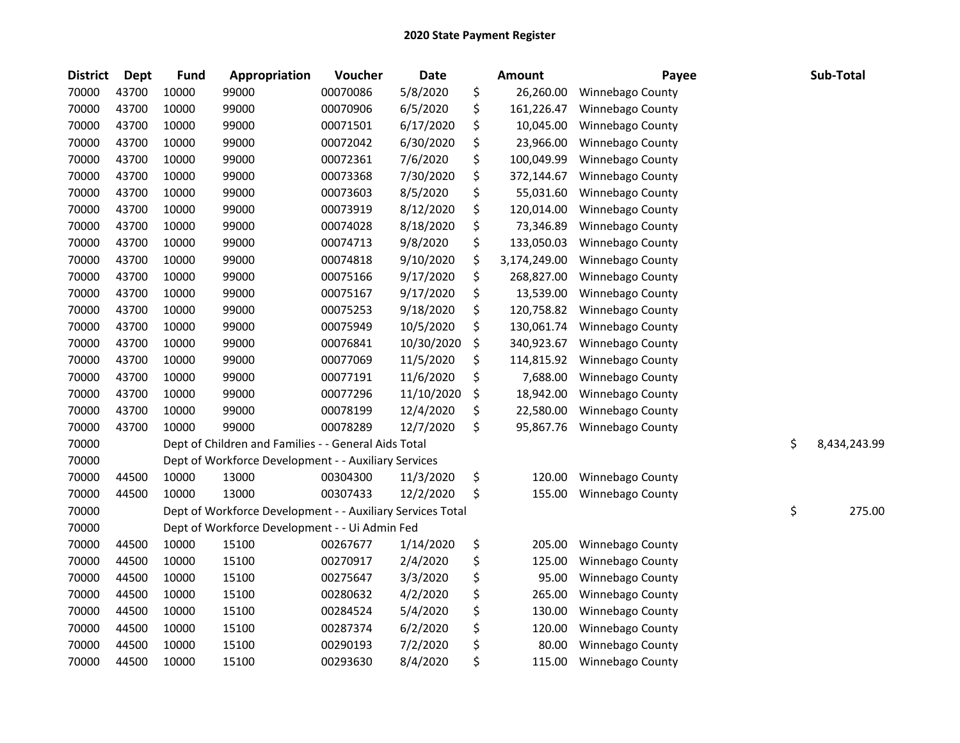| <b>District</b> | <b>Dept</b> | <b>Fund</b> | Appropriation                                              | Voucher  | <b>Date</b> | Amount             | Payee            | Sub-Total          |
|-----------------|-------------|-------------|------------------------------------------------------------|----------|-------------|--------------------|------------------|--------------------|
| 70000           | 43700       | 10000       | 99000                                                      | 00070086 | 5/8/2020    | \$<br>26,260.00    | Winnebago County |                    |
| 70000           | 43700       | 10000       | 99000                                                      | 00070906 | 6/5/2020    | \$<br>161,226.47   | Winnebago County |                    |
| 70000           | 43700       | 10000       | 99000                                                      | 00071501 | 6/17/2020   | \$<br>10,045.00    | Winnebago County |                    |
| 70000           | 43700       | 10000       | 99000                                                      | 00072042 | 6/30/2020   | \$<br>23,966.00    | Winnebago County |                    |
| 70000           | 43700       | 10000       | 99000                                                      | 00072361 | 7/6/2020    | \$<br>100,049.99   | Winnebago County |                    |
| 70000           | 43700       | 10000       | 99000                                                      | 00073368 | 7/30/2020   | \$<br>372,144.67   | Winnebago County |                    |
| 70000           | 43700       | 10000       | 99000                                                      | 00073603 | 8/5/2020    | \$<br>55,031.60    | Winnebago County |                    |
| 70000           | 43700       | 10000       | 99000                                                      | 00073919 | 8/12/2020   | \$<br>120,014.00   | Winnebago County |                    |
| 70000           | 43700       | 10000       | 99000                                                      | 00074028 | 8/18/2020   | \$<br>73,346.89    | Winnebago County |                    |
| 70000           | 43700       | 10000       | 99000                                                      | 00074713 | 9/8/2020    | \$<br>133,050.03   | Winnebago County |                    |
| 70000           | 43700       | 10000       | 99000                                                      | 00074818 | 9/10/2020   | \$<br>3,174,249.00 | Winnebago County |                    |
| 70000           | 43700       | 10000       | 99000                                                      | 00075166 | 9/17/2020   | \$<br>268,827.00   | Winnebago County |                    |
| 70000           | 43700       | 10000       | 99000                                                      | 00075167 | 9/17/2020   | \$<br>13,539.00    | Winnebago County |                    |
| 70000           | 43700       | 10000       | 99000                                                      | 00075253 | 9/18/2020   | \$<br>120,758.82   | Winnebago County |                    |
| 70000           | 43700       | 10000       | 99000                                                      | 00075949 | 10/5/2020   | \$<br>130,061.74   | Winnebago County |                    |
| 70000           | 43700       | 10000       | 99000                                                      | 00076841 | 10/30/2020  | \$<br>340,923.67   | Winnebago County |                    |
| 70000           | 43700       | 10000       | 99000                                                      | 00077069 | 11/5/2020   | \$<br>114,815.92   | Winnebago County |                    |
| 70000           | 43700       | 10000       | 99000                                                      | 00077191 | 11/6/2020   | \$<br>7,688.00     | Winnebago County |                    |
| 70000           | 43700       | 10000       | 99000                                                      | 00077296 | 11/10/2020  | \$<br>18,942.00    | Winnebago County |                    |
| 70000           | 43700       | 10000       | 99000                                                      | 00078199 | 12/4/2020   | \$<br>22,580.00    | Winnebago County |                    |
| 70000           | 43700       | 10000       | 99000                                                      | 00078289 | 12/7/2020   | \$<br>95,867.76    | Winnebago County |                    |
| 70000           |             |             | Dept of Children and Families - - General Aids Total       |          |             |                    |                  | \$<br>8,434,243.99 |
| 70000           |             |             | Dept of Workforce Development - - Auxiliary Services       |          |             |                    |                  |                    |
| 70000           | 44500       | 10000       | 13000                                                      | 00304300 | 11/3/2020   | \$<br>120.00       | Winnebago County |                    |
| 70000           | 44500       | 10000       | 13000                                                      | 00307433 | 12/2/2020   | \$<br>155.00       | Winnebago County |                    |
| 70000           |             |             | Dept of Workforce Development - - Auxiliary Services Total |          |             |                    |                  | \$<br>275.00       |
| 70000           |             |             | Dept of Workforce Development - - Ui Admin Fed             |          |             |                    |                  |                    |
| 70000           | 44500       | 10000       | 15100                                                      | 00267677 | 1/14/2020   | \$<br>205.00       | Winnebago County |                    |
| 70000           | 44500       | 10000       | 15100                                                      | 00270917 | 2/4/2020    | \$<br>125.00       | Winnebago County |                    |
| 70000           | 44500       | 10000       | 15100                                                      | 00275647 | 3/3/2020    | \$<br>95.00        | Winnebago County |                    |
| 70000           | 44500       | 10000       | 15100                                                      | 00280632 | 4/2/2020    | \$<br>265.00       | Winnebago County |                    |
| 70000           | 44500       | 10000       | 15100                                                      | 00284524 | 5/4/2020    | \$<br>130.00       | Winnebago County |                    |
| 70000           | 44500       | 10000       | 15100                                                      | 00287374 | 6/2/2020    | \$<br>120.00       | Winnebago County |                    |
| 70000           | 44500       | 10000       | 15100                                                      | 00290193 | 7/2/2020    | \$<br>80.00        | Winnebago County |                    |
| 70000           | 44500       | 10000       | 15100                                                      | 00293630 | 8/4/2020    | \$<br>115.00       | Winnebago County |                    |
|                 |             |             |                                                            |          |             |                    |                  |                    |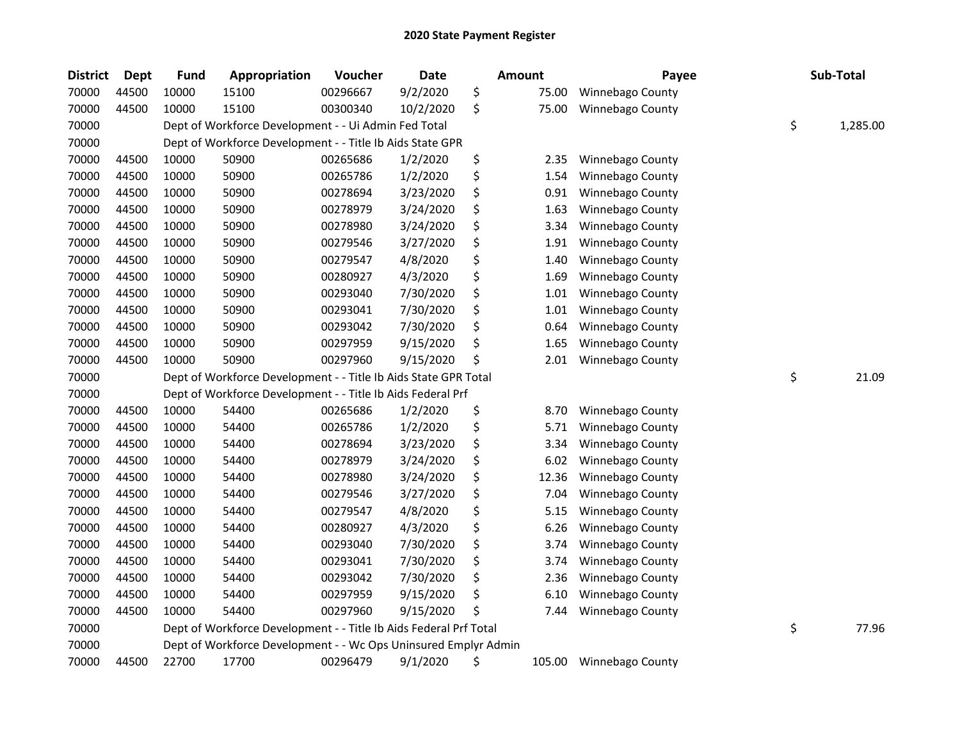| <b>District</b> | <b>Dept</b> | <b>Fund</b> | Appropriation                                                     | Voucher  | <b>Date</b> | <b>Amount</b> | Payee                   | Sub-Total      |
|-----------------|-------------|-------------|-------------------------------------------------------------------|----------|-------------|---------------|-------------------------|----------------|
| 70000           | 44500       | 10000       | 15100                                                             | 00296667 | 9/2/2020    | \$<br>75.00   | Winnebago County        |                |
| 70000           | 44500       | 10000       | 15100                                                             | 00300340 | 10/2/2020   | \$<br>75.00   | Winnebago County        |                |
| 70000           |             |             | Dept of Workforce Development - - Ui Admin Fed Total              |          |             |               |                         | \$<br>1,285.00 |
| 70000           |             |             | Dept of Workforce Development - - Title Ib Aids State GPR         |          |             |               |                         |                |
| 70000           | 44500       | 10000       | 50900                                                             | 00265686 | 1/2/2020    | \$<br>2.35    | Winnebago County        |                |
| 70000           | 44500       | 10000       | 50900                                                             | 00265786 | 1/2/2020    | \$<br>1.54    | Winnebago County        |                |
| 70000           | 44500       | 10000       | 50900                                                             | 00278694 | 3/23/2020   | \$<br>0.91    | Winnebago County        |                |
| 70000           | 44500       | 10000       | 50900                                                             | 00278979 | 3/24/2020   | \$<br>1.63    | Winnebago County        |                |
| 70000           | 44500       | 10000       | 50900                                                             | 00278980 | 3/24/2020   | \$<br>3.34    | Winnebago County        |                |
| 70000           | 44500       | 10000       | 50900                                                             | 00279546 | 3/27/2020   | \$<br>1.91    | Winnebago County        |                |
| 70000           | 44500       | 10000       | 50900                                                             | 00279547 | 4/8/2020    | \$<br>1.40    | Winnebago County        |                |
| 70000           | 44500       | 10000       | 50900                                                             | 00280927 | 4/3/2020    | \$<br>1.69    | Winnebago County        |                |
| 70000           | 44500       | 10000       | 50900                                                             | 00293040 | 7/30/2020   | \$<br>1.01    | Winnebago County        |                |
| 70000           | 44500       | 10000       | 50900                                                             | 00293041 | 7/30/2020   | \$<br>1.01    | Winnebago County        |                |
| 70000           | 44500       | 10000       | 50900                                                             | 00293042 | 7/30/2020   | \$<br>0.64    | Winnebago County        |                |
| 70000           | 44500       | 10000       | 50900                                                             | 00297959 | 9/15/2020   | \$<br>1.65    | Winnebago County        |                |
| 70000           | 44500       | 10000       | 50900                                                             | 00297960 | 9/15/2020   | \$<br>2.01    | Winnebago County        |                |
| 70000           |             |             | Dept of Workforce Development - - Title Ib Aids State GPR Total   |          |             |               |                         | \$<br>21.09    |
| 70000           |             |             | Dept of Workforce Development - - Title Ib Aids Federal Prf       |          |             |               |                         |                |
| 70000           | 44500       | 10000       | 54400                                                             | 00265686 | 1/2/2020    | \$<br>8.70    | Winnebago County        |                |
| 70000           | 44500       | 10000       | 54400                                                             | 00265786 | 1/2/2020    | \$<br>5.71    | Winnebago County        |                |
| 70000           | 44500       | 10000       | 54400                                                             | 00278694 | 3/23/2020   | \$<br>3.34    | Winnebago County        |                |
| 70000           | 44500       | 10000       | 54400                                                             | 00278979 | 3/24/2020   | \$<br>6.02    | Winnebago County        |                |
| 70000           | 44500       | 10000       | 54400                                                             | 00278980 | 3/24/2020   | \$<br>12.36   | Winnebago County        |                |
| 70000           | 44500       | 10000       | 54400                                                             | 00279546 | 3/27/2020   | \$<br>7.04    | Winnebago County        |                |
| 70000           | 44500       | 10000       | 54400                                                             | 00279547 | 4/8/2020    | \$<br>5.15    | Winnebago County        |                |
| 70000           | 44500       | 10000       | 54400                                                             | 00280927 | 4/3/2020    | \$<br>6.26    | Winnebago County        |                |
| 70000           | 44500       | 10000       | 54400                                                             | 00293040 | 7/30/2020   | \$<br>3.74    | Winnebago County        |                |
| 70000           | 44500       | 10000       | 54400                                                             | 00293041 | 7/30/2020   | \$<br>3.74    | Winnebago County        |                |
| 70000           | 44500       | 10000       | 54400                                                             | 00293042 | 7/30/2020   | \$<br>2.36    | Winnebago County        |                |
| 70000           | 44500       | 10000       | 54400                                                             | 00297959 | 9/15/2020   | \$<br>6.10    | Winnebago County        |                |
| 70000           | 44500       | 10000       | 54400                                                             | 00297960 | 9/15/2020   | 7.44          | Winnebago County        |                |
| 70000           |             |             | Dept of Workforce Development - - Title Ib Aids Federal Prf Total |          |             |               |                         | \$<br>77.96    |
| 70000           |             |             | Dept of Workforce Development - - Wc Ops Uninsured Emplyr Admin   |          |             |               |                         |                |
| 70000           | 44500       | 22700       | 17700                                                             | 00296479 | 9/1/2020    | \$<br>105.00  | <b>Winnebago County</b> |                |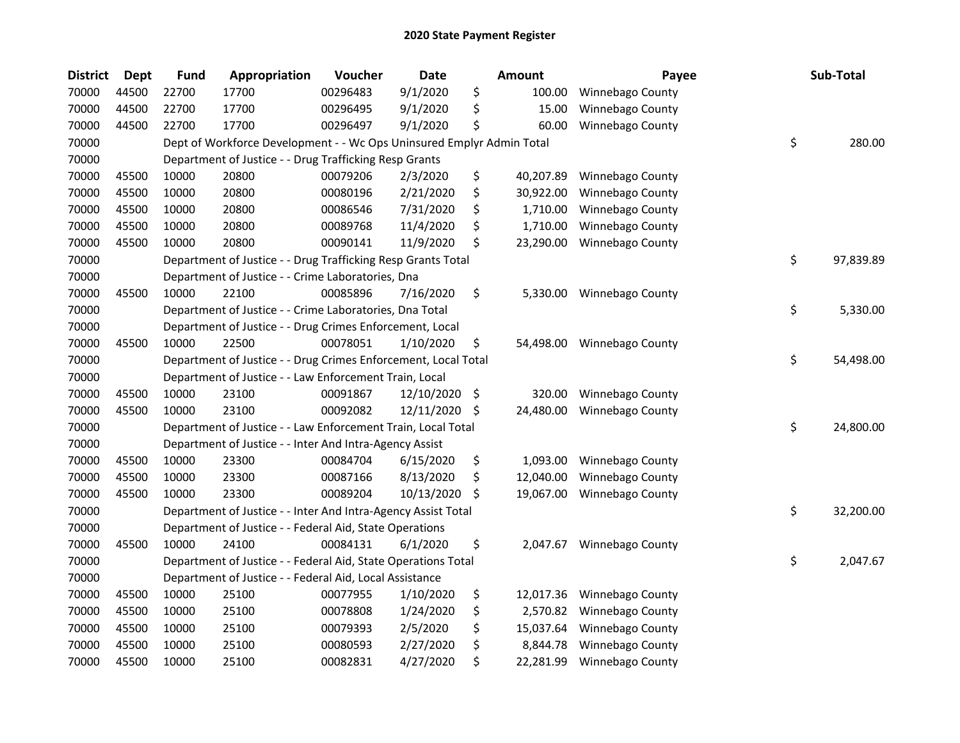| <b>District</b> | <b>Dept</b> | <b>Fund</b> | Appropriation                                                         | Voucher  | Date          |     | <b>Amount</b> | Payee                   | Sub-Total       |
|-----------------|-------------|-------------|-----------------------------------------------------------------------|----------|---------------|-----|---------------|-------------------------|-----------------|
| 70000           | 44500       | 22700       | 17700                                                                 | 00296483 | 9/1/2020      | \$  | 100.00        | Winnebago County        |                 |
| 70000           | 44500       | 22700       | 17700                                                                 | 00296495 | 9/1/2020      | \$  | 15.00         | Winnebago County        |                 |
| 70000           | 44500       | 22700       | 17700                                                                 | 00296497 | 9/1/2020      | \$  | 60.00         | Winnebago County        |                 |
| 70000           |             |             | Dept of Workforce Development - - Wc Ops Uninsured Emplyr Admin Total |          |               |     |               |                         | \$<br>280.00    |
| 70000           |             |             | Department of Justice - - Drug Trafficking Resp Grants                |          |               |     |               |                         |                 |
| 70000           | 45500       | 10000       | 20800                                                                 | 00079206 | 2/3/2020      | \$  | 40,207.89     | Winnebago County        |                 |
| 70000           | 45500       | 10000       | 20800                                                                 | 00080196 | 2/21/2020     | \$  | 30,922.00     | Winnebago County        |                 |
| 70000           | 45500       | 10000       | 20800                                                                 | 00086546 | 7/31/2020     | \$  | 1,710.00      | Winnebago County        |                 |
| 70000           | 45500       | 10000       | 20800                                                                 | 00089768 | 11/4/2020     | \$  | 1,710.00      | Winnebago County        |                 |
| 70000           | 45500       | 10000       | 20800                                                                 | 00090141 | 11/9/2020     | \$  | 23,290.00     | Winnebago County        |                 |
| 70000           |             |             | Department of Justice - - Drug Trafficking Resp Grants Total          |          |               |     |               |                         | \$<br>97,839.89 |
| 70000           |             |             | Department of Justice - - Crime Laboratories, Dna                     |          |               |     |               |                         |                 |
| 70000           | 45500       | 10000       | 22100                                                                 | 00085896 | 7/16/2020     | \$  | 5,330.00      | Winnebago County        |                 |
| 70000           |             |             | Department of Justice - - Crime Laboratories, Dna Total               |          |               |     |               |                         | \$<br>5,330.00  |
| 70000           |             |             | Department of Justice - - Drug Crimes Enforcement, Local              |          |               |     |               |                         |                 |
| 70000           | 45500       | 10000       | 22500                                                                 | 00078051 | 1/10/2020     | \$  | 54,498.00     | Winnebago County        |                 |
| 70000           |             |             | Department of Justice - - Drug Crimes Enforcement, Local Total        |          |               |     |               |                         | \$<br>54,498.00 |
| 70000           |             |             | Department of Justice - - Law Enforcement Train, Local                |          |               |     |               |                         |                 |
| 70000           | 45500       | 10000       | 23100                                                                 | 00091867 | 12/10/2020 \$ |     | 320.00        | <b>Winnebago County</b> |                 |
| 70000           | 45500       | 10000       | 23100                                                                 | 00092082 | 12/11/2020    | \$. | 24,480.00     | Winnebago County        |                 |
| 70000           |             |             | Department of Justice - - Law Enforcement Train, Local Total          |          |               |     |               |                         | \$<br>24,800.00 |
| 70000           |             |             | Department of Justice - - Inter And Intra-Agency Assist               |          |               |     |               |                         |                 |
| 70000           | 45500       | 10000       | 23300                                                                 | 00084704 | 6/15/2020     | \$  | 1,093.00      | Winnebago County        |                 |
| 70000           | 45500       | 10000       | 23300                                                                 | 00087166 | 8/13/2020     | \$  | 12,040.00     | Winnebago County        |                 |
| 70000           | 45500       | 10000       | 23300                                                                 | 00089204 | 10/13/2020    | \$  | 19,067.00     | Winnebago County        |                 |
| 70000           |             |             | Department of Justice - - Inter And Intra-Agency Assist Total         |          |               |     |               |                         | \$<br>32,200.00 |
| 70000           |             |             | Department of Justice - - Federal Aid, State Operations               |          |               |     |               |                         |                 |
| 70000           | 45500       | 10000       | 24100                                                                 | 00084131 | 6/1/2020      | \$  | 2,047.67      | Winnebago County        |                 |
| 70000           |             |             | Department of Justice - - Federal Aid, State Operations Total         |          |               |     |               |                         | \$<br>2,047.67  |
| 70000           |             |             | Department of Justice - - Federal Aid, Local Assistance               |          |               |     |               |                         |                 |
| 70000           | 45500       | 10000       | 25100                                                                 | 00077955 | 1/10/2020     | \$  | 12,017.36     | Winnebago County        |                 |
| 70000           | 45500       | 10000       | 25100                                                                 | 00078808 | 1/24/2020     | \$  | 2,570.82      | Winnebago County        |                 |
| 70000           | 45500       | 10000       | 25100                                                                 | 00079393 | 2/5/2020      | \$  | 15,037.64     | Winnebago County        |                 |
| 70000           | 45500       | 10000       | 25100                                                                 | 00080593 | 2/27/2020     | \$  | 8,844.78      | Winnebago County        |                 |
| 70000           | 45500       | 10000       | 25100                                                                 | 00082831 | 4/27/2020     | \$  | 22,281.99     | Winnebago County        |                 |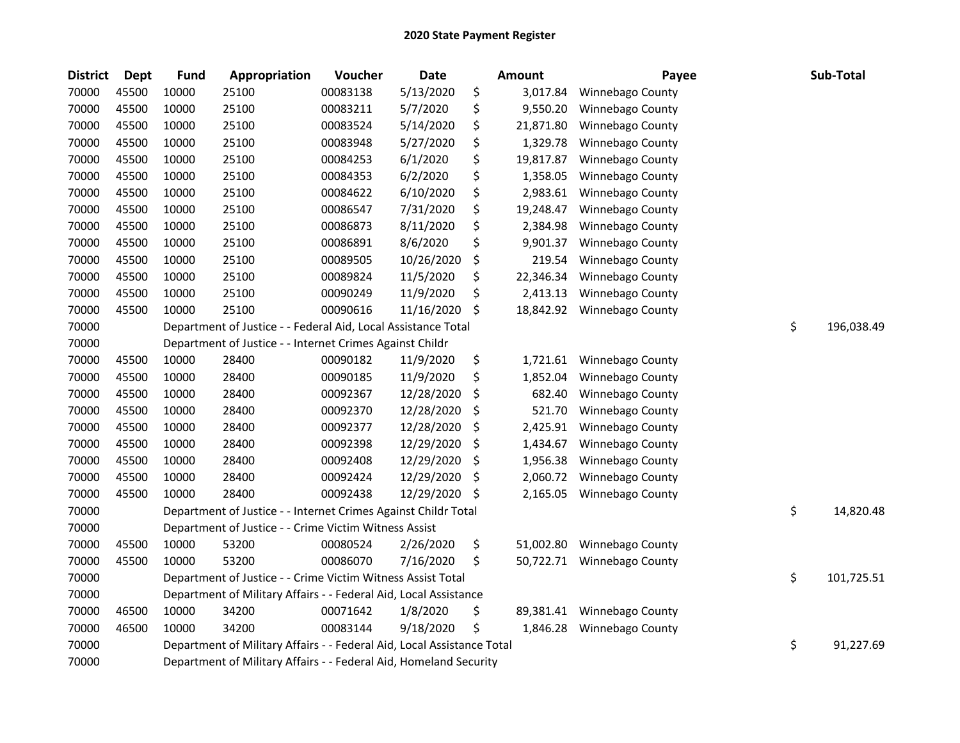| <b>District</b> | <b>Dept</b> | <b>Fund</b> | Appropriation                                                          | Voucher  | <b>Date</b> | Amount          | Payee            | Sub-Total        |
|-----------------|-------------|-------------|------------------------------------------------------------------------|----------|-------------|-----------------|------------------|------------------|
| 70000           | 45500       | 10000       | 25100                                                                  | 00083138 | 5/13/2020   | \$<br>3,017.84  | Winnebago County |                  |
| 70000           | 45500       | 10000       | 25100                                                                  | 00083211 | 5/7/2020    | \$<br>9,550.20  | Winnebago County |                  |
| 70000           | 45500       | 10000       | 25100                                                                  | 00083524 | 5/14/2020   | \$<br>21,871.80 | Winnebago County |                  |
| 70000           | 45500       | 10000       | 25100                                                                  | 00083948 | 5/27/2020   | \$<br>1,329.78  | Winnebago County |                  |
| 70000           | 45500       | 10000       | 25100                                                                  | 00084253 | 6/1/2020    | \$<br>19,817.87 | Winnebago County |                  |
| 70000           | 45500       | 10000       | 25100                                                                  | 00084353 | 6/2/2020    | \$<br>1,358.05  | Winnebago County |                  |
| 70000           | 45500       | 10000       | 25100                                                                  | 00084622 | 6/10/2020   | \$<br>2,983.61  | Winnebago County |                  |
| 70000           | 45500       | 10000       | 25100                                                                  | 00086547 | 7/31/2020   | \$<br>19,248.47 | Winnebago County |                  |
| 70000           | 45500       | 10000       | 25100                                                                  | 00086873 | 8/11/2020   | \$<br>2,384.98  | Winnebago County |                  |
| 70000           | 45500       | 10000       | 25100                                                                  | 00086891 | 8/6/2020    | \$<br>9,901.37  | Winnebago County |                  |
| 70000           | 45500       | 10000       | 25100                                                                  | 00089505 | 10/26/2020  | \$<br>219.54    | Winnebago County |                  |
| 70000           | 45500       | 10000       | 25100                                                                  | 00089824 | 11/5/2020   | \$<br>22,346.34 | Winnebago County |                  |
| 70000           | 45500       | 10000       | 25100                                                                  | 00090249 | 11/9/2020   | \$<br>2,413.13  | Winnebago County |                  |
| 70000           | 45500       | 10000       | 25100                                                                  | 00090616 | 11/16/2020  | \$<br>18,842.92 | Winnebago County |                  |
| 70000           |             |             | Department of Justice - - Federal Aid, Local Assistance Total          |          |             |                 |                  | \$<br>196,038.49 |
| 70000           |             |             | Department of Justice - - Internet Crimes Against Childr               |          |             |                 |                  |                  |
| 70000           | 45500       | 10000       | 28400                                                                  | 00090182 | 11/9/2020   | \$<br>1,721.61  | Winnebago County |                  |
| 70000           | 45500       | 10000       | 28400                                                                  | 00090185 | 11/9/2020   | \$<br>1,852.04  | Winnebago County |                  |
| 70000           | 45500       | 10000       | 28400                                                                  | 00092367 | 12/28/2020  | \$<br>682.40    | Winnebago County |                  |
| 70000           | 45500       | 10000       | 28400                                                                  | 00092370 | 12/28/2020  | \$<br>521.70    | Winnebago County |                  |
| 70000           | 45500       | 10000       | 28400                                                                  | 00092377 | 12/28/2020  | \$<br>2,425.91  | Winnebago County |                  |
| 70000           | 45500       | 10000       | 28400                                                                  | 00092398 | 12/29/2020  | \$<br>1,434.67  | Winnebago County |                  |
| 70000           | 45500       | 10000       | 28400                                                                  | 00092408 | 12/29/2020  | \$<br>1,956.38  | Winnebago County |                  |
| 70000           | 45500       | 10000       | 28400                                                                  | 00092424 | 12/29/2020  | \$<br>2,060.72  | Winnebago County |                  |
| 70000           | 45500       | 10000       | 28400                                                                  | 00092438 | 12/29/2020  | \$<br>2,165.05  | Winnebago County |                  |
| 70000           |             |             | Department of Justice - - Internet Crimes Against Childr Total         |          |             |                 |                  | \$<br>14,820.48  |
| 70000           |             |             | Department of Justice - - Crime Victim Witness Assist                  |          |             |                 |                  |                  |
| 70000           | 45500       | 10000       | 53200                                                                  | 00080524 | 2/26/2020   | \$<br>51,002.80 | Winnebago County |                  |
| 70000           | 45500       | 10000       | 53200                                                                  | 00086070 | 7/16/2020   | \$<br>50,722.71 | Winnebago County |                  |
| 70000           |             |             | Department of Justice - - Crime Victim Witness Assist Total            |          |             |                 |                  | \$<br>101,725.51 |
| 70000           |             |             | Department of Military Affairs - - Federal Aid, Local Assistance       |          |             |                 |                  |                  |
| 70000           | 46500       | 10000       | 34200                                                                  | 00071642 | 1/8/2020    | \$<br>89,381.41 | Winnebago County |                  |
| 70000           | 46500       | 10000       | 34200                                                                  | 00083144 | 9/18/2020   | \$<br>1,846.28  | Winnebago County |                  |
| 70000           |             |             | Department of Military Affairs - - Federal Aid, Local Assistance Total |          |             |                 |                  | \$<br>91,227.69  |
| 70000           |             |             | Department of Military Affairs - - Federal Aid, Homeland Security      |          |             |                 |                  |                  |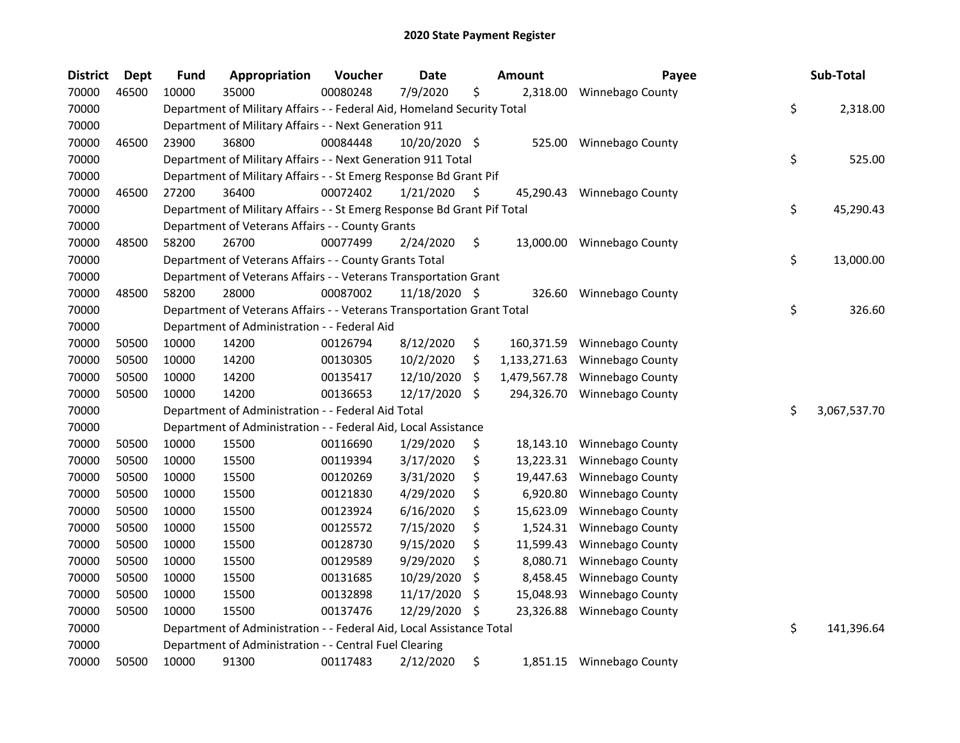| <b>District</b> | Dept  | <b>Fund</b> | Appropriation                                                           | Voucher  | Date          |     | <b>Amount</b> | Payee                      | Sub-Total          |
|-----------------|-------|-------------|-------------------------------------------------------------------------|----------|---------------|-----|---------------|----------------------------|--------------------|
| 70000           | 46500 | 10000       | 35000                                                                   | 00080248 | 7/9/2020      | \$  | 2,318.00      | Winnebago County           |                    |
| 70000           |       |             | Department of Military Affairs - - Federal Aid, Homeland Security Total |          |               |     |               |                            | \$<br>2,318.00     |
| 70000           |       |             | Department of Military Affairs - - Next Generation 911                  |          |               |     |               |                            |                    |
| 70000           | 46500 | 23900       | 36800                                                                   | 00084448 | 10/20/2020 \$ |     | 525.00        | <b>Winnebago County</b>    |                    |
| 70000           |       |             | Department of Military Affairs - - Next Generation 911 Total            |          |               |     |               |                            | \$<br>525.00       |
| 70000           |       |             | Department of Military Affairs - - St Emerg Response Bd Grant Pif       |          |               |     |               |                            |                    |
| 70000           | 46500 | 27200       | 36400                                                                   | 00072402 | 1/21/2020     | \$. | 45,290.43     | <b>Winnebago County</b>    |                    |
| 70000           |       |             | Department of Military Affairs - - St Emerg Response Bd Grant Pif Total |          |               |     |               |                            | \$<br>45,290.43    |
| 70000           |       |             | Department of Veterans Affairs - - County Grants                        |          |               |     |               |                            |                    |
| 70000           | 48500 | 58200       | 26700                                                                   | 00077499 | 2/24/2020     | \$  |               | 13,000.00 Winnebago County |                    |
| 70000           |       |             | Department of Veterans Affairs - - County Grants Total                  |          |               |     |               |                            | \$<br>13,000.00    |
| 70000           |       |             | Department of Veterans Affairs - - Veterans Transportation Grant        |          |               |     |               |                            |                    |
| 70000           | 48500 | 58200       | 28000                                                                   | 00087002 | 11/18/2020 \$ |     | 326.60        | <b>Winnebago County</b>    |                    |
| 70000           |       |             | Department of Veterans Affairs - - Veterans Transportation Grant Total  |          |               |     |               |                            | \$<br>326.60       |
| 70000           |       |             | Department of Administration - - Federal Aid                            |          |               |     |               |                            |                    |
| 70000           | 50500 | 10000       | 14200                                                                   | 00126794 | 8/12/2020     | \$  | 160,371.59    | <b>Winnebago County</b>    |                    |
| 70000           | 50500 | 10000       | 14200                                                                   | 00130305 | 10/2/2020     | \$  | 1,133,271.63  | <b>Winnebago County</b>    |                    |
| 70000           | 50500 | 10000       | 14200                                                                   | 00135417 | 12/10/2020    | S   | 1,479,567.78  | Winnebago County           |                    |
| 70000           | 50500 | 10000       | 14200                                                                   | 00136653 | 12/17/2020    | \$  | 294,326.70    | Winnebago County           |                    |
| 70000           |       |             | Department of Administration - - Federal Aid Total                      |          |               |     |               |                            | \$<br>3,067,537.70 |
| 70000           |       |             | Department of Administration - - Federal Aid, Local Assistance          |          |               |     |               |                            |                    |
| 70000           | 50500 | 10000       | 15500                                                                   | 00116690 | 1/29/2020     | \$  | 18,143.10     | <b>Winnebago County</b>    |                    |
| 70000           | 50500 | 10000       | 15500                                                                   | 00119394 | 3/17/2020     | \$  | 13,223.31     | Winnebago County           |                    |
| 70000           | 50500 | 10000       | 15500                                                                   | 00120269 | 3/31/2020     | \$  | 19,447.63     | Winnebago County           |                    |
| 70000           | 50500 | 10000       | 15500                                                                   | 00121830 | 4/29/2020     | \$  | 6,920.80      | Winnebago County           |                    |
| 70000           | 50500 | 10000       | 15500                                                                   | 00123924 | 6/16/2020     | \$  | 15,623.09     | Winnebago County           |                    |
| 70000           | 50500 | 10000       | 15500                                                                   | 00125572 | 7/15/2020     | \$  | 1,524.31      | Winnebago County           |                    |
| 70000           | 50500 | 10000       | 15500                                                                   | 00128730 | 9/15/2020     | \$  | 11,599.43     | Winnebago County           |                    |
| 70000           | 50500 | 10000       | 15500                                                                   | 00129589 | 9/29/2020     | Ś.  | 8,080.71      | Winnebago County           |                    |
| 70000           | 50500 | 10000       | 15500                                                                   | 00131685 | 10/29/2020    | S   | 8,458.45      | Winnebago County           |                    |
| 70000           | 50500 | 10000       | 15500                                                                   | 00132898 | 11/17/2020    | \$  | 15,048.93     | Winnebago County           |                    |
| 70000           | 50500 | 10000       | 15500                                                                   | 00137476 | 12/29/2020    | \$, | 23,326.88     | Winnebago County           |                    |
| 70000           |       |             | Department of Administration - - Federal Aid, Local Assistance Total    |          |               |     |               |                            | \$<br>141,396.64   |
| 70000           |       |             | Department of Administration - - Central Fuel Clearing                  |          |               |     |               |                            |                    |
| 70000           | 50500 | 10000       | 91300                                                                   | 00117483 | 2/12/2020     | \$  |               | 1,851.15 Winnebago County  |                    |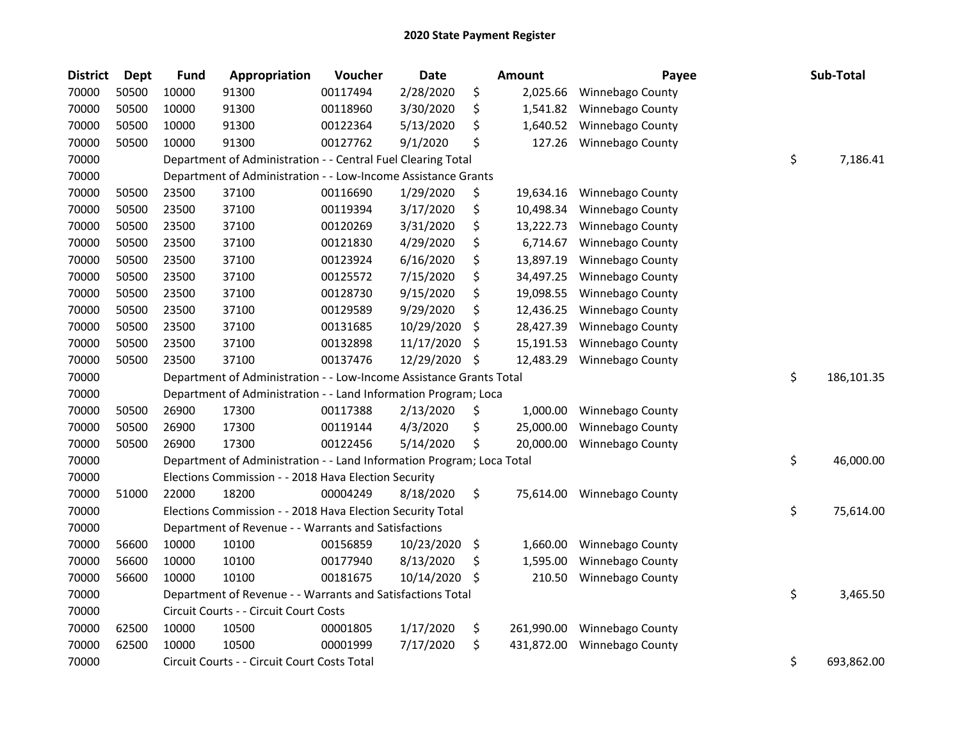| <b>District</b> | Dept  | Fund  | Appropriation                                                         | Voucher  | <b>Date</b> |    | <b>Amount</b> | Payee                   | Sub-Total        |
|-----------------|-------|-------|-----------------------------------------------------------------------|----------|-------------|----|---------------|-------------------------|------------------|
| 70000           | 50500 | 10000 | 91300                                                                 | 00117494 | 2/28/2020   | \$ | 2,025.66      | Winnebago County        |                  |
| 70000           | 50500 | 10000 | 91300                                                                 | 00118960 | 3/30/2020   | \$ | 1,541.82      | Winnebago County        |                  |
| 70000           | 50500 | 10000 | 91300                                                                 | 00122364 | 5/13/2020   | \$ | 1,640.52      | Winnebago County        |                  |
| 70000           | 50500 | 10000 | 91300                                                                 | 00127762 | 9/1/2020    | \$ | 127.26        | Winnebago County        |                  |
| 70000           |       |       | Department of Administration - - Central Fuel Clearing Total          |          |             |    |               |                         | \$<br>7,186.41   |
| 70000           |       |       | Department of Administration - - Low-Income Assistance Grants         |          |             |    |               |                         |                  |
| 70000           | 50500 | 23500 | 37100                                                                 | 00116690 | 1/29/2020   | \$ | 19,634.16     | Winnebago County        |                  |
| 70000           | 50500 | 23500 | 37100                                                                 | 00119394 | 3/17/2020   | \$ | 10,498.34     | Winnebago County        |                  |
| 70000           | 50500 | 23500 | 37100                                                                 | 00120269 | 3/31/2020   | \$ | 13,222.73     | Winnebago County        |                  |
| 70000           | 50500 | 23500 | 37100                                                                 | 00121830 | 4/29/2020   | \$ | 6,714.67      | Winnebago County        |                  |
| 70000           | 50500 | 23500 | 37100                                                                 | 00123924 | 6/16/2020   | \$ | 13,897.19     | Winnebago County        |                  |
| 70000           | 50500 | 23500 | 37100                                                                 | 00125572 | 7/15/2020   | \$ | 34,497.25     | Winnebago County        |                  |
| 70000           | 50500 | 23500 | 37100                                                                 | 00128730 | 9/15/2020   | \$ | 19,098.55     | Winnebago County        |                  |
| 70000           | 50500 | 23500 | 37100                                                                 | 00129589 | 9/29/2020   | \$ | 12,436.25     | Winnebago County        |                  |
| 70000           | 50500 | 23500 | 37100                                                                 | 00131685 | 10/29/2020  | \$ | 28,427.39     | Winnebago County        |                  |
| 70000           | 50500 | 23500 | 37100                                                                 | 00132898 | 11/17/2020  | \$ | 15,191.53     | Winnebago County        |                  |
| 70000           | 50500 | 23500 | 37100                                                                 | 00137476 | 12/29/2020  | \$ | 12,483.29     | Winnebago County        |                  |
| 70000           |       |       | Department of Administration - - Low-Income Assistance Grants Total   |          |             |    |               |                         | \$<br>186,101.35 |
| 70000           |       |       | Department of Administration - - Land Information Program; Loca       |          |             |    |               |                         |                  |
| 70000           | 50500 | 26900 | 17300                                                                 | 00117388 | 2/13/2020   | \$ | 1,000.00      | Winnebago County        |                  |
| 70000           | 50500 | 26900 | 17300                                                                 | 00119144 | 4/3/2020    | \$ | 25,000.00     | Winnebago County        |                  |
| 70000           | 50500 | 26900 | 17300                                                                 | 00122456 | 5/14/2020   | \$ | 20,000.00     | Winnebago County        |                  |
| 70000           |       |       | Department of Administration - - Land Information Program; Loca Total |          |             |    |               |                         | \$<br>46,000.00  |
| 70000           |       |       | Elections Commission - - 2018 Hava Election Security                  |          |             |    |               |                         |                  |
| 70000           | 51000 | 22000 | 18200                                                                 | 00004249 | 8/18/2020   | \$ | 75,614.00     | <b>Winnebago County</b> |                  |
| 70000           |       |       | Elections Commission - - 2018 Hava Election Security Total            |          |             |    |               |                         | \$<br>75,614.00  |
| 70000           |       |       | Department of Revenue - - Warrants and Satisfactions                  |          |             |    |               |                         |                  |
| 70000           | 56600 | 10000 | 10100                                                                 | 00156859 | 10/23/2020  | \$ | 1,660.00      | Winnebago County        |                  |
| 70000           | 56600 | 10000 | 10100                                                                 | 00177940 | 8/13/2020   | \$ | 1,595.00      | Winnebago County        |                  |
| 70000           | 56600 | 10000 | 10100                                                                 | 00181675 | 10/14/2020  | S. | 210.50        | Winnebago County        |                  |
| 70000           |       |       | Department of Revenue - - Warrants and Satisfactions Total            |          |             |    |               |                         | \$<br>3,465.50   |
| 70000           |       |       | Circuit Courts - - Circuit Court Costs                                |          |             |    |               |                         |                  |
| 70000           | 62500 | 10000 | 10500                                                                 | 00001805 | 1/17/2020   | \$ | 261,990.00    | Winnebago County        |                  |
| 70000           | 62500 | 10000 | 10500                                                                 | 00001999 | 7/17/2020   | \$ | 431,872.00    | Winnebago County        |                  |
| 70000           |       |       | Circuit Courts - - Circuit Court Costs Total                          |          |             |    |               |                         | \$<br>693,862.00 |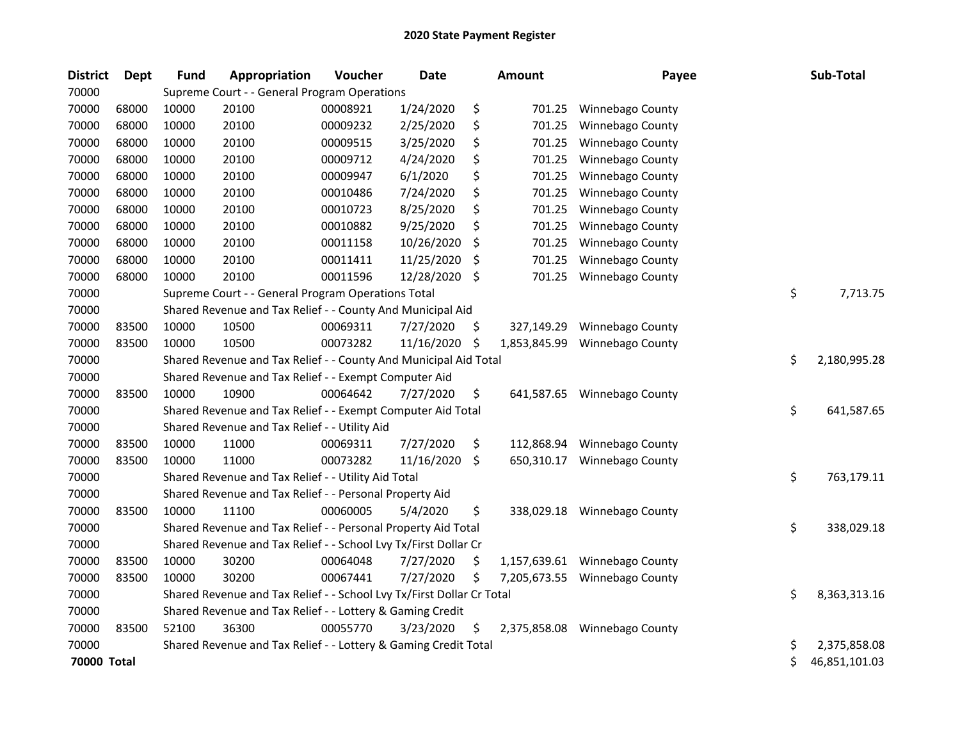| <b>District</b> | <b>Dept</b> | <b>Fund</b> | Appropriation                                                         | Voucher  | <b>Date</b> |     | <b>Amount</b> | Payee                   | Sub-Total           |
|-----------------|-------------|-------------|-----------------------------------------------------------------------|----------|-------------|-----|---------------|-------------------------|---------------------|
| 70000           |             |             | Supreme Court - - General Program Operations                          |          |             |     |               |                         |                     |
| 70000           | 68000       | 10000       | 20100                                                                 | 00008921 | 1/24/2020   | \$  | 701.25        | Winnebago County        |                     |
| 70000           | 68000       | 10000       | 20100                                                                 | 00009232 | 2/25/2020   | \$  | 701.25        | Winnebago County        |                     |
| 70000           | 68000       | 10000       | 20100                                                                 | 00009515 | 3/25/2020   | \$  | 701.25        | Winnebago County        |                     |
| 70000           | 68000       | 10000       | 20100                                                                 | 00009712 | 4/24/2020   | \$  | 701.25        | Winnebago County        |                     |
| 70000           | 68000       | 10000       | 20100                                                                 | 00009947 | 6/1/2020    | \$  | 701.25        | Winnebago County        |                     |
| 70000           | 68000       | 10000       | 20100                                                                 | 00010486 | 7/24/2020   | \$  | 701.25        | Winnebago County        |                     |
| 70000           | 68000       | 10000       | 20100                                                                 | 00010723 | 8/25/2020   | \$  | 701.25        | Winnebago County        |                     |
| 70000           | 68000       | 10000       | 20100                                                                 | 00010882 | 9/25/2020   | \$  | 701.25        | Winnebago County        |                     |
| 70000           | 68000       | 10000       | 20100                                                                 | 00011158 | 10/26/2020  | \$  | 701.25        | Winnebago County        |                     |
| 70000           | 68000       | 10000       | 20100                                                                 | 00011411 | 11/25/2020  | \$  | 701.25        | Winnebago County        |                     |
| 70000           | 68000       | 10000       | 20100                                                                 | 00011596 | 12/28/2020  | \$  | 701.25        | Winnebago County        |                     |
| 70000           |             |             | Supreme Court - - General Program Operations Total                    |          |             |     |               |                         | \$<br>7,713.75      |
| 70000           |             |             | Shared Revenue and Tax Relief - - County And Municipal Aid            |          |             |     |               |                         |                     |
| 70000           | 83500       | 10000       | 10500                                                                 | 00069311 | 7/27/2020   | \$  | 327,149.29    | Winnebago County        |                     |
| 70000           | 83500       | 10000       | 10500                                                                 | 00073282 | 11/16/2020  | \$  | 1,853,845.99  | Winnebago County        |                     |
| 70000           |             |             | Shared Revenue and Tax Relief - - County And Municipal Aid Total      |          |             |     |               |                         | \$<br>2,180,995.28  |
| 70000           |             |             | Shared Revenue and Tax Relief - - Exempt Computer Aid                 |          |             |     |               |                         |                     |
| 70000           | 83500       | 10000       | 10900                                                                 | 00064642 | 7/27/2020   | \$  | 641,587.65    | Winnebago County        |                     |
| 70000           |             |             | Shared Revenue and Tax Relief - - Exempt Computer Aid Total           |          |             |     |               |                         | \$<br>641,587.65    |
| 70000           |             |             | Shared Revenue and Tax Relief - - Utility Aid                         |          |             |     |               |                         |                     |
| 70000           | 83500       | 10000       | 11000                                                                 | 00069311 | 7/27/2020   | \$  | 112,868.94    | Winnebago County        |                     |
| 70000           | 83500       | 10000       | 11000                                                                 | 00073282 | 11/16/2020  | \$  | 650,310.17    | Winnebago County        |                     |
| 70000           |             |             | Shared Revenue and Tax Relief - - Utility Aid Total                   |          |             |     |               |                         | \$<br>763,179.11    |
| 70000           |             |             | Shared Revenue and Tax Relief - - Personal Property Aid               |          |             |     |               |                         |                     |
| 70000           | 83500       | 10000       | 11100                                                                 | 00060005 | 5/4/2020    | \$  | 338,029.18    | Winnebago County        |                     |
| 70000           |             |             | Shared Revenue and Tax Relief - - Personal Property Aid Total         |          |             |     |               |                         | \$<br>338,029.18    |
| 70000           |             |             | Shared Revenue and Tax Relief - - School Lvy Tx/First Dollar Cr       |          |             |     |               |                         |                     |
| 70000           | 83500       | 10000       | 30200                                                                 | 00064048 | 7/27/2020   | \$  | 1,157,639.61  | Winnebago County        |                     |
| 70000           | 83500       | 10000       | 30200                                                                 | 00067441 | 7/27/2020   | \$  | 7,205,673.55  | Winnebago County        |                     |
| 70000           |             |             | Shared Revenue and Tax Relief - - School Lvy Tx/First Dollar Cr Total |          |             |     |               |                         | \$<br>8,363,313.16  |
| 70000           |             |             | Shared Revenue and Tax Relief - - Lottery & Gaming Credit             |          |             |     |               |                         |                     |
| 70000           | 83500       | 52100       | 36300                                                                 | 00055770 | 3/23/2020   | \$. | 2,375,858.08  | <b>Winnebago County</b> |                     |
| 70000           |             |             | Shared Revenue and Tax Relief - - Lottery & Gaming Credit Total       |          |             |     |               |                         | \$<br>2,375,858.08  |
| 70000 Total     |             |             |                                                                       |          |             |     |               |                         | \$<br>46,851,101.03 |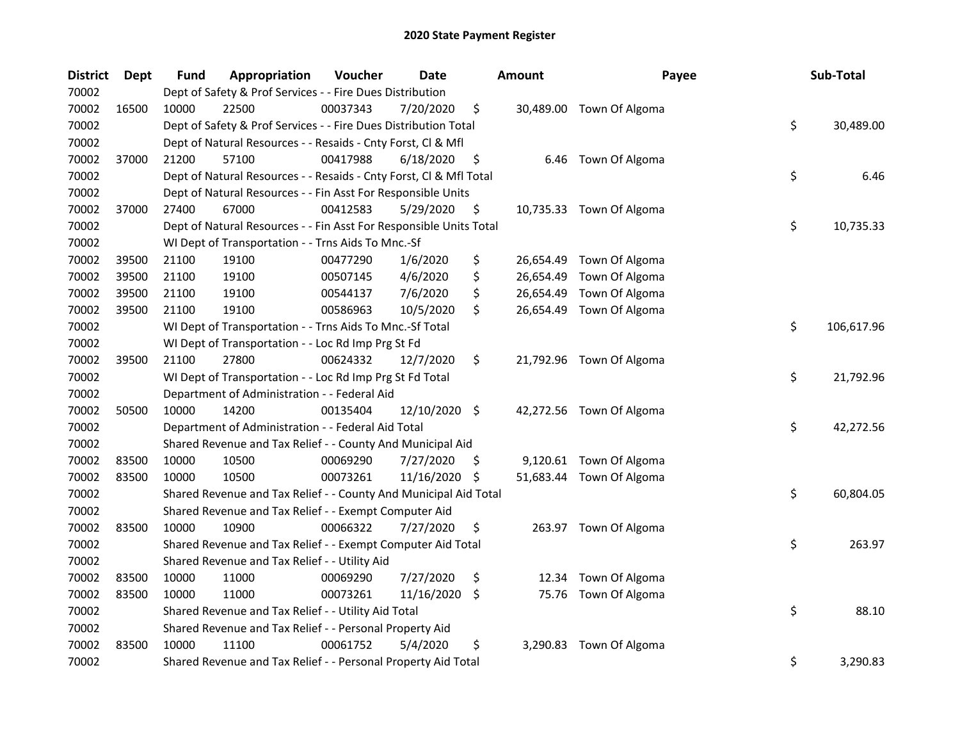| <b>District</b> | <b>Dept</b> | <b>Fund</b> | Appropriation                                                      | Voucher  | Date          |     | <b>Amount</b> | Payee                    | Sub-Total        |
|-----------------|-------------|-------------|--------------------------------------------------------------------|----------|---------------|-----|---------------|--------------------------|------------------|
| 70002           |             |             | Dept of Safety & Prof Services - - Fire Dues Distribution          |          |               |     |               |                          |                  |
| 70002           | 16500       | 10000       | 22500                                                              | 00037343 | 7/20/2020     | \$  |               | 30,489.00 Town Of Algoma |                  |
| 70002           |             |             | Dept of Safety & Prof Services - - Fire Dues Distribution Total    |          |               |     |               |                          | \$<br>30,489.00  |
| 70002           |             |             | Dept of Natural Resources - - Resaids - Cnty Forst, Cl & Mfl       |          |               |     |               |                          |                  |
| 70002           | 37000       | 21200       | 57100                                                              | 00417988 | 6/18/2020     | \$  |               | 6.46 Town Of Algoma      |                  |
| 70002           |             |             | Dept of Natural Resources - - Resaids - Cnty Forst, Cl & Mfl Total |          |               |     |               |                          | \$<br>6.46       |
| 70002           |             |             | Dept of Natural Resources - - Fin Asst For Responsible Units       |          |               |     |               |                          |                  |
| 70002           | 37000       | 27400       | 67000                                                              | 00412583 | 5/29/2020     | \$  |               | 10,735.33 Town Of Algoma |                  |
| 70002           |             |             | Dept of Natural Resources - - Fin Asst For Responsible Units Total |          |               |     |               |                          | \$<br>10,735.33  |
| 70002           |             |             | WI Dept of Transportation - - Trns Aids To Mnc.-Sf                 |          |               |     |               |                          |                  |
| 70002           | 39500       | 21100       | 19100                                                              | 00477290 | 1/6/2020      | \$  |               | 26,654.49 Town Of Algoma |                  |
| 70002           | 39500       | 21100       | 19100                                                              | 00507145 | 4/6/2020      | \$  |               | 26,654.49 Town Of Algoma |                  |
| 70002           | 39500       | 21100       | 19100                                                              | 00544137 | 7/6/2020      | \$  |               | 26,654.49 Town Of Algoma |                  |
| 70002           | 39500       | 21100       | 19100                                                              | 00586963 | 10/5/2020     | \$  |               | 26,654.49 Town Of Algoma |                  |
| 70002           |             |             | WI Dept of Transportation - - Trns Aids To Mnc.-Sf Total           |          |               |     |               |                          | \$<br>106,617.96 |
| 70002           |             |             | WI Dept of Transportation - - Loc Rd Imp Prg St Fd                 |          |               |     |               |                          |                  |
| 70002           | 39500       | 21100       | 27800                                                              | 00624332 | 12/7/2020     | \$  |               | 21,792.96 Town Of Algoma |                  |
| 70002           |             |             | WI Dept of Transportation - - Loc Rd Imp Prg St Fd Total           |          |               |     |               |                          | \$<br>21,792.96  |
| 70002           |             |             | Department of Administration - - Federal Aid                       |          |               |     |               |                          |                  |
| 70002           | 50500       | 10000       | 14200                                                              | 00135404 | 12/10/2020 \$ |     |               | 42,272.56 Town Of Algoma |                  |
| 70002           |             |             | Department of Administration - - Federal Aid Total                 |          |               |     |               |                          | \$<br>42,272.56  |
| 70002           |             |             | Shared Revenue and Tax Relief - - County And Municipal Aid         |          |               |     |               |                          |                  |
| 70002           | 83500       | 10000       | 10500                                                              | 00069290 | 7/27/2020     | \$. |               | 9,120.61 Town Of Algoma  |                  |
| 70002           | 83500       | 10000       | 10500                                                              | 00073261 | 11/16/2020    | \$  |               | 51,683.44 Town Of Algoma |                  |
| 70002           |             |             | Shared Revenue and Tax Relief - - County And Municipal Aid Total   |          |               |     |               |                          | \$<br>60,804.05  |
| 70002           |             |             | Shared Revenue and Tax Relief - - Exempt Computer Aid              |          |               |     |               |                          |                  |
| 70002           | 83500       | 10000       | 10900                                                              | 00066322 | 7/27/2020     | \$  |               | 263.97 Town Of Algoma    |                  |
| 70002           |             |             | Shared Revenue and Tax Relief - - Exempt Computer Aid Total        |          |               |     |               |                          | \$<br>263.97     |
| 70002           |             |             | Shared Revenue and Tax Relief - - Utility Aid                      |          |               |     |               |                          |                  |
| 70002           | 83500       | 10000       | 11000                                                              | 00069290 | 7/27/2020     | \$  | 12.34         | Town Of Algoma           |                  |
| 70002           | 83500       | 10000       | 11000                                                              | 00073261 | 11/16/2020    | \$  |               | 75.76 Town Of Algoma     |                  |
| 70002           |             |             | Shared Revenue and Tax Relief - - Utility Aid Total                |          |               |     |               |                          | \$<br>88.10      |
| 70002           |             |             | Shared Revenue and Tax Relief - - Personal Property Aid            |          |               |     |               |                          |                  |
| 70002           | 83500       | 10000       | 11100                                                              | 00061752 | 5/4/2020      | \$  |               | 3,290.83 Town Of Algoma  |                  |
| 70002           |             |             | Shared Revenue and Tax Relief - - Personal Property Aid Total      |          |               |     |               |                          | \$<br>3,290.83   |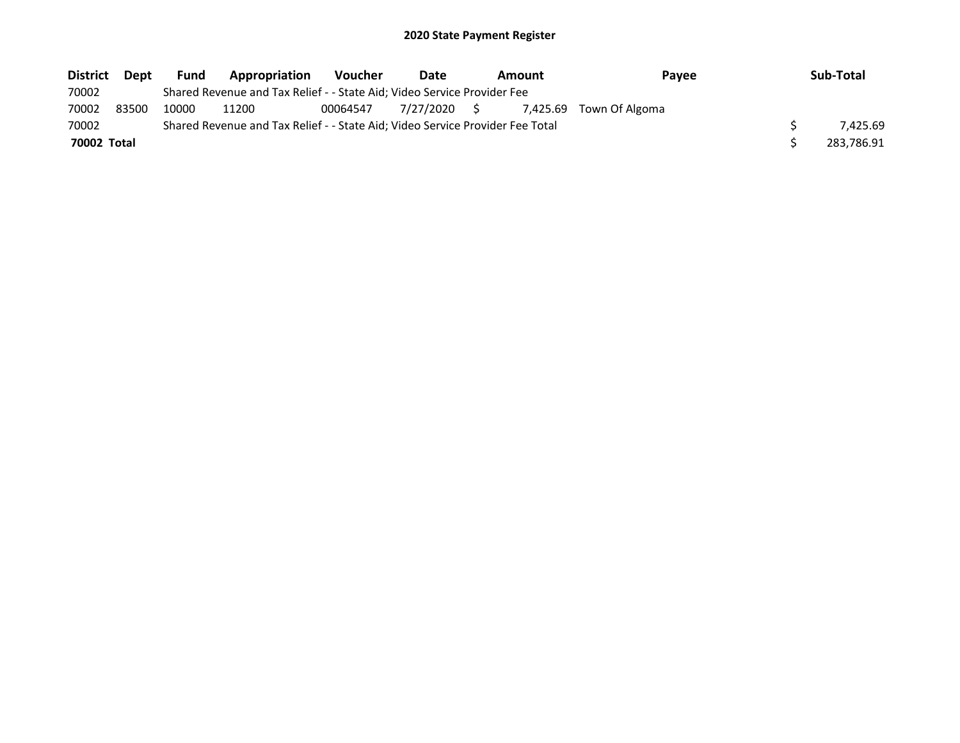| <b>District</b> | <b>Dept</b> | <b>Fund</b> | Appropriation                                                                 | <b>Voucher</b> | Date         | Amount   | Payee          | Sub-Total  |
|-----------------|-------------|-------------|-------------------------------------------------------------------------------|----------------|--------------|----------|----------------|------------|
| 70002           |             |             | Shared Revenue and Tax Relief - - State Aid; Video Service Provider Fee       |                |              |          |                |            |
| 70002           | 83500       | 10000       | 11200                                                                         | 00064547       | 7/27/2020 \$ | 7.425.69 | Town Of Algoma |            |
| 70002           |             |             | Shared Revenue and Tax Relief - - State Aid; Video Service Provider Fee Total |                |              |          |                | 7.425.69   |
| 70002 Total     |             |             |                                                                               |                |              |          |                | 283,786.91 |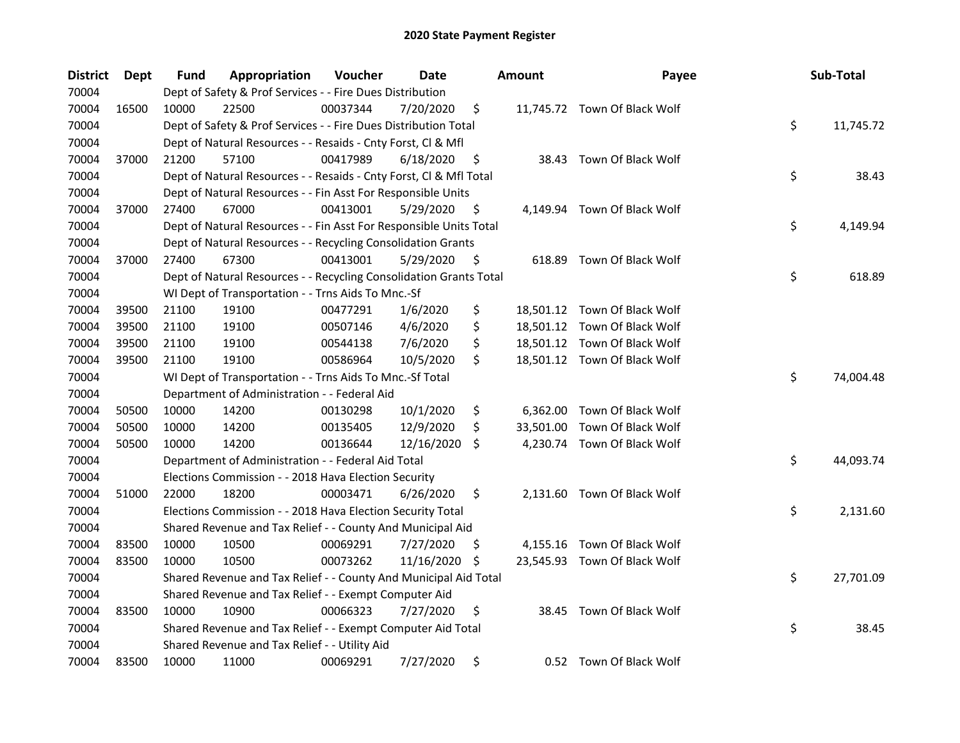| <b>District</b> | Dept  | Fund  | Appropriation                                                      | Voucher  | Date       |     | <b>Amount</b> | Payee                        | Sub-Total       |
|-----------------|-------|-------|--------------------------------------------------------------------|----------|------------|-----|---------------|------------------------------|-----------------|
| 70004           |       |       | Dept of Safety & Prof Services - - Fire Dues Distribution          |          |            |     |               |                              |                 |
| 70004           | 16500 | 10000 | 22500                                                              | 00037344 | 7/20/2020  | \$  |               | 11,745.72 Town Of Black Wolf |                 |
| 70004           |       |       | Dept of Safety & Prof Services - - Fire Dues Distribution Total    |          |            |     |               |                              | \$<br>11,745.72 |
| 70004           |       |       | Dept of Natural Resources - - Resaids - Cnty Forst, Cl & Mfl       |          |            |     |               |                              |                 |
| 70004           | 37000 | 21200 | 57100                                                              | 00417989 | 6/18/2020  | \$  |               | 38.43 Town Of Black Wolf     |                 |
| 70004           |       |       | Dept of Natural Resources - - Resaids - Cnty Forst, Cl & Mfl Total |          |            |     |               |                              | \$<br>38.43     |
| 70004           |       |       | Dept of Natural Resources - - Fin Asst For Responsible Units       |          |            |     |               |                              |                 |
| 70004           | 37000 | 27400 | 67000                                                              | 00413001 | 5/29/2020  | \$  |               | 4,149.94 Town Of Black Wolf  |                 |
| 70004           |       |       | Dept of Natural Resources - - Fin Asst For Responsible Units Total |          |            |     |               |                              | \$<br>4,149.94  |
| 70004           |       |       | Dept of Natural Resources - - Recycling Consolidation Grants       |          |            |     |               |                              |                 |
| 70004           | 37000 | 27400 | 67300                                                              | 00413001 | 5/29/2020  | \$  |               | 618.89 Town Of Black Wolf    |                 |
| 70004           |       |       | Dept of Natural Resources - - Recycling Consolidation Grants Total |          |            |     |               |                              | \$<br>618.89    |
| 70004           |       |       | WI Dept of Transportation - - Trns Aids To Mnc.-Sf                 |          |            |     |               |                              |                 |
| 70004           | 39500 | 21100 | 19100                                                              | 00477291 | 1/6/2020   | \$  |               | 18,501.12 Town Of Black Wolf |                 |
| 70004           | 39500 | 21100 | 19100                                                              | 00507146 | 4/6/2020   | \$  |               | 18,501.12 Town Of Black Wolf |                 |
| 70004           | 39500 | 21100 | 19100                                                              | 00544138 | 7/6/2020   | \$  |               | 18,501.12 Town Of Black Wolf |                 |
| 70004           | 39500 | 21100 | 19100                                                              | 00586964 | 10/5/2020  | \$  |               | 18,501.12 Town Of Black Wolf |                 |
| 70004           |       |       | WI Dept of Transportation - - Trns Aids To Mnc.-Sf Total           |          |            |     |               |                              | \$<br>74,004.48 |
| 70004           |       |       | Department of Administration - - Federal Aid                       |          |            |     |               |                              |                 |
| 70004           | 50500 | 10000 | 14200                                                              | 00130298 | 10/1/2020  | \$  | 6,362.00      | Town Of Black Wolf           |                 |
| 70004           | 50500 | 10000 | 14200                                                              | 00135405 | 12/9/2020  | \$  | 33,501.00     | Town Of Black Wolf           |                 |
| 70004           | 50500 | 10000 | 14200                                                              | 00136644 | 12/16/2020 | \$. |               | 4,230.74 Town Of Black Wolf  |                 |
| 70004           |       |       | Department of Administration - - Federal Aid Total                 |          |            |     |               |                              | \$<br>44,093.74 |
| 70004           |       |       | Elections Commission - - 2018 Hava Election Security               |          |            |     |               |                              |                 |
| 70004           | 51000 | 22000 | 18200                                                              | 00003471 | 6/26/2020  | \$  |               | 2,131.60 Town Of Black Wolf  |                 |
| 70004           |       |       | Elections Commission - - 2018 Hava Election Security Total         |          |            |     |               |                              | \$<br>2,131.60  |
| 70004           |       |       | Shared Revenue and Tax Relief - - County And Municipal Aid         |          |            |     |               |                              |                 |
| 70004           | 83500 | 10000 | 10500                                                              | 00069291 | 7/27/2020  | \$  |               | 4,155.16 Town Of Black Wolf  |                 |
| 70004           | 83500 | 10000 | 10500                                                              | 00073262 | 11/16/2020 | S   |               | 23,545.93 Town Of Black Wolf |                 |
| 70004           |       |       | Shared Revenue and Tax Relief - - County And Municipal Aid Total   |          |            |     |               |                              | \$<br>27,701.09 |
| 70004           |       |       | Shared Revenue and Tax Relief - - Exempt Computer Aid              |          |            |     |               |                              |                 |
| 70004           | 83500 | 10000 | 10900                                                              | 00066323 | 7/27/2020  | \$  |               | 38.45 Town Of Black Wolf     |                 |
| 70004           |       |       | Shared Revenue and Tax Relief - - Exempt Computer Aid Total        |          |            |     |               |                              | \$<br>38.45     |
| 70004           |       |       | Shared Revenue and Tax Relief - - Utility Aid                      |          |            |     |               |                              |                 |
| 70004           | 83500 | 10000 | 11000                                                              | 00069291 | 7/27/2020  | \$  |               | 0.52 Town Of Black Wolf      |                 |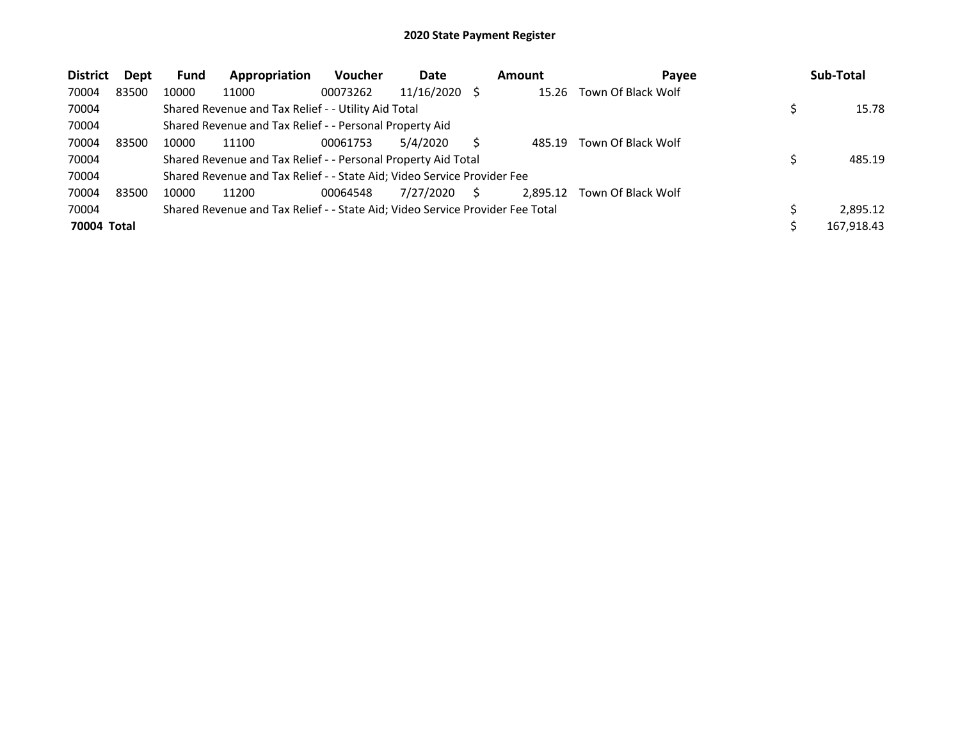| <b>District</b> | Dept  | <b>Fund</b> | Appropriation                                                                 | Voucher  | Date       |   | <b>Amount</b> | Payee              | Sub-Total  |
|-----------------|-------|-------------|-------------------------------------------------------------------------------|----------|------------|---|---------------|--------------------|------------|
| 70004           | 83500 | 10000       | 11000                                                                         | 00073262 | 11/16/2020 |   | 15.26         | Town Of Black Wolf |            |
| 70004           |       |             | Shared Revenue and Tax Relief - - Utility Aid Total                           |          |            |   |               |                    | 15.78      |
| 70004           |       |             | Shared Revenue and Tax Relief - - Personal Property Aid                       |          |            |   |               |                    |            |
| 70004           | 83500 | 10000       | 11100                                                                         | 00061753 | 5/4/2020   |   | 485.19        | Town Of Black Wolf |            |
| 70004           |       |             | Shared Revenue and Tax Relief - - Personal Property Aid Total                 |          |            |   |               |                    | 485.19     |
| 70004           |       |             | Shared Revenue and Tax Relief - - State Aid; Video Service Provider Fee       |          |            |   |               |                    |            |
| 70004           | 83500 | 10000       | 11200                                                                         | 00064548 | 7/27/2020  | S | 2,895.12      | Town Of Black Wolf |            |
| 70004           |       |             | Shared Revenue and Tax Relief - - State Aid; Video Service Provider Fee Total |          |            |   |               |                    | 2.895.12   |
| 70004 Total     |       |             |                                                                               |          |            |   |               |                    | 167,918.43 |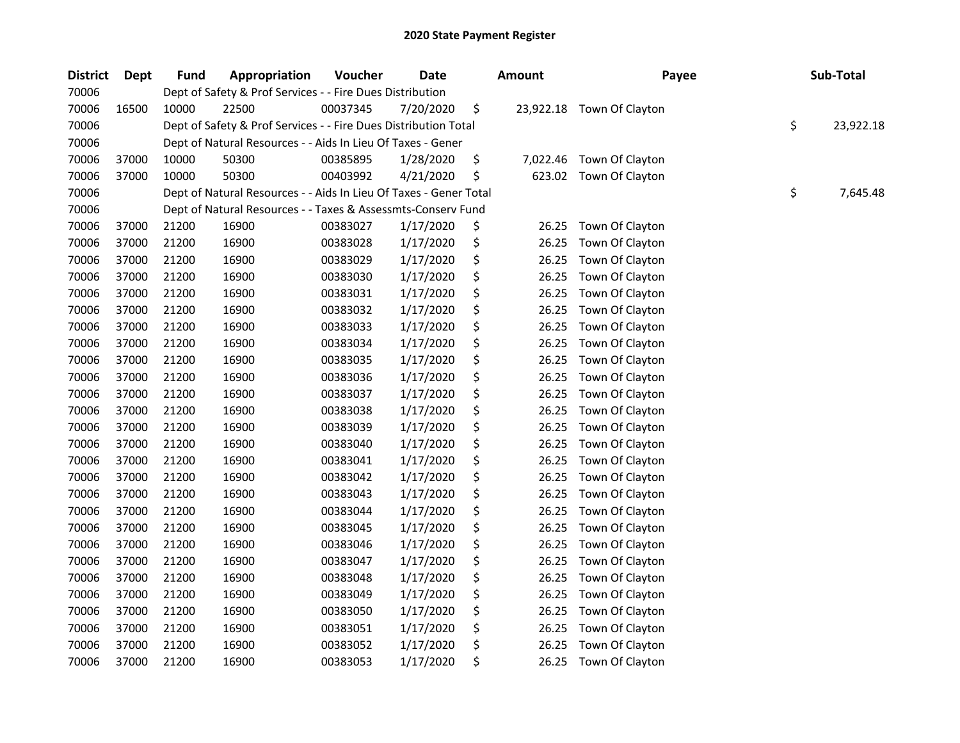| <b>District</b> | <b>Dept</b> | <b>Fund</b> | Appropriation                                                     | Voucher  | <b>Date</b> | Amount          | Payee           | Sub-Total       |
|-----------------|-------------|-------------|-------------------------------------------------------------------|----------|-------------|-----------------|-----------------|-----------------|
| 70006           |             |             | Dept of Safety & Prof Services - - Fire Dues Distribution         |          |             |                 |                 |                 |
| 70006           | 16500       | 10000       | 22500                                                             | 00037345 | 7/20/2020   | \$<br>23,922.18 | Town Of Clayton |                 |
| 70006           |             |             | Dept of Safety & Prof Services - - Fire Dues Distribution Total   |          |             |                 |                 | \$<br>23,922.18 |
| 70006           |             |             | Dept of Natural Resources - - Aids In Lieu Of Taxes - Gener       |          |             |                 |                 |                 |
| 70006           | 37000       | 10000       | 50300                                                             | 00385895 | 1/28/2020   | \$<br>7,022.46  | Town Of Clayton |                 |
| 70006           | 37000       | 10000       | 50300                                                             | 00403992 | 4/21/2020   | \$<br>623.02    | Town Of Clayton |                 |
| 70006           |             |             | Dept of Natural Resources - - Aids In Lieu Of Taxes - Gener Total |          |             |                 |                 | \$<br>7,645.48  |
| 70006           |             |             | Dept of Natural Resources - - Taxes & Assessmts-Conserv Fund      |          |             |                 |                 |                 |
| 70006           | 37000       | 21200       | 16900                                                             | 00383027 | 1/17/2020   | \$<br>26.25     | Town Of Clayton |                 |
| 70006           | 37000       | 21200       | 16900                                                             | 00383028 | 1/17/2020   | \$<br>26.25     | Town Of Clayton |                 |
| 70006           | 37000       | 21200       | 16900                                                             | 00383029 | 1/17/2020   | \$<br>26.25     | Town Of Clayton |                 |
| 70006           | 37000       | 21200       | 16900                                                             | 00383030 | 1/17/2020   | \$<br>26.25     | Town Of Clayton |                 |
| 70006           | 37000       | 21200       | 16900                                                             | 00383031 | 1/17/2020   | \$<br>26.25     | Town Of Clayton |                 |
| 70006           | 37000       | 21200       | 16900                                                             | 00383032 | 1/17/2020   | \$<br>26.25     | Town Of Clayton |                 |
| 70006           | 37000       | 21200       | 16900                                                             | 00383033 | 1/17/2020   | \$<br>26.25     | Town Of Clayton |                 |
| 70006           | 37000       | 21200       | 16900                                                             | 00383034 | 1/17/2020   | \$<br>26.25     | Town Of Clayton |                 |
| 70006           | 37000       | 21200       | 16900                                                             | 00383035 | 1/17/2020   | \$<br>26.25     | Town Of Clayton |                 |
| 70006           | 37000       | 21200       | 16900                                                             | 00383036 | 1/17/2020   | \$<br>26.25     | Town Of Clayton |                 |
| 70006           | 37000       | 21200       | 16900                                                             | 00383037 | 1/17/2020   | \$<br>26.25     | Town Of Clayton |                 |
| 70006           | 37000       | 21200       | 16900                                                             | 00383038 | 1/17/2020   | \$<br>26.25     | Town Of Clayton |                 |
| 70006           | 37000       | 21200       | 16900                                                             | 00383039 | 1/17/2020   | \$<br>26.25     | Town Of Clayton |                 |
| 70006           | 37000       | 21200       | 16900                                                             | 00383040 | 1/17/2020   | \$<br>26.25     | Town Of Clayton |                 |
| 70006           | 37000       | 21200       | 16900                                                             | 00383041 | 1/17/2020   | \$<br>26.25     | Town Of Clayton |                 |
| 70006           | 37000       | 21200       | 16900                                                             | 00383042 | 1/17/2020   | \$<br>26.25     | Town Of Clayton |                 |
| 70006           | 37000       | 21200       | 16900                                                             | 00383043 | 1/17/2020   | \$<br>26.25     | Town Of Clayton |                 |
| 70006           | 37000       | 21200       | 16900                                                             | 00383044 | 1/17/2020   | \$<br>26.25     | Town Of Clayton |                 |
| 70006           | 37000       | 21200       | 16900                                                             | 00383045 | 1/17/2020   | \$<br>26.25     | Town Of Clayton |                 |
| 70006           | 37000       | 21200       | 16900                                                             | 00383046 | 1/17/2020   | \$<br>26.25     | Town Of Clayton |                 |
| 70006           | 37000       | 21200       | 16900                                                             | 00383047 | 1/17/2020   | \$<br>26.25     | Town Of Clayton |                 |
| 70006           | 37000       | 21200       | 16900                                                             | 00383048 | 1/17/2020   | \$<br>26.25     | Town Of Clayton |                 |
| 70006           | 37000       | 21200       | 16900                                                             | 00383049 | 1/17/2020   | \$<br>26.25     | Town Of Clayton |                 |
| 70006           | 37000       | 21200       | 16900                                                             | 00383050 | 1/17/2020   | \$<br>26.25     | Town Of Clayton |                 |
| 70006           | 37000       | 21200       | 16900                                                             | 00383051 | 1/17/2020   | \$<br>26.25     | Town Of Clayton |                 |
| 70006           | 37000       | 21200       | 16900                                                             | 00383052 | 1/17/2020   | \$<br>26.25     | Town Of Clayton |                 |
| 70006           | 37000       | 21200       | 16900                                                             | 00383053 | 1/17/2020   | \$<br>26.25     | Town Of Clayton |                 |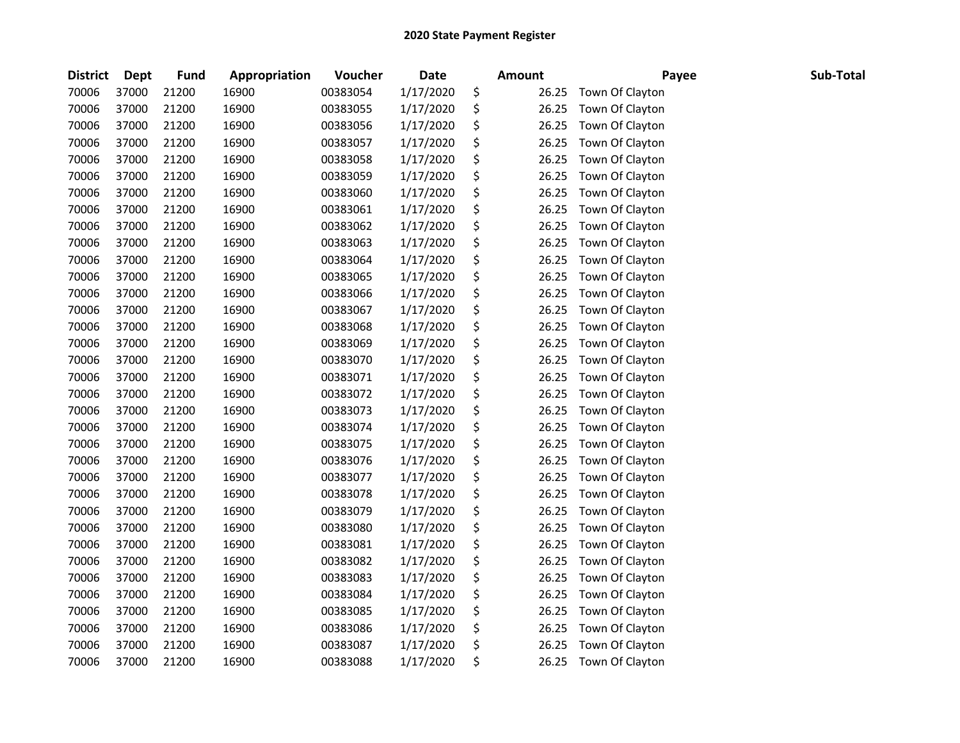| <b>District</b> | <b>Dept</b> | Fund  | Appropriation | Voucher  | <b>Date</b> | <b>Amount</b> | Payee           | Sub-Total |
|-----------------|-------------|-------|---------------|----------|-------------|---------------|-----------------|-----------|
| 70006           | 37000       | 21200 | 16900         | 00383054 | 1/17/2020   | \$<br>26.25   | Town Of Clayton |           |
| 70006           | 37000       | 21200 | 16900         | 00383055 | 1/17/2020   | \$<br>26.25   | Town Of Clayton |           |
| 70006           | 37000       | 21200 | 16900         | 00383056 | 1/17/2020   | \$<br>26.25   | Town Of Clayton |           |
| 70006           | 37000       | 21200 | 16900         | 00383057 | 1/17/2020   | \$<br>26.25   | Town Of Clayton |           |
| 70006           | 37000       | 21200 | 16900         | 00383058 | 1/17/2020   | \$<br>26.25   | Town Of Clayton |           |
| 70006           | 37000       | 21200 | 16900         | 00383059 | 1/17/2020   | \$<br>26.25   | Town Of Clayton |           |
| 70006           | 37000       | 21200 | 16900         | 00383060 | 1/17/2020   | \$<br>26.25   | Town Of Clayton |           |
| 70006           | 37000       | 21200 | 16900         | 00383061 | 1/17/2020   | \$<br>26.25   | Town Of Clayton |           |
| 70006           | 37000       | 21200 | 16900         | 00383062 | 1/17/2020   | \$<br>26.25   | Town Of Clayton |           |
| 70006           | 37000       | 21200 | 16900         | 00383063 | 1/17/2020   | \$<br>26.25   | Town Of Clayton |           |
| 70006           | 37000       | 21200 | 16900         | 00383064 | 1/17/2020   | \$<br>26.25   | Town Of Clayton |           |
| 70006           | 37000       | 21200 | 16900         | 00383065 | 1/17/2020   | \$<br>26.25   | Town Of Clayton |           |
| 70006           | 37000       | 21200 | 16900         | 00383066 | 1/17/2020   | \$<br>26.25   | Town Of Clayton |           |
| 70006           | 37000       | 21200 | 16900         | 00383067 | 1/17/2020   | \$<br>26.25   | Town Of Clayton |           |
| 70006           | 37000       | 21200 | 16900         | 00383068 | 1/17/2020   | \$<br>26.25   | Town Of Clayton |           |
| 70006           | 37000       | 21200 | 16900         | 00383069 | 1/17/2020   | \$<br>26.25   | Town Of Clayton |           |
| 70006           | 37000       | 21200 | 16900         | 00383070 | 1/17/2020   | \$<br>26.25   | Town Of Clayton |           |
| 70006           | 37000       | 21200 | 16900         | 00383071 | 1/17/2020   | \$<br>26.25   | Town Of Clayton |           |
| 70006           | 37000       | 21200 | 16900         | 00383072 | 1/17/2020   | \$<br>26.25   | Town Of Clayton |           |
| 70006           | 37000       | 21200 | 16900         | 00383073 | 1/17/2020   | \$<br>26.25   | Town Of Clayton |           |
| 70006           | 37000       | 21200 | 16900         | 00383074 | 1/17/2020   | \$<br>26.25   | Town Of Clayton |           |
| 70006           | 37000       | 21200 | 16900         | 00383075 | 1/17/2020   | \$<br>26.25   | Town Of Clayton |           |
| 70006           | 37000       | 21200 | 16900         | 00383076 | 1/17/2020   | \$<br>26.25   | Town Of Clayton |           |
| 70006           | 37000       | 21200 | 16900         | 00383077 | 1/17/2020   | \$<br>26.25   | Town Of Clayton |           |
| 70006           | 37000       | 21200 | 16900         | 00383078 | 1/17/2020   | \$<br>26.25   | Town Of Clayton |           |
| 70006           | 37000       | 21200 | 16900         | 00383079 | 1/17/2020   | \$<br>26.25   | Town Of Clayton |           |
| 70006           | 37000       | 21200 | 16900         | 00383080 | 1/17/2020   | \$<br>26.25   | Town Of Clayton |           |
| 70006           | 37000       | 21200 | 16900         | 00383081 | 1/17/2020   | \$<br>26.25   | Town Of Clayton |           |
| 70006           | 37000       | 21200 | 16900         | 00383082 | 1/17/2020   | \$<br>26.25   | Town Of Clayton |           |
| 70006           | 37000       | 21200 | 16900         | 00383083 | 1/17/2020   | \$<br>26.25   | Town Of Clayton |           |
| 70006           | 37000       | 21200 | 16900         | 00383084 | 1/17/2020   | \$<br>26.25   | Town Of Clayton |           |
| 70006           | 37000       | 21200 | 16900         | 00383085 | 1/17/2020   | \$<br>26.25   | Town Of Clayton |           |
| 70006           | 37000       | 21200 | 16900         | 00383086 | 1/17/2020   | \$<br>26.25   | Town Of Clayton |           |
| 70006           | 37000       | 21200 | 16900         | 00383087 | 1/17/2020   | \$<br>26.25   | Town Of Clayton |           |
| 70006           | 37000       | 21200 | 16900         | 00383088 | 1/17/2020   | \$<br>26.25   | Town Of Clayton |           |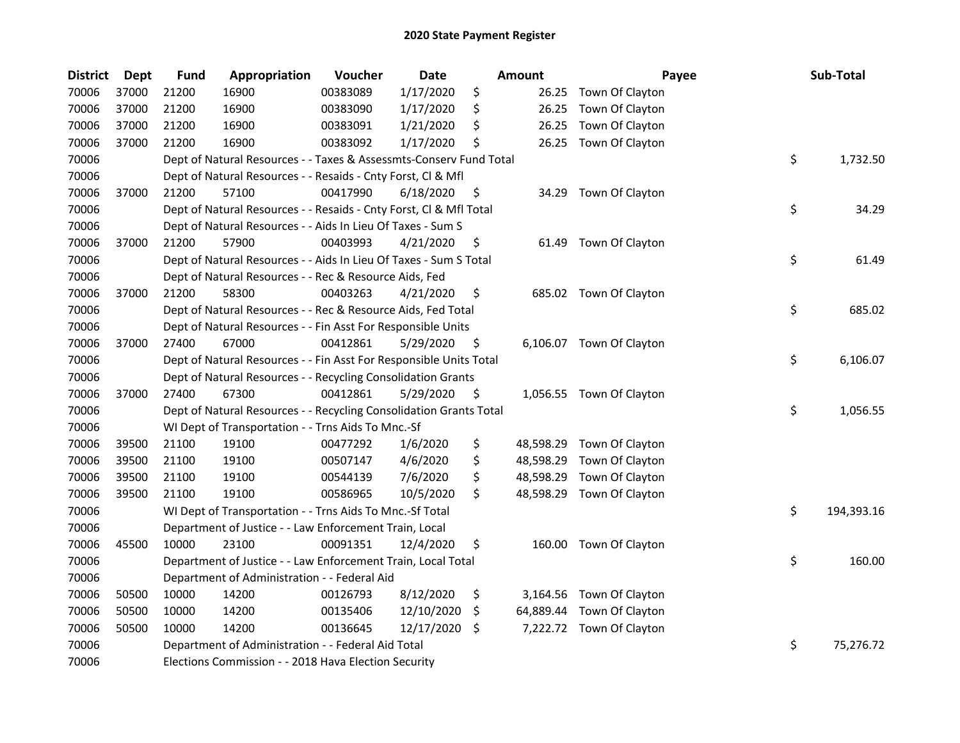| <b>District</b> | <b>Dept</b> | <b>Fund</b> | Appropriation                                                      | Voucher  | <b>Date</b> |     | Amount    | Payee                     | Sub-Total        |
|-----------------|-------------|-------------|--------------------------------------------------------------------|----------|-------------|-----|-----------|---------------------------|------------------|
| 70006           | 37000       | 21200       | 16900                                                              | 00383089 | 1/17/2020   | \$  | 26.25     | Town Of Clayton           |                  |
| 70006           | 37000       | 21200       | 16900                                                              | 00383090 | 1/17/2020   | \$  | 26.25     | Town Of Clayton           |                  |
| 70006           | 37000       | 21200       | 16900                                                              | 00383091 | 1/21/2020   | \$  | 26.25     | Town Of Clayton           |                  |
| 70006           | 37000       | 21200       | 16900                                                              | 00383092 | 1/17/2020   | \$  | 26.25     | Town Of Clayton           |                  |
| 70006           |             |             | Dept of Natural Resources - - Taxes & Assessmts-Conserv Fund Total |          |             |     |           |                           | \$<br>1,732.50   |
| 70006           |             |             | Dept of Natural Resources - - Resaids - Cnty Forst, Cl & Mfl       |          |             |     |           |                           |                  |
| 70006           | 37000       | 21200       | 57100                                                              | 00417990 | 6/18/2020   | \$  | 34.29     | Town Of Clayton           |                  |
| 70006           |             |             | Dept of Natural Resources - - Resaids - Cnty Forst, Cl & Mfl Total |          |             |     |           |                           | \$<br>34.29      |
| 70006           |             |             | Dept of Natural Resources - - Aids In Lieu Of Taxes - Sum S        |          |             |     |           |                           |                  |
| 70006           | 37000       | 21200       | 57900                                                              | 00403993 | 4/21/2020   | \$  | 61.49     | Town Of Clayton           |                  |
| 70006           |             |             | Dept of Natural Resources - - Aids In Lieu Of Taxes - Sum S Total  |          |             |     |           |                           | \$<br>61.49      |
| 70006           |             |             | Dept of Natural Resources - - Rec & Resource Aids, Fed             |          |             |     |           |                           |                  |
| 70006           | 37000       | 21200       | 58300                                                              | 00403263 | 4/21/2020   | \$  |           | 685.02 Town Of Clayton    |                  |
| 70006           |             |             | Dept of Natural Resources - - Rec & Resource Aids, Fed Total       |          |             |     |           |                           | \$<br>685.02     |
| 70006           |             |             | Dept of Natural Resources - - Fin Asst For Responsible Units       |          |             |     |           |                           |                  |
| 70006           | 37000       | 27400       | 67000                                                              | 00412861 | 5/29/2020   | \$. |           | 6,106.07 Town Of Clayton  |                  |
| 70006           |             |             | Dept of Natural Resources - - Fin Asst For Responsible Units Total |          |             |     |           |                           | \$<br>6,106.07   |
| 70006           |             |             | Dept of Natural Resources - - Recycling Consolidation Grants       |          |             |     |           |                           |                  |
| 70006           | 37000       | 27400       | 67300                                                              | 00412861 | 5/29/2020   | \$  |           | 1,056.55 Town Of Clayton  |                  |
| 70006           |             |             | Dept of Natural Resources - - Recycling Consolidation Grants Total |          |             |     |           |                           | \$<br>1,056.55   |
| 70006           |             |             | WI Dept of Transportation - - Trns Aids To Mnc.-Sf                 |          |             |     |           |                           |                  |
| 70006           | 39500       | 21100       | 19100                                                              | 00477292 | 1/6/2020    | \$  |           | 48,598.29 Town Of Clayton |                  |
| 70006           | 39500       | 21100       | 19100                                                              | 00507147 | 4/6/2020    | \$  | 48,598.29 | Town Of Clayton           |                  |
| 70006           | 39500       | 21100       | 19100                                                              | 00544139 | 7/6/2020    | \$  | 48,598.29 | Town Of Clayton           |                  |
| 70006           | 39500       | 21100       | 19100                                                              | 00586965 | 10/5/2020   | \$  | 48,598.29 | Town Of Clayton           |                  |
| 70006           |             |             | WI Dept of Transportation - - Trns Aids To Mnc.-Sf Total           |          |             |     |           |                           | \$<br>194,393.16 |
| 70006           |             |             | Department of Justice - - Law Enforcement Train, Local             |          |             |     |           |                           |                  |
| 70006           | 45500       | 10000       | 23100                                                              | 00091351 | 12/4/2020   | \$  |           | 160.00 Town Of Clayton    |                  |
| 70006           |             |             | Department of Justice - - Law Enforcement Train, Local Total       |          |             |     |           |                           | \$<br>160.00     |
| 70006           |             |             | Department of Administration - - Federal Aid                       |          |             |     |           |                           |                  |
| 70006           | 50500       | 10000       | 14200                                                              | 00126793 | 8/12/2020   | \$  |           | 3,164.56 Town Of Clayton  |                  |
| 70006           | 50500       | 10000       | 14200                                                              | 00135406 | 12/10/2020  | \$  | 64,889.44 | Town Of Clayton           |                  |
| 70006           | 50500       | 10000       | 14200                                                              | 00136645 | 12/17/2020  | -\$ |           | 7,222.72 Town Of Clayton  |                  |
| 70006           |             |             | Department of Administration - - Federal Aid Total                 |          |             |     |           |                           | \$<br>75,276.72  |
| 70006           |             |             | Elections Commission - - 2018 Hava Election Security               |          |             |     |           |                           |                  |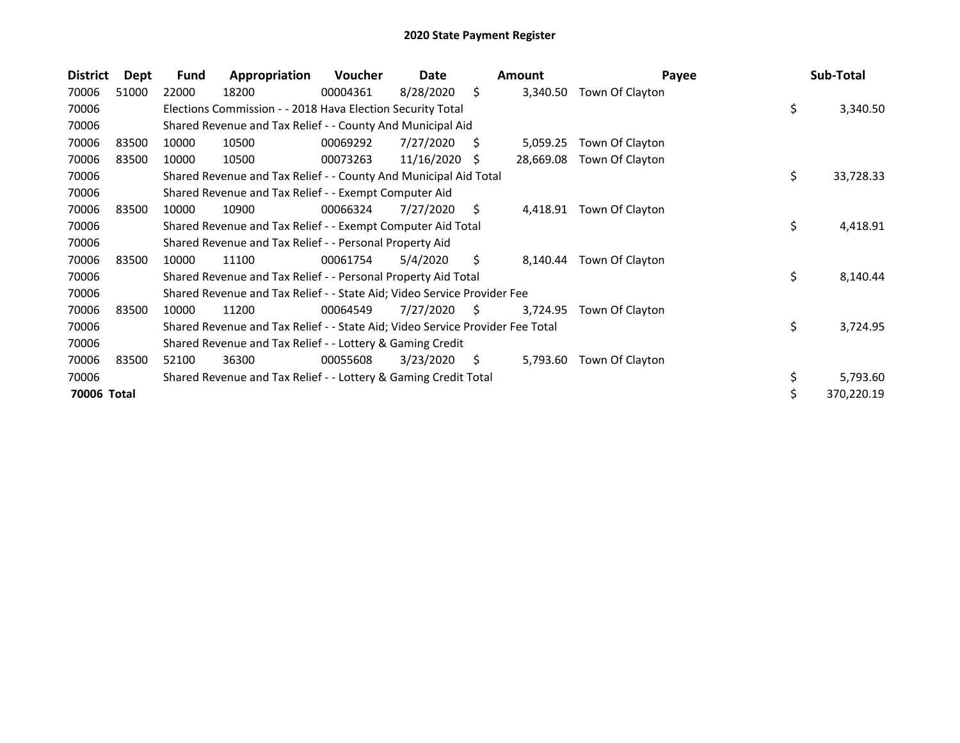| <b>District</b> | Dept  | <b>Fund</b> | Appropriation                                                                 | <b>Voucher</b> | Date       |     | <b>Amount</b> | Payee           | Sub-Total        |
|-----------------|-------|-------------|-------------------------------------------------------------------------------|----------------|------------|-----|---------------|-----------------|------------------|
| 70006           | 51000 | 22000       | 18200                                                                         | 00004361       | 8/28/2020  | \$  | 3,340.50      | Town Of Clayton |                  |
| 70006           |       |             | Elections Commission - - 2018 Hava Election Security Total                    |                |            |     |               |                 | \$<br>3,340.50   |
| 70006           |       |             | Shared Revenue and Tax Relief - - County And Municipal Aid                    |                |            |     |               |                 |                  |
| 70006           | 83500 | 10000       | 10500                                                                         | 00069292       | 7/27/2020  | S   | 5,059.25      | Town Of Clayton |                  |
| 70006           | 83500 | 10000       | 10500                                                                         | 00073263       | 11/16/2020 | S   | 28,669.08     | Town Of Clayton |                  |
| 70006           |       |             | Shared Revenue and Tax Relief - - County And Municipal Aid Total              |                |            |     |               |                 | \$<br>33,728.33  |
| 70006           |       |             | Shared Revenue and Tax Relief - - Exempt Computer Aid                         |                |            |     |               |                 |                  |
| 70006           | 83500 | 10000       | 10900                                                                         | 00066324       | 7/27/2020  | S   | 4,418.91      | Town Of Clayton |                  |
| 70006           |       |             | Shared Revenue and Tax Relief - - Exempt Computer Aid Total                   |                |            |     |               |                 | \$<br>4,418.91   |
| 70006           |       |             | Shared Revenue and Tax Relief - - Personal Property Aid                       |                |            |     |               |                 |                  |
| 70006           | 83500 | 10000       | 11100                                                                         | 00061754       | 5/4/2020   | \$. | 8,140.44      | Town Of Clayton |                  |
| 70006           |       |             | Shared Revenue and Tax Relief - - Personal Property Aid Total                 |                |            |     |               |                 | \$<br>8,140.44   |
| 70006           |       |             | Shared Revenue and Tax Relief - - State Aid; Video Service Provider Fee       |                |            |     |               |                 |                  |
| 70006           | 83500 | 10000       | 11200                                                                         | 00064549       | 7/27/2020  | S.  | 3,724.95      | Town Of Clayton |                  |
| 70006           |       |             | Shared Revenue and Tax Relief - - State Aid; Video Service Provider Fee Total |                |            |     |               |                 | \$<br>3,724.95   |
| 70006           |       |             | Shared Revenue and Tax Relief - - Lottery & Gaming Credit                     |                |            |     |               |                 |                  |
| 70006           | 83500 | 52100       | 36300                                                                         | 00055608       | 3/23/2020  | S   | 5,793.60      | Town Of Clayton |                  |
| 70006           |       |             | Shared Revenue and Tax Relief - - Lottery & Gaming Credit Total               |                |            |     |               |                 | \$<br>5,793.60   |
| 70006 Total     |       |             |                                                                               |                |            |     |               |                 | \$<br>370,220.19 |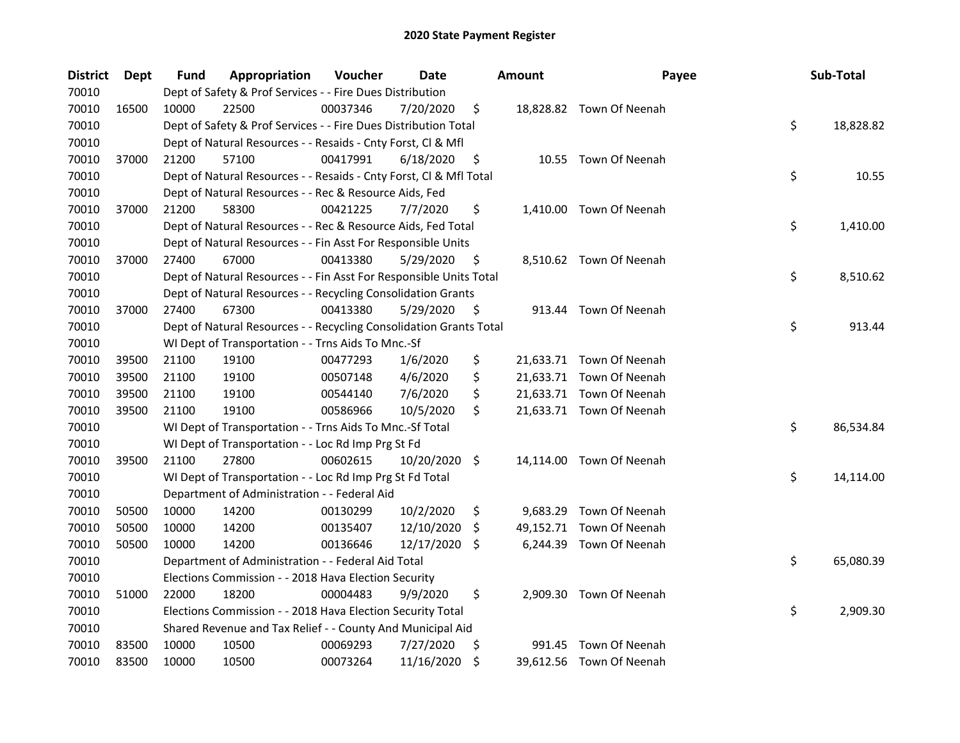| District | <b>Dept</b> | Fund  | Appropriation                                                      | Voucher  | Date          |     | <b>Amount</b> | Payee                    | Sub-Total       |
|----------|-------------|-------|--------------------------------------------------------------------|----------|---------------|-----|---------------|--------------------------|-----------------|
| 70010    |             |       | Dept of Safety & Prof Services - - Fire Dues Distribution          |          |               |     |               |                          |                 |
| 70010    | 16500       | 10000 | 22500                                                              | 00037346 | 7/20/2020     | \$  |               | 18,828.82 Town Of Neenah |                 |
| 70010    |             |       | Dept of Safety & Prof Services - - Fire Dues Distribution Total    |          |               |     |               |                          | \$<br>18,828.82 |
| 70010    |             |       | Dept of Natural Resources - - Resaids - Cnty Forst, Cl & Mfl       |          |               |     |               |                          |                 |
| 70010    | 37000       | 21200 | 57100                                                              | 00417991 | 6/18/2020     | \$  |               | 10.55 Town Of Neenah     |                 |
| 70010    |             |       | Dept of Natural Resources - - Resaids - Cnty Forst, CI & Mfl Total |          |               |     |               |                          | \$<br>10.55     |
| 70010    |             |       | Dept of Natural Resources - - Rec & Resource Aids, Fed             |          |               |     |               |                          |                 |
| 70010    | 37000       | 21200 | 58300                                                              | 00421225 | 7/7/2020      | \$  |               | 1,410.00 Town Of Neenah  |                 |
| 70010    |             |       | Dept of Natural Resources - - Rec & Resource Aids, Fed Total       |          |               |     |               |                          | \$<br>1,410.00  |
| 70010    |             |       | Dept of Natural Resources - - Fin Asst For Responsible Units       |          |               |     |               |                          |                 |
| 70010    | 37000       | 27400 | 67000                                                              | 00413380 | 5/29/2020     | \$. |               | 8,510.62 Town Of Neenah  |                 |
| 70010    |             |       | Dept of Natural Resources - - Fin Asst For Responsible Units Total |          |               |     |               |                          | \$<br>8,510.62  |
| 70010    |             |       | Dept of Natural Resources - - Recycling Consolidation Grants       |          |               |     |               |                          |                 |
| 70010    | 37000       | 27400 | 67300                                                              | 00413380 | 5/29/2020     | \$, | 913.44        | Town Of Neenah           |                 |
| 70010    |             |       | Dept of Natural Resources - - Recycling Consolidation Grants Total |          |               |     |               |                          | \$<br>913.44    |
| 70010    |             |       | WI Dept of Transportation - - Trns Aids To Mnc.-Sf                 |          |               |     |               |                          |                 |
| 70010    | 39500       | 21100 | 19100                                                              | 00477293 | 1/6/2020      | \$  |               | 21,633.71 Town Of Neenah |                 |
| 70010    | 39500       | 21100 | 19100                                                              | 00507148 | 4/6/2020      | \$  |               | 21,633.71 Town Of Neenah |                 |
| 70010    | 39500       | 21100 | 19100                                                              | 00544140 | 7/6/2020      | \$  |               | 21,633.71 Town Of Neenah |                 |
| 70010    | 39500       | 21100 | 19100                                                              | 00586966 | 10/5/2020     | \$  |               | 21,633.71 Town Of Neenah |                 |
| 70010    |             |       | WI Dept of Transportation - - Trns Aids To Mnc.-Sf Total           |          |               |     |               |                          | \$<br>86,534.84 |
| 70010    |             |       | WI Dept of Transportation - - Loc Rd Imp Prg St Fd                 |          |               |     |               |                          |                 |
| 70010    | 39500       | 21100 | 27800                                                              | 00602615 | 10/20/2020 \$ |     |               | 14,114.00 Town Of Neenah |                 |
| 70010    |             |       | WI Dept of Transportation - - Loc Rd Imp Prg St Fd Total           |          |               |     |               |                          | \$<br>14,114.00 |
| 70010    |             |       | Department of Administration - - Federal Aid                       |          |               |     |               |                          |                 |
| 70010    | 50500       | 10000 | 14200                                                              | 00130299 | 10/2/2020     | \$. | 9,683.29      | Town Of Neenah           |                 |
| 70010    | 50500       | 10000 | 14200                                                              | 00135407 | 12/10/2020    | \$  |               | 49,152.71 Town Of Neenah |                 |
| 70010    | 50500       | 10000 | 14200                                                              | 00136646 | 12/17/2020    | \$  |               | 6,244.39 Town Of Neenah  |                 |
| 70010    |             |       | Department of Administration - - Federal Aid Total                 |          |               |     |               |                          | \$<br>65,080.39 |
| 70010    |             |       | Elections Commission - - 2018 Hava Election Security               |          |               |     |               |                          |                 |
| 70010    | 51000       | 22000 | 18200                                                              | 00004483 | 9/9/2020      | \$  |               | 2,909.30 Town Of Neenah  |                 |
| 70010    |             |       | Elections Commission - - 2018 Hava Election Security Total         |          |               |     |               |                          | \$<br>2,909.30  |
| 70010    |             |       | Shared Revenue and Tax Relief - - County And Municipal Aid         |          |               |     |               |                          |                 |
| 70010    | 83500       | 10000 | 10500                                                              | 00069293 | 7/27/2020     | \$  |               | 991.45 Town Of Neenah    |                 |
| 70010    | 83500       | 10000 | 10500                                                              | 00073264 | 11/16/2020    | \$  |               | 39,612.56 Town Of Neenah |                 |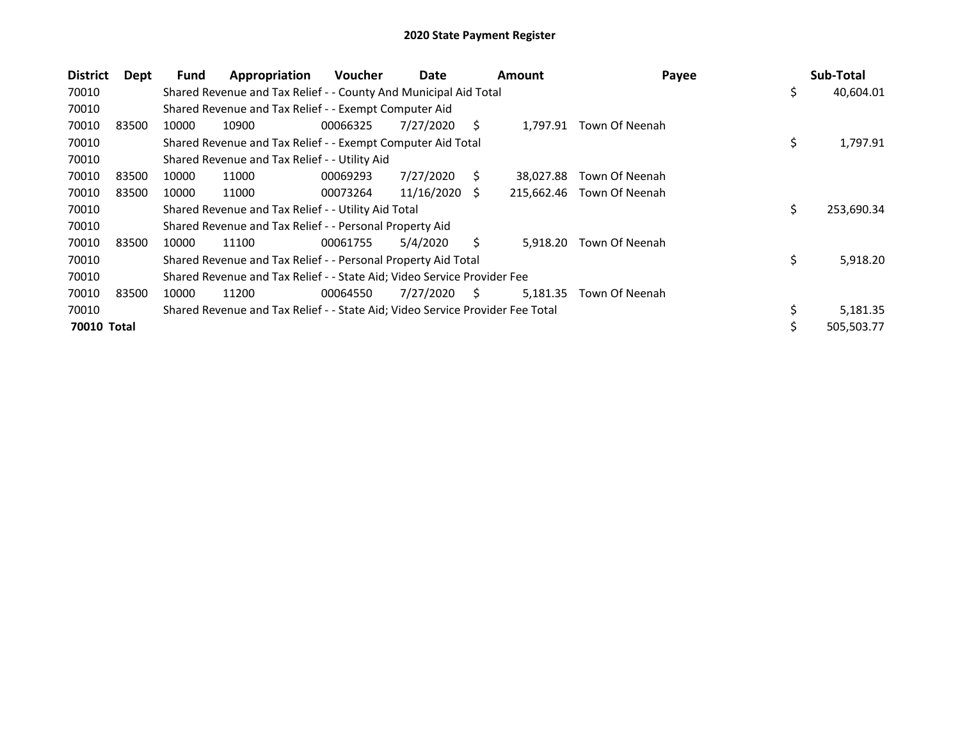| <b>District</b> | Dept  | <b>Fund</b> | Appropriation                                                                 | <b>Voucher</b> | Date       |    | <b>Amount</b> | Payee                     |     | Sub-Total  |
|-----------------|-------|-------------|-------------------------------------------------------------------------------|----------------|------------|----|---------------|---------------------------|-----|------------|
| 70010           |       |             | Shared Revenue and Tax Relief - - County And Municipal Aid Total              |                |            |    |               |                           | \$  | 40,604.01  |
| 70010           |       |             | Shared Revenue and Tax Relief - - Exempt Computer Aid                         |                |            |    |               |                           |     |            |
| 70010           | 83500 | 10000       | 10900                                                                         | 00066325       | 7/27/2020  | S. | 1,797.91      | Town Of Neenah            |     |            |
| 70010           |       |             | Shared Revenue and Tax Relief - - Exempt Computer Aid Total                   |                |            |    |               |                           | \$. | 1,797.91   |
| 70010           |       |             | Shared Revenue and Tax Relief - - Utility Aid                                 |                |            |    |               |                           |     |            |
| 70010           | 83500 | 10000       | 11000                                                                         | 00069293       | 7/27/2020  | S  | 38.027.88     | Town Of Neenah            |     |            |
| 70010           | 83500 | 10000       | 11000                                                                         | 00073264       | 11/16/2020 | S. |               | 215,662.46 Town Of Neenah |     |            |
| 70010           |       |             | Shared Revenue and Tax Relief - - Utility Aid Total                           |                |            |    |               |                           | \$. | 253,690.34 |
| 70010           |       |             | Shared Revenue and Tax Relief - - Personal Property Aid                       |                |            |    |               |                           |     |            |
| 70010           | 83500 | 10000       | 11100                                                                         | 00061755       | 5/4/2020   | Ś. | 5.918.20      | Town Of Neenah            |     |            |
| 70010           |       |             | Shared Revenue and Tax Relief - - Personal Property Aid Total                 |                |            |    |               |                           | \$. | 5,918.20   |
| 70010           |       |             | Shared Revenue and Tax Relief - - State Aid; Video Service Provider Fee       |                |            |    |               |                           |     |            |
| 70010           | 83500 | 10000       | 11200                                                                         | 00064550       | 7/27/2020  | S. | 5,181.35      | Town Of Neenah            |     |            |
| 70010           |       |             | Shared Revenue and Tax Relief - - State Aid; Video Service Provider Fee Total |                |            |    |               |                           |     | 5,181.35   |
| 70010 Total     |       |             |                                                                               |                |            |    |               |                           |     | 505,503.77 |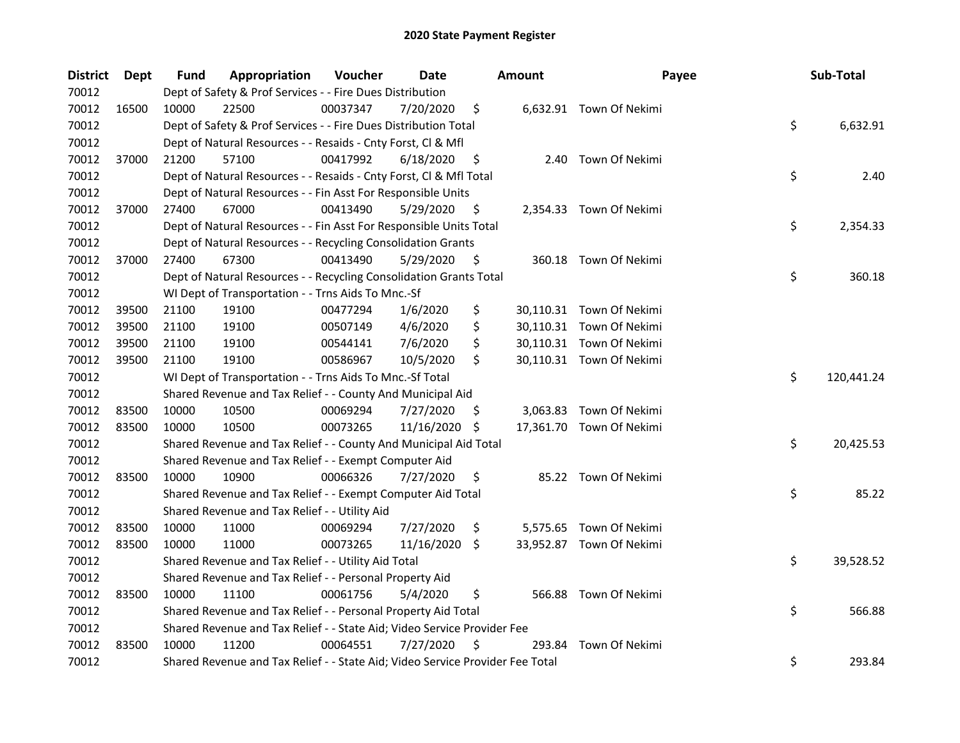| <b>District</b> | Dept  | <b>Fund</b> | Appropriation                                                                 | Voucher  | Date       |     | <b>Amount</b> | Payee                    | Sub-Total        |
|-----------------|-------|-------------|-------------------------------------------------------------------------------|----------|------------|-----|---------------|--------------------------|------------------|
| 70012           |       |             | Dept of Safety & Prof Services - - Fire Dues Distribution                     |          |            |     |               |                          |                  |
| 70012           | 16500 | 10000       | 22500                                                                         | 00037347 | 7/20/2020  | \$  |               | 6,632.91 Town Of Nekimi  |                  |
| 70012           |       |             | Dept of Safety & Prof Services - - Fire Dues Distribution Total               |          |            |     |               |                          | \$<br>6,632.91   |
| 70012           |       |             | Dept of Natural Resources - - Resaids - Cnty Forst, Cl & Mfl                  |          |            |     |               |                          |                  |
| 70012           | 37000 | 21200       | 57100                                                                         | 00417992 | 6/18/2020  | \$  |               | 2.40 Town Of Nekimi      |                  |
| 70012           |       |             | Dept of Natural Resources - - Resaids - Cnty Forst, Cl & Mfl Total            |          |            |     |               |                          | \$<br>2.40       |
| 70012           |       |             | Dept of Natural Resources - - Fin Asst For Responsible Units                  |          |            |     |               |                          |                  |
| 70012           | 37000 | 27400       | 67000                                                                         | 00413490 | 5/29/2020  | \$  |               | 2,354.33 Town Of Nekimi  |                  |
| 70012           |       |             | Dept of Natural Resources - - Fin Asst For Responsible Units Total            |          |            |     |               |                          | \$<br>2,354.33   |
| 70012           |       |             | Dept of Natural Resources - - Recycling Consolidation Grants                  |          |            |     |               |                          |                  |
| 70012           | 37000 | 27400       | 67300                                                                         | 00413490 | 5/29/2020  | \$  |               | 360.18 Town Of Nekimi    |                  |
| 70012           |       |             | Dept of Natural Resources - - Recycling Consolidation Grants Total            |          |            |     |               |                          | \$<br>360.18     |
| 70012           |       |             | WI Dept of Transportation - - Trns Aids To Mnc.-Sf                            |          |            |     |               |                          |                  |
| 70012           | 39500 | 21100       | 19100                                                                         | 00477294 | 1/6/2020   | \$  |               | 30,110.31 Town Of Nekimi |                  |
| 70012           | 39500 | 21100       | 19100                                                                         | 00507149 | 4/6/2020   | \$  |               | 30,110.31 Town Of Nekimi |                  |
| 70012           | 39500 | 21100       | 19100                                                                         | 00544141 | 7/6/2020   | \$  |               | 30,110.31 Town Of Nekimi |                  |
| 70012           | 39500 | 21100       | 19100                                                                         | 00586967 | 10/5/2020  | \$  |               | 30,110.31 Town Of Nekimi |                  |
| 70012           |       |             | WI Dept of Transportation - - Trns Aids To Mnc.-Sf Total                      |          |            |     |               |                          | \$<br>120,441.24 |
| 70012           |       |             | Shared Revenue and Tax Relief - - County And Municipal Aid                    |          |            |     |               |                          |                  |
| 70012           | 83500 | 10000       | 10500                                                                         | 00069294 | 7/27/2020  | \$. | 3,063.83      | Town Of Nekimi           |                  |
| 70012           | 83500 | 10000       | 10500                                                                         | 00073265 | 11/16/2020 | -\$ |               | 17,361.70 Town Of Nekimi |                  |
| 70012           |       |             | Shared Revenue and Tax Relief - - County And Municipal Aid Total              |          |            |     |               |                          | \$<br>20,425.53  |
| 70012           |       |             | Shared Revenue and Tax Relief - - Exempt Computer Aid                         |          |            |     |               |                          |                  |
| 70012           | 83500 | 10000       | 10900                                                                         | 00066326 | 7/27/2020  | \$  |               | 85.22 Town Of Nekimi     |                  |
| 70012           |       |             | Shared Revenue and Tax Relief - - Exempt Computer Aid Total                   |          |            |     |               |                          | \$<br>85.22      |
| 70012           |       |             | Shared Revenue and Tax Relief - - Utility Aid                                 |          |            |     |               |                          |                  |
| 70012           | 83500 | 10000       | 11000                                                                         | 00069294 | 7/27/2020  | \$. |               | 5,575.65 Town Of Nekimi  |                  |
| 70012           | 83500 | 10000       | 11000                                                                         | 00073265 | 11/16/2020 | -\$ |               | 33,952.87 Town Of Nekimi |                  |
| 70012           |       |             | Shared Revenue and Tax Relief - - Utility Aid Total                           |          |            |     |               |                          | \$<br>39,528.52  |
| 70012           |       |             | Shared Revenue and Tax Relief - - Personal Property Aid                       |          |            |     |               |                          |                  |
| 70012           | 83500 | 10000       | 11100                                                                         | 00061756 | 5/4/2020   | \$  | 566.88        | Town Of Nekimi           |                  |
| 70012           |       |             | Shared Revenue and Tax Relief - - Personal Property Aid Total                 |          |            |     |               |                          | \$<br>566.88     |
| 70012           |       |             | Shared Revenue and Tax Relief - - State Aid; Video Service Provider Fee       |          |            |     |               |                          |                  |
| 70012           | 83500 | 10000       | 11200                                                                         | 00064551 | 7/27/2020  | \$  | 293.84        | Town Of Nekimi           |                  |
| 70012           |       |             | Shared Revenue and Tax Relief - - State Aid; Video Service Provider Fee Total |          |            |     |               |                          | \$<br>293.84     |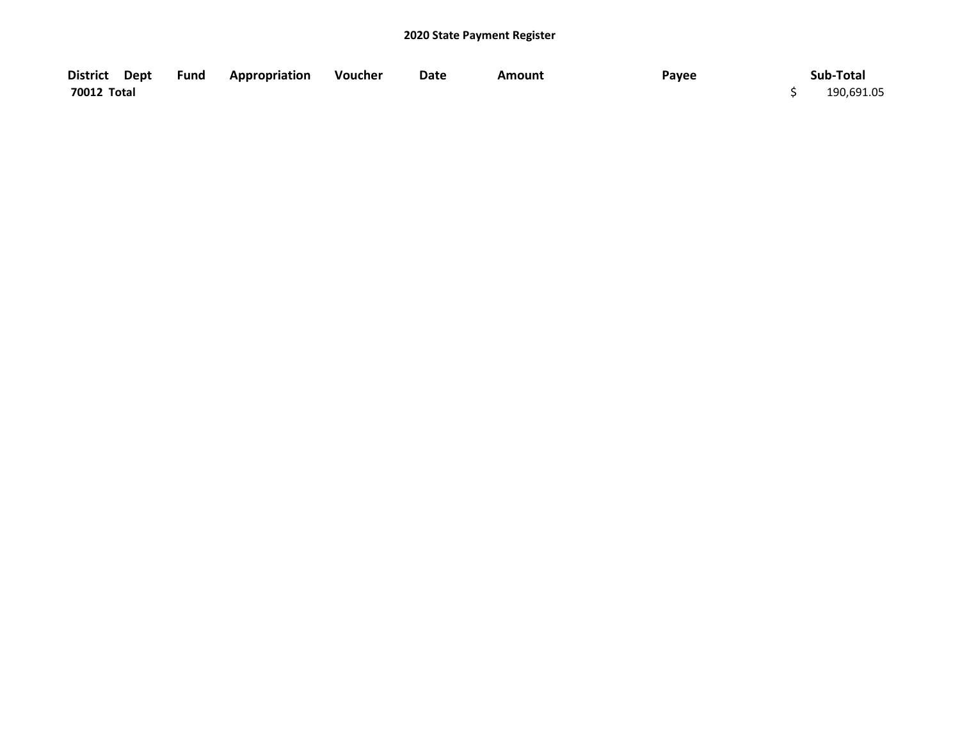|             | District Dept Fund Appropriation | Voucher | Date | Amount | Payee | Sub-Total  |
|-------------|----------------------------------|---------|------|--------|-------|------------|
| 70012 Total |                                  |         |      |        |       | 190,691.05 |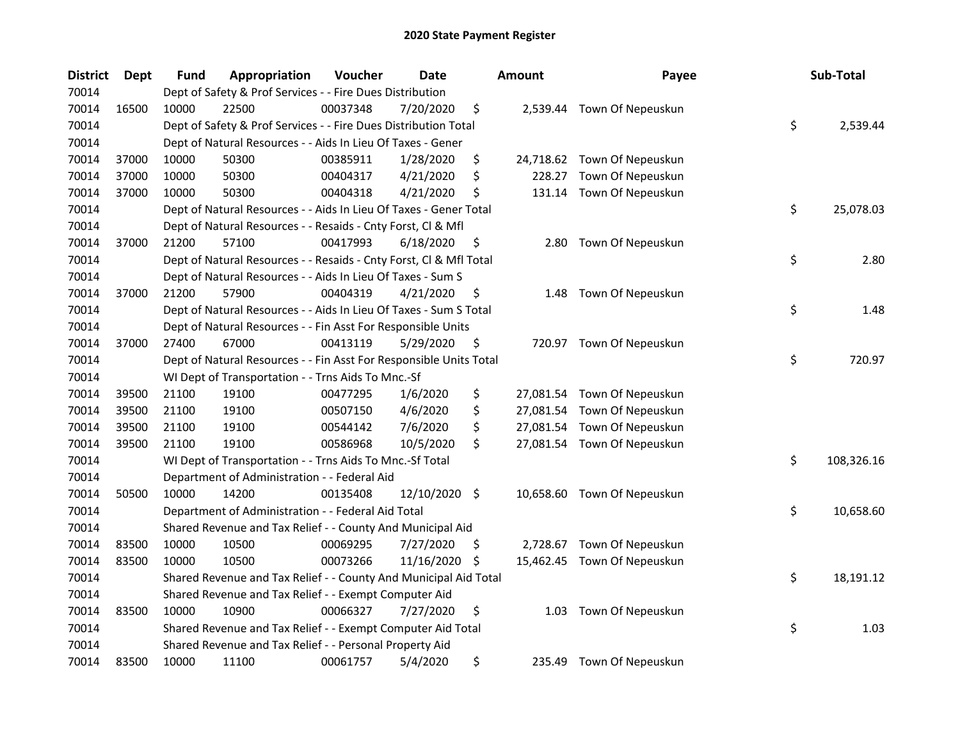| <b>District</b> | <b>Dept</b> | Fund  | Appropriation                                                      | Voucher  | <b>Date</b>   |     | <b>Amount</b> | Payee                       | Sub-Total        |
|-----------------|-------------|-------|--------------------------------------------------------------------|----------|---------------|-----|---------------|-----------------------------|------------------|
| 70014           |             |       | Dept of Safety & Prof Services - - Fire Dues Distribution          |          |               |     |               |                             |                  |
| 70014           | 16500       | 10000 | 22500                                                              | 00037348 | 7/20/2020     | \$  |               | 2,539.44 Town Of Nepeuskun  |                  |
| 70014           |             |       | Dept of Safety & Prof Services - - Fire Dues Distribution Total    |          |               |     |               |                             | \$<br>2,539.44   |
| 70014           |             |       | Dept of Natural Resources - - Aids In Lieu Of Taxes - Gener        |          |               |     |               |                             |                  |
| 70014           | 37000       | 10000 | 50300                                                              | 00385911 | 1/28/2020     | \$  |               | 24,718.62 Town Of Nepeuskun |                  |
| 70014           | 37000       | 10000 | 50300                                                              | 00404317 | 4/21/2020     | \$  | 228.27        | Town Of Nepeuskun           |                  |
| 70014           | 37000       | 10000 | 50300                                                              | 00404318 | 4/21/2020     | \$  | 131.14        | Town Of Nepeuskun           |                  |
| 70014           |             |       | Dept of Natural Resources - - Aids In Lieu Of Taxes - Gener Total  |          |               |     |               |                             | \$<br>25,078.03  |
| 70014           |             |       | Dept of Natural Resources - - Resaids - Cnty Forst, Cl & Mfl       |          |               |     |               |                             |                  |
| 70014           | 37000       | 21200 | 57100                                                              | 00417993 | 6/18/2020     | \$  | 2.80          | Town Of Nepeuskun           |                  |
| 70014           |             |       | Dept of Natural Resources - - Resaids - Cnty Forst, Cl & Mfl Total |          |               |     |               |                             | \$<br>2.80       |
| 70014           |             |       | Dept of Natural Resources - - Aids In Lieu Of Taxes - Sum S        |          |               |     |               |                             |                  |
| 70014           | 37000       | 21200 | 57900                                                              | 00404319 | 4/21/2020     | \$  | 1.48          | Town Of Nepeuskun           |                  |
| 70014           |             |       | Dept of Natural Resources - - Aids In Lieu Of Taxes - Sum S Total  |          |               |     |               |                             | \$<br>1.48       |
| 70014           |             |       | Dept of Natural Resources - - Fin Asst For Responsible Units       |          |               |     |               |                             |                  |
| 70014           | 37000       | 27400 | 67000                                                              | 00413119 | 5/29/2020     | \$  |               | 720.97 Town Of Nepeuskun    |                  |
| 70014           |             |       | Dept of Natural Resources - - Fin Asst For Responsible Units Total |          |               |     |               |                             | \$<br>720.97     |
| 70014           |             |       | WI Dept of Transportation - - Trns Aids To Mnc.-Sf                 |          |               |     |               |                             |                  |
| 70014           | 39500       | 21100 | 19100                                                              | 00477295 | 1/6/2020      | \$  |               | 27,081.54 Town Of Nepeuskun |                  |
| 70014           | 39500       | 21100 | 19100                                                              | 00507150 | 4/6/2020      | \$  |               | 27,081.54 Town Of Nepeuskun |                  |
| 70014           | 39500       | 21100 | 19100                                                              | 00544142 | 7/6/2020      | \$  |               | 27,081.54 Town Of Nepeuskun |                  |
| 70014           | 39500       | 21100 | 19100                                                              | 00586968 | 10/5/2020     | \$  |               | 27,081.54 Town Of Nepeuskun |                  |
| 70014           |             |       | WI Dept of Transportation - - Trns Aids To Mnc.-Sf Total           |          |               |     |               |                             | \$<br>108,326.16 |
| 70014           |             |       | Department of Administration - - Federal Aid                       |          |               |     |               |                             |                  |
| 70014           | 50500       | 10000 | 14200                                                              | 00135408 | 12/10/2020 \$ |     |               | 10,658.60 Town Of Nepeuskun |                  |
| 70014           |             |       | Department of Administration - - Federal Aid Total                 |          |               |     |               |                             | \$<br>10,658.60  |
| 70014           |             |       | Shared Revenue and Tax Relief - - County And Municipal Aid         |          |               |     |               |                             |                  |
| 70014           | 83500       | 10000 | 10500                                                              | 00069295 | 7/27/2020     | \$. |               | 2,728.67 Town Of Nepeuskun  |                  |
| 70014           | 83500       | 10000 | 10500                                                              | 00073266 | 11/16/2020    | \$. |               | 15,462.45 Town Of Nepeuskun |                  |
| 70014           |             |       | Shared Revenue and Tax Relief - - County And Municipal Aid Total   |          |               |     |               |                             | \$<br>18,191.12  |
| 70014           |             |       | Shared Revenue and Tax Relief - - Exempt Computer Aid              |          |               |     |               |                             |                  |
| 70014           | 83500       | 10000 | 10900                                                              | 00066327 | 7/27/2020     | \$  | 1.03          | Town Of Nepeuskun           |                  |
| 70014           |             |       | Shared Revenue and Tax Relief - - Exempt Computer Aid Total        |          |               |     |               |                             | \$<br>1.03       |
| 70014           |             |       | Shared Revenue and Tax Relief - - Personal Property Aid            |          |               |     |               |                             |                  |
| 70014           | 83500       | 10000 | 11100                                                              | 00061757 | 5/4/2020      | \$  | 235.49        | Town Of Nepeuskun           |                  |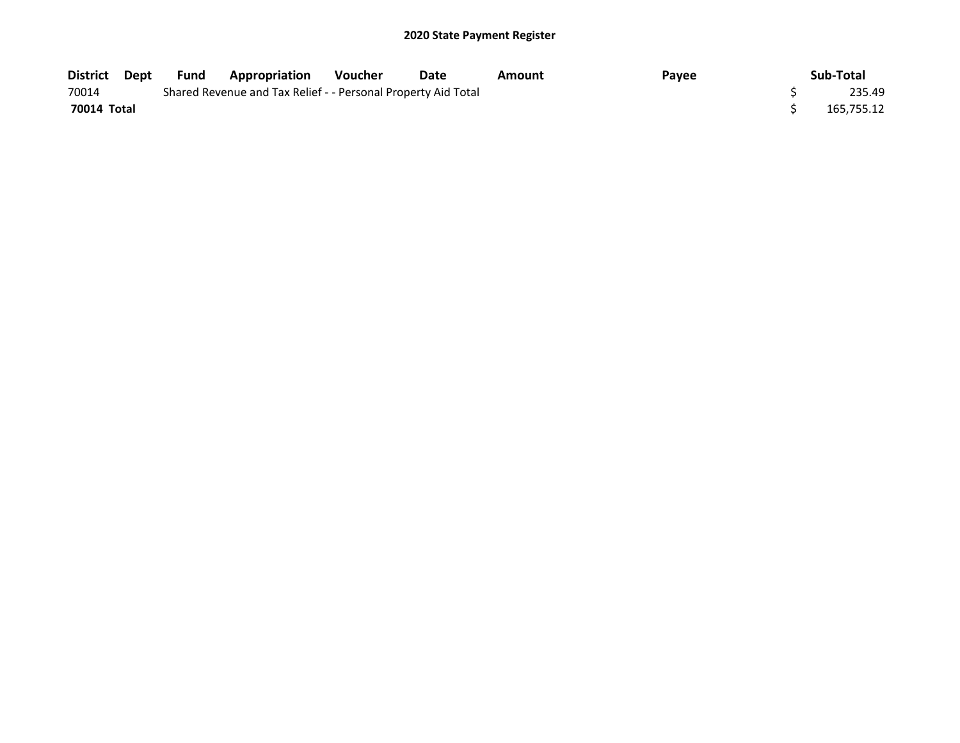| District Dept | Fund | <b>Appropriation</b>                                          | <b>Voucher</b> | Date | Amount | Payee | Sub-Total  |
|---------------|------|---------------------------------------------------------------|----------------|------|--------|-------|------------|
| 70014         |      | Shared Revenue and Tax Relief - - Personal Property Aid Total |                |      |        |       | 235.49     |
| 70014 Total   |      |                                                               |                |      |        |       | 165.755.12 |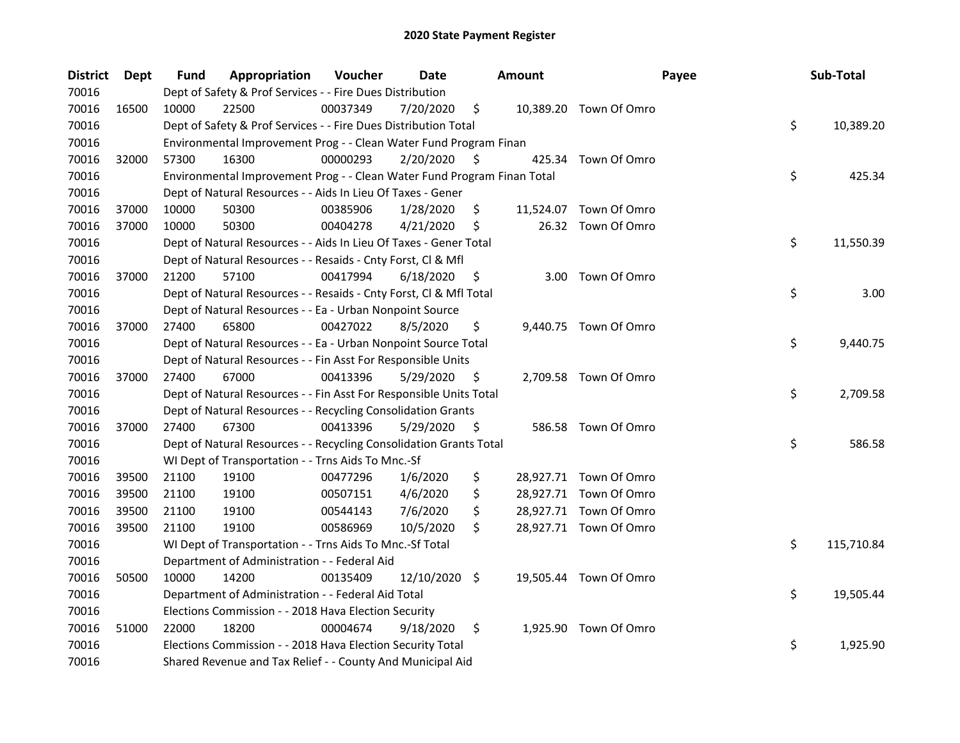| <b>District</b> | <b>Dept</b> | <b>Fund</b> | Appropriation                                                           | Voucher  | Date          |    | Amount | Payee                  | Sub-Total        |
|-----------------|-------------|-------------|-------------------------------------------------------------------------|----------|---------------|----|--------|------------------------|------------------|
| 70016           |             |             | Dept of Safety & Prof Services - - Fire Dues Distribution               |          |               |    |        |                        |                  |
| 70016           | 16500       | 10000       | 22500                                                                   | 00037349 | 7/20/2020     | \$ |        | 10,389.20 Town Of Omro |                  |
| 70016           |             |             | Dept of Safety & Prof Services - - Fire Dues Distribution Total         |          |               |    |        |                        | \$<br>10,389.20  |
| 70016           |             |             | Environmental Improvement Prog - - Clean Water Fund Program Finan       |          |               |    |        |                        |                  |
| 70016           | 32000       | 57300       | 16300                                                                   | 00000293 | 2/20/2020     | S  |        | 425.34 Town Of Omro    |                  |
| 70016           |             |             | Environmental Improvement Prog - - Clean Water Fund Program Finan Total |          |               |    |        |                        | \$<br>425.34     |
| 70016           |             |             | Dept of Natural Resources - - Aids In Lieu Of Taxes - Gener             |          |               |    |        |                        |                  |
| 70016           | 37000       | 10000       | 50300                                                                   | 00385906 | 1/28/2020     | \$ |        | 11,524.07 Town Of Omro |                  |
| 70016           | 37000       | 10000       | 50300                                                                   | 00404278 | 4/21/2020     | \$ |        | 26.32 Town Of Omro     |                  |
| 70016           |             |             | Dept of Natural Resources - - Aids In Lieu Of Taxes - Gener Total       |          |               |    |        |                        | \$<br>11,550.39  |
| 70016           |             |             | Dept of Natural Resources - - Resaids - Cnty Forst, Cl & Mfl            |          |               |    |        |                        |                  |
| 70016           | 37000       | 21200       | 57100                                                                   | 00417994 | 6/18/2020     | \$ |        | 3.00 Town Of Omro      |                  |
| 70016           |             |             | Dept of Natural Resources - - Resaids - Cnty Forst, Cl & Mfl Total      |          |               |    |        |                        | \$<br>3.00       |
| 70016           |             |             | Dept of Natural Resources - - Ea - Urban Nonpoint Source                |          |               |    |        |                        |                  |
| 70016           | 37000       | 27400       | 65800                                                                   | 00427022 | 8/5/2020      | \$ |        | 9,440.75 Town Of Omro  |                  |
| 70016           |             |             | Dept of Natural Resources - - Ea - Urban Nonpoint Source Total          |          |               |    |        |                        | \$<br>9,440.75   |
| 70016           |             |             | Dept of Natural Resources - - Fin Asst For Responsible Units            |          |               |    |        |                        |                  |
| 70016           | 37000       | 27400       | 67000                                                                   | 00413396 | 5/29/2020     | \$ |        | 2,709.58 Town Of Omro  |                  |
| 70016           |             |             | Dept of Natural Resources - - Fin Asst For Responsible Units Total      |          |               |    |        |                        | \$<br>2,709.58   |
| 70016           |             |             | Dept of Natural Resources - - Recycling Consolidation Grants            |          |               |    |        |                        |                  |
| 70016           | 37000       | 27400       | 67300                                                                   | 00413396 | 5/29/2020     | \$ |        | 586.58 Town Of Omro    |                  |
| 70016           |             |             | Dept of Natural Resources - - Recycling Consolidation Grants Total      |          |               |    |        |                        | \$<br>586.58     |
| 70016           |             |             | WI Dept of Transportation - - Trns Aids To Mnc.-Sf                      |          |               |    |        |                        |                  |
| 70016           | 39500       | 21100       | 19100                                                                   | 00477296 | 1/6/2020      | \$ |        | 28,927.71 Town Of Omro |                  |
| 70016           | 39500       | 21100       | 19100                                                                   | 00507151 | 4/6/2020      | \$ |        | 28,927.71 Town Of Omro |                  |
| 70016           | 39500       | 21100       | 19100                                                                   | 00544143 | 7/6/2020      | \$ |        | 28,927.71 Town Of Omro |                  |
| 70016           | 39500       | 21100       | 19100                                                                   | 00586969 | 10/5/2020     | \$ |        | 28,927.71 Town Of Omro |                  |
| 70016           |             |             | WI Dept of Transportation - - Trns Aids To Mnc.-Sf Total                |          |               |    |        |                        | \$<br>115,710.84 |
| 70016           |             |             | Department of Administration - - Federal Aid                            |          |               |    |        |                        |                  |
| 70016           | 50500       | 10000       | 14200                                                                   | 00135409 | 12/10/2020 \$ |    |        | 19,505.44 Town Of Omro |                  |
| 70016           |             |             | Department of Administration - - Federal Aid Total                      |          |               |    |        |                        | \$<br>19,505.44  |
| 70016           |             |             | Elections Commission - - 2018 Hava Election Security                    |          |               |    |        |                        |                  |
| 70016           | 51000       | 22000       | 18200                                                                   | 00004674 | 9/18/2020     | \$ |        | 1,925.90 Town Of Omro  |                  |
| 70016           |             |             | Elections Commission - - 2018 Hava Election Security Total              |          |               |    |        |                        | \$<br>1,925.90   |
| 70016           |             |             | Shared Revenue and Tax Relief - - County And Municipal Aid              |          |               |    |        |                        |                  |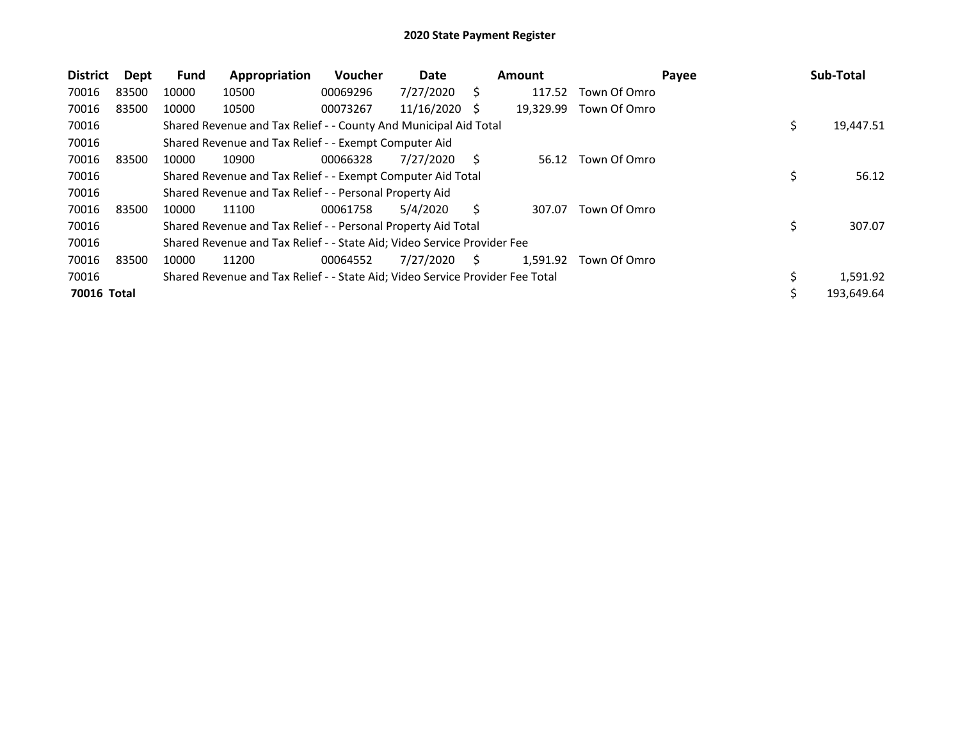| <b>District</b> | Dept  | Fund  | Appropriation                                                                 | Voucher  | Date       |    | <b>Amount</b> |              | Payee | Sub-Total        |
|-----------------|-------|-------|-------------------------------------------------------------------------------|----------|------------|----|---------------|--------------|-------|------------------|
| 70016           | 83500 | 10000 | 10500                                                                         | 00069296 | 7/27/2020  | Ś  | 117.52        | Town Of Omro |       |                  |
| 70016           | 83500 | 10000 | 10500                                                                         | 00073267 | 11/16/2020 | Ŝ  | 19,329.99     | Town Of Omro |       |                  |
| 70016           |       |       | Shared Revenue and Tax Relief - - County And Municipal Aid Total              |          |            |    |               |              |       | \$<br>19,447.51  |
| 70016           |       |       | Shared Revenue and Tax Relief - - Exempt Computer Aid                         |          |            |    |               |              |       |                  |
| 70016           | 83500 | 10000 | 10900                                                                         | 00066328 | 7/27/2020  | Ś  | 56.12         | Town Of Omro |       |                  |
| 70016           |       |       | Shared Revenue and Tax Relief - - Exempt Computer Aid Total                   |          |            |    |               |              |       | 56.12            |
| 70016           |       |       | Shared Revenue and Tax Relief - - Personal Property Aid                       |          |            |    |               |              |       |                  |
| 70016           | 83500 | 10000 | 11100                                                                         | 00061758 | 5/4/2020   | Ś  | 307.07        | Town Of Omro |       |                  |
| 70016           |       |       | Shared Revenue and Tax Relief - - Personal Property Aid Total                 |          |            |    |               |              |       | 307.07           |
| 70016           |       |       | Shared Revenue and Tax Relief - - State Aid; Video Service Provider Fee       |          |            |    |               |              |       |                  |
| 70016           | 83500 | 10000 | 11200                                                                         | 00064552 | 7/27/2020  | S. | 1.591.92      | Town Of Omro |       |                  |
| 70016           |       |       | Shared Revenue and Tax Relief - - State Aid; Video Service Provider Fee Total |          |            |    |               |              |       | 1,591.92         |
| 70016 Total     |       |       |                                                                               |          |            |    |               |              |       | \$<br>193,649.64 |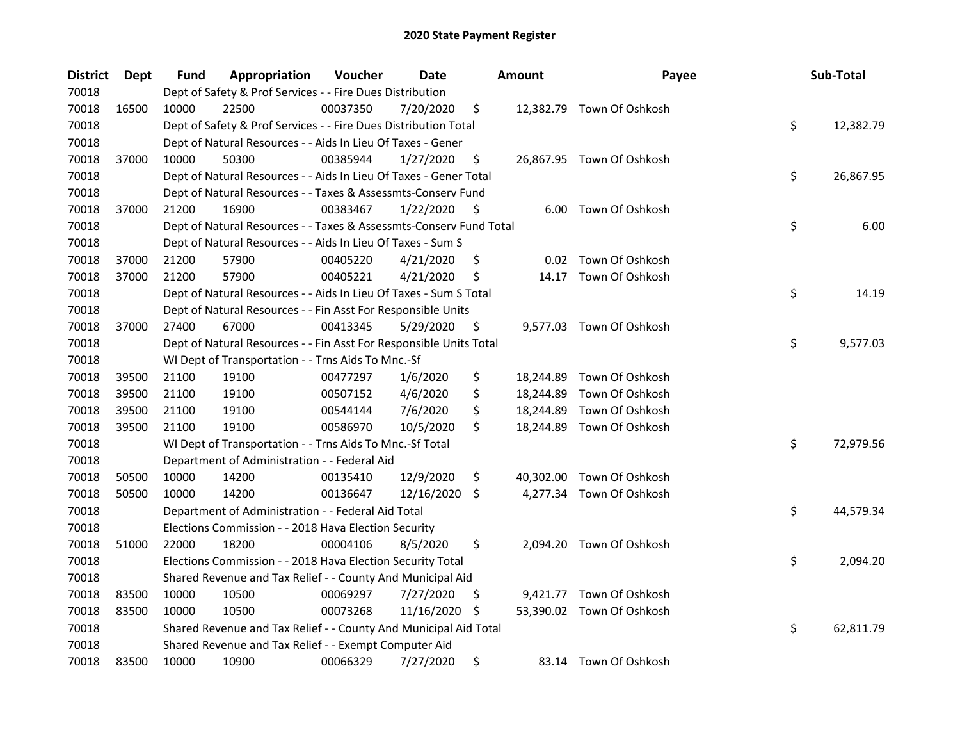| <b>District</b> | Dept  | <b>Fund</b> | Appropriation                                                      | Voucher  | Date       |     | <b>Amount</b> | Payee                     | Sub-Total       |
|-----------------|-------|-------------|--------------------------------------------------------------------|----------|------------|-----|---------------|---------------------------|-----------------|
| 70018           |       |             | Dept of Safety & Prof Services - - Fire Dues Distribution          |          |            |     |               |                           |                 |
| 70018           | 16500 | 10000       | 22500                                                              | 00037350 | 7/20/2020  | \$  |               | 12,382.79 Town Of Oshkosh |                 |
| 70018           |       |             | Dept of Safety & Prof Services - - Fire Dues Distribution Total    |          |            |     |               |                           | \$<br>12,382.79 |
| 70018           |       |             | Dept of Natural Resources - - Aids In Lieu Of Taxes - Gener        |          |            |     |               |                           |                 |
| 70018           | 37000 | 10000       | 50300                                                              | 00385944 | 1/27/2020  | \$  |               | 26,867.95 Town Of Oshkosh |                 |
| 70018           |       |             | Dept of Natural Resources - - Aids In Lieu Of Taxes - Gener Total  |          |            |     |               |                           | \$<br>26,867.95 |
| 70018           |       |             | Dept of Natural Resources - - Taxes & Assessmts-Conserv Fund       |          |            |     |               |                           |                 |
| 70018           | 37000 | 21200       | 16900                                                              | 00383467 | 1/22/2020  | \$. |               | 6.00 Town Of Oshkosh      |                 |
| 70018           |       |             | Dept of Natural Resources - - Taxes & Assessmts-Conserv Fund Total |          |            |     |               |                           | \$<br>6.00      |
| 70018           |       |             | Dept of Natural Resources - - Aids In Lieu Of Taxes - Sum S        |          |            |     |               |                           |                 |
| 70018           | 37000 | 21200       | 57900                                                              | 00405220 | 4/21/2020  | \$  |               | 0.02 Town Of Oshkosh      |                 |
| 70018           | 37000 | 21200       | 57900                                                              | 00405221 | 4/21/2020  | \$  | 14.17         | Town Of Oshkosh           |                 |
| 70018           |       |             | Dept of Natural Resources - - Aids In Lieu Of Taxes - Sum S Total  |          |            |     |               |                           | \$<br>14.19     |
| 70018           |       |             | Dept of Natural Resources - - Fin Asst For Responsible Units       |          |            |     |               |                           |                 |
| 70018           | 37000 | 27400       | 67000                                                              | 00413345 | 5/29/2020  | \$. |               | 9,577.03 Town Of Oshkosh  |                 |
| 70018           |       |             | Dept of Natural Resources - - Fin Asst For Responsible Units Total |          |            |     |               |                           | \$<br>9,577.03  |
| 70018           |       |             | WI Dept of Transportation - - Trns Aids To Mnc.-Sf                 |          |            |     |               |                           |                 |
| 70018           | 39500 | 21100       | 19100                                                              | 00477297 | 1/6/2020   | \$  | 18,244.89     | Town Of Oshkosh           |                 |
| 70018           | 39500 | 21100       | 19100                                                              | 00507152 | 4/6/2020   | \$  | 18,244.89     | Town Of Oshkosh           |                 |
| 70018           | 39500 | 21100       | 19100                                                              | 00544144 | 7/6/2020   | \$  | 18,244.89     | Town Of Oshkosh           |                 |
| 70018           | 39500 | 21100       | 19100                                                              | 00586970 | 10/5/2020  | \$  |               | 18,244.89 Town Of Oshkosh |                 |
| 70018           |       |             | WI Dept of Transportation - - Trns Aids To Mnc.-Sf Total           |          |            |     |               |                           | \$<br>72,979.56 |
| 70018           |       |             | Department of Administration - - Federal Aid                       |          |            |     |               |                           |                 |
| 70018           | 50500 | 10000       | 14200                                                              | 00135410 | 12/9/2020  | \$  | 40,302.00     | Town Of Oshkosh           |                 |
| 70018           | 50500 | 10000       | 14200                                                              | 00136647 | 12/16/2020 | \$. |               | 4,277.34 Town Of Oshkosh  |                 |
| 70018           |       |             | Department of Administration - - Federal Aid Total                 |          |            |     |               |                           | \$<br>44,579.34 |
| 70018           |       |             | Elections Commission - - 2018 Hava Election Security               |          |            |     |               |                           |                 |
| 70018           | 51000 | 22000       | 18200                                                              | 00004106 | 8/5/2020   | \$  |               | 2,094.20 Town Of Oshkosh  |                 |
| 70018           |       |             | Elections Commission - - 2018 Hava Election Security Total         |          |            |     |               |                           | \$<br>2,094.20  |
| 70018           |       |             | Shared Revenue and Tax Relief - - County And Municipal Aid         |          |            |     |               |                           |                 |
| 70018           | 83500 | 10000       | 10500                                                              | 00069297 | 7/27/2020  | \$  |               | 9,421.77 Town Of Oshkosh  |                 |
| 70018           | 83500 | 10000       | 10500                                                              | 00073268 | 11/16/2020 | \$. |               | 53,390.02 Town Of Oshkosh |                 |
| 70018           |       |             | Shared Revenue and Tax Relief - - County And Municipal Aid Total   |          |            |     |               |                           | \$<br>62,811.79 |
| 70018           |       |             | Shared Revenue and Tax Relief - - Exempt Computer Aid              |          |            |     |               |                           |                 |
| 70018           | 83500 | 10000       | 10900                                                              | 00066329 | 7/27/2020  | \$  |               | 83.14 Town Of Oshkosh     |                 |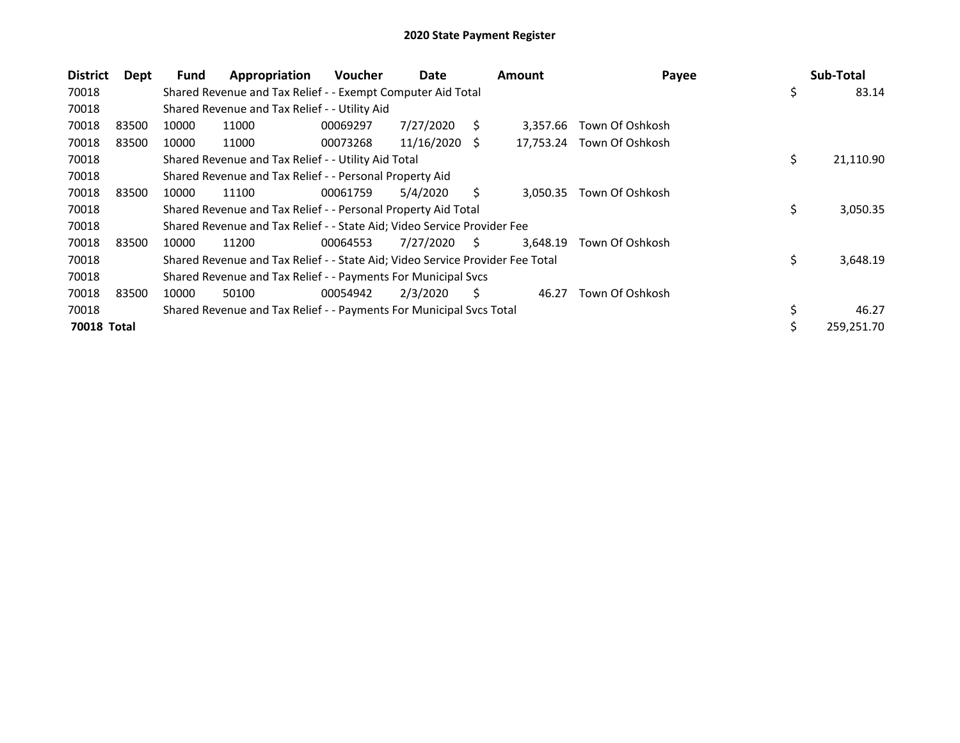| <b>District</b> | Dept  | Fund  | Appropriation                                                                 | <b>Voucher</b> | Date       |    | <b>Amount</b> | Payee                     | Sub-Total       |
|-----------------|-------|-------|-------------------------------------------------------------------------------|----------------|------------|----|---------------|---------------------------|-----------------|
| 70018           |       |       | Shared Revenue and Tax Relief - - Exempt Computer Aid Total                   |                |            |    |               |                           | \$<br>83.14     |
| 70018           |       |       | Shared Revenue and Tax Relief - - Utility Aid                                 |                |            |    |               |                           |                 |
| 70018           | 83500 | 10000 | 11000                                                                         | 00069297       | 7/27/2020  | S  | 3,357.66      | Town Of Oshkosh           |                 |
| 70018           | 83500 | 10000 | 11000                                                                         | 00073268       | 11/16/2020 | -S |               | 17,753.24 Town Of Oshkosh |                 |
| 70018           |       |       | Shared Revenue and Tax Relief - - Utility Aid Total                           |                |            |    |               |                           | \$<br>21,110.90 |
| 70018           |       |       | Shared Revenue and Tax Relief - - Personal Property Aid                       |                |            |    |               |                           |                 |
| 70018           | 83500 | 10000 | 11100                                                                         | 00061759       | 5/4/2020   | S  | 3,050.35      | Town Of Oshkosh           |                 |
| 70018           |       |       | Shared Revenue and Tax Relief - - Personal Property Aid Total                 |                |            |    |               |                           | \$<br>3,050.35  |
| 70018           |       |       | Shared Revenue and Tax Relief - - State Aid; Video Service Provider Fee       |                |            |    |               |                           |                 |
| 70018           | 83500 | 10000 | 11200                                                                         | 00064553       | 7/27/2020  | S. | 3,648.19      | Town Of Oshkosh           |                 |
| 70018           |       |       | Shared Revenue and Tax Relief - - State Aid; Video Service Provider Fee Total |                |            |    |               |                           | \$<br>3,648.19  |
| 70018           |       |       | Shared Revenue and Tax Relief - - Payments For Municipal Svcs                 |                |            |    |               |                           |                 |
| 70018           | 83500 | 10000 | 50100                                                                         | 00054942       | 2/3/2020   | S  | 46.27         | Town Of Oshkosh           |                 |
| 70018           |       |       | Shared Revenue and Tax Relief - - Payments For Municipal Svcs Total           |                |            |    |               |                           | \$<br>46.27     |
| 70018 Total     |       |       |                                                                               |                |            |    |               |                           | 259,251.70      |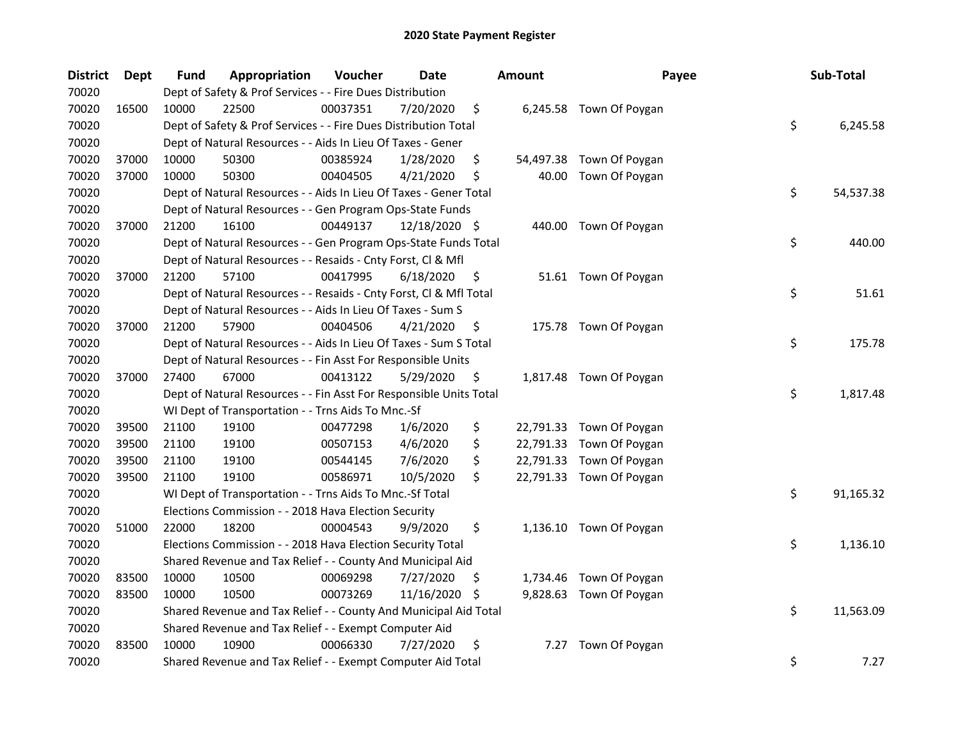| <b>District</b> | <b>Dept</b> | Fund  | Appropriation                                                      | Voucher  | <b>Date</b>   |    | <b>Amount</b> | Payee                    | Sub-Total       |
|-----------------|-------------|-------|--------------------------------------------------------------------|----------|---------------|----|---------------|--------------------------|-----------------|
| 70020           |             |       | Dept of Safety & Prof Services - - Fire Dues Distribution          |          |               |    |               |                          |                 |
| 70020           | 16500       | 10000 | 22500                                                              | 00037351 | 7/20/2020     | \$ |               | 6,245.58 Town Of Poygan  |                 |
| 70020           |             |       | Dept of Safety & Prof Services - - Fire Dues Distribution Total    |          |               |    |               |                          | \$<br>6,245.58  |
| 70020           |             |       | Dept of Natural Resources - - Aids In Lieu Of Taxes - Gener        |          |               |    |               |                          |                 |
| 70020           | 37000       | 10000 | 50300                                                              | 00385924 | 1/28/2020     | \$ |               | 54,497.38 Town Of Poygan |                 |
| 70020           | 37000       | 10000 | 50300                                                              | 00404505 | 4/21/2020     | \$ | 40.00         | Town Of Poygan           |                 |
| 70020           |             |       | Dept of Natural Resources - - Aids In Lieu Of Taxes - Gener Total  |          |               |    |               |                          | \$<br>54,537.38 |
| 70020           |             |       | Dept of Natural Resources - - Gen Program Ops-State Funds          |          |               |    |               |                          |                 |
| 70020           | 37000       | 21200 | 16100                                                              | 00449137 | 12/18/2020 \$ |    |               | 440.00 Town Of Poygan    |                 |
| 70020           |             |       | Dept of Natural Resources - - Gen Program Ops-State Funds Total    |          |               |    |               |                          | \$<br>440.00    |
| 70020           |             |       | Dept of Natural Resources - - Resaids - Cnty Forst, Cl & Mfl       |          |               |    |               |                          |                 |
| 70020           | 37000       | 21200 | 57100                                                              | 00417995 | 6/18/2020     | \$ |               | 51.61 Town Of Poygan     |                 |
| 70020           |             |       | Dept of Natural Resources - - Resaids - Cnty Forst, Cl & Mfl Total |          |               |    |               |                          | \$<br>51.61     |
| 70020           |             |       | Dept of Natural Resources - - Aids In Lieu Of Taxes - Sum S        |          |               |    |               |                          |                 |
| 70020           | 37000       | 21200 | 57900                                                              | 00404506 | 4/21/2020     | \$ |               | 175.78 Town Of Poygan    |                 |
| 70020           |             |       | Dept of Natural Resources - - Aids In Lieu Of Taxes - Sum S Total  |          |               |    |               |                          | \$<br>175.78    |
| 70020           |             |       | Dept of Natural Resources - - Fin Asst For Responsible Units       |          |               |    |               |                          |                 |
| 70020           | 37000       | 27400 | 67000                                                              | 00413122 | 5/29/2020     | \$ |               | 1,817.48 Town Of Poygan  |                 |
| 70020           |             |       | Dept of Natural Resources - - Fin Asst For Responsible Units Total |          |               |    |               |                          | \$<br>1,817.48  |
| 70020           |             |       | WI Dept of Transportation - - Trns Aids To Mnc.-Sf                 |          |               |    |               |                          |                 |
| 70020           | 39500       | 21100 | 19100                                                              | 00477298 | 1/6/2020      | \$ |               | 22,791.33 Town Of Poygan |                 |
| 70020           | 39500       | 21100 | 19100                                                              | 00507153 | 4/6/2020      | \$ |               | 22,791.33 Town Of Poygan |                 |
| 70020           | 39500       | 21100 | 19100                                                              | 00544145 | 7/6/2020      | \$ |               | 22,791.33 Town Of Poygan |                 |
| 70020           | 39500       | 21100 | 19100                                                              | 00586971 | 10/5/2020     | \$ |               | 22,791.33 Town Of Poygan |                 |
| 70020           |             |       | WI Dept of Transportation - - Trns Aids To Mnc.-Sf Total           |          |               |    |               |                          | \$<br>91,165.32 |
| 70020           |             |       | Elections Commission - - 2018 Hava Election Security               |          |               |    |               |                          |                 |
| 70020           | 51000       | 22000 | 18200                                                              | 00004543 | 9/9/2020      | \$ |               | 1,136.10 Town Of Poygan  |                 |
| 70020           |             |       | Elections Commission - - 2018 Hava Election Security Total         |          |               |    |               |                          | \$<br>1,136.10  |
| 70020           |             |       | Shared Revenue and Tax Relief - - County And Municipal Aid         |          |               |    |               |                          |                 |
| 70020           | 83500       | 10000 | 10500                                                              | 00069298 | 7/27/2020     | \$ |               | 1,734.46 Town Of Poygan  |                 |
| 70020           | 83500       | 10000 | 10500                                                              | 00073269 | 11/16/2020    | S  |               | 9,828.63 Town Of Poygan  |                 |
| 70020           |             |       | Shared Revenue and Tax Relief - - County And Municipal Aid Total   |          |               |    |               |                          | \$<br>11,563.09 |
| 70020           |             |       | Shared Revenue and Tax Relief - - Exempt Computer Aid              |          |               |    |               |                          |                 |
| 70020           | 83500       | 10000 | 10900                                                              | 00066330 | 7/27/2020     | \$ | 7.27          | Town Of Poygan           |                 |
| 70020           |             |       | Shared Revenue and Tax Relief - - Exempt Computer Aid Total        |          |               |    |               |                          | \$<br>7.27      |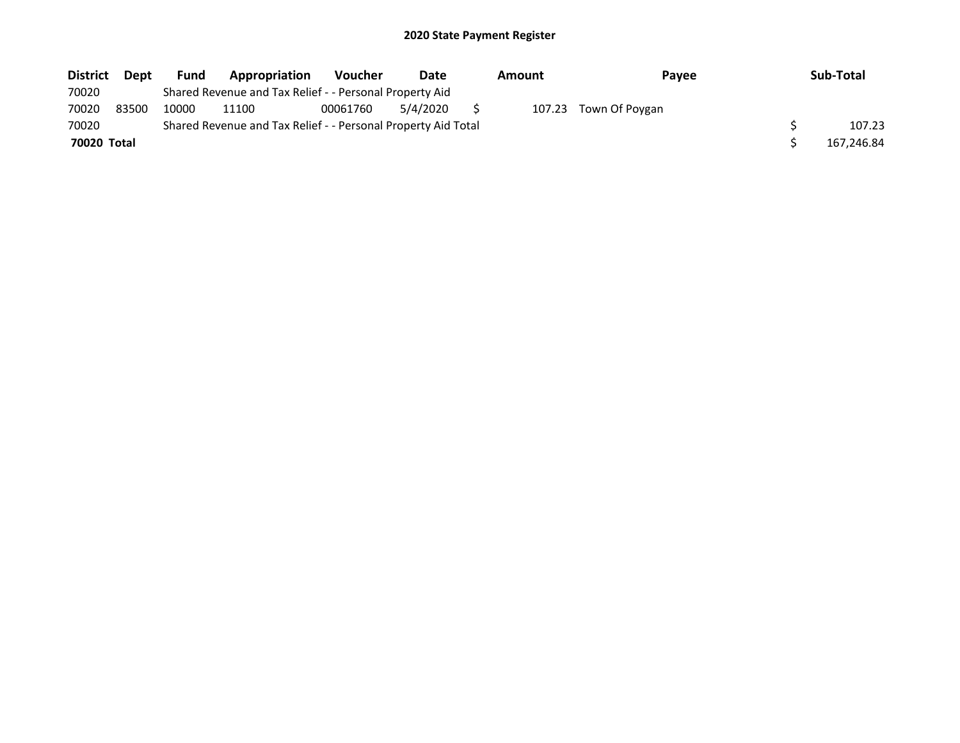| <b>District</b> | Dept  | <b>Fund</b> | Appropriation                                                 | <b>Voucher</b> | Date     | Amount | <b>Pavee</b>          | Sub-Total  |
|-----------------|-------|-------------|---------------------------------------------------------------|----------------|----------|--------|-----------------------|------------|
| 70020           |       |             | Shared Revenue and Tax Relief - - Personal Property Aid       |                |          |        |                       |            |
| 70020           | 83500 | 10000       | 11100                                                         | 00061760       | 5/4/2020 |        | 107.23 Town Of Poygan |            |
| 70020           |       |             | Shared Revenue and Tax Relief - - Personal Property Aid Total |                |          |        |                       | 107.23     |
| 70020 Total     |       |             |                                                               |                |          |        |                       | 167,246.84 |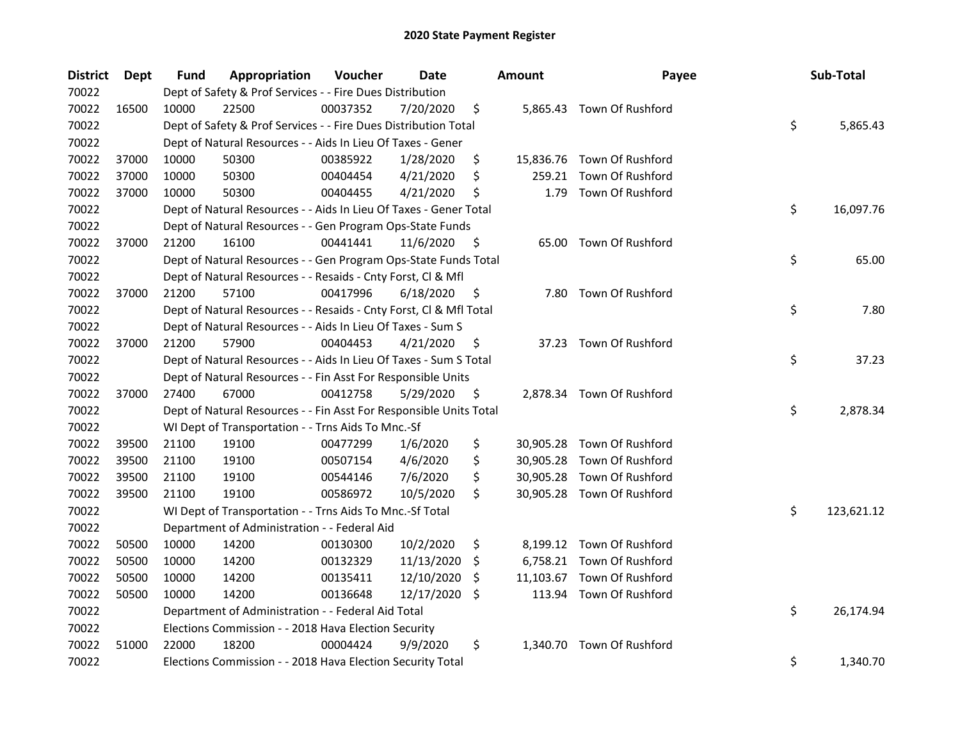| <b>District</b> | <b>Dept</b> | Fund  | Appropriation                                                      | Voucher  | <b>Date</b> |     | <b>Amount</b> | Payee                      | Sub-Total        |
|-----------------|-------------|-------|--------------------------------------------------------------------|----------|-------------|-----|---------------|----------------------------|------------------|
| 70022           |             |       | Dept of Safety & Prof Services - - Fire Dues Distribution          |          |             |     |               |                            |                  |
| 70022           | 16500       | 10000 | 22500                                                              | 00037352 | 7/20/2020   | \$  |               | 5,865.43 Town Of Rushford  |                  |
| 70022           |             |       | Dept of Safety & Prof Services - - Fire Dues Distribution Total    |          |             |     |               |                            | \$<br>5,865.43   |
| 70022           |             |       | Dept of Natural Resources - - Aids In Lieu Of Taxes - Gener        |          |             |     |               |                            |                  |
| 70022           | 37000       | 10000 | 50300                                                              | 00385922 | 1/28/2020   | \$  |               | 15,836.76 Town Of Rushford |                  |
| 70022           | 37000       | 10000 | 50300                                                              | 00404454 | 4/21/2020   | \$  | 259.21        | Town Of Rushford           |                  |
| 70022           | 37000       | 10000 | 50300                                                              | 00404455 | 4/21/2020   | \$  | 1.79          | Town Of Rushford           |                  |
| 70022           |             |       | Dept of Natural Resources - - Aids In Lieu Of Taxes - Gener Total  |          |             |     |               |                            | \$<br>16,097.76  |
| 70022           |             |       | Dept of Natural Resources - - Gen Program Ops-State Funds          |          |             |     |               |                            |                  |
| 70022           | 37000       | 21200 | 16100                                                              | 00441441 | 11/6/2020   | \$  |               | 65.00 Town Of Rushford     |                  |
| 70022           |             |       | Dept of Natural Resources - - Gen Program Ops-State Funds Total    |          |             |     |               |                            | \$<br>65.00      |
| 70022           |             |       | Dept of Natural Resources - - Resaids - Cnty Forst, Cl & Mfl       |          |             |     |               |                            |                  |
| 70022           | 37000       | 21200 | 57100                                                              | 00417996 | 6/18/2020   | \$. | 7.80          | Town Of Rushford           |                  |
| 70022           |             |       | Dept of Natural Resources - - Resaids - Cnty Forst, Cl & Mfl Total |          |             |     |               |                            | \$<br>7.80       |
| 70022           |             |       | Dept of Natural Resources - - Aids In Lieu Of Taxes - Sum S        |          |             |     |               |                            |                  |
| 70022           | 37000       | 21200 | 57900                                                              | 00404453 | 4/21/2020   | \$  |               | 37.23 Town Of Rushford     |                  |
| 70022           |             |       | Dept of Natural Resources - - Aids In Lieu Of Taxes - Sum S Total  |          |             |     |               |                            | \$<br>37.23      |
| 70022           |             |       | Dept of Natural Resources - - Fin Asst For Responsible Units       |          |             |     |               |                            |                  |
| 70022           | 37000       | 27400 | 67000                                                              | 00412758 | 5/29/2020   | \$  |               | 2,878.34 Town Of Rushford  |                  |
| 70022           |             |       | Dept of Natural Resources - - Fin Asst For Responsible Units Total |          |             |     |               |                            | \$<br>2,878.34   |
| 70022           |             |       | WI Dept of Transportation - - Trns Aids To Mnc.-Sf                 |          |             |     |               |                            |                  |
| 70022           | 39500       | 21100 | 19100                                                              | 00477299 | 1/6/2020    | \$  |               | 30,905.28 Town Of Rushford |                  |
| 70022           | 39500       | 21100 | 19100                                                              | 00507154 | 4/6/2020    | \$  |               | 30,905.28 Town Of Rushford |                  |
| 70022           | 39500       | 21100 | 19100                                                              | 00544146 | 7/6/2020    | \$  | 30,905.28     | Town Of Rushford           |                  |
| 70022           | 39500       | 21100 | 19100                                                              | 00586972 | 10/5/2020   | \$  |               | 30,905.28 Town Of Rushford |                  |
| 70022           |             |       | WI Dept of Transportation - - Trns Aids To Mnc.-Sf Total           |          |             |     |               |                            | \$<br>123,621.12 |
| 70022           |             |       | Department of Administration - - Federal Aid                       |          |             |     |               |                            |                  |
| 70022           | 50500       | 10000 | 14200                                                              | 00130300 | 10/2/2020   | \$  |               | 8,199.12 Town Of Rushford  |                  |
| 70022           | 50500       | 10000 | 14200                                                              | 00132329 | 11/13/2020  | \$. |               | 6,758.21 Town Of Rushford  |                  |
| 70022           | 50500       | 10000 | 14200                                                              | 00135411 | 12/10/2020  | \$. | 11,103.67     | Town Of Rushford           |                  |
| 70022           | 50500       | 10000 | 14200                                                              | 00136648 | 12/17/2020  | \$. |               | 113.94 Town Of Rushford    |                  |
| 70022           |             |       | Department of Administration - - Federal Aid Total                 |          |             |     |               |                            | \$<br>26,174.94  |
| 70022           |             |       | Elections Commission - - 2018 Hava Election Security               |          |             |     |               |                            |                  |
| 70022           | 51000       | 22000 | 18200                                                              | 00004424 | 9/9/2020    | \$  | 1.340.70      | Town Of Rushford           |                  |
| 70022           |             |       | Elections Commission - - 2018 Hava Election Security Total         |          |             |     |               |                            | \$<br>1,340.70   |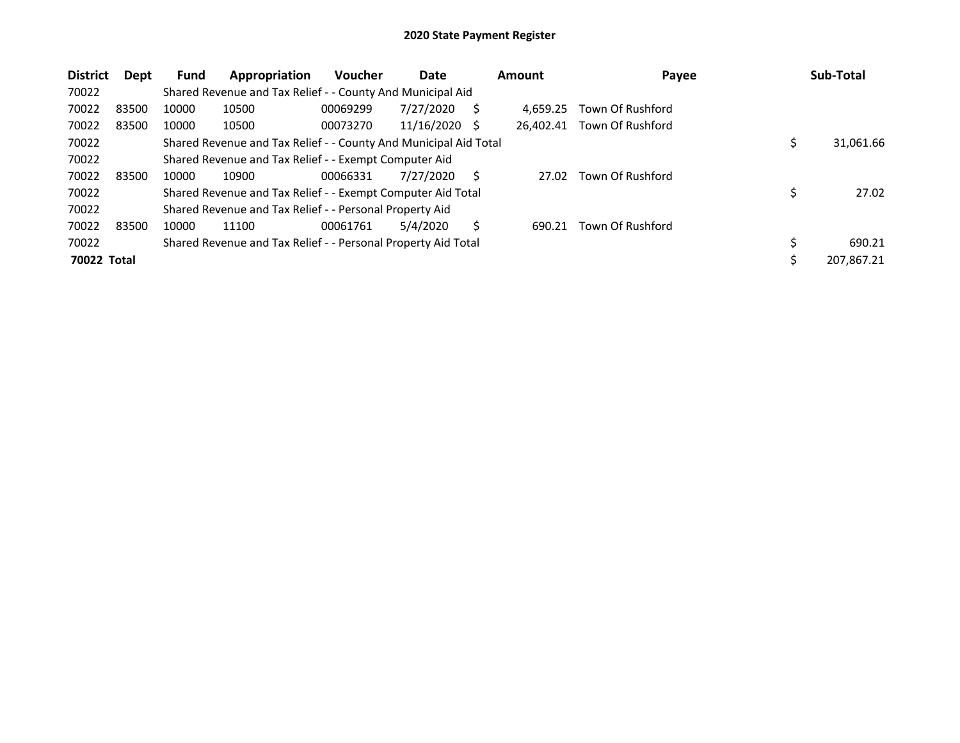| <b>District</b> | Dept  | <b>Fund</b> | Appropriation                                                    | Voucher  | Date            |   | <b>Amount</b> | Payee            | Sub-Total    |
|-----------------|-------|-------------|------------------------------------------------------------------|----------|-----------------|---|---------------|------------------|--------------|
| 70022           |       |             | Shared Revenue and Tax Relief - - County And Municipal Aid       |          |                 |   |               |                  |              |
| 70022           | 83500 | 10000       | 10500                                                            | 00069299 | 7/27/2020       | S | 4.659.25      | Town Of Rushford |              |
| 70022           | 83500 | 10000       | 10500                                                            | 00073270 | $11/16/2020$ \$ |   | 26.402.41     | Town Of Rushford |              |
| 70022           |       |             | Shared Revenue and Tax Relief - - County And Municipal Aid Total |          |                 |   |               |                  | 31,061.66    |
| 70022           |       |             | Shared Revenue and Tax Relief - - Exempt Computer Aid            |          |                 |   |               |                  |              |
| 70022           | 83500 | 10000       | 10900                                                            | 00066331 | 7/27/2020       | S | 27.02         | Town Of Rushford |              |
| 70022           |       |             | Shared Revenue and Tax Relief - - Exempt Computer Aid Total      |          |                 |   |               |                  | 27.02        |
| 70022           |       |             | Shared Revenue and Tax Relief - - Personal Property Aid          |          |                 |   |               |                  |              |
| 70022           | 83500 | 10000       | 11100                                                            | 00061761 | 5/4/2020        | Ś | 690.21        | Town Of Rushford |              |
| 70022           |       |             | Shared Revenue and Tax Relief - - Personal Property Aid Total    |          |                 |   |               |                  | \$<br>690.21 |
| 70022 Total     |       |             |                                                                  |          |                 |   |               |                  | 207,867.21   |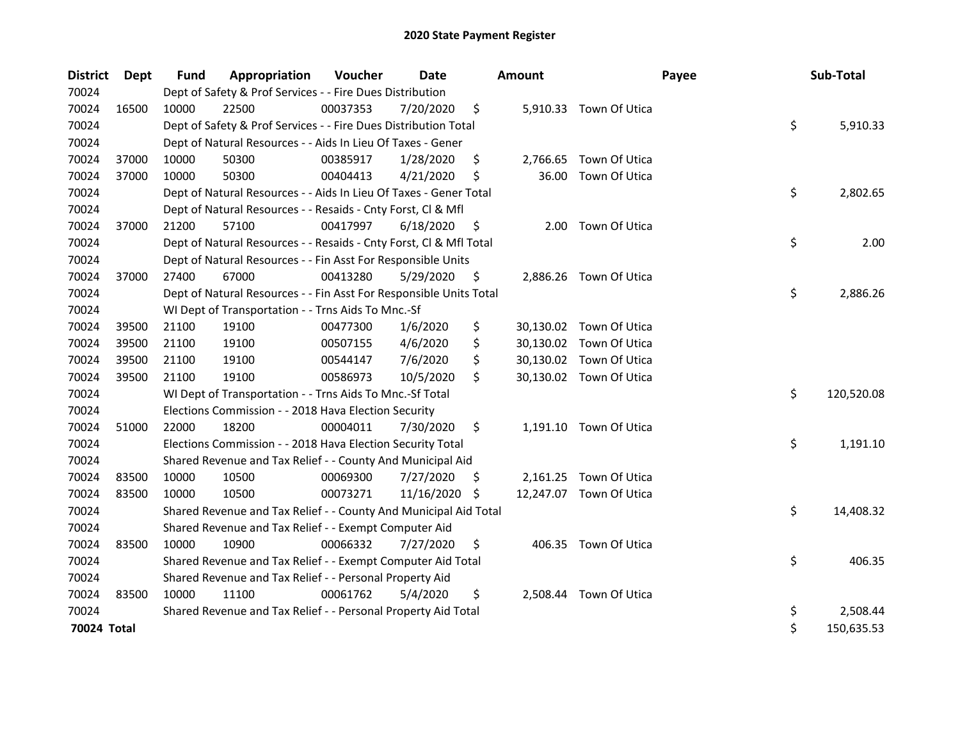| <b>District</b> | <b>Dept</b> | Fund  | Appropriation                                                      | Voucher  | <b>Date</b> |     | <b>Amount</b> |                         | Payee | Sub-Total        |
|-----------------|-------------|-------|--------------------------------------------------------------------|----------|-------------|-----|---------------|-------------------------|-------|------------------|
| 70024           |             |       | Dept of Safety & Prof Services - - Fire Dues Distribution          |          |             |     |               |                         |       |                  |
| 70024           | 16500       | 10000 | 22500                                                              | 00037353 | 7/20/2020   | \$  |               | 5,910.33 Town Of Utica  |       |                  |
| 70024           |             |       | Dept of Safety & Prof Services - - Fire Dues Distribution Total    |          |             |     |               |                         |       | \$<br>5,910.33   |
| 70024           |             |       | Dept of Natural Resources - - Aids In Lieu Of Taxes - Gener        |          |             |     |               |                         |       |                  |
| 70024           | 37000       | 10000 | 50300                                                              | 00385917 | 1/28/2020   | \$  | 2,766.65      | Town Of Utica           |       |                  |
| 70024           | 37000       | 10000 | 50300                                                              | 00404413 | 4/21/2020   | \$  | 36.00         | Town Of Utica           |       |                  |
| 70024           |             |       | Dept of Natural Resources - - Aids In Lieu Of Taxes - Gener Total  |          |             |     |               |                         |       | \$<br>2,802.65   |
| 70024           |             |       | Dept of Natural Resources - - Resaids - Cnty Forst, Cl & Mfl       |          |             |     |               |                         |       |                  |
| 70024           | 37000       | 21200 | 57100                                                              | 00417997 | 6/18/2020   | \$  | 2.00          | Town Of Utica           |       |                  |
| 70024           |             |       | Dept of Natural Resources - - Resaids - Cnty Forst, Cl & Mfl Total |          |             |     |               |                         |       | \$<br>2.00       |
| 70024           |             |       | Dept of Natural Resources - - Fin Asst For Responsible Units       |          |             |     |               |                         |       |                  |
| 70024           | 37000       | 27400 | 67000                                                              | 00413280 | 5/29/2020   | \$  |               | 2,886.26 Town Of Utica  |       |                  |
| 70024           |             |       | Dept of Natural Resources - - Fin Asst For Responsible Units Total |          |             |     |               |                         |       | \$<br>2,886.26   |
| 70024           |             |       | WI Dept of Transportation - - Trns Aids To Mnc.-Sf                 |          |             |     |               |                         |       |                  |
| 70024           | 39500       | 21100 | 19100                                                              | 00477300 | 1/6/2020    | \$  |               | 30,130.02 Town Of Utica |       |                  |
| 70024           | 39500       | 21100 | 19100                                                              | 00507155 | 4/6/2020    | \$  |               | 30,130.02 Town Of Utica |       |                  |
| 70024           | 39500       | 21100 | 19100                                                              | 00544147 | 7/6/2020    | \$  |               | 30,130.02 Town Of Utica |       |                  |
| 70024           | 39500       | 21100 | 19100                                                              | 00586973 | 10/5/2020   | \$  |               | 30,130.02 Town Of Utica |       |                  |
| 70024           |             |       | WI Dept of Transportation - - Trns Aids To Mnc.-Sf Total           |          |             |     |               |                         |       | \$<br>120,520.08 |
| 70024           |             |       | Elections Commission - - 2018 Hava Election Security               |          |             |     |               |                         |       |                  |
| 70024           | 51000       | 22000 | 18200                                                              | 00004011 | 7/30/2020   | \$  |               | 1,191.10 Town Of Utica  |       |                  |
| 70024           |             |       | Elections Commission - - 2018 Hava Election Security Total         |          |             |     |               |                         |       | \$<br>1,191.10   |
| 70024           |             |       | Shared Revenue and Tax Relief - - County And Municipal Aid         |          |             |     |               |                         |       |                  |
| 70024           | 83500       | 10000 | 10500                                                              | 00069300 | 7/27/2020   | \$. |               | 2,161.25 Town Of Utica  |       |                  |
| 70024           | 83500       | 10000 | 10500                                                              | 00073271 | 11/16/2020  | \$  |               | 12,247.07 Town Of Utica |       |                  |
| 70024           |             |       | Shared Revenue and Tax Relief - - County And Municipal Aid Total   |          |             |     |               |                         |       | \$<br>14,408.32  |
| 70024           |             |       | Shared Revenue and Tax Relief - - Exempt Computer Aid              |          |             |     |               |                         |       |                  |
| 70024           | 83500       | 10000 | 10900                                                              | 00066332 | 7/27/2020   | \$  |               | 406.35 Town Of Utica    |       |                  |
| 70024           |             |       | Shared Revenue and Tax Relief - - Exempt Computer Aid Total        |          |             |     |               |                         |       | \$<br>406.35     |
| 70024           |             |       | Shared Revenue and Tax Relief - - Personal Property Aid            |          |             |     |               |                         |       |                  |
| 70024           | 83500       | 10000 | 11100                                                              | 00061762 | 5/4/2020    | \$  |               | 2,508.44 Town Of Utica  |       |                  |
| 70024           |             |       | Shared Revenue and Tax Relief - - Personal Property Aid Total      |          |             |     |               |                         |       | \$<br>2,508.44   |
| 70024 Total     |             |       |                                                                    |          |             |     |               |                         |       | \$<br>150,635.53 |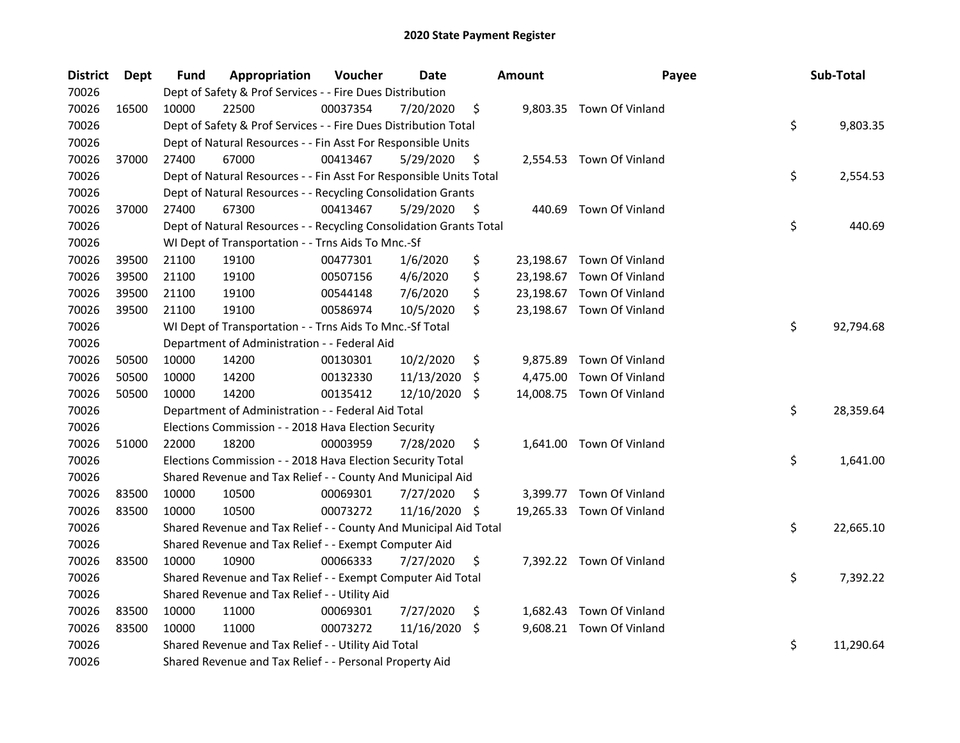| <b>District</b> | Dept  | <b>Fund</b> | Appropriation                                                      | Voucher  | Date           |     | <b>Amount</b> | Payee                     | Sub-Total       |
|-----------------|-------|-------------|--------------------------------------------------------------------|----------|----------------|-----|---------------|---------------------------|-----------------|
| 70026           |       |             | Dept of Safety & Prof Services - - Fire Dues Distribution          |          |                |     |               |                           |                 |
| 70026           | 16500 | 10000       | 22500                                                              | 00037354 | 7/20/2020      | \$  |               | 9,803.35 Town Of Vinland  |                 |
| 70026           |       |             | Dept of Safety & Prof Services - - Fire Dues Distribution Total    |          |                |     |               |                           | \$<br>9,803.35  |
| 70026           |       |             | Dept of Natural Resources - - Fin Asst For Responsible Units       |          |                |     |               |                           |                 |
| 70026           | 37000 | 27400       | 67000                                                              | 00413467 | 5/29/2020      | \$  |               | 2,554.53 Town Of Vinland  |                 |
| 70026           |       |             | Dept of Natural Resources - - Fin Asst For Responsible Units Total |          |                |     |               |                           | \$<br>2,554.53  |
| 70026           |       |             | Dept of Natural Resources - - Recycling Consolidation Grants       |          |                |     |               |                           |                 |
| 70026           | 37000 | 27400       | 67300                                                              | 00413467 | $5/29/2020$ \$ |     |               | 440.69 Town Of Vinland    |                 |
| 70026           |       |             | Dept of Natural Resources - - Recycling Consolidation Grants Total |          |                |     |               |                           | \$<br>440.69    |
| 70026           |       |             | WI Dept of Transportation - - Trns Aids To Mnc.-Sf                 |          |                |     |               |                           |                 |
| 70026           | 39500 | 21100       | 19100                                                              | 00477301 | 1/6/2020       | \$  |               | 23,198.67 Town Of Vinland |                 |
| 70026           | 39500 | 21100       | 19100                                                              | 00507156 | 4/6/2020       | \$  |               | 23,198.67 Town Of Vinland |                 |
| 70026           | 39500 | 21100       | 19100                                                              | 00544148 | 7/6/2020       | \$  |               | 23,198.67 Town Of Vinland |                 |
| 70026           | 39500 | 21100       | 19100                                                              | 00586974 | 10/5/2020      | \$  |               | 23,198.67 Town Of Vinland |                 |
| 70026           |       |             | WI Dept of Transportation - - Trns Aids To Mnc.-Sf Total           |          |                |     |               |                           | \$<br>92,794.68 |
| 70026           |       |             | Department of Administration - - Federal Aid                       |          |                |     |               |                           |                 |
| 70026           | 50500 | 10000       | 14200                                                              | 00130301 | 10/2/2020      | \$  | 9,875.89      | Town Of Vinland           |                 |
| 70026           | 50500 | 10000       | 14200                                                              | 00132330 | 11/13/2020     | \$. |               | 4,475.00 Town Of Vinland  |                 |
| 70026           | 50500 | 10000       | 14200                                                              | 00135412 | 12/10/2020     | -S  |               | 14,008.75 Town Of Vinland |                 |
| 70026           |       |             | Department of Administration - - Federal Aid Total                 |          |                |     |               |                           | \$<br>28,359.64 |
| 70026           |       |             | Elections Commission - - 2018 Hava Election Security               |          |                |     |               |                           |                 |
| 70026           | 51000 | 22000       | 18200                                                              | 00003959 | 7/28/2020      | \$  |               | 1,641.00 Town Of Vinland  |                 |
| 70026           |       |             | Elections Commission - - 2018 Hava Election Security Total         |          |                |     |               |                           | \$<br>1,641.00  |
| 70026           |       |             | Shared Revenue and Tax Relief - - County And Municipal Aid         |          |                |     |               |                           |                 |
| 70026           | 83500 | 10000       | 10500                                                              | 00069301 | 7/27/2020      | -S  |               | 3,399.77 Town Of Vinland  |                 |
| 70026           | 83500 | 10000       | 10500                                                              | 00073272 | 11/16/2020 \$  |     |               | 19,265.33 Town Of Vinland |                 |
| 70026           |       |             | Shared Revenue and Tax Relief - - County And Municipal Aid Total   |          |                |     |               |                           | \$<br>22,665.10 |
| 70026           |       |             | Shared Revenue and Tax Relief - - Exempt Computer Aid              |          |                |     |               |                           |                 |
| 70026           | 83500 | 10000       | 10900                                                              | 00066333 | 7/27/2020      | \$  |               | 7,392.22 Town Of Vinland  |                 |
| 70026           |       |             | Shared Revenue and Tax Relief - - Exempt Computer Aid Total        |          |                |     |               |                           | \$<br>7,392.22  |
| 70026           |       |             | Shared Revenue and Tax Relief - - Utility Aid                      |          |                |     |               |                           |                 |
| 70026           | 83500 | 10000       | 11000                                                              | 00069301 | 7/27/2020      | \$  |               | 1,682.43 Town Of Vinland  |                 |
| 70026           | 83500 | 10000       | 11000                                                              | 00073272 | 11/16/2020 \$  |     |               | 9,608.21 Town Of Vinland  |                 |
| 70026           |       |             | Shared Revenue and Tax Relief - - Utility Aid Total                |          |                |     |               |                           | \$<br>11,290.64 |
| 70026           |       |             | Shared Revenue and Tax Relief - - Personal Property Aid            |          |                |     |               |                           |                 |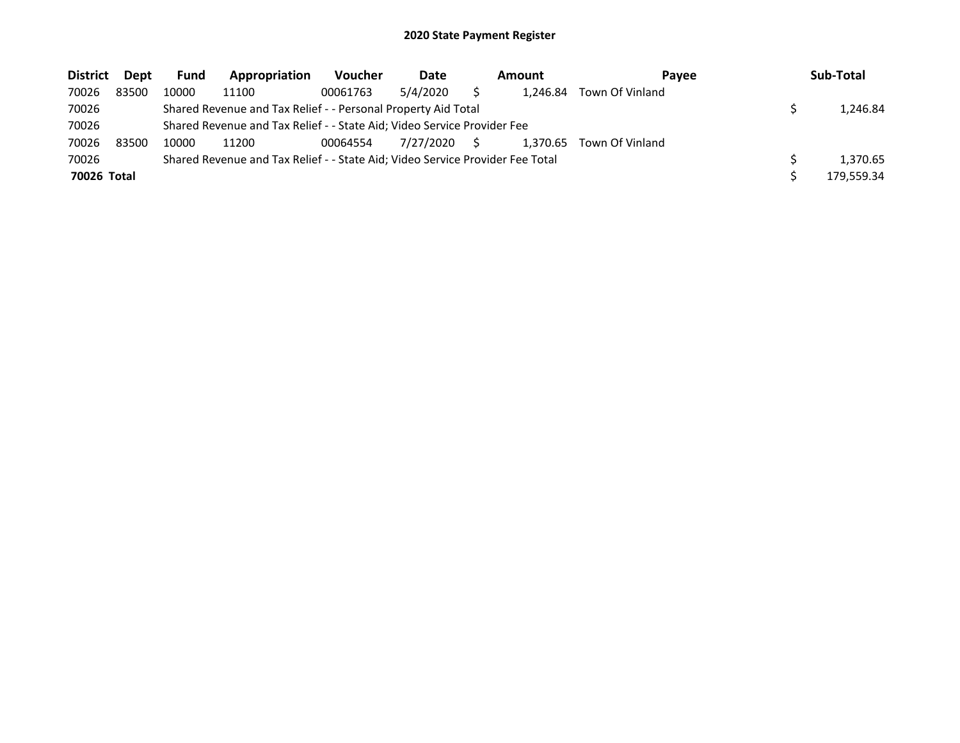| <b>District</b> | Dept  | <b>Fund</b> | Appropriation                                                                 | <b>Voucher</b> | Date      |    | Amount   | Pavee           | Sub-Total  |
|-----------------|-------|-------------|-------------------------------------------------------------------------------|----------------|-----------|----|----------|-----------------|------------|
| 70026           | 83500 | 10000       | 11100                                                                         | 00061763       | 5/4/2020  |    | 1.246.84 | Town Of Vinland |            |
| 70026           |       |             | Shared Revenue and Tax Relief - - Personal Property Aid Total                 |                |           |    |          |                 | 1,246.84   |
| 70026           |       |             | Shared Revenue and Tax Relief - - State Aid; Video Service Provider Fee       |                |           |    |          |                 |            |
| 70026           | 83500 | 10000       | 11200                                                                         | 00064554       | 7/27/2020 | S. | 1.370.65 | Town Of Vinland |            |
| 70026           |       |             | Shared Revenue and Tax Relief - - State Aid; Video Service Provider Fee Total |                |           |    |          |                 | 1.370.65   |
| 70026 Total     |       |             |                                                                               |                |           |    |          |                 | 179,559.34 |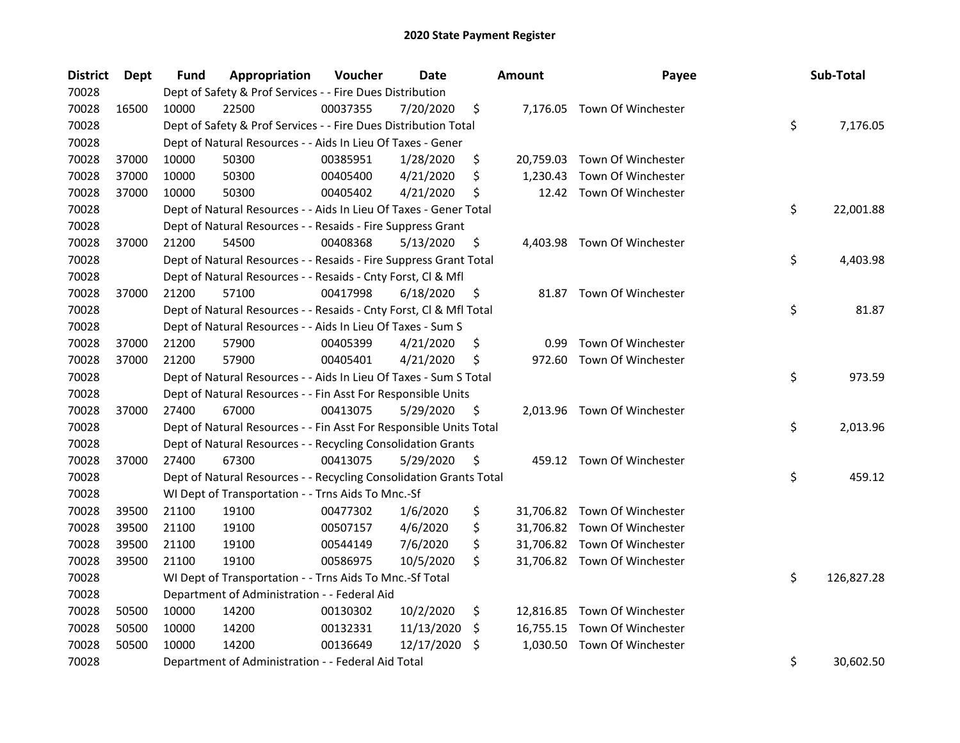| <b>District</b> | <b>Dept</b> | Fund  | Appropriation                                                      | Voucher  | <b>Date</b> |     | <b>Amount</b> | Payee                        | Sub-Total        |
|-----------------|-------------|-------|--------------------------------------------------------------------|----------|-------------|-----|---------------|------------------------------|------------------|
| 70028           |             |       | Dept of Safety & Prof Services - - Fire Dues Distribution          |          |             |     |               |                              |                  |
| 70028           | 16500       | 10000 | 22500                                                              | 00037355 | 7/20/2020   | \$  |               | 7,176.05 Town Of Winchester  |                  |
| 70028           |             |       | Dept of Safety & Prof Services - - Fire Dues Distribution Total    |          |             |     |               |                              | \$<br>7,176.05   |
| 70028           |             |       | Dept of Natural Resources - - Aids In Lieu Of Taxes - Gener        |          |             |     |               |                              |                  |
| 70028           | 37000       | 10000 | 50300                                                              | 00385951 | 1/28/2020   | \$  |               | 20,759.03 Town Of Winchester |                  |
| 70028           | 37000       | 10000 | 50300                                                              | 00405400 | 4/21/2020   | \$  | 1,230.43      | Town Of Winchester           |                  |
| 70028           | 37000       | 10000 | 50300                                                              | 00405402 | 4/21/2020   | \$  |               | 12.42 Town Of Winchester     |                  |
| 70028           |             |       | Dept of Natural Resources - - Aids In Lieu Of Taxes - Gener Total  |          |             |     |               |                              | \$<br>22,001.88  |
| 70028           |             |       | Dept of Natural Resources - - Resaids - Fire Suppress Grant        |          |             |     |               |                              |                  |
| 70028           | 37000       | 21200 | 54500                                                              | 00408368 | 5/13/2020   | \$  |               | 4,403.98 Town Of Winchester  |                  |
| 70028           |             |       | Dept of Natural Resources - - Resaids - Fire Suppress Grant Total  |          |             |     |               |                              | \$<br>4,403.98   |
| 70028           |             |       | Dept of Natural Resources - - Resaids - Cnty Forst, Cl & Mfl       |          |             |     |               |                              |                  |
| 70028           | 37000       | 21200 | 57100                                                              | 00417998 | 6/18/2020   | \$  |               | 81.87 Town Of Winchester     |                  |
| 70028           |             |       | Dept of Natural Resources - - Resaids - Cnty Forst, Cl & Mfl Total |          |             |     |               |                              | \$<br>81.87      |
| 70028           |             |       | Dept of Natural Resources - - Aids In Lieu Of Taxes - Sum S        |          |             |     |               |                              |                  |
| 70028           | 37000       | 21200 | 57900                                                              | 00405399 | 4/21/2020   | \$  | 0.99          | Town Of Winchester           |                  |
| 70028           | 37000       | 21200 | 57900                                                              | 00405401 | 4/21/2020   | \$  | 972.60        | Town Of Winchester           |                  |
| 70028           |             |       | Dept of Natural Resources - - Aids In Lieu Of Taxes - Sum S Total  |          |             |     |               |                              | \$<br>973.59     |
| 70028           |             |       | Dept of Natural Resources - - Fin Asst For Responsible Units       |          |             |     |               |                              |                  |
| 70028           | 37000       | 27400 | 67000                                                              | 00413075 | 5/29/2020   | \$  |               | 2,013.96 Town Of Winchester  |                  |
| 70028           |             |       | Dept of Natural Resources - - Fin Asst For Responsible Units Total |          |             |     |               |                              | \$<br>2,013.96   |
| 70028           |             |       | Dept of Natural Resources - - Recycling Consolidation Grants       |          |             |     |               |                              |                  |
| 70028           | 37000       | 27400 | 67300                                                              | 00413075 | 5/29/2020   | \$  |               | 459.12 Town Of Winchester    |                  |
| 70028           |             |       | Dept of Natural Resources - - Recycling Consolidation Grants Total |          |             |     |               |                              | \$<br>459.12     |
| 70028           |             |       | WI Dept of Transportation - - Trns Aids To Mnc.-Sf                 |          |             |     |               |                              |                  |
| 70028           | 39500       | 21100 | 19100                                                              | 00477302 | 1/6/2020    | \$  |               | 31,706.82 Town Of Winchester |                  |
| 70028           | 39500       | 21100 | 19100                                                              | 00507157 | 4/6/2020    | \$  |               | 31,706.82 Town Of Winchester |                  |
| 70028           | 39500       | 21100 | 19100                                                              | 00544149 | 7/6/2020    | \$  |               | 31,706.82 Town Of Winchester |                  |
| 70028           | 39500       | 21100 | 19100                                                              | 00586975 | 10/5/2020   | \$  |               | 31,706.82 Town Of Winchester |                  |
| 70028           |             |       | WI Dept of Transportation - - Trns Aids To Mnc.-Sf Total           |          |             |     |               |                              | \$<br>126,827.28 |
| 70028           |             |       | Department of Administration - - Federal Aid                       |          |             |     |               |                              |                  |
| 70028           | 50500       | 10000 | 14200                                                              | 00130302 | 10/2/2020   | \$  |               | 12,816.85 Town Of Winchester |                  |
| 70028           | 50500       | 10000 | 14200                                                              | 00132331 | 11/13/2020  | \$. |               | 16,755.15 Town Of Winchester |                  |
| 70028           | 50500       | 10000 | 14200                                                              | 00136649 | 12/17/2020  | \$  | 1,030.50      | Town Of Winchester           |                  |
| 70028           |             |       | Department of Administration - - Federal Aid Total                 |          |             |     |               |                              | \$<br>30,602.50  |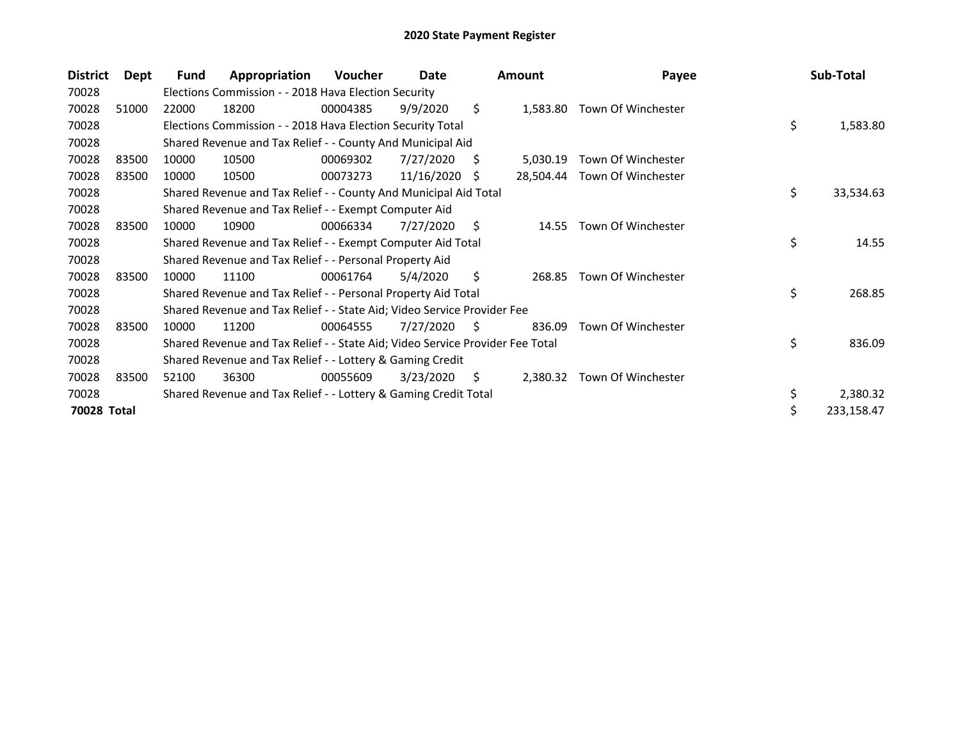| <b>District</b>    | Dept  | Fund  | Appropriation                                                                 | <b>Voucher</b> | Date       |    | <b>Amount</b> | Payee                        | Sub-Total        |
|--------------------|-------|-------|-------------------------------------------------------------------------------|----------------|------------|----|---------------|------------------------------|------------------|
| 70028              |       |       | Elections Commission - - 2018 Hava Election Security                          |                |            |    |               |                              |                  |
| 70028              | 51000 | 22000 | 18200                                                                         | 00004385       | 9/9/2020   | \$ |               | 1,583.80 Town Of Winchester  |                  |
| 70028              |       |       | Elections Commission - - 2018 Hava Election Security Total                    |                |            |    |               |                              | \$<br>1,583.80   |
| 70028              |       |       | Shared Revenue and Tax Relief - - County And Municipal Aid                    |                |            |    |               |                              |                  |
| 70028              | 83500 | 10000 | 10500                                                                         | 00069302       | 7/27/2020  | S  | 5,030.19      | Town Of Winchester           |                  |
| 70028              | 83500 | 10000 | 10500                                                                         | 00073273       | 11/16/2020 | S  |               | 28,504.44 Town Of Winchester |                  |
| 70028              |       |       | Shared Revenue and Tax Relief - - County And Municipal Aid Total              |                |            |    |               |                              | \$<br>33,534.63  |
| 70028              |       |       | Shared Revenue and Tax Relief - - Exempt Computer Aid                         |                |            |    |               |                              |                  |
| 70028              | 83500 | 10000 | 10900                                                                         | 00066334       | 7/27/2020  | S  | 14.55         | Town Of Winchester           |                  |
| 70028              |       |       | Shared Revenue and Tax Relief - - Exempt Computer Aid Total                   |                |            |    |               |                              | \$<br>14.55      |
| 70028              |       |       | Shared Revenue and Tax Relief - - Personal Property Aid                       |                |            |    |               |                              |                  |
| 70028              | 83500 | 10000 | 11100                                                                         | 00061764       | 5/4/2020   | Ŝ. | 268.85        | Town Of Winchester           |                  |
| 70028              |       |       | Shared Revenue and Tax Relief - - Personal Property Aid Total                 |                |            |    |               |                              | \$<br>268.85     |
| 70028              |       |       | Shared Revenue and Tax Relief - - State Aid; Video Service Provider Fee       |                |            |    |               |                              |                  |
| 70028              | 83500 | 10000 | 11200                                                                         | 00064555       | 7/27/2020  | S. | 836.09        | Town Of Winchester           |                  |
| 70028              |       |       | Shared Revenue and Tax Relief - - State Aid; Video Service Provider Fee Total |                |            |    |               |                              | \$<br>836.09     |
| 70028              |       |       | Shared Revenue and Tax Relief - - Lottery & Gaming Credit                     |                |            |    |               |                              |                  |
| 70028              | 83500 | 52100 | 36300                                                                         | 00055609       | 3/23/2020  | S  | 2,380.32      | Town Of Winchester           |                  |
| 70028              |       |       | Shared Revenue and Tax Relief - - Lottery & Gaming Credit Total               |                |            |    |               |                              | \$<br>2,380.32   |
| <b>70028 Total</b> |       |       |                                                                               |                |            |    |               |                              | \$<br>233,158.47 |
|                    |       |       |                                                                               |                |            |    |               |                              |                  |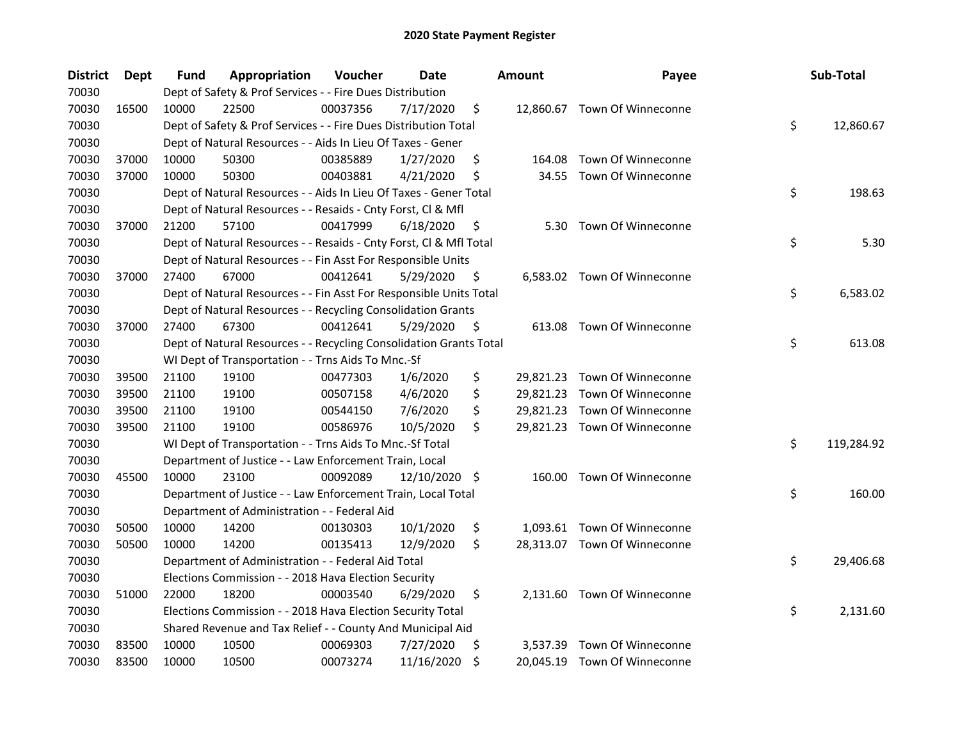| <b>District</b> | <b>Dept</b> | Fund  | Appropriation                                                      | Voucher  | <b>Date</b> |     | <b>Amount</b> | Payee                        | Sub-Total        |
|-----------------|-------------|-------|--------------------------------------------------------------------|----------|-------------|-----|---------------|------------------------------|------------------|
| 70030           |             |       | Dept of Safety & Prof Services - - Fire Dues Distribution          |          |             |     |               |                              |                  |
| 70030           | 16500       | 10000 | 22500                                                              | 00037356 | 7/17/2020   | \$  |               | 12,860.67 Town Of Winneconne |                  |
| 70030           |             |       | Dept of Safety & Prof Services - - Fire Dues Distribution Total    |          |             |     |               |                              | \$<br>12,860.67  |
| 70030           |             |       | Dept of Natural Resources - - Aids In Lieu Of Taxes - Gener        |          |             |     |               |                              |                  |
| 70030           | 37000       | 10000 | 50300                                                              | 00385889 | 1/27/2020   | \$  | 164.08        | Town Of Winneconne           |                  |
| 70030           | 37000       | 10000 | 50300                                                              | 00403881 | 4/21/2020   | \$  | 34.55         | Town Of Winneconne           |                  |
| 70030           |             |       | Dept of Natural Resources - - Aids In Lieu Of Taxes - Gener Total  |          |             |     |               |                              | \$<br>198.63     |
| 70030           |             |       | Dept of Natural Resources - - Resaids - Cnty Forst, Cl & Mfl       |          |             |     |               |                              |                  |
| 70030           | 37000       | 21200 | 57100                                                              | 00417999 | 6/18/2020   | \$  | 5.30          | Town Of Winneconne           |                  |
| 70030           |             |       | Dept of Natural Resources - - Resaids - Cnty Forst, Cl & Mfl Total |          |             |     |               |                              | \$<br>5.30       |
| 70030           |             |       | Dept of Natural Resources - - Fin Asst For Responsible Units       |          |             |     |               |                              |                  |
| 70030           | 37000       | 27400 | 67000                                                              | 00412641 | 5/29/2020   | \$. |               | 6,583.02 Town Of Winneconne  |                  |
| 70030           |             |       | Dept of Natural Resources - - Fin Asst For Responsible Units Total |          |             |     |               |                              | \$<br>6,583.02   |
| 70030           |             |       | Dept of Natural Resources - - Recycling Consolidation Grants       |          |             |     |               |                              |                  |
| 70030           | 37000       | 27400 | 67300                                                              | 00412641 | 5/29/2020   | Ş   |               | 613.08 Town Of Winneconne    |                  |
| 70030           |             |       | Dept of Natural Resources - - Recycling Consolidation Grants Total |          |             |     |               |                              | \$<br>613.08     |
| 70030           |             |       | WI Dept of Transportation - - Trns Aids To Mnc.-Sf                 |          |             |     |               |                              |                  |
| 70030           | 39500       | 21100 | 19100                                                              | 00477303 | 1/6/2020    | \$  |               | 29,821.23 Town Of Winneconne |                  |
| 70030           | 39500       | 21100 | 19100                                                              | 00507158 | 4/6/2020    | \$  |               | 29,821.23 Town Of Winneconne |                  |
| 70030           | 39500       | 21100 | 19100                                                              | 00544150 | 7/6/2020    | \$  |               | 29,821.23 Town Of Winneconne |                  |
| 70030           | 39500       | 21100 | 19100                                                              | 00586976 | 10/5/2020   | \$  |               | 29,821.23 Town Of Winneconne |                  |
| 70030           |             |       | WI Dept of Transportation - - Trns Aids To Mnc.-Sf Total           |          |             |     |               |                              | \$<br>119,284.92 |
| 70030           |             |       | Department of Justice - - Law Enforcement Train, Local             |          |             |     |               |                              |                  |
| 70030           | 45500       | 10000 | 23100                                                              | 00092089 | 12/10/2020  | \$  |               | 160.00 Town Of Winneconne    |                  |
| 70030           |             |       | Department of Justice - - Law Enforcement Train, Local Total       |          |             |     |               |                              | \$<br>160.00     |
| 70030           |             |       | Department of Administration - - Federal Aid                       |          |             |     |               |                              |                  |
| 70030           | 50500       | 10000 | 14200                                                              | 00130303 | 10/1/2020   | \$  |               | 1,093.61 Town Of Winneconne  |                  |
| 70030           | 50500       | 10000 | 14200                                                              | 00135413 | 12/9/2020   | \$  |               | 28,313.07 Town Of Winneconne |                  |
| 70030           |             |       | Department of Administration - - Federal Aid Total                 |          |             |     |               |                              | \$<br>29,406.68  |
| 70030           |             |       | Elections Commission - - 2018 Hava Election Security               |          |             |     |               |                              |                  |
| 70030           | 51000       | 22000 | 18200                                                              | 00003540 | 6/29/2020   | \$  |               | 2,131.60 Town Of Winneconne  |                  |
| 70030           |             |       | Elections Commission - - 2018 Hava Election Security Total         |          |             |     |               |                              | \$<br>2,131.60   |
| 70030           |             |       | Shared Revenue and Tax Relief - - County And Municipal Aid         |          |             |     |               |                              |                  |
| 70030           | 83500       | 10000 | 10500                                                              | 00069303 | 7/27/2020   | \$  | 3,537.39      | Town Of Winneconne           |                  |
| 70030           | 83500       | 10000 | 10500                                                              | 00073274 | 11/16/2020  | \$  |               | 20,045.19 Town Of Winneconne |                  |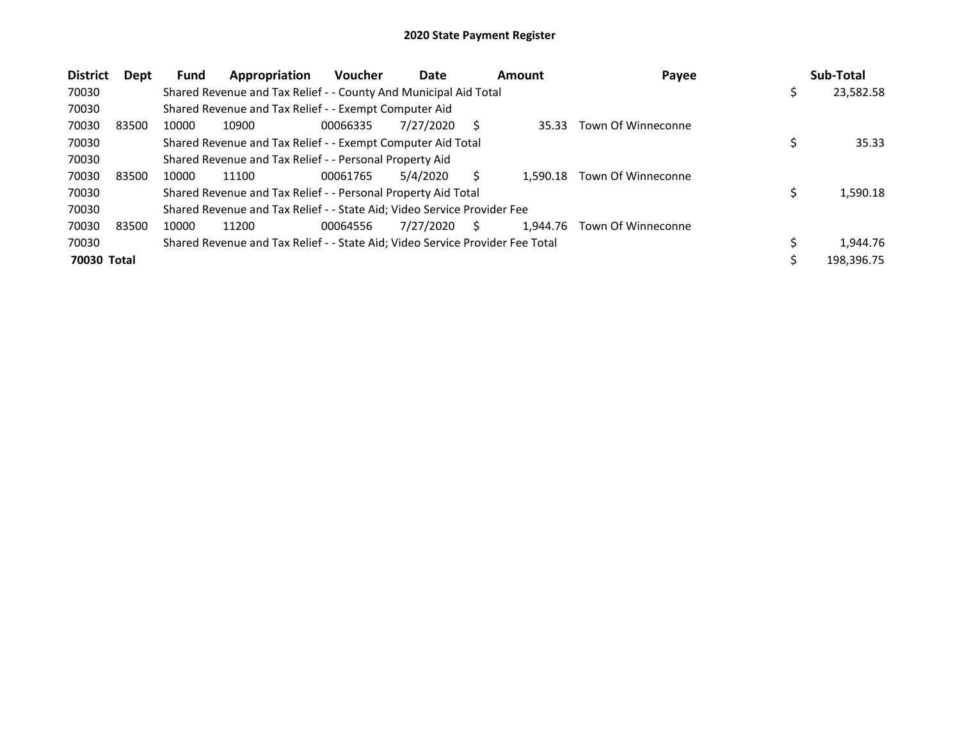| <b>District</b><br>Dept | <b>Fund</b> | Appropriation                                                                 | Voucher  | Date      |   | Amount   | Payee              | Sub-Total       |
|-------------------------|-------------|-------------------------------------------------------------------------------|----------|-----------|---|----------|--------------------|-----------------|
| 70030                   |             | Shared Revenue and Tax Relief - - County And Municipal Aid Total              |          |           |   |          |                    | \$<br>23,582.58 |
| 70030                   |             | Shared Revenue and Tax Relief - - Exempt Computer Aid                         |          |           |   |          |                    |                 |
| 70030<br>83500          | 10000       | 10900                                                                         | 00066335 | 7/27/2020 |   | 35.33    | Town Of Winneconne |                 |
| 70030                   |             | Shared Revenue and Tax Relief - - Exempt Computer Aid Total                   |          |           |   |          |                    | 35.33           |
| 70030                   |             | Shared Revenue and Tax Relief - - Personal Property Aid                       |          |           |   |          |                    |                 |
| 70030<br>83500          | 10000       | 11100                                                                         | 00061765 | 5/4/2020  |   | 1.590.18 | Town Of Winneconne |                 |
| 70030                   |             | Shared Revenue and Tax Relief - - Personal Property Aid Total                 |          |           |   |          |                    | 1,590.18        |
| 70030                   |             | Shared Revenue and Tax Relief - - State Aid; Video Service Provider Fee       |          |           |   |          |                    |                 |
| 70030<br>83500          | 10000       | 11200                                                                         | 00064556 | 7/27/2020 | S | 1.944.76 | Town Of Winneconne |                 |
| 70030                   |             | Shared Revenue and Tax Relief - - State Aid; Video Service Provider Fee Total |          |           |   |          |                    | 1.944.76        |
| 70030 Total             |             |                                                                               |          |           |   |          |                    | 198,396.75      |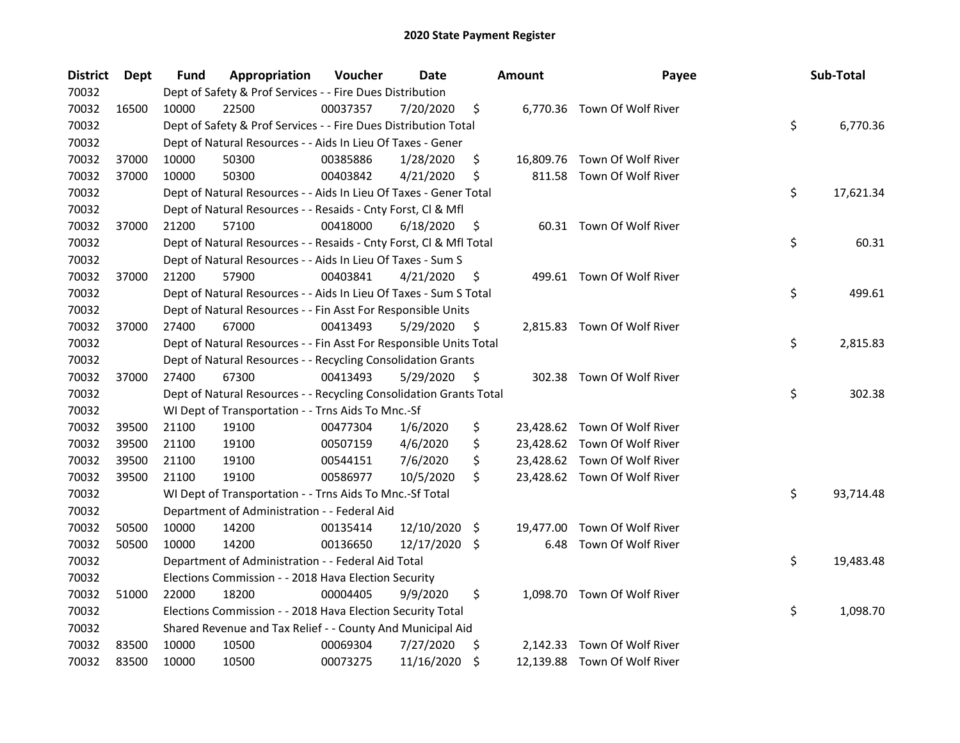| <b>District</b> | Dept  | <b>Fund</b> | Appropriation                                                      | Voucher  | <b>Date</b> |     | <b>Amount</b> | Payee                        | Sub-Total       |
|-----------------|-------|-------------|--------------------------------------------------------------------|----------|-------------|-----|---------------|------------------------------|-----------------|
| 70032           |       |             | Dept of Safety & Prof Services - - Fire Dues Distribution          |          |             |     |               |                              |                 |
| 70032           | 16500 | 10000       | 22500                                                              | 00037357 | 7/20/2020   | \$  |               | 6,770.36 Town Of Wolf River  |                 |
| 70032           |       |             | Dept of Safety & Prof Services - - Fire Dues Distribution Total    |          |             |     |               |                              | \$<br>6,770.36  |
| 70032           |       |             | Dept of Natural Resources - - Aids In Lieu Of Taxes - Gener        |          |             |     |               |                              |                 |
| 70032           | 37000 | 10000       | 50300                                                              | 00385886 | 1/28/2020   | \$  |               | 16,809.76 Town Of Wolf River |                 |
| 70032           | 37000 | 10000       | 50300                                                              | 00403842 | 4/21/2020   | \$  |               | 811.58 Town Of Wolf River    |                 |
| 70032           |       |             | Dept of Natural Resources - - Aids In Lieu Of Taxes - Gener Total  |          |             |     |               |                              | \$<br>17,621.34 |
| 70032           |       |             | Dept of Natural Resources - - Resaids - Cnty Forst, CI & Mfl       |          |             |     |               |                              |                 |
| 70032           | 37000 | 21200       | 57100                                                              | 00418000 | 6/18/2020   | \$  |               | 60.31 Town Of Wolf River     |                 |
| 70032           |       |             | Dept of Natural Resources - - Resaids - Cnty Forst, Cl & Mfl Total |          |             |     |               |                              | \$<br>60.31     |
| 70032           |       |             | Dept of Natural Resources - - Aids In Lieu Of Taxes - Sum S        |          |             |     |               |                              |                 |
| 70032           | 37000 | 21200       | 57900                                                              | 00403841 | 4/21/2020   | \$  |               | 499.61 Town Of Wolf River    |                 |
| 70032           |       |             | Dept of Natural Resources - - Aids In Lieu Of Taxes - Sum S Total  |          |             |     |               |                              | \$<br>499.61    |
| 70032           |       |             | Dept of Natural Resources - - Fin Asst For Responsible Units       |          |             |     |               |                              |                 |
| 70032           | 37000 | 27400       | 67000                                                              | 00413493 | 5/29/2020   | \$  |               | 2,815.83 Town Of Wolf River  |                 |
| 70032           |       |             | Dept of Natural Resources - - Fin Asst For Responsible Units Total |          |             |     |               |                              | \$<br>2,815.83  |
| 70032           |       |             | Dept of Natural Resources - - Recycling Consolidation Grants       |          |             |     |               |                              |                 |
| 70032           | 37000 | 27400       | 67300                                                              | 00413493 | 5/29/2020   | \$  |               | 302.38 Town Of Wolf River    |                 |
| 70032           |       |             | Dept of Natural Resources - - Recycling Consolidation Grants Total |          |             |     |               |                              | \$<br>302.38    |
| 70032           |       |             | WI Dept of Transportation - - Trns Aids To Mnc.-Sf                 |          |             |     |               |                              |                 |
| 70032           | 39500 | 21100       | 19100                                                              | 00477304 | 1/6/2020    | \$  |               | 23,428.62 Town Of Wolf River |                 |
| 70032           | 39500 | 21100       | 19100                                                              | 00507159 | 4/6/2020    | \$  |               | 23,428.62 Town Of Wolf River |                 |
| 70032           | 39500 | 21100       | 19100                                                              | 00544151 | 7/6/2020    | \$  |               | 23,428.62 Town Of Wolf River |                 |
| 70032           | 39500 | 21100       | 19100                                                              | 00586977 | 10/5/2020   | \$  |               | 23,428.62 Town Of Wolf River |                 |
| 70032           |       |             | WI Dept of Transportation - - Trns Aids To Mnc.-Sf Total           |          |             |     |               |                              | \$<br>93,714.48 |
| 70032           |       |             | Department of Administration - - Federal Aid                       |          |             |     |               |                              |                 |
| 70032           | 50500 | 10000       | 14200                                                              | 00135414 | 12/10/2020  | -\$ |               | 19,477.00 Town Of Wolf River |                 |
| 70032           | 50500 | 10000       | 14200                                                              | 00136650 | 12/17/2020  | \$  |               | 6.48 Town Of Wolf River      |                 |
| 70032           |       |             | Department of Administration - - Federal Aid Total                 |          |             |     |               |                              | \$<br>19,483.48 |
| 70032           |       |             | Elections Commission - - 2018 Hava Election Security               |          |             |     |               |                              |                 |
| 70032           | 51000 | 22000       | 18200                                                              | 00004405 | 9/9/2020    | \$  |               | 1,098.70 Town Of Wolf River  |                 |
| 70032           |       |             | Elections Commission - - 2018 Hava Election Security Total         |          |             |     |               |                              | \$<br>1,098.70  |
| 70032           |       |             | Shared Revenue and Tax Relief - - County And Municipal Aid         |          |             |     |               |                              |                 |
| 70032           | 83500 | 10000       | 10500                                                              | 00069304 | 7/27/2020   | \$. |               | 2,142.33 Town Of Wolf River  |                 |
| 70032           | 83500 | 10000       | 10500                                                              | 00073275 | 11/16/2020  | \$  |               | 12,139.88 Town Of Wolf River |                 |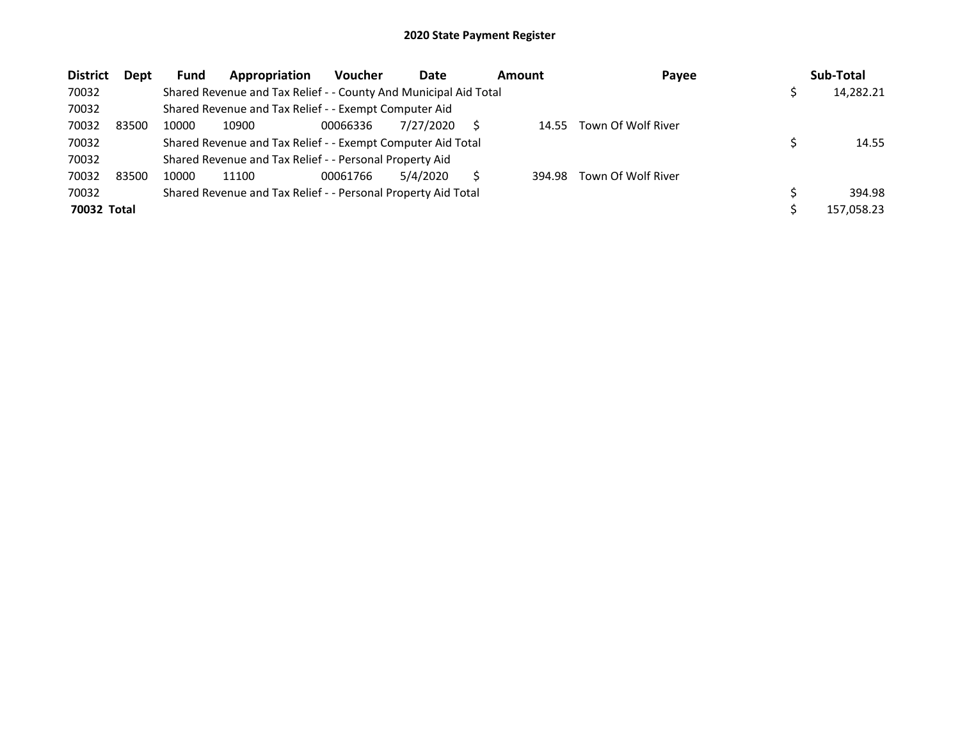| <b>District</b> | Dept  | Fund  | Appropriation                                                    | <b>Voucher</b> | Date      | Amount |        | Payee              | Sub-Total  |
|-----------------|-------|-------|------------------------------------------------------------------|----------------|-----------|--------|--------|--------------------|------------|
| 70032           |       |       | Shared Revenue and Tax Relief - - County And Municipal Aid Total |                |           |        |        |                    | 14,282.21  |
| 70032           |       |       | Shared Revenue and Tax Relief - - Exempt Computer Aid            |                |           |        |        |                    |            |
| 70032           | 83500 | 10000 | 10900                                                            | 00066336       | 7/27/2020 |        | 14.55  | Town Of Wolf River |            |
| 70032           |       |       | Shared Revenue and Tax Relief - - Exempt Computer Aid Total      |                |           |        |        |                    | 14.55      |
| 70032           |       |       | Shared Revenue and Tax Relief - - Personal Property Aid          |                |           |        |        |                    |            |
| 70032           | 83500 | 10000 | 11100                                                            | 00061766       | 5/4/2020  |        | 394.98 | Town Of Wolf River |            |
| 70032           |       |       | Shared Revenue and Tax Relief - - Personal Property Aid Total    |                |           |        |        |                    | 394.98     |
| 70032 Total     |       |       |                                                                  |                |           |        |        |                    | 157,058.23 |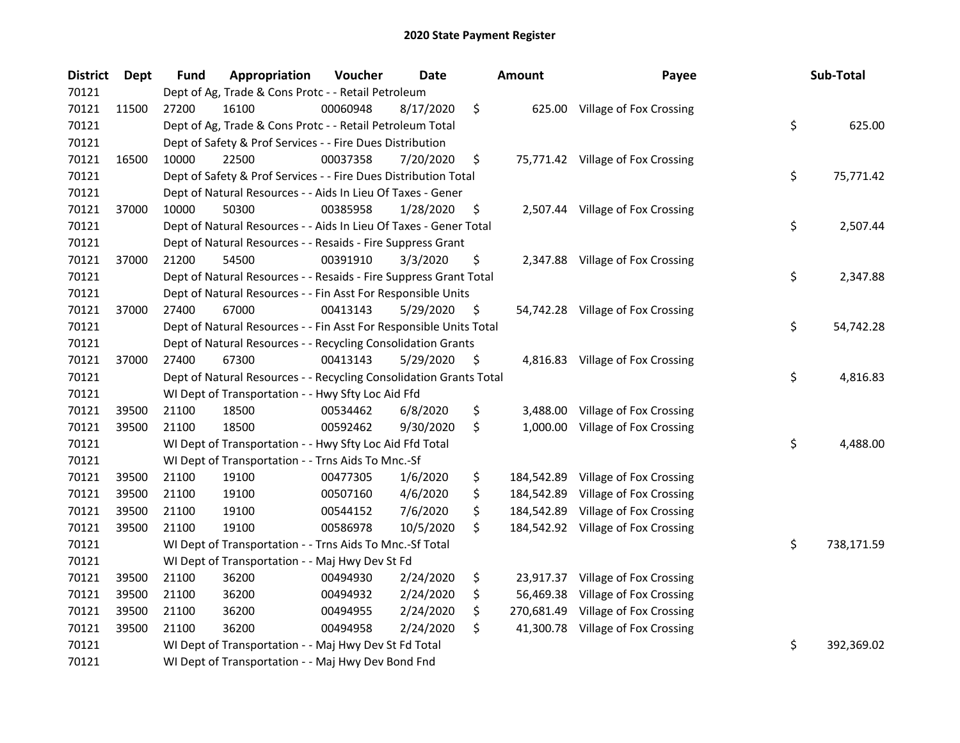| <b>District</b> | <b>Dept</b> | Fund  | Appropriation                                                      | Voucher  | <b>Date</b> | <b>Amount</b>    | Payee                             | Sub-Total        |
|-----------------|-------------|-------|--------------------------------------------------------------------|----------|-------------|------------------|-----------------------------------|------------------|
| 70121           |             |       | Dept of Ag, Trade & Cons Protc - - Retail Petroleum                |          |             |                  |                                   |                  |
| 70121           | 11500       | 27200 | 16100                                                              | 00060948 | 8/17/2020   | \$               | 625.00 Village of Fox Crossing    |                  |
| 70121           |             |       | Dept of Ag, Trade & Cons Protc - - Retail Petroleum Total          |          |             |                  |                                   | \$<br>625.00     |
| 70121           |             |       | Dept of Safety & Prof Services - - Fire Dues Distribution          |          |             |                  |                                   |                  |
| 70121           | 16500       | 10000 | 22500                                                              | 00037358 | 7/20/2020   | \$               | 75,771.42 Village of Fox Crossing |                  |
| 70121           |             |       | Dept of Safety & Prof Services - - Fire Dues Distribution Total    |          |             |                  |                                   | \$<br>75,771.42  |
| 70121           |             |       | Dept of Natural Resources - - Aids In Lieu Of Taxes - Gener        |          |             |                  |                                   |                  |
| 70121           | 37000       | 10000 | 50300                                                              | 00385958 | 1/28/2020   | \$               | 2,507.44 Village of Fox Crossing  |                  |
| 70121           |             |       | Dept of Natural Resources - - Aids In Lieu Of Taxes - Gener Total  |          |             |                  |                                   | \$<br>2,507.44   |
| 70121           |             |       | Dept of Natural Resources - - Resaids - Fire Suppress Grant        |          |             |                  |                                   |                  |
| 70121           | 37000       | 21200 | 54500                                                              | 00391910 | 3/3/2020    | \$               | 2,347.88 Village of Fox Crossing  |                  |
| 70121           |             |       | Dept of Natural Resources - - Resaids - Fire Suppress Grant Total  |          |             |                  |                                   | \$<br>2,347.88   |
| 70121           |             |       | Dept of Natural Resources - - Fin Asst For Responsible Units       |          |             |                  |                                   |                  |
| 70121           | 37000       | 27400 | 67000                                                              | 00413143 | 5/29/2020   | \$               | 54,742.28 Village of Fox Crossing |                  |
| 70121           |             |       | Dept of Natural Resources - - Fin Asst For Responsible Units Total |          |             |                  |                                   | \$<br>54,742.28  |
| 70121           |             |       | Dept of Natural Resources - - Recycling Consolidation Grants       |          |             |                  |                                   |                  |
| 70121           | 37000       | 27400 | 67300                                                              | 00413143 | 5/29/2020   | \$<br>4,816.83   | Village of Fox Crossing           |                  |
| 70121           |             |       | Dept of Natural Resources - - Recycling Consolidation Grants Total |          |             |                  |                                   | \$<br>4,816.83   |
| 70121           |             |       | WI Dept of Transportation - - Hwy Sfty Loc Aid Ffd                 |          |             |                  |                                   |                  |
| 70121           | 39500       | 21100 | 18500                                                              | 00534462 | 6/8/2020    | \$<br>3,488.00   | Village of Fox Crossing           |                  |
| 70121           | 39500       | 21100 | 18500                                                              | 00592462 | 9/30/2020   | \$<br>1,000.00   | Village of Fox Crossing           |                  |
| 70121           |             |       | WI Dept of Transportation - - Hwy Sfty Loc Aid Ffd Total           |          |             |                  |                                   | \$<br>4,488.00   |
| 70121           |             |       | WI Dept of Transportation - - Trns Aids To Mnc.-Sf                 |          |             |                  |                                   |                  |
| 70121           | 39500       | 21100 | 19100                                                              | 00477305 | 1/6/2020    | \$<br>184,542.89 | Village of Fox Crossing           |                  |
| 70121           | 39500       | 21100 | 19100                                                              | 00507160 | 4/6/2020    | \$<br>184,542.89 | Village of Fox Crossing           |                  |
| 70121           | 39500       | 21100 | 19100                                                              | 00544152 | 7/6/2020    | \$<br>184,542.89 | Village of Fox Crossing           |                  |
| 70121           | 39500       | 21100 | 19100                                                              | 00586978 | 10/5/2020   | \$<br>184,542.92 | Village of Fox Crossing           |                  |
| 70121           |             |       | WI Dept of Transportation - - Trns Aids To Mnc.-Sf Total           |          |             |                  |                                   | \$<br>738,171.59 |
| 70121           |             |       | WI Dept of Transportation - - Maj Hwy Dev St Fd                    |          |             |                  |                                   |                  |
| 70121           | 39500       | 21100 | 36200                                                              | 00494930 | 2/24/2020   | \$<br>23,917.37  | Village of Fox Crossing           |                  |
| 70121           | 39500       | 21100 | 36200                                                              | 00494932 | 2/24/2020   | \$<br>56,469.38  | Village of Fox Crossing           |                  |
| 70121           | 39500       | 21100 | 36200                                                              | 00494955 | 2/24/2020   | \$<br>270,681.49 | Village of Fox Crossing           |                  |
| 70121           | 39500       | 21100 | 36200                                                              | 00494958 | 2/24/2020   | \$<br>41,300.78  | Village of Fox Crossing           |                  |
| 70121           |             |       | WI Dept of Transportation - - Maj Hwy Dev St Fd Total              |          |             |                  |                                   | \$<br>392,369.02 |
| 70121           |             |       | WI Dept of Transportation - - Maj Hwy Dev Bond Fnd                 |          |             |                  |                                   |                  |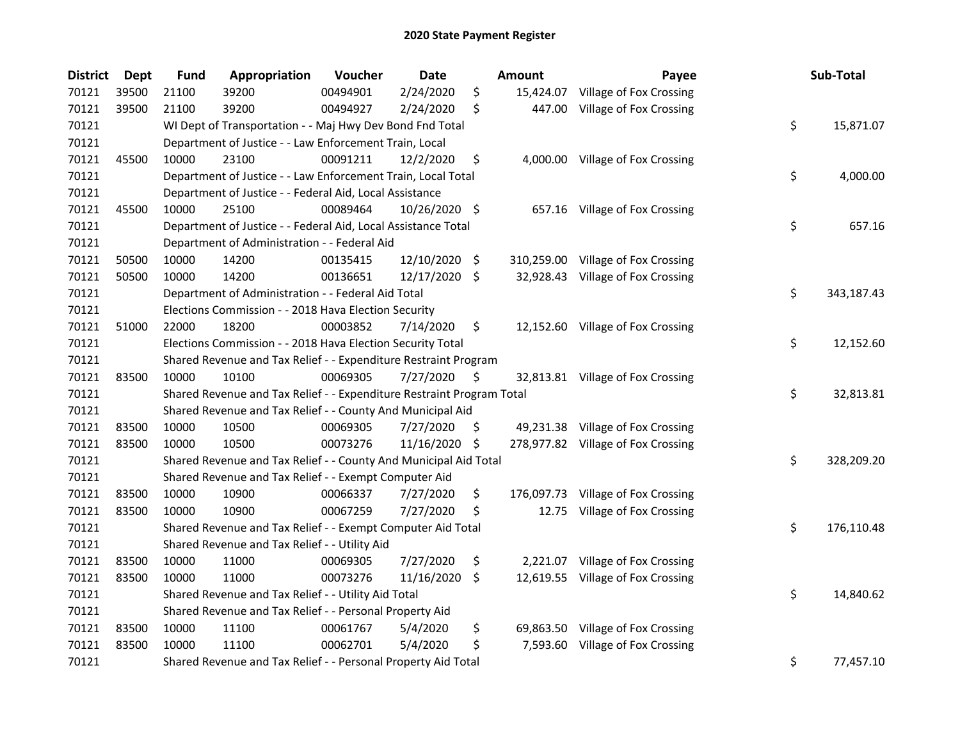| <b>District</b> | <b>Dept</b> | <b>Fund</b> | Appropriation                                                         | Voucher  | Date          |                    | Amount     | Payee                              | Sub-Total        |
|-----------------|-------------|-------------|-----------------------------------------------------------------------|----------|---------------|--------------------|------------|------------------------------------|------------------|
| 70121           | 39500       | 21100       | 39200                                                                 | 00494901 | 2/24/2020     | \$                 | 15,424.07  | Village of Fox Crossing            |                  |
| 70121           | 39500       | 21100       | 39200                                                                 | 00494927 | 2/24/2020     | \$                 | 447.00     | Village of Fox Crossing            |                  |
| 70121           |             |             | WI Dept of Transportation - - Maj Hwy Dev Bond Fnd Total              |          |               |                    |            |                                    | \$<br>15,871.07  |
| 70121           |             |             | Department of Justice - - Law Enforcement Train, Local                |          |               |                    |            |                                    |                  |
| 70121           | 45500       | 10000       | 23100                                                                 | 00091211 | 12/2/2020     | \$                 |            | 4,000.00 Village of Fox Crossing   |                  |
| 70121           |             |             | Department of Justice - - Law Enforcement Train, Local Total          |          |               |                    |            |                                    | \$<br>4,000.00   |
| 70121           |             |             | Department of Justice - - Federal Aid, Local Assistance               |          |               |                    |            |                                    |                  |
| 70121           | 45500       | 10000       | 25100                                                                 | 00089464 | 10/26/2020 \$ |                    |            | 657.16 Village of Fox Crossing     |                  |
| 70121           |             |             | Department of Justice - - Federal Aid, Local Assistance Total         |          |               |                    |            |                                    | \$<br>657.16     |
| 70121           |             |             | Department of Administration - - Federal Aid                          |          |               |                    |            |                                    |                  |
| 70121           | 50500       | 10000       | 14200                                                                 | 00135415 | 12/10/2020    | -\$                |            | 310,259.00 Village of Fox Crossing |                  |
| 70121           | 50500       | 10000       | 14200                                                                 | 00136651 | 12/17/2020    | $\ddot{\varsigma}$ |            | 32,928.43 Village of Fox Crossing  |                  |
| 70121           |             |             | Department of Administration - - Federal Aid Total                    |          |               |                    |            |                                    | \$<br>343,187.43 |
| 70121           |             |             | Elections Commission - - 2018 Hava Election Security                  |          |               |                    |            |                                    |                  |
| 70121           | 51000       | 22000       | 18200                                                                 | 00003852 | 7/14/2020     | \$                 |            | 12,152.60 Village of Fox Crossing  |                  |
| 70121           |             |             | Elections Commission - - 2018 Hava Election Security Total            |          |               |                    |            |                                    | \$<br>12,152.60  |
| 70121           |             |             | Shared Revenue and Tax Relief - - Expenditure Restraint Program       |          |               |                    |            |                                    |                  |
| 70121           | 83500       | 10000       | 10100                                                                 | 00069305 | 7/27/2020     | \$                 |            | 32,813.81 Village of Fox Crossing  |                  |
| 70121           |             |             | Shared Revenue and Tax Relief - - Expenditure Restraint Program Total |          |               |                    |            |                                    | \$<br>32,813.81  |
| 70121           |             |             | Shared Revenue and Tax Relief - - County And Municipal Aid            |          |               |                    |            |                                    |                  |
| 70121           | 83500       | 10000       | 10500                                                                 | 00069305 | 7/27/2020     | \$                 | 49,231.38  | Village of Fox Crossing            |                  |
| 70121           | 83500       | 10000       | 10500                                                                 | 00073276 | 11/16/2020 \$ |                    |            | 278,977.82 Village of Fox Crossing |                  |
| 70121           |             |             | Shared Revenue and Tax Relief - - County And Municipal Aid Total      |          |               |                    |            |                                    | \$<br>328,209.20 |
| 70121           |             |             | Shared Revenue and Tax Relief - - Exempt Computer Aid                 |          |               |                    |            |                                    |                  |
| 70121           | 83500       | 10000       | 10900                                                                 | 00066337 | 7/27/2020     | \$                 | 176,097.73 | Village of Fox Crossing            |                  |
| 70121           | 83500       | 10000       | 10900                                                                 | 00067259 | 7/27/2020     | \$                 | 12.75      | Village of Fox Crossing            |                  |
| 70121           |             |             | Shared Revenue and Tax Relief - - Exempt Computer Aid Total           |          |               |                    |            |                                    | \$<br>176,110.48 |
| 70121           |             |             | Shared Revenue and Tax Relief - - Utility Aid                         |          |               |                    |            |                                    |                  |
| 70121           | 83500       | 10000       | 11000                                                                 | 00069305 | 7/27/2020     | \$                 | 2,221.07   | Village of Fox Crossing            |                  |
| 70121           | 83500       | 10000       | 11000                                                                 | 00073276 | 11/16/2020    | \$                 |            | 12,619.55 Village of Fox Crossing  |                  |
| 70121           |             |             | Shared Revenue and Tax Relief - - Utility Aid Total                   |          |               |                    |            |                                    | \$<br>14,840.62  |
| 70121           |             |             | Shared Revenue and Tax Relief - - Personal Property Aid               |          |               |                    |            |                                    |                  |
| 70121           | 83500       | 10000       | 11100                                                                 | 00061767 | 5/4/2020      | \$                 | 69,863.50  | Village of Fox Crossing            |                  |
| 70121           | 83500       | 10000       | 11100                                                                 | 00062701 | 5/4/2020      | \$                 | 7,593.60   | Village of Fox Crossing            |                  |
| 70121           |             |             | Shared Revenue and Tax Relief - - Personal Property Aid Total         |          |               |                    |            |                                    | \$<br>77,457.10  |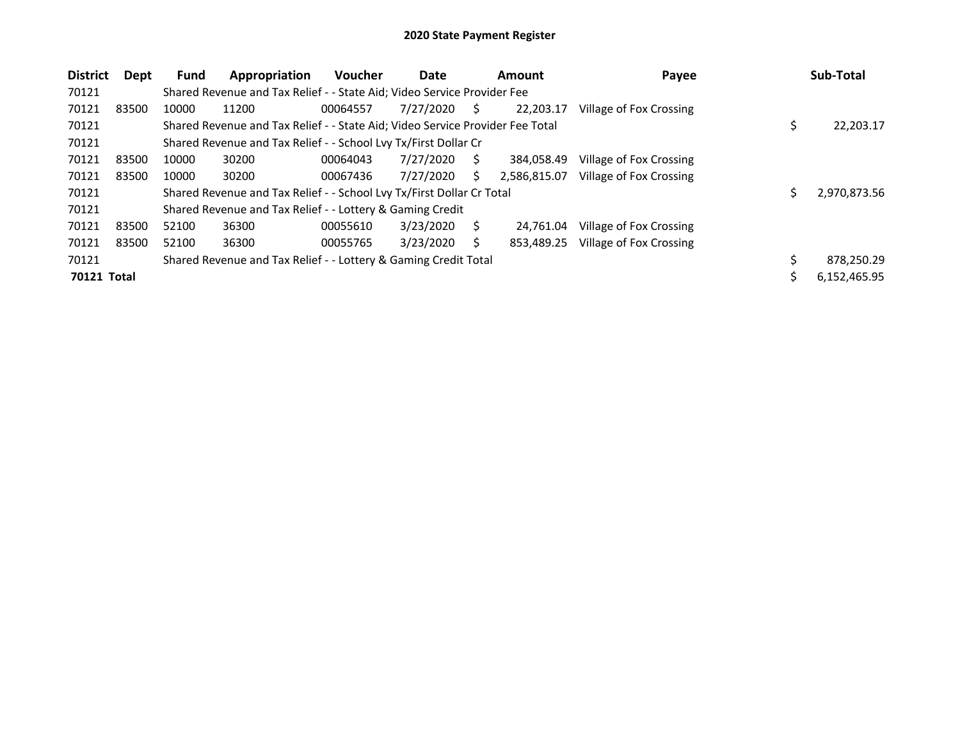| <b>District</b> | Dept  | <b>Fund</b> | Appropriation                                                                 | <b>Voucher</b> | Date      |    | Amount       | Payee                   | Sub-Total       |
|-----------------|-------|-------------|-------------------------------------------------------------------------------|----------------|-----------|----|--------------|-------------------------|-----------------|
| 70121           |       |             | Shared Revenue and Tax Relief - - State Aid; Video Service Provider Fee       |                |           |    |              |                         |                 |
| 70121           | 83500 | 10000       | 11200                                                                         | 00064557       | 7/27/2020 | S. | 22.203.17    | Village of Fox Crossing |                 |
| 70121           |       |             | Shared Revenue and Tax Relief - - State Aid; Video Service Provider Fee Total |                |           |    |              |                         | \$<br>22,203.17 |
| 70121           |       |             | Shared Revenue and Tax Relief - - School Lvy Tx/First Dollar Cr               |                |           |    |              |                         |                 |
| 70121           | 83500 | 10000       | 30200                                                                         | 00064043       | 7/27/2020 | Ś. | 384.058.49   | Village of Fox Crossing |                 |
| 70121           | 83500 | 10000       | 30200                                                                         | 00067436       | 7/27/2020 | Ś  | 2,586,815.07 | Village of Fox Crossing |                 |
| 70121           |       |             | Shared Revenue and Tax Relief - - School Lvy Tx/First Dollar Cr Total         |                |           |    |              |                         | 2,970,873.56    |
| 70121           |       |             | Shared Revenue and Tax Relief - - Lottery & Gaming Credit                     |                |           |    |              |                         |                 |
| 70121           | 83500 | 52100       | 36300                                                                         | 00055610       | 3/23/2020 | S  | 24.761.04    | Village of Fox Crossing |                 |
| 70121           | 83500 | 52100       | 36300                                                                         | 00055765       | 3/23/2020 |    | 853,489.25   | Village of Fox Crossing |                 |
| 70121           |       |             | Shared Revenue and Tax Relief - - Lottery & Gaming Credit Total               |                |           |    |              |                         | 878,250.29      |
| 70121 Total     |       |             |                                                                               |                |           |    |              |                         | 6,152,465.95    |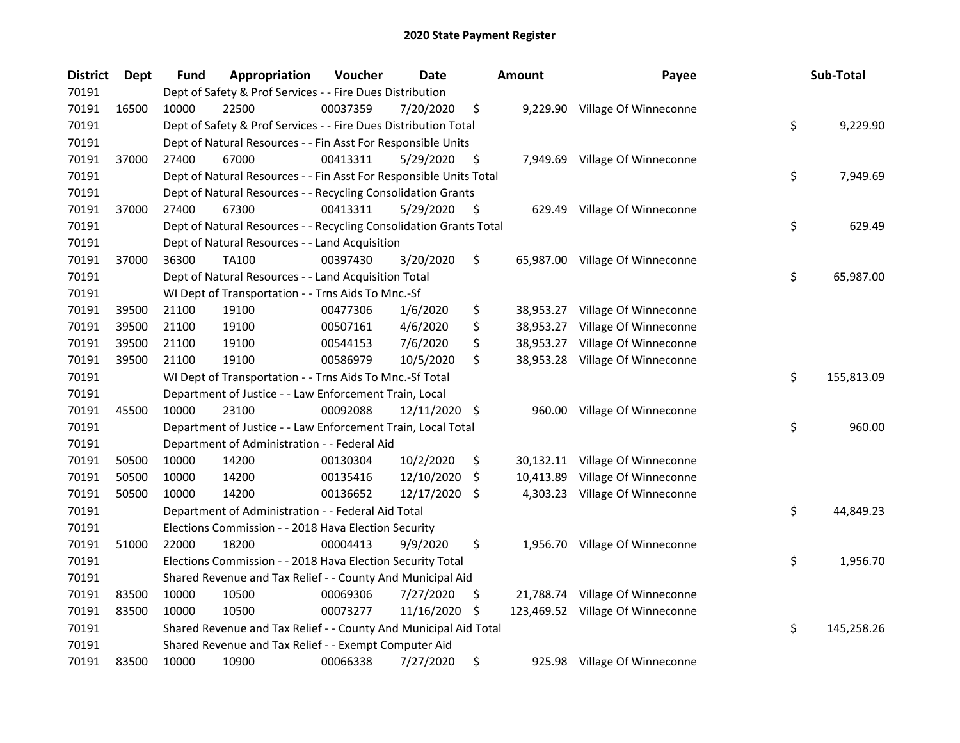| <b>District</b> | <b>Dept</b> | <b>Fund</b> | Appropriation                                                      | Voucher  | Date       | <b>Amount</b>   | Payee                            | Sub-Total        |
|-----------------|-------------|-------------|--------------------------------------------------------------------|----------|------------|-----------------|----------------------------------|------------------|
| 70191           |             |             | Dept of Safety & Prof Services - - Fire Dues Distribution          |          |            |                 |                                  |                  |
| 70191           | 16500       | 10000       | 22500                                                              | 00037359 | 7/20/2020  | \$              | 9,229.90 Village Of Winneconne   |                  |
| 70191           |             |             | Dept of Safety & Prof Services - - Fire Dues Distribution Total    |          |            |                 |                                  | \$<br>9,229.90   |
| 70191           |             |             | Dept of Natural Resources - - Fin Asst For Responsible Units       |          |            |                 |                                  |                  |
| 70191           | 37000       | 27400       | 67000                                                              | 00413311 | 5/29/2020  | \$              | 7,949.69 Village Of Winneconne   |                  |
| 70191           |             |             | Dept of Natural Resources - - Fin Asst For Responsible Units Total |          |            |                 |                                  | \$<br>7,949.69   |
| 70191           |             |             | Dept of Natural Resources - - Recycling Consolidation Grants       |          |            |                 |                                  |                  |
| 70191           | 37000       | 27400       | 67300                                                              | 00413311 | 5/29/2020  | \$              | 629.49 Village Of Winneconne     |                  |
| 70191           |             |             | Dept of Natural Resources - - Recycling Consolidation Grants Total |          |            |                 |                                  | \$<br>629.49     |
| 70191           |             |             | Dept of Natural Resources - - Land Acquisition                     |          |            |                 |                                  |                  |
| 70191           | 37000       | 36300       | TA100                                                              | 00397430 | 3/20/2020  | \$              | 65,987.00 Village Of Winneconne  |                  |
| 70191           |             |             | Dept of Natural Resources - - Land Acquisition Total               |          |            |                 |                                  | \$<br>65,987.00  |
| 70191           |             |             | WI Dept of Transportation - - Trns Aids To Mnc.-Sf                 |          |            |                 |                                  |                  |
| 70191           | 39500       | 21100       | 19100                                                              | 00477306 | 1/6/2020   | \$              | 38,953.27 Village Of Winneconne  |                  |
| 70191           | 39500       | 21100       | 19100                                                              | 00507161 | 4/6/2020   | \$<br>38,953.27 | Village Of Winneconne            |                  |
| 70191           | 39500       | 21100       | 19100                                                              | 00544153 | 7/6/2020   | \$<br>38,953.27 | Village Of Winneconne            |                  |
| 70191           | 39500       | 21100       | 19100                                                              | 00586979 | 10/5/2020  | \$              | 38,953.28 Village Of Winneconne  |                  |
| 70191           |             |             | WI Dept of Transportation - - Trns Aids To Mnc.-Sf Total           |          |            |                 |                                  | \$<br>155,813.09 |
| 70191           |             |             | Department of Justice - - Law Enforcement Train, Local             |          |            |                 |                                  |                  |
| 70191           | 45500       | 10000       | 23100                                                              | 00092088 | 12/11/2020 | \$<br>960.00    | Village Of Winneconne            |                  |
| 70191           |             |             | Department of Justice - - Law Enforcement Train, Local Total       |          |            |                 |                                  | \$<br>960.00     |
| 70191           |             |             | Department of Administration - - Federal Aid                       |          |            |                 |                                  |                  |
| 70191           | 50500       | 10000       | 14200                                                              | 00130304 | 10/2/2020  | \$              | 30,132.11 Village Of Winneconne  |                  |
| 70191           | 50500       | 10000       | 14200                                                              | 00135416 | 12/10/2020 | \$<br>10,413.89 | Village Of Winneconne            |                  |
| 70191           | 50500       | 10000       | 14200                                                              | 00136652 | 12/17/2020 | \$              | 4,303.23 Village Of Winneconne   |                  |
| 70191           |             |             | Department of Administration - - Federal Aid Total                 |          |            |                 |                                  | \$<br>44,849.23  |
| 70191           |             |             | Elections Commission - - 2018 Hava Election Security               |          |            |                 |                                  |                  |
| 70191           | 51000       | 22000       | 18200                                                              | 00004413 | 9/9/2020   | \$              | 1,956.70 Village Of Winneconne   |                  |
| 70191           |             |             | Elections Commission - - 2018 Hava Election Security Total         |          |            |                 |                                  | \$<br>1,956.70   |
| 70191           |             |             | Shared Revenue and Tax Relief - - County And Municipal Aid         |          |            |                 |                                  |                  |
| 70191           | 83500       | 10000       | 10500                                                              | 00069306 | 7/27/2020  | \$              | 21,788.74 Village Of Winneconne  |                  |
| 70191           | 83500       | 10000       | 10500                                                              | 00073277 | 11/16/2020 | \$              | 123,469.52 Village Of Winneconne |                  |
| 70191           |             |             | Shared Revenue and Tax Relief - - County And Municipal Aid Total   |          |            |                 |                                  | \$<br>145,258.26 |
| 70191           |             |             | Shared Revenue and Tax Relief - - Exempt Computer Aid              |          |            |                 |                                  |                  |
| 70191           | 83500       | 10000       | 10900                                                              | 00066338 | 7/27/2020  | \$              | 925.98 Village Of Winneconne     |                  |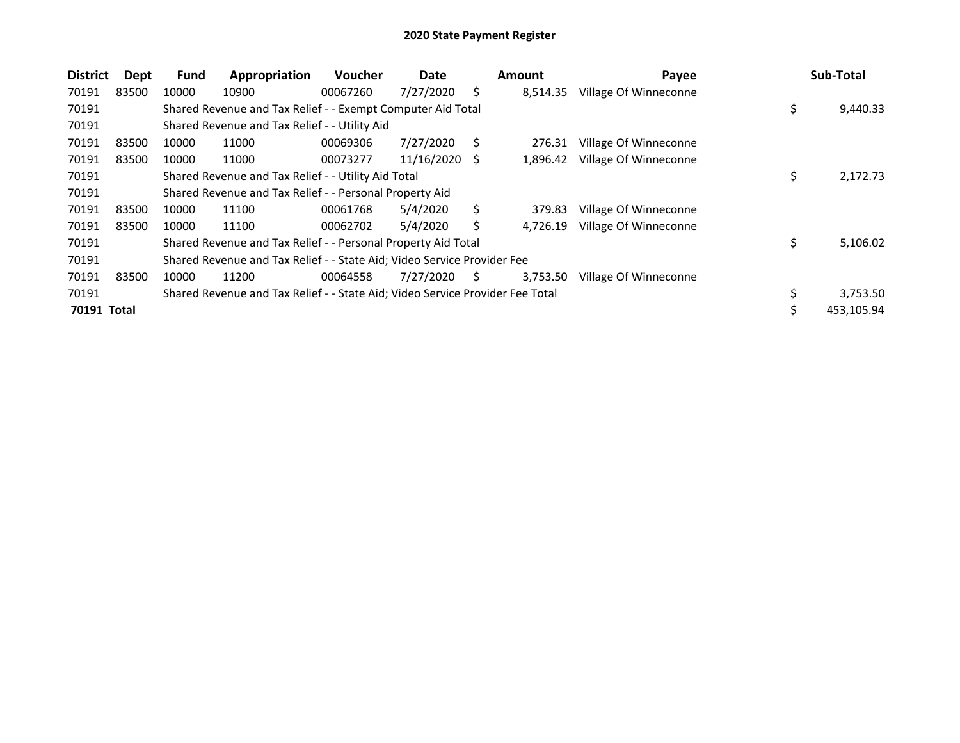| <b>District</b>    | Dept  | Fund  | Appropriation                                                                 | <b>Voucher</b> | Date       |    | Amount   | Payee                 |    | Sub-Total  |
|--------------------|-------|-------|-------------------------------------------------------------------------------|----------------|------------|----|----------|-----------------------|----|------------|
| 70191              | 83500 | 10000 | 10900                                                                         | 00067260       | 7/27/2020  | Ś  | 8,514.35 | Village Of Winneconne |    |            |
| 70191              |       |       | Shared Revenue and Tax Relief - - Exempt Computer Aid Total                   |                |            |    |          |                       | \$ | 9,440.33   |
| 70191              |       |       | Shared Revenue and Tax Relief - - Utility Aid                                 |                |            |    |          |                       |    |            |
| 70191              | 83500 | 10000 | 11000                                                                         | 00069306       | 7/27/2020  | Ś  | 276.31   | Village Of Winneconne |    |            |
| 70191              | 83500 | 10000 | 11000                                                                         | 00073277       | 11/16/2020 | S  | 1,896.42 | Village Of Winneconne |    |            |
| 70191              |       |       | Shared Revenue and Tax Relief - - Utility Aid Total                           |                |            |    |          |                       | \$ | 2,172.73   |
| 70191              |       |       | Shared Revenue and Tax Relief - - Personal Property Aid                       |                |            |    |          |                       |    |            |
| 70191              | 83500 | 10000 | 11100                                                                         | 00061768       | 5/4/2020   | Ś  | 379.83   | Village Of Winneconne |    |            |
| 70191              | 83500 | 10000 | 11100                                                                         | 00062702       | 5/4/2020   | Ś  | 4,726.19 | Village Of Winneconne |    |            |
| 70191              |       |       | Shared Revenue and Tax Relief - - Personal Property Aid Total                 |                |            |    |          |                       | \$ | 5,106.02   |
| 70191              |       |       | Shared Revenue and Tax Relief - - State Aid; Video Service Provider Fee       |                |            |    |          |                       |    |            |
| 70191              | 83500 | 10000 | 11200                                                                         | 00064558       | 7/27/2020  | S. | 3,753.50 | Village Of Winneconne |    |            |
| 70191              |       |       | Shared Revenue and Tax Relief - - State Aid; Video Service Provider Fee Total |                |            |    |          |                       | Ç  | 3,753.50   |
| <b>70191 Total</b> |       |       |                                                                               |                |            |    |          |                       |    | 453,105.94 |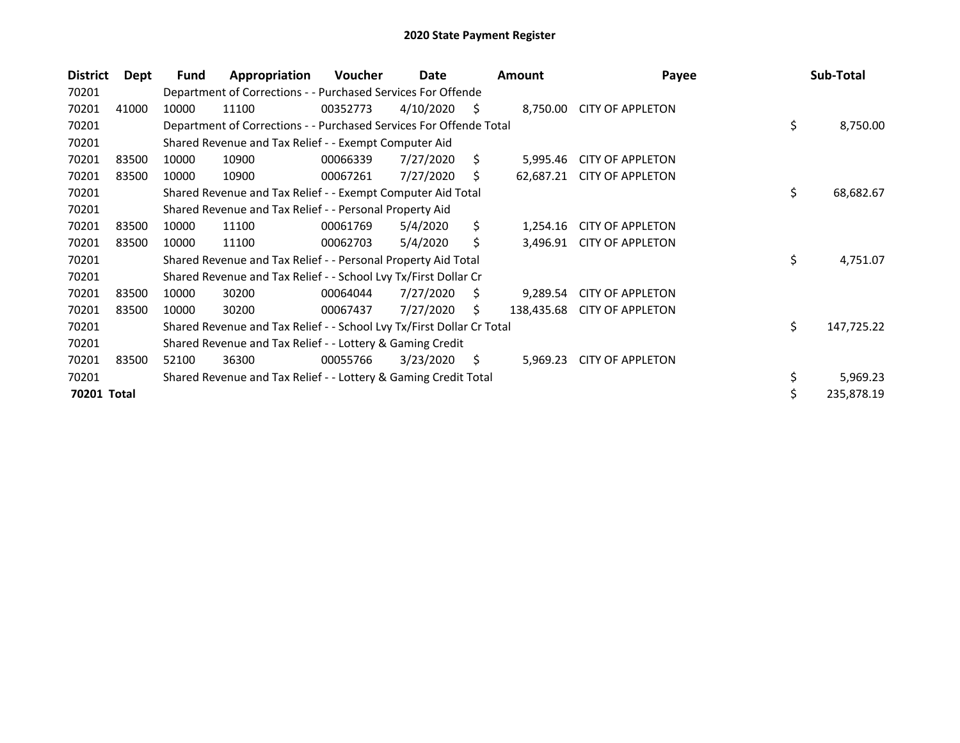| <b>District</b> | Dept  | Fund  | Appropriation                                                         | <b>Voucher</b> | Date      |     | <b>Amount</b> | Payee                   | Sub-Total        |
|-----------------|-------|-------|-----------------------------------------------------------------------|----------------|-----------|-----|---------------|-------------------------|------------------|
| 70201           |       |       | Department of Corrections - - Purchased Services For Offende          |                |           |     |               |                         |                  |
| 70201           | 41000 | 10000 | 11100                                                                 | 00352773       | 4/10/2020 | S   | 8,750.00      | <b>CITY OF APPLETON</b> |                  |
| 70201           |       |       | Department of Corrections - - Purchased Services For Offende Total    |                |           |     |               |                         | \$<br>8,750.00   |
| 70201           |       |       | Shared Revenue and Tax Relief - - Exempt Computer Aid                 |                |           |     |               |                         |                  |
| 70201           | 83500 | 10000 | 10900                                                                 | 00066339       | 7/27/2020 | Ś.  | 5,995.46      | <b>CITY OF APPLETON</b> |                  |
| 70201           | 83500 | 10000 | 10900                                                                 | 00067261       | 7/27/2020 | S   | 62,687.21     | <b>CITY OF APPLETON</b> |                  |
| 70201           |       |       | Shared Revenue and Tax Relief - - Exempt Computer Aid Total           |                |           |     |               |                         | \$<br>68,682.67  |
| 70201           |       |       | Shared Revenue and Tax Relief - - Personal Property Aid               |                |           |     |               |                         |                  |
| 70201           | 83500 | 10000 | 11100                                                                 | 00061769       | 5/4/2020  | \$. | 1,254.16      | <b>CITY OF APPLETON</b> |                  |
| 70201           | 83500 | 10000 | 11100                                                                 | 00062703       | 5/4/2020  | \$  | 3,496.91      | <b>CITY OF APPLETON</b> |                  |
| 70201           |       |       | Shared Revenue and Tax Relief - - Personal Property Aid Total         |                |           |     |               |                         | \$<br>4,751.07   |
| 70201           |       |       | Shared Revenue and Tax Relief - - School Lvy Tx/First Dollar Cr       |                |           |     |               |                         |                  |
| 70201           | 83500 | 10000 | 30200                                                                 | 00064044       | 7/27/2020 | S   | 9,289.54      | <b>CITY OF APPLETON</b> |                  |
| 70201           | 83500 | 10000 | 30200                                                                 | 00067437       | 7/27/2020 | S.  | 138,435.68    | <b>CITY OF APPLETON</b> |                  |
| 70201           |       |       | Shared Revenue and Tax Relief - - School Lvy Tx/First Dollar Cr Total |                |           |     |               |                         | \$<br>147,725.22 |
| 70201           |       |       | Shared Revenue and Tax Relief - - Lottery & Gaming Credit             |                |           |     |               |                         |                  |
| 70201           | 83500 | 52100 | 36300                                                                 | 00055766       | 3/23/2020 | S   | 5,969.23      | <b>CITY OF APPLETON</b> |                  |
| 70201           |       |       | Shared Revenue and Tax Relief - - Lottery & Gaming Credit Total       |                |           |     |               |                         | \$<br>5,969.23   |
| 70201 Total     |       |       |                                                                       |                |           |     |               |                         | \$<br>235,878.19 |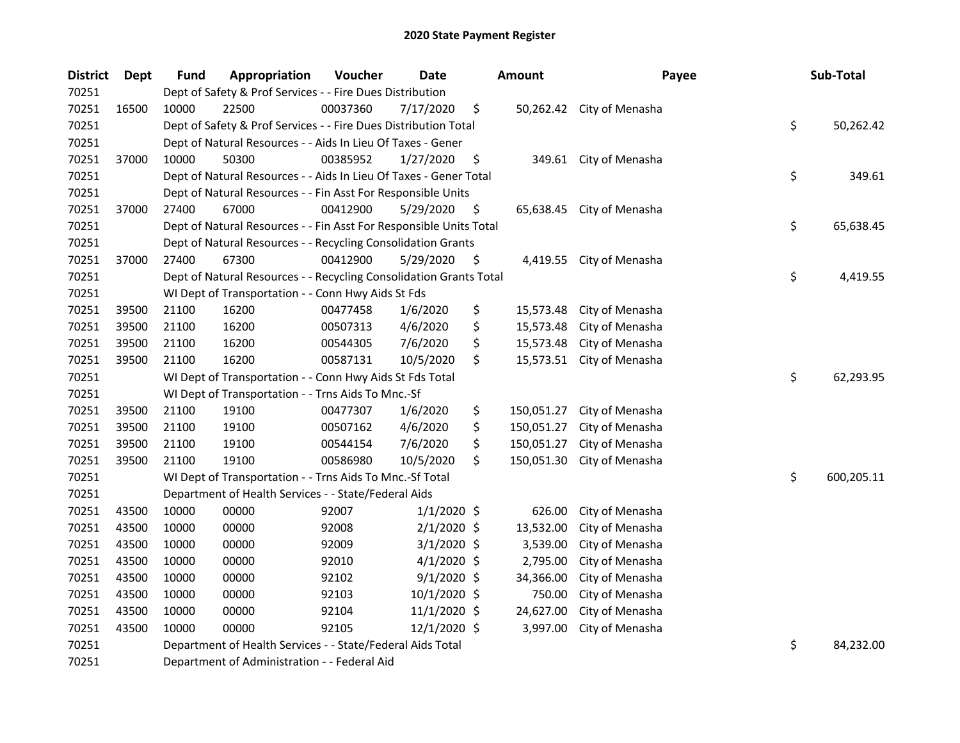| <b>District</b> | <b>Dept</b> | Fund  | Appropriation                                                      | Voucher  | <b>Date</b>   | <b>Amount</b>    | Payee                     | Sub-Total        |
|-----------------|-------------|-------|--------------------------------------------------------------------|----------|---------------|------------------|---------------------------|------------------|
| 70251           |             |       | Dept of Safety & Prof Services - - Fire Dues Distribution          |          |               |                  |                           |                  |
| 70251           | 16500       | 10000 | 22500                                                              | 00037360 | 7/17/2020     | \$               | 50,262.42 City of Menasha |                  |
| 70251           |             |       | Dept of Safety & Prof Services - - Fire Dues Distribution Total    |          |               |                  |                           | \$<br>50,262.42  |
| 70251           |             |       | Dept of Natural Resources - - Aids In Lieu Of Taxes - Gener        |          |               |                  |                           |                  |
| 70251           | 37000       | 10000 | 50300                                                              | 00385952 | 1/27/2020     | \$               | 349.61 City of Menasha    |                  |
| 70251           |             |       | Dept of Natural Resources - - Aids In Lieu Of Taxes - Gener Total  |          |               |                  |                           | \$<br>349.61     |
| 70251           |             |       | Dept of Natural Resources - - Fin Asst For Responsible Units       |          |               |                  |                           |                  |
| 70251           | 37000       | 27400 | 67000                                                              | 00412900 | 5/29/2020     | \$               | 65,638.45 City of Menasha |                  |
| 70251           |             |       | Dept of Natural Resources - - Fin Asst For Responsible Units Total |          |               |                  |                           | \$<br>65,638.45  |
| 70251           |             |       | Dept of Natural Resources - - Recycling Consolidation Grants       |          |               |                  |                           |                  |
| 70251           | 37000       | 27400 | 67300                                                              | 00412900 | 5/29/2020     | \$<br>4,419.55   | City of Menasha           |                  |
| 70251           |             |       | Dept of Natural Resources - - Recycling Consolidation Grants Total |          |               |                  |                           | \$<br>4,419.55   |
| 70251           |             |       | WI Dept of Transportation - - Conn Hwy Aids St Fds                 |          |               |                  |                           |                  |
| 70251           | 39500       | 21100 | 16200                                                              | 00477458 | 1/6/2020      | \$<br>15,573.48  | City of Menasha           |                  |
| 70251           | 39500       | 21100 | 16200                                                              | 00507313 | 4/6/2020      | \$<br>15,573.48  | City of Menasha           |                  |
| 70251           | 39500       | 21100 | 16200                                                              | 00544305 | 7/6/2020      | \$<br>15,573.48  | City of Menasha           |                  |
| 70251           | 39500       | 21100 | 16200                                                              | 00587131 | 10/5/2020     | \$<br>15,573.51  | City of Menasha           |                  |
| 70251           |             |       | WI Dept of Transportation - - Conn Hwy Aids St Fds Total           |          |               |                  |                           | \$<br>62,293.95  |
| 70251           |             |       | WI Dept of Transportation - - Trns Aids To Mnc.-Sf                 |          |               |                  |                           |                  |
| 70251           | 39500       | 21100 | 19100                                                              | 00477307 | 1/6/2020      | \$<br>150,051.27 | City of Menasha           |                  |
| 70251           | 39500       | 21100 | 19100                                                              | 00507162 | 4/6/2020      | \$<br>150,051.27 | City of Menasha           |                  |
| 70251           | 39500       | 21100 | 19100                                                              | 00544154 | 7/6/2020      | \$<br>150,051.27 | City of Menasha           |                  |
| 70251           | 39500       | 21100 | 19100                                                              | 00586980 | 10/5/2020     | \$<br>150,051.30 | City of Menasha           |                  |
| 70251           |             |       | WI Dept of Transportation - - Trns Aids To Mnc.-Sf Total           |          |               |                  |                           | \$<br>600,205.11 |
| 70251           |             |       | Department of Health Services - - State/Federal Aids               |          |               |                  |                           |                  |
| 70251           | 43500       | 10000 | 00000                                                              | 92007    | $1/1/2020$ \$ | 626.00           | City of Menasha           |                  |
| 70251           | 43500       | 10000 | 00000                                                              | 92008    | 2/1/2020 \$   | 13,532.00        | City of Menasha           |                  |
| 70251           | 43500       | 10000 | 00000                                                              | 92009    | $3/1/2020$ \$ | 3,539.00         | City of Menasha           |                  |
| 70251           | 43500       | 10000 | 00000                                                              | 92010    | $4/1/2020$ \$ | 2,795.00         | City of Menasha           |                  |
| 70251           | 43500       | 10000 | 00000                                                              | 92102    | $9/1/2020$ \$ | 34,366.00        | City of Menasha           |                  |
| 70251           | 43500       | 10000 | 00000                                                              | 92103    | 10/1/2020 \$  | 750.00           | City of Menasha           |                  |
| 70251           | 43500       | 10000 | 00000                                                              | 92104    | 11/1/2020 \$  | 24,627.00        | City of Menasha           |                  |
| 70251           | 43500       | 10000 | 00000                                                              | 92105    | 12/1/2020 \$  | 3,997.00         | City of Menasha           |                  |
| 70251           |             |       | Department of Health Services - - State/Federal Aids Total         |          |               |                  |                           | \$<br>84,232.00  |
| 70251           |             |       | Department of Administration - - Federal Aid                       |          |               |                  |                           |                  |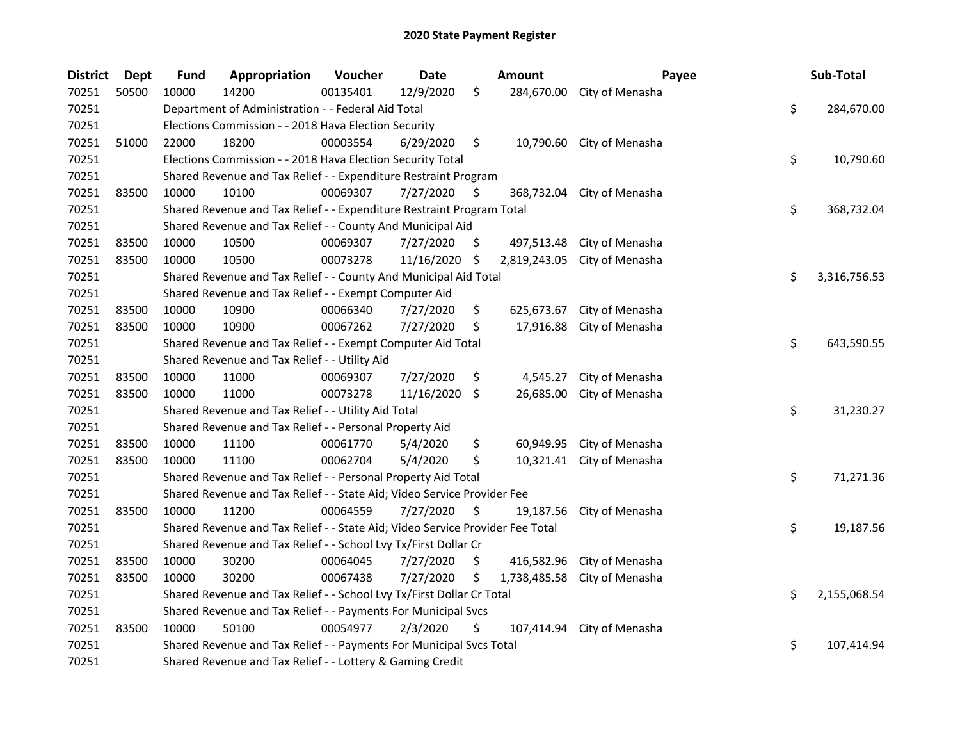| <b>District</b> | <b>Dept</b> | Fund  | Appropriation                                                                 | Voucher  | <b>Date</b> |     | <b>Amount</b> | Payee                     | Sub-Total          |
|-----------------|-------------|-------|-------------------------------------------------------------------------------|----------|-------------|-----|---------------|---------------------------|--------------------|
| 70251           | 50500       | 10000 | 14200                                                                         | 00135401 | 12/9/2020   | \$  | 284,670.00    | City of Menasha           |                    |
| 70251           |             |       | Department of Administration - - Federal Aid Total                            |          |             |     |               |                           | \$<br>284,670.00   |
| 70251           |             |       | Elections Commission - - 2018 Hava Election Security                          |          |             |     |               |                           |                    |
| 70251           | 51000       | 22000 | 18200                                                                         | 00003554 | 6/29/2020   | \$  | 10,790.60     | City of Menasha           |                    |
| 70251           |             |       | Elections Commission - - 2018 Hava Election Security Total                    |          |             |     |               |                           | \$<br>10,790.60    |
| 70251           |             |       | Shared Revenue and Tax Relief - - Expenditure Restraint Program               |          |             |     |               |                           |                    |
| 70251           | 83500       | 10000 | 10100                                                                         | 00069307 | 7/27/2020   | \$. | 368,732.04    | City of Menasha           |                    |
| 70251           |             |       | Shared Revenue and Tax Relief - - Expenditure Restraint Program Total         |          |             |     |               |                           | \$<br>368,732.04   |
| 70251           |             |       | Shared Revenue and Tax Relief - - County And Municipal Aid                    |          |             |     |               |                           |                    |
| 70251           | 83500       | 10000 | 10500                                                                         | 00069307 | 7/27/2020   | \$  | 497,513.48    | City of Menasha           |                    |
| 70251           | 83500       | 10000 | 10500                                                                         | 00073278 | 11/16/2020  | \$. | 2,819,243.05  | City of Menasha           |                    |
| 70251           |             |       | Shared Revenue and Tax Relief - - County And Municipal Aid Total              |          |             |     |               |                           | \$<br>3,316,756.53 |
| 70251           |             |       | Shared Revenue and Tax Relief - - Exempt Computer Aid                         |          |             |     |               |                           |                    |
| 70251           | 83500       | 10000 | 10900                                                                         | 00066340 | 7/27/2020   | \$  | 625,673.67    | City of Menasha           |                    |
| 70251           | 83500       | 10000 | 10900                                                                         | 00067262 | 7/27/2020   | \$  | 17,916.88     | City of Menasha           |                    |
| 70251           |             |       | Shared Revenue and Tax Relief - - Exempt Computer Aid Total                   |          |             |     |               |                           | \$<br>643,590.55   |
| 70251           |             |       | Shared Revenue and Tax Relief - - Utility Aid                                 |          |             |     |               |                           |                    |
| 70251           | 83500       | 10000 | 11000                                                                         | 00069307 | 7/27/2020   | \$  | 4,545.27      | City of Menasha           |                    |
| 70251           | 83500       | 10000 | 11000                                                                         | 00073278 | 11/16/2020  | \$  | 26,685.00     | City of Menasha           |                    |
| 70251           |             |       | Shared Revenue and Tax Relief - - Utility Aid Total                           |          |             |     |               |                           | \$<br>31,230.27    |
| 70251           |             |       | Shared Revenue and Tax Relief - - Personal Property Aid                       |          |             |     |               |                           |                    |
| 70251           | 83500       | 10000 | 11100                                                                         | 00061770 | 5/4/2020    | \$  | 60,949.95     | City of Menasha           |                    |
| 70251           | 83500       | 10000 | 11100                                                                         | 00062704 | 5/4/2020    | \$  |               | 10,321.41 City of Menasha |                    |
| 70251           |             |       | Shared Revenue and Tax Relief - - Personal Property Aid Total                 |          |             |     |               |                           | \$<br>71,271.36    |
| 70251           |             |       | Shared Revenue and Tax Relief - - State Aid; Video Service Provider Fee       |          |             |     |               |                           |                    |
| 70251           | 83500       | 10000 | 11200                                                                         | 00064559 | 7/27/2020   | \$  | 19,187.56     | City of Menasha           |                    |
| 70251           |             |       | Shared Revenue and Tax Relief - - State Aid; Video Service Provider Fee Total |          |             |     |               |                           | \$<br>19,187.56    |
| 70251           |             |       | Shared Revenue and Tax Relief - - School Lvy Tx/First Dollar Cr               |          |             |     |               |                           |                    |
| 70251           | 83500       | 10000 | 30200                                                                         | 00064045 | 7/27/2020   | \$  | 416,582.96    | City of Menasha           |                    |
| 70251           | 83500       | 10000 | 30200                                                                         | 00067438 | 7/27/2020   | \$  | 1,738,485.58  | City of Menasha           |                    |
| 70251           |             |       | Shared Revenue and Tax Relief - - School Lvy Tx/First Dollar Cr Total         |          |             |     |               |                           | \$<br>2,155,068.54 |
| 70251           |             |       | Shared Revenue and Tax Relief - - Payments For Municipal Svcs                 |          |             |     |               |                           |                    |
| 70251           | 83500       | 10000 | 50100                                                                         | 00054977 | 2/3/2020    | \$  | 107,414.94    | City of Menasha           |                    |
| 70251           |             |       | Shared Revenue and Tax Relief - - Payments For Municipal Svcs Total           |          |             |     |               |                           | \$<br>107,414.94   |
| 70251           |             |       | Shared Revenue and Tax Relief - - Lottery & Gaming Credit                     |          |             |     |               |                           |                    |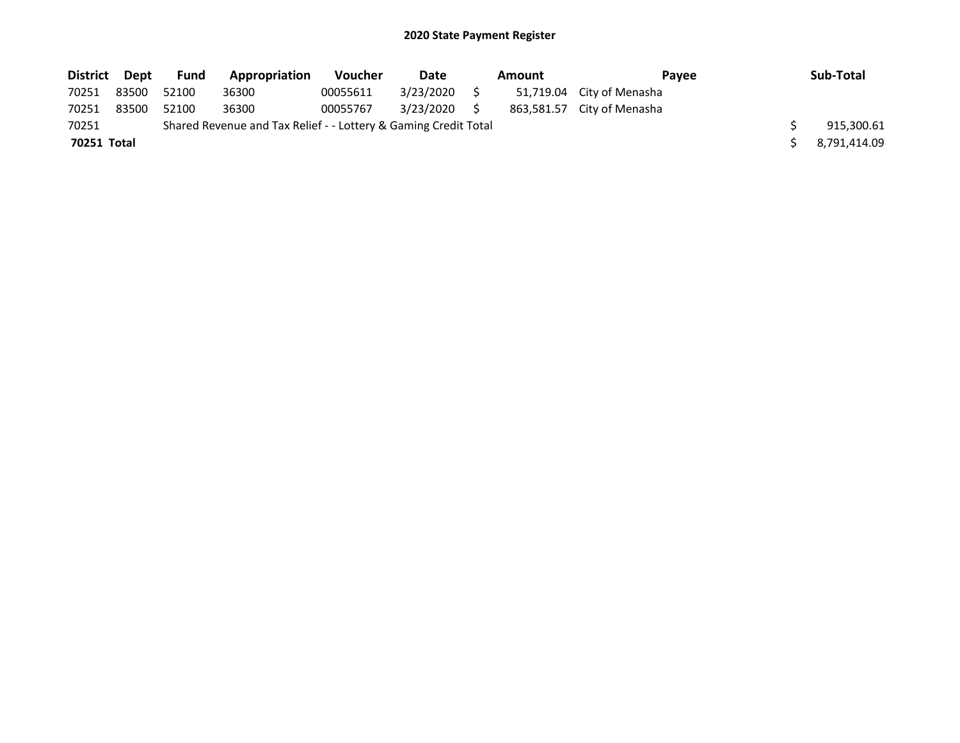| <b>District</b> | Dept  | Fund  | Appropriation                                                   | <b>Voucher</b> | Date      | <b>Amount</b> | Pavee                      | Sub-Total    |
|-----------------|-------|-------|-----------------------------------------------------------------|----------------|-----------|---------------|----------------------------|--------------|
| 70251           | 83500 | 52100 | 36300                                                           | 00055611       | 3/23/2020 |               | 51,719.04 City of Menasha  |              |
| 70251           | 83500 | 52100 | 36300                                                           | 00055767       | 3/23/2020 |               | 863,581.57 City of Menasha |              |
| 70251           |       |       | Shared Revenue and Tax Relief - - Lottery & Gaming Credit Total |                |           |               |                            | 915,300.61   |
| 70251 Total     |       |       |                                                                 |                |           |               |                            | 8,791,414.09 |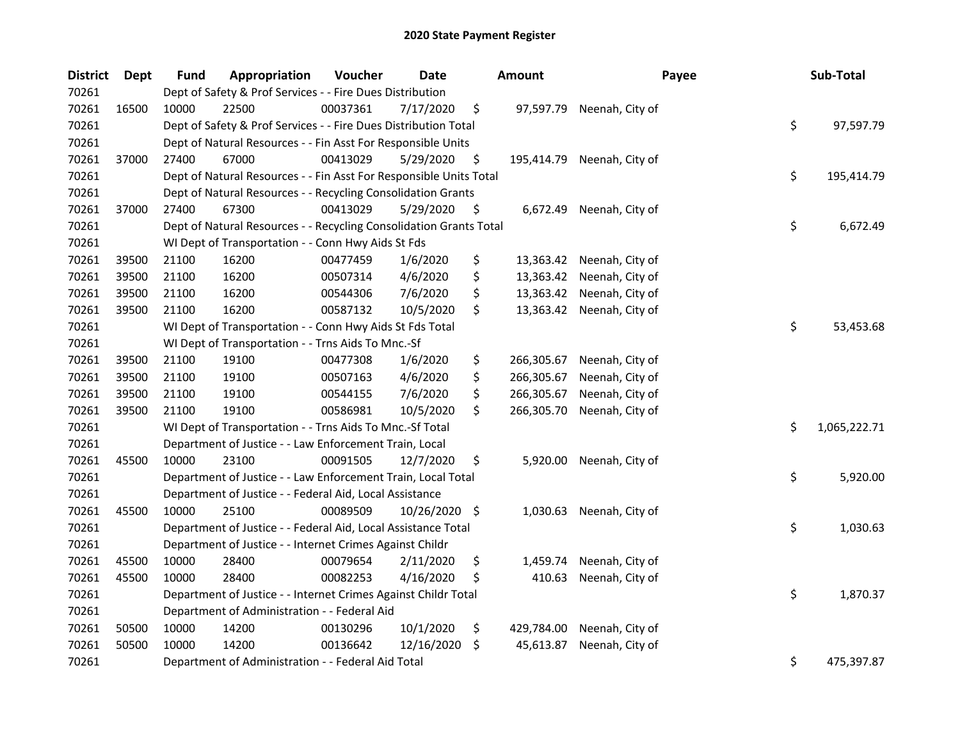| <b>District</b> | <b>Dept</b> | <b>Fund</b> | Appropriation                                                      | Voucher  | <b>Date</b>   | <b>Amount</b>    | Payee                      | Sub-Total          |
|-----------------|-------------|-------------|--------------------------------------------------------------------|----------|---------------|------------------|----------------------------|--------------------|
| 70261           |             |             | Dept of Safety & Prof Services - - Fire Dues Distribution          |          |               |                  |                            |                    |
| 70261           | 16500       | 10000       | 22500                                                              | 00037361 | 7/17/2020     | \$<br>97,597.79  | Neenah, City of            |                    |
| 70261           |             |             | Dept of Safety & Prof Services - - Fire Dues Distribution Total    |          |               |                  |                            | \$<br>97,597.79    |
| 70261           |             |             | Dept of Natural Resources - - Fin Asst For Responsible Units       |          |               |                  |                            |                    |
| 70261           | 37000       | 27400       | 67000                                                              | 00413029 | 5/29/2020     | \$               | 195,414.79 Neenah, City of |                    |
| 70261           |             |             | Dept of Natural Resources - - Fin Asst For Responsible Units Total |          |               |                  |                            | \$<br>195,414.79   |
| 70261           |             |             | Dept of Natural Resources - - Recycling Consolidation Grants       |          |               |                  |                            |                    |
| 70261           | 37000       | 27400       | 67300                                                              | 00413029 | 5/29/2020     | \$               | 6,672.49 Neenah, City of   |                    |
| 70261           |             |             | Dept of Natural Resources - - Recycling Consolidation Grants Total |          |               |                  |                            | \$<br>6,672.49     |
| 70261           |             |             | WI Dept of Transportation - - Conn Hwy Aids St Fds                 |          |               |                  |                            |                    |
| 70261           | 39500       | 21100       | 16200                                                              | 00477459 | 1/6/2020      | \$               | 13,363.42 Neenah, City of  |                    |
| 70261           | 39500       | 21100       | 16200                                                              | 00507314 | 4/6/2020      | \$               | 13,363.42 Neenah, City of  |                    |
| 70261           | 39500       | 21100       | 16200                                                              | 00544306 | 7/6/2020      | \$               | 13,363.42 Neenah, City of  |                    |
| 70261           | 39500       | 21100       | 16200                                                              | 00587132 | 10/5/2020     | \$<br>13,363.42  | Neenah, City of            |                    |
| 70261           |             |             | WI Dept of Transportation - - Conn Hwy Aids St Fds Total           |          |               |                  |                            | \$<br>53,453.68    |
| 70261           |             |             | WI Dept of Transportation - - Trns Aids To Mnc.-Sf                 |          |               |                  |                            |                    |
| 70261           | 39500       | 21100       | 19100                                                              | 00477308 | 1/6/2020      | \$<br>266,305.67 | Neenah, City of            |                    |
| 70261           | 39500       | 21100       | 19100                                                              | 00507163 | 4/6/2020      | \$<br>266,305.67 | Neenah, City of            |                    |
| 70261           | 39500       | 21100       | 19100                                                              | 00544155 | 7/6/2020      | \$<br>266,305.67 | Neenah, City of            |                    |
| 70261           | 39500       | 21100       | 19100                                                              | 00586981 | 10/5/2020     | \$<br>266,305.70 | Neenah, City of            |                    |
| 70261           |             |             | WI Dept of Transportation - - Trns Aids To Mnc.-Sf Total           |          |               |                  |                            | \$<br>1,065,222.71 |
| 70261           |             |             | Department of Justice - - Law Enforcement Train, Local             |          |               |                  |                            |                    |
| 70261           | 45500       | 10000       | 23100                                                              | 00091505 | 12/7/2020     | \$<br>5,920.00   | Neenah, City of            |                    |
| 70261           |             |             | Department of Justice - - Law Enforcement Train, Local Total       |          |               |                  |                            | \$<br>5,920.00     |
| 70261           |             |             | Department of Justice - - Federal Aid, Local Assistance            |          |               |                  |                            |                    |
| 70261           | 45500       | 10000       | 25100                                                              | 00089509 | 10/26/2020 \$ |                  | 1,030.63 Neenah, City of   |                    |
| 70261           |             |             | Department of Justice - - Federal Aid, Local Assistance Total      |          |               |                  |                            | \$<br>1,030.63     |
| 70261           |             |             | Department of Justice - - Internet Crimes Against Childr           |          |               |                  |                            |                    |
| 70261           | 45500       | 10000       | 28400                                                              | 00079654 | 2/11/2020     | \$<br>1,459.74   | Neenah, City of            |                    |
| 70261           | 45500       | 10000       | 28400                                                              | 00082253 | 4/16/2020     | \$<br>410.63     | Neenah, City of            |                    |
| 70261           |             |             | Department of Justice - - Internet Crimes Against Childr Total     |          |               |                  |                            | \$<br>1,870.37     |
| 70261           |             |             | Department of Administration - - Federal Aid                       |          |               |                  |                            |                    |
| 70261           | 50500       | 10000       | 14200                                                              | 00130296 | 10/1/2020     | \$<br>429,784.00 | Neenah, City of            |                    |
| 70261           | 50500       | 10000       | 14200                                                              | 00136642 | 12/16/2020    | \$<br>45,613.87  | Neenah, City of            |                    |
| 70261           |             |             | Department of Administration - - Federal Aid Total                 |          |               |                  |                            | \$<br>475,397.87   |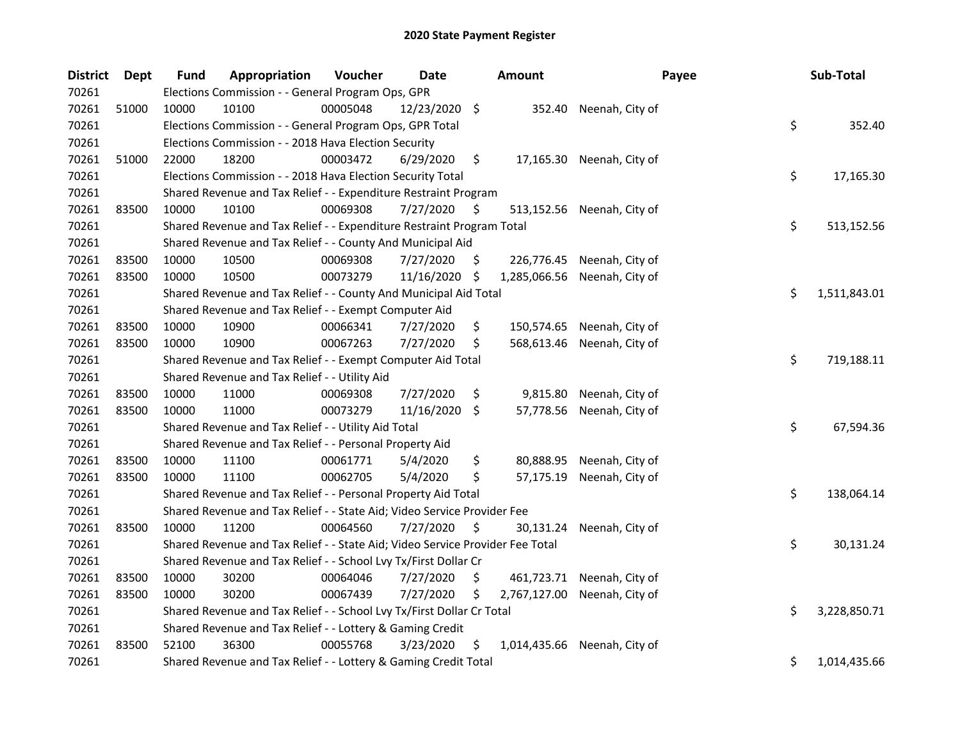| <b>District</b> | <b>Dept</b> | <b>Fund</b> | Appropriation                                                                 | Voucher  | Date          |     | Amount       | Payee                      | Sub-Total          |
|-----------------|-------------|-------------|-------------------------------------------------------------------------------|----------|---------------|-----|--------------|----------------------------|--------------------|
| 70261           |             |             | Elections Commission - - General Program Ops, GPR                             |          |               |     |              |                            |                    |
| 70261           | 51000       | 10000       | 10100                                                                         | 00005048 | 12/23/2020 \$ |     | 352.40       | Neenah, City of            |                    |
| 70261           |             |             | Elections Commission - - General Program Ops, GPR Total                       |          |               |     |              |                            | \$<br>352.40       |
| 70261           |             |             | Elections Commission - - 2018 Hava Election Security                          |          |               |     |              |                            |                    |
| 70261           | 51000       | 22000       | 18200                                                                         | 00003472 | 6/29/2020     | \$  |              | 17,165.30 Neenah, City of  |                    |
| 70261           |             |             | Elections Commission - - 2018 Hava Election Security Total                    |          |               |     |              |                            | \$<br>17,165.30    |
| 70261           |             |             | Shared Revenue and Tax Relief - - Expenditure Restraint Program               |          |               |     |              |                            |                    |
| 70261           | 83500       | 10000       | 10100                                                                         | 00069308 | 7/27/2020     | \$. |              | 513,152.56 Neenah, City of |                    |
| 70261           |             |             | Shared Revenue and Tax Relief - - Expenditure Restraint Program Total         |          |               |     |              |                            | \$<br>513,152.56   |
| 70261           |             |             | Shared Revenue and Tax Relief - - County And Municipal Aid                    |          |               |     |              |                            |                    |
| 70261           | 83500       | 10000       | 10500                                                                         | 00069308 | 7/27/2020     | Ş.  |              | 226,776.45 Neenah, City of |                    |
| 70261           | 83500       | 10000       | 10500                                                                         | 00073279 | 11/16/2020    | \$  | 1,285,066.56 | Neenah, City of            |                    |
| 70261           |             |             | Shared Revenue and Tax Relief - - County And Municipal Aid Total              |          |               |     |              |                            | \$<br>1,511,843.01 |
| 70261           |             |             | Shared Revenue and Tax Relief - - Exempt Computer Aid                         |          |               |     |              |                            |                    |
| 70261           | 83500       | 10000       | 10900                                                                         | 00066341 | 7/27/2020     | \$  | 150,574.65   | Neenah, City of            |                    |
| 70261           | 83500       | 10000       | 10900                                                                         | 00067263 | 7/27/2020     | \$  | 568,613.46   | Neenah, City of            |                    |
| 70261           |             |             | Shared Revenue and Tax Relief - - Exempt Computer Aid Total                   |          |               |     |              |                            | \$<br>719,188.11   |
| 70261           |             |             | Shared Revenue and Tax Relief - - Utility Aid                                 |          |               |     |              |                            |                    |
| 70261           | 83500       | 10000       | 11000                                                                         | 00069308 | 7/27/2020     | \$  | 9,815.80     | Neenah, City of            |                    |
| 70261           | 83500       | 10000       | 11000                                                                         | 00073279 | 11/16/2020    | \$  | 57,778.56    | Neenah, City of            |                    |
| 70261           |             |             | Shared Revenue and Tax Relief - - Utility Aid Total                           |          |               |     |              |                            | \$<br>67,594.36    |
| 70261           |             |             | Shared Revenue and Tax Relief - - Personal Property Aid                       |          |               |     |              |                            |                    |
| 70261           | 83500       | 10000       | 11100                                                                         | 00061771 | 5/4/2020      | \$  |              | 80,888.95 Neenah, City of  |                    |
| 70261           | 83500       | 10000       | 11100                                                                         | 00062705 | 5/4/2020      | \$  |              | 57,175.19 Neenah, City of  |                    |
| 70261           |             |             | Shared Revenue and Tax Relief - - Personal Property Aid Total                 |          |               |     |              |                            | \$<br>138,064.14   |
| 70261           |             |             | Shared Revenue and Tax Relief - - State Aid; Video Service Provider Fee       |          |               |     |              |                            |                    |
| 70261           | 83500       | 10000       | 11200                                                                         | 00064560 | 7/27/2020     | \$  | 30,131.24    | Neenah, City of            |                    |
| 70261           |             |             | Shared Revenue and Tax Relief - - State Aid; Video Service Provider Fee Total |          |               |     |              |                            | \$<br>30,131.24    |
| 70261           |             |             | Shared Revenue and Tax Relief - - School Lvy Tx/First Dollar Cr               |          |               |     |              |                            |                    |
| 70261           | 83500       | 10000       | 30200                                                                         | 00064046 | 7/27/2020     | \$  | 461,723.71   | Neenah, City of            |                    |
| 70261           | 83500       | 10000       | 30200                                                                         | 00067439 | 7/27/2020     | \$  | 2,767,127.00 | Neenah, City of            |                    |
| 70261           |             |             | Shared Revenue and Tax Relief - - School Lvy Tx/First Dollar Cr Total         |          |               |     |              |                            | \$<br>3,228,850.71 |
| 70261           |             |             | Shared Revenue and Tax Relief - - Lottery & Gaming Credit                     |          |               |     |              |                            |                    |
| 70261           | 83500       | 52100       | 36300                                                                         | 00055768 | 3/23/2020     | \$  | 1,014,435.66 | Neenah, City of            |                    |
| 70261           |             |             | Shared Revenue and Tax Relief - - Lottery & Gaming Credit Total               |          |               |     |              |                            | \$<br>1,014,435.66 |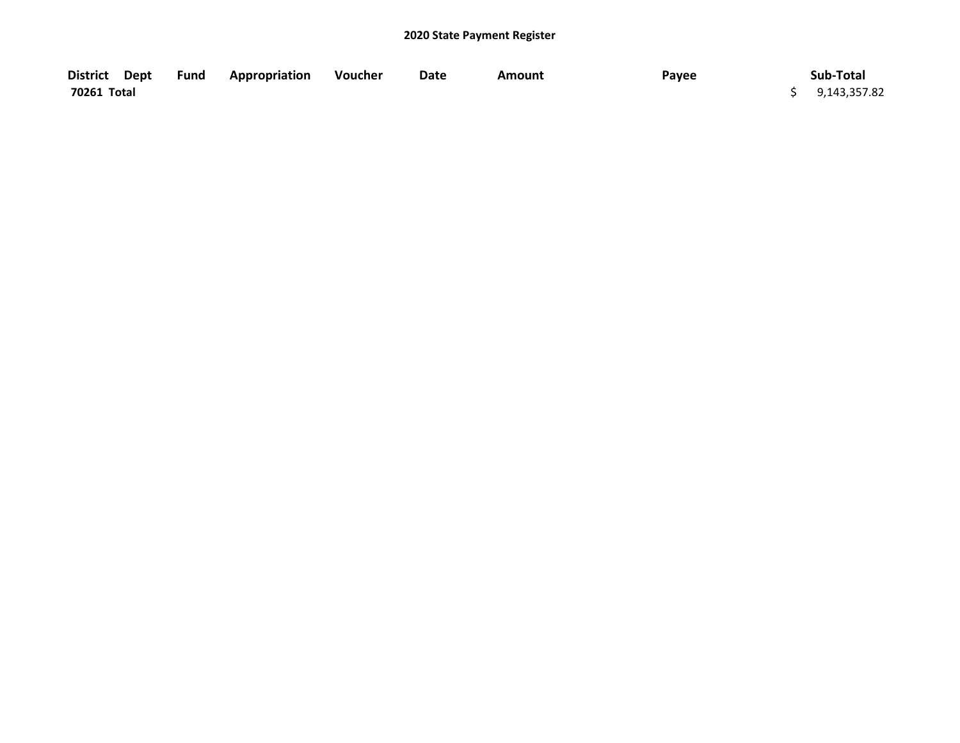| District Dept | <b>Fund Appropriation</b> | Voucher | Date | Amount | Payee | Sub-Total      |
|---------------|---------------------------|---------|------|--------|-------|----------------|
| 70261 Total   |                           |         |      |        |       | \$9,143,357.82 |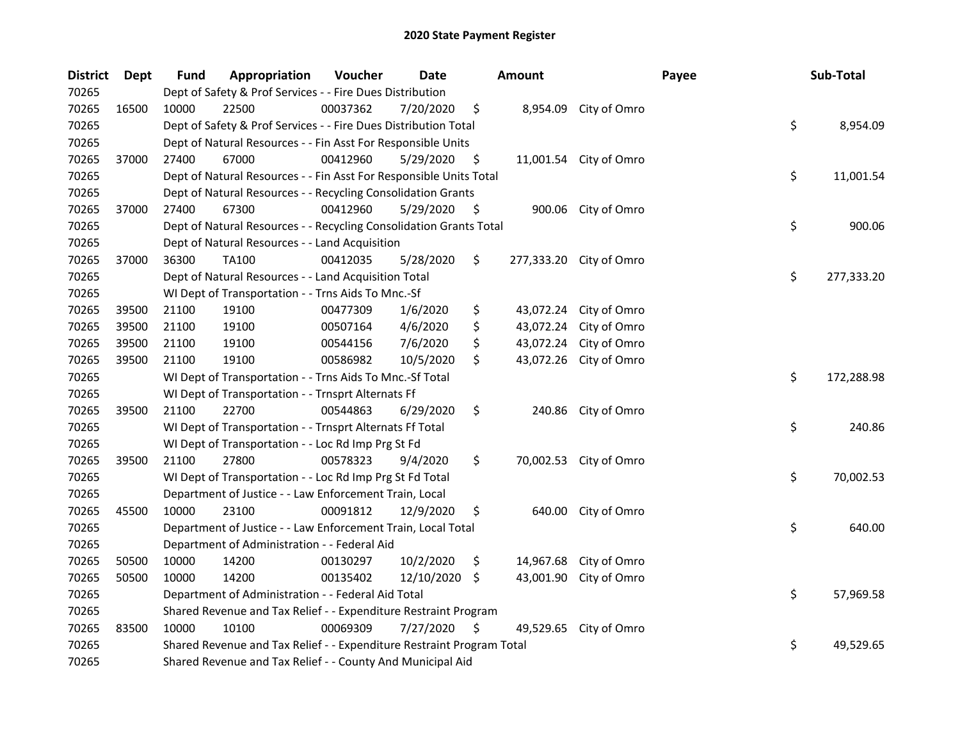| <b>District</b> | <b>Dept</b> | <b>Fund</b> | Appropriation                                                         | Voucher  | Date       | <b>Amount</b>   |                         | Payee | Sub-Total        |
|-----------------|-------------|-------------|-----------------------------------------------------------------------|----------|------------|-----------------|-------------------------|-------|------------------|
| 70265           |             |             | Dept of Safety & Prof Services - - Fire Dues Distribution             |          |            |                 |                         |       |                  |
| 70265           | 16500       | 10000       | 22500                                                                 | 00037362 | 7/20/2020  | \$<br>8,954.09  | City of Omro            |       |                  |
| 70265           |             |             | Dept of Safety & Prof Services - - Fire Dues Distribution Total       |          |            |                 |                         |       | \$<br>8,954.09   |
| 70265           |             |             | Dept of Natural Resources - - Fin Asst For Responsible Units          |          |            |                 |                         |       |                  |
| 70265           | 37000       | 27400       | 67000                                                                 | 00412960 | 5/29/2020  | \$              | 11,001.54 City of Omro  |       |                  |
| 70265           |             |             | Dept of Natural Resources - - Fin Asst For Responsible Units Total    |          |            |                 |                         |       | \$<br>11,001.54  |
| 70265           |             |             | Dept of Natural Resources - - Recycling Consolidation Grants          |          |            |                 |                         |       |                  |
| 70265           | 37000       | 27400       | 67300                                                                 | 00412960 | 5/29/2020  | \$              | 900.06 City of Omro     |       |                  |
| 70265           |             |             | Dept of Natural Resources - - Recycling Consolidation Grants Total    |          |            |                 |                         |       | \$<br>900.06     |
| 70265           |             |             | Dept of Natural Resources - - Land Acquisition                        |          |            |                 |                         |       |                  |
| 70265           | 37000       | 36300       | <b>TA100</b>                                                          | 00412035 | 5/28/2020  | \$              | 277,333.20 City of Omro |       |                  |
| 70265           |             |             | Dept of Natural Resources - - Land Acquisition Total                  |          |            |                 |                         |       | \$<br>277,333.20 |
| 70265           |             |             | WI Dept of Transportation - - Trns Aids To Mnc.-Sf                    |          |            |                 |                         |       |                  |
| 70265           | 39500       | 21100       | 19100                                                                 | 00477309 | 1/6/2020   | \$<br>43,072.24 | City of Omro            |       |                  |
| 70265           | 39500       | 21100       | 19100                                                                 | 00507164 | 4/6/2020   | \$<br>43,072.24 | City of Omro            |       |                  |
| 70265           | 39500       | 21100       | 19100                                                                 | 00544156 | 7/6/2020   | \$<br>43,072.24 | City of Omro            |       |                  |
| 70265           | 39500       | 21100       | 19100                                                                 | 00586982 | 10/5/2020  | \$<br>43,072.26 | City of Omro            |       |                  |
| 70265           |             |             | WI Dept of Transportation - - Trns Aids To Mnc.-Sf Total              |          |            |                 |                         |       | \$<br>172,288.98 |
| 70265           |             |             | WI Dept of Transportation - - Trnsprt Alternats Ff                    |          |            |                 |                         |       |                  |
| 70265           | 39500       | 21100       | 22700                                                                 | 00544863 | 6/29/2020  | \$<br>240.86    | City of Omro            |       |                  |
| 70265           |             |             | WI Dept of Transportation - - Trnsprt Alternats Ff Total              |          |            |                 |                         |       | \$<br>240.86     |
| 70265           |             |             | WI Dept of Transportation - - Loc Rd Imp Prg St Fd                    |          |            |                 |                         |       |                  |
| 70265           | 39500       | 21100       | 27800                                                                 | 00578323 | 9/4/2020   | \$              | 70,002.53 City of Omro  |       |                  |
| 70265           |             |             | WI Dept of Transportation - - Loc Rd Imp Prg St Fd Total              |          |            |                 |                         |       | \$<br>70,002.53  |
| 70265           |             |             | Department of Justice - - Law Enforcement Train, Local                |          |            |                 |                         |       |                  |
| 70265           | 45500       | 10000       | 23100                                                                 | 00091812 | 12/9/2020  | \$<br>640.00    | City of Omro            |       |                  |
| 70265           |             |             | Department of Justice - - Law Enforcement Train, Local Total          |          |            |                 |                         |       | \$<br>640.00     |
| 70265           |             |             | Department of Administration - - Federal Aid                          |          |            |                 |                         |       |                  |
| 70265           | 50500       | 10000       | 14200                                                                 | 00130297 | 10/2/2020  | \$<br>14,967.68 | City of Omro            |       |                  |
| 70265           | 50500       | 10000       | 14200                                                                 | 00135402 | 12/10/2020 | \$<br>43,001.90 | City of Omro            |       |                  |
| 70265           |             |             | Department of Administration - - Federal Aid Total                    |          |            |                 |                         |       | \$<br>57,969.58  |
| 70265           |             |             | Shared Revenue and Tax Relief - - Expenditure Restraint Program       |          |            |                 |                         |       |                  |
| 70265           | 83500       | 10000       | 10100                                                                 | 00069309 | 7/27/2020  | \$<br>49,529.65 | City of Omro            |       |                  |
| 70265           |             |             | Shared Revenue and Tax Relief - - Expenditure Restraint Program Total |          |            |                 |                         |       | \$<br>49,529.65  |
| 70265           |             |             | Shared Revenue and Tax Relief - - County And Municipal Aid            |          |            |                 |                         |       |                  |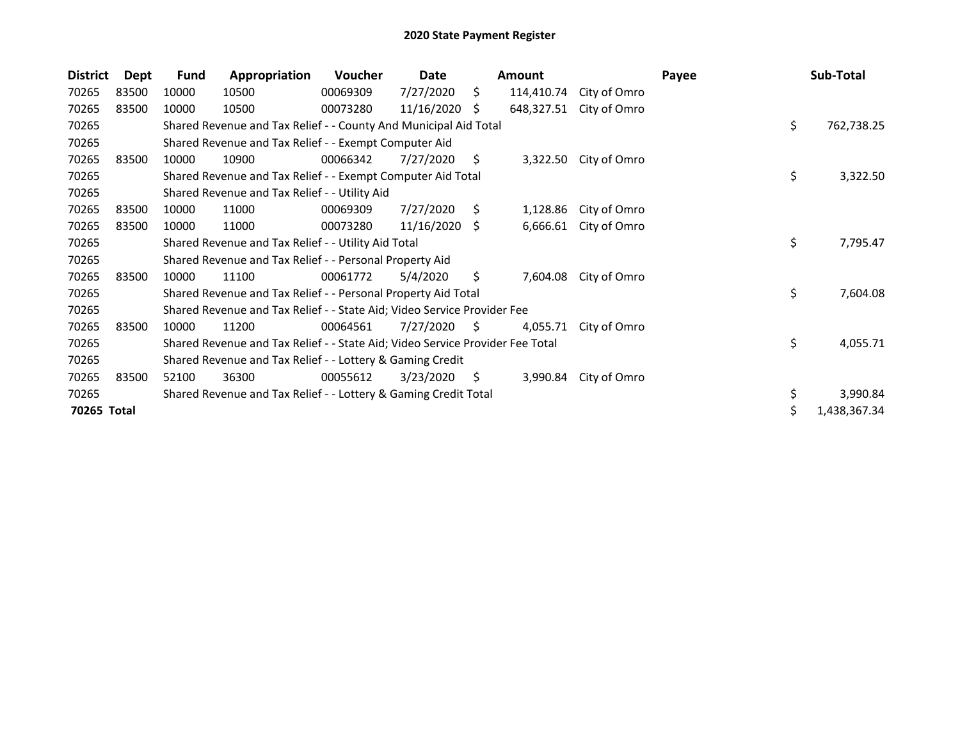| <b>District</b> | <b>Dept</b> | <b>Fund</b> | Appropriation                                                                 | Voucher  | Date       |     | Amount     |              | Payee | Sub-Total          |
|-----------------|-------------|-------------|-------------------------------------------------------------------------------|----------|------------|-----|------------|--------------|-------|--------------------|
| 70265           | 83500       | 10000       | 10500                                                                         | 00069309 | 7/27/2020  | \$. | 114,410.74 | City of Omro |       |                    |
| 70265           | 83500       | 10000       | 10500                                                                         | 00073280 | 11/16/2020 | S.  | 648,327.51 | City of Omro |       |                    |
| 70265           |             |             | Shared Revenue and Tax Relief - - County And Municipal Aid Total              |          |            |     |            |              |       | \$<br>762,738.25   |
| 70265           |             |             | Shared Revenue and Tax Relief - - Exempt Computer Aid                         |          |            |     |            |              |       |                    |
| 70265           | 83500       | 10000       | 10900                                                                         | 00066342 | 7/27/2020  | S.  | 3,322.50   | City of Omro |       |                    |
| 70265           |             |             | Shared Revenue and Tax Relief - - Exempt Computer Aid Total                   |          |            |     |            |              |       | \$<br>3,322.50     |
| 70265           |             |             | Shared Revenue and Tax Relief - - Utility Aid                                 |          |            |     |            |              |       |                    |
| 70265           | 83500       | 10000       | 11000                                                                         | 00069309 | 7/27/2020  | \$  | 1,128.86   | City of Omro |       |                    |
| 70265           | 83500       | 10000       | 11000                                                                         | 00073280 | 11/16/2020 | S.  | 6,666.61   | City of Omro |       |                    |
| 70265           |             |             | Shared Revenue and Tax Relief - - Utility Aid Total                           |          |            |     |            |              |       | \$<br>7,795.47     |
| 70265           |             |             | Shared Revenue and Tax Relief - - Personal Property Aid                       |          |            |     |            |              |       |                    |
| 70265           | 83500       | 10000       | 11100                                                                         | 00061772 | 5/4/2020   | \$  | 7,604.08   | City of Omro |       |                    |
| 70265           |             |             | Shared Revenue and Tax Relief - - Personal Property Aid Total                 |          |            |     |            |              |       | \$<br>7,604.08     |
| 70265           |             |             | Shared Revenue and Tax Relief - - State Aid; Video Service Provider Fee       |          |            |     |            |              |       |                    |
| 70265           | 83500       | 10000       | 11200                                                                         | 00064561 | 7/27/2020  | S.  | 4,055.71   | City of Omro |       |                    |
| 70265           |             |             | Shared Revenue and Tax Relief - - State Aid; Video Service Provider Fee Total |          |            |     |            |              |       | \$<br>4,055.71     |
| 70265           |             |             | Shared Revenue and Tax Relief - - Lottery & Gaming Credit                     |          |            |     |            |              |       |                    |
| 70265           | 83500       | 52100       | 36300                                                                         | 00055612 | 3/23/2020  | \$  | 3,990.84   | City of Omro |       |                    |
| 70265           |             |             | Shared Revenue and Tax Relief - - Lottery & Gaming Credit Total               |          |            |     |            |              |       | \$<br>3,990.84     |
| 70265 Total     |             |             |                                                                               |          |            |     |            |              |       | \$<br>1,438,367.34 |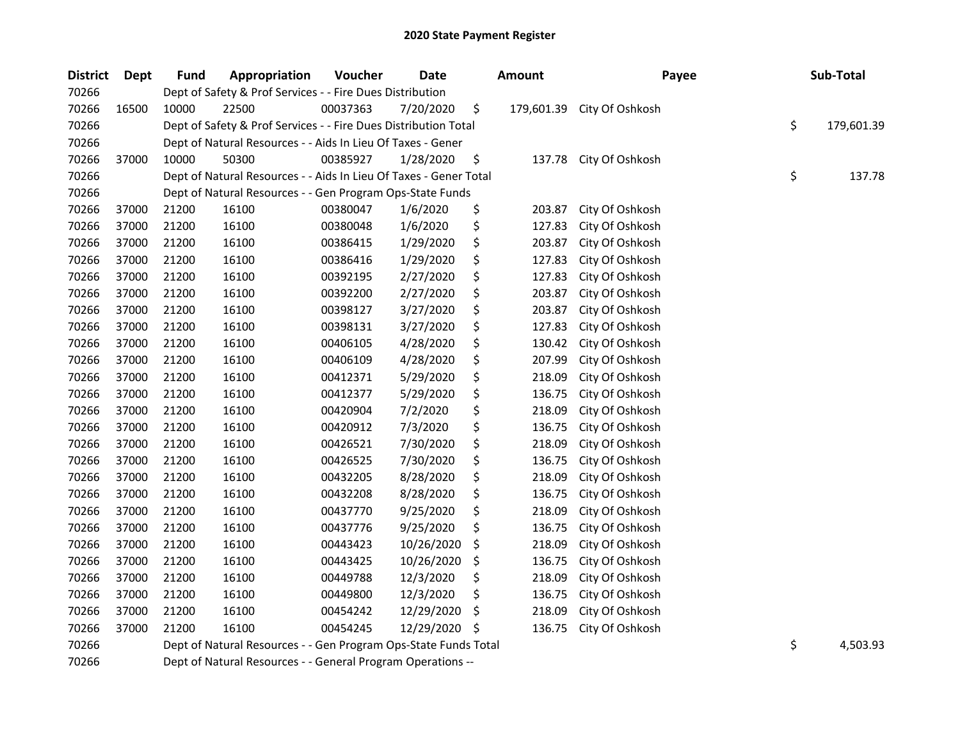| <b>District</b> | Dept  | <b>Fund</b> | Appropriation                                                     | Voucher  | Date       | <b>Amount</b>    | Payee           | Sub-Total        |
|-----------------|-------|-------------|-------------------------------------------------------------------|----------|------------|------------------|-----------------|------------------|
| 70266           |       |             | Dept of Safety & Prof Services - - Fire Dues Distribution         |          |            |                  |                 |                  |
| 70266           | 16500 | 10000       | 22500                                                             | 00037363 | 7/20/2020  | \$<br>179,601.39 | City Of Oshkosh |                  |
| 70266           |       |             | Dept of Safety & Prof Services - - Fire Dues Distribution Total   |          |            |                  |                 | \$<br>179,601.39 |
| 70266           |       |             | Dept of Natural Resources - - Aids In Lieu Of Taxes - Gener       |          |            |                  |                 |                  |
| 70266           | 37000 | 10000       | 50300                                                             | 00385927 | 1/28/2020  | \$<br>137.78     | City Of Oshkosh |                  |
| 70266           |       |             | Dept of Natural Resources - - Aids In Lieu Of Taxes - Gener Total |          |            |                  |                 | \$<br>137.78     |
| 70266           |       |             | Dept of Natural Resources - - Gen Program Ops-State Funds         |          |            |                  |                 |                  |
| 70266           | 37000 | 21200       | 16100                                                             | 00380047 | 1/6/2020   | \$<br>203.87     | City Of Oshkosh |                  |
| 70266           | 37000 | 21200       | 16100                                                             | 00380048 | 1/6/2020   | \$<br>127.83     | City Of Oshkosh |                  |
| 70266           | 37000 | 21200       | 16100                                                             | 00386415 | 1/29/2020  | \$<br>203.87     | City Of Oshkosh |                  |
| 70266           | 37000 | 21200       | 16100                                                             | 00386416 | 1/29/2020  | \$<br>127.83     | City Of Oshkosh |                  |
| 70266           | 37000 | 21200       | 16100                                                             | 00392195 | 2/27/2020  | \$<br>127.83     | City Of Oshkosh |                  |
| 70266           | 37000 | 21200       | 16100                                                             | 00392200 | 2/27/2020  | \$<br>203.87     | City Of Oshkosh |                  |
| 70266           | 37000 | 21200       | 16100                                                             | 00398127 | 3/27/2020  | \$<br>203.87     | City Of Oshkosh |                  |
| 70266           | 37000 | 21200       | 16100                                                             | 00398131 | 3/27/2020  | \$<br>127.83     | City Of Oshkosh |                  |
| 70266           | 37000 | 21200       | 16100                                                             | 00406105 | 4/28/2020  | \$<br>130.42     | City Of Oshkosh |                  |
| 70266           | 37000 | 21200       | 16100                                                             | 00406109 | 4/28/2020  | \$<br>207.99     | City Of Oshkosh |                  |
| 70266           | 37000 | 21200       | 16100                                                             | 00412371 | 5/29/2020  | \$<br>218.09     | City Of Oshkosh |                  |
| 70266           | 37000 | 21200       | 16100                                                             | 00412377 | 5/29/2020  | \$<br>136.75     | City Of Oshkosh |                  |
| 70266           | 37000 | 21200       | 16100                                                             | 00420904 | 7/2/2020   | \$<br>218.09     | City Of Oshkosh |                  |
| 70266           | 37000 | 21200       | 16100                                                             | 00420912 | 7/3/2020   | \$<br>136.75     | City Of Oshkosh |                  |
| 70266           | 37000 | 21200       | 16100                                                             | 00426521 | 7/30/2020  | \$<br>218.09     | City Of Oshkosh |                  |
| 70266           | 37000 | 21200       | 16100                                                             | 00426525 | 7/30/2020  | \$<br>136.75     | City Of Oshkosh |                  |
| 70266           | 37000 | 21200       | 16100                                                             | 00432205 | 8/28/2020  | \$<br>218.09     | City Of Oshkosh |                  |
| 70266           | 37000 | 21200       | 16100                                                             | 00432208 | 8/28/2020  | \$<br>136.75     | City Of Oshkosh |                  |
| 70266           | 37000 | 21200       | 16100                                                             | 00437770 | 9/25/2020  | \$<br>218.09     | City Of Oshkosh |                  |
| 70266           | 37000 | 21200       | 16100                                                             | 00437776 | 9/25/2020  | \$<br>136.75     | City Of Oshkosh |                  |
| 70266           | 37000 | 21200       | 16100                                                             | 00443423 | 10/26/2020 | \$<br>218.09     | City Of Oshkosh |                  |
| 70266           | 37000 | 21200       | 16100                                                             | 00443425 | 10/26/2020 | \$<br>136.75     | City Of Oshkosh |                  |
| 70266           | 37000 | 21200       | 16100                                                             | 00449788 | 12/3/2020  | \$<br>218.09     | City Of Oshkosh |                  |
| 70266           | 37000 | 21200       | 16100                                                             | 00449800 | 12/3/2020  | \$<br>136.75     | City Of Oshkosh |                  |
| 70266           | 37000 | 21200       | 16100                                                             | 00454242 | 12/29/2020 | \$<br>218.09     | City Of Oshkosh |                  |
| 70266           | 37000 | 21200       | 16100                                                             | 00454245 | 12/29/2020 | \$<br>136.75     | City Of Oshkosh |                  |
| 70266           |       |             | Dept of Natural Resources - - Gen Program Ops-State Funds Total   |          |            |                  |                 | \$<br>4,503.93   |
| 70266           |       |             | Dept of Natural Resources - - General Program Operations --       |          |            |                  |                 |                  |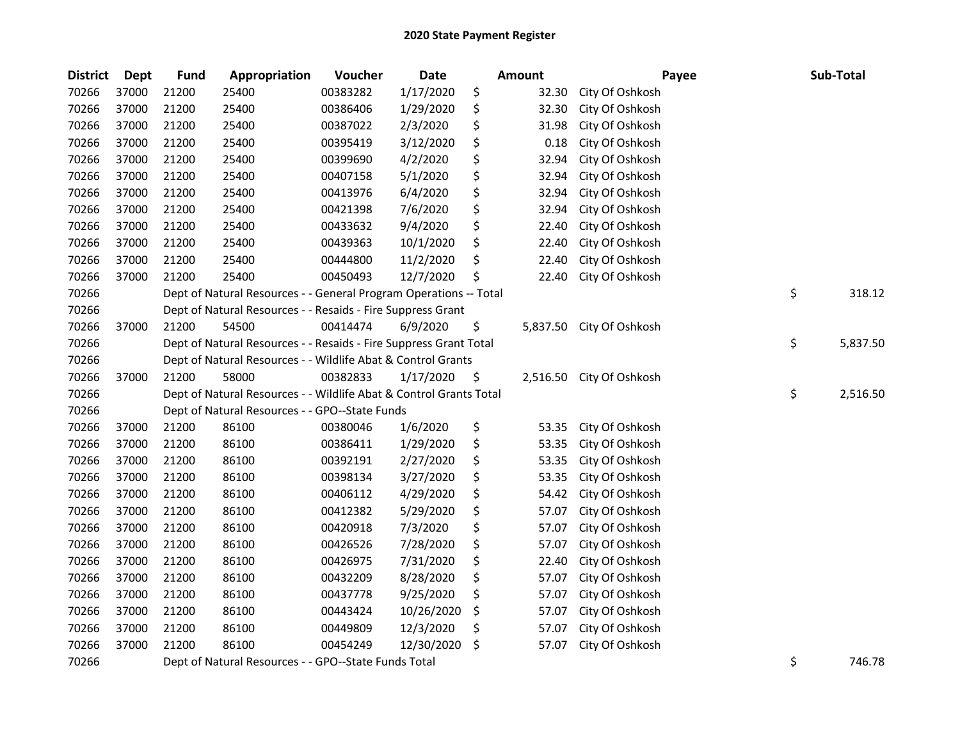| <b>District</b> | <b>Dept</b> | <b>Fund</b> | Appropriation                                                      | Voucher  | <b>Date</b> | <b>Amount</b>  | Payee           | Sub-Total      |
|-----------------|-------------|-------------|--------------------------------------------------------------------|----------|-------------|----------------|-----------------|----------------|
| 70266           | 37000       | 21200       | 25400                                                              | 00383282 | 1/17/2020   | \$<br>32.30    | City Of Oshkosh |                |
| 70266           | 37000       | 21200       | 25400                                                              | 00386406 | 1/29/2020   | \$<br>32.30    | City Of Oshkosh |                |
| 70266           | 37000       | 21200       | 25400                                                              | 00387022 | 2/3/2020    | \$<br>31.98    | City Of Oshkosh |                |
| 70266           | 37000       | 21200       | 25400                                                              | 00395419 | 3/12/2020   | \$<br>0.18     | City Of Oshkosh |                |
| 70266           | 37000       | 21200       | 25400                                                              | 00399690 | 4/2/2020    | \$<br>32.94    | City Of Oshkosh |                |
| 70266           | 37000       | 21200       | 25400                                                              | 00407158 | 5/1/2020    | \$<br>32.94    | City Of Oshkosh |                |
| 70266           | 37000       | 21200       | 25400                                                              | 00413976 | 6/4/2020    | \$<br>32.94    | City Of Oshkosh |                |
| 70266           | 37000       | 21200       | 25400                                                              | 00421398 | 7/6/2020    | \$<br>32.94    | City Of Oshkosh |                |
| 70266           | 37000       | 21200       | 25400                                                              | 00433632 | 9/4/2020    | \$<br>22.40    | City Of Oshkosh |                |
| 70266           | 37000       | 21200       | 25400                                                              | 00439363 | 10/1/2020   | \$<br>22.40    | City Of Oshkosh |                |
| 70266           | 37000       | 21200       | 25400                                                              | 00444800 | 11/2/2020   | \$<br>22.40    | City Of Oshkosh |                |
| 70266           | 37000       | 21200       | 25400                                                              | 00450493 | 12/7/2020   | \$<br>22.40    | City Of Oshkosh |                |
| 70266           |             |             | Dept of Natural Resources - - General Program Operations -- Total  |          |             |                |                 | \$<br>318.12   |
| 70266           |             |             | Dept of Natural Resources - - Resaids - Fire Suppress Grant        |          |             |                |                 |                |
| 70266           | 37000       | 21200       | 54500                                                              | 00414474 | 6/9/2020    | \$<br>5,837.50 | City Of Oshkosh |                |
| 70266           |             |             | Dept of Natural Resources - - Resaids - Fire Suppress Grant Total  |          |             |                |                 | \$<br>5,837.50 |
| 70266           |             |             | Dept of Natural Resources - - Wildlife Abat & Control Grants       |          |             |                |                 |                |
| 70266           | 37000       | 21200       | 58000                                                              | 00382833 | 1/17/2020   | \$<br>2,516.50 | City Of Oshkosh |                |
| 70266           |             |             | Dept of Natural Resources - - Wildlife Abat & Control Grants Total |          |             |                |                 | \$<br>2,516.50 |
| 70266           |             |             | Dept of Natural Resources - - GPO--State Funds                     |          |             |                |                 |                |
| 70266           | 37000       | 21200       | 86100                                                              | 00380046 | 1/6/2020    | \$<br>53.35    | City Of Oshkosh |                |
| 70266           | 37000       | 21200       | 86100                                                              | 00386411 | 1/29/2020   | \$<br>53.35    | City Of Oshkosh |                |
| 70266           | 37000       | 21200       | 86100                                                              | 00392191 | 2/27/2020   | \$<br>53.35    | City Of Oshkosh |                |
| 70266           | 37000       | 21200       | 86100                                                              | 00398134 | 3/27/2020   | \$<br>53.35    | City Of Oshkosh |                |
| 70266           | 37000       | 21200       | 86100                                                              | 00406112 | 4/29/2020   | \$<br>54.42    | City Of Oshkosh |                |
| 70266           | 37000       | 21200       | 86100                                                              | 00412382 | 5/29/2020   | \$<br>57.07    | City Of Oshkosh |                |
| 70266           | 37000       | 21200       | 86100                                                              | 00420918 | 7/3/2020    | \$<br>57.07    | City Of Oshkosh |                |
| 70266           | 37000       | 21200       | 86100                                                              | 00426526 | 7/28/2020   | \$<br>57.07    | City Of Oshkosh |                |
| 70266           | 37000       | 21200       | 86100                                                              | 00426975 | 7/31/2020   | \$<br>22.40    | City Of Oshkosh |                |
| 70266           | 37000       | 21200       | 86100                                                              | 00432209 | 8/28/2020   | \$<br>57.07    | City Of Oshkosh |                |
| 70266           | 37000       | 21200       | 86100                                                              | 00437778 | 9/25/2020   | \$<br>57.07    | City Of Oshkosh |                |
| 70266           | 37000       | 21200       | 86100                                                              | 00443424 | 10/26/2020  | \$<br>57.07    | City Of Oshkosh |                |
| 70266           | 37000       | 21200       | 86100                                                              | 00449809 | 12/3/2020   | \$<br>57.07    | City Of Oshkosh |                |
| 70266           | 37000       | 21200       | 86100                                                              | 00454249 | 12/30/2020  | \$<br>57.07    | City Of Oshkosh |                |
| 70266           |             |             | Dept of Natural Resources - - GPO--State Funds Total               |          |             |                |                 | \$<br>746.78   |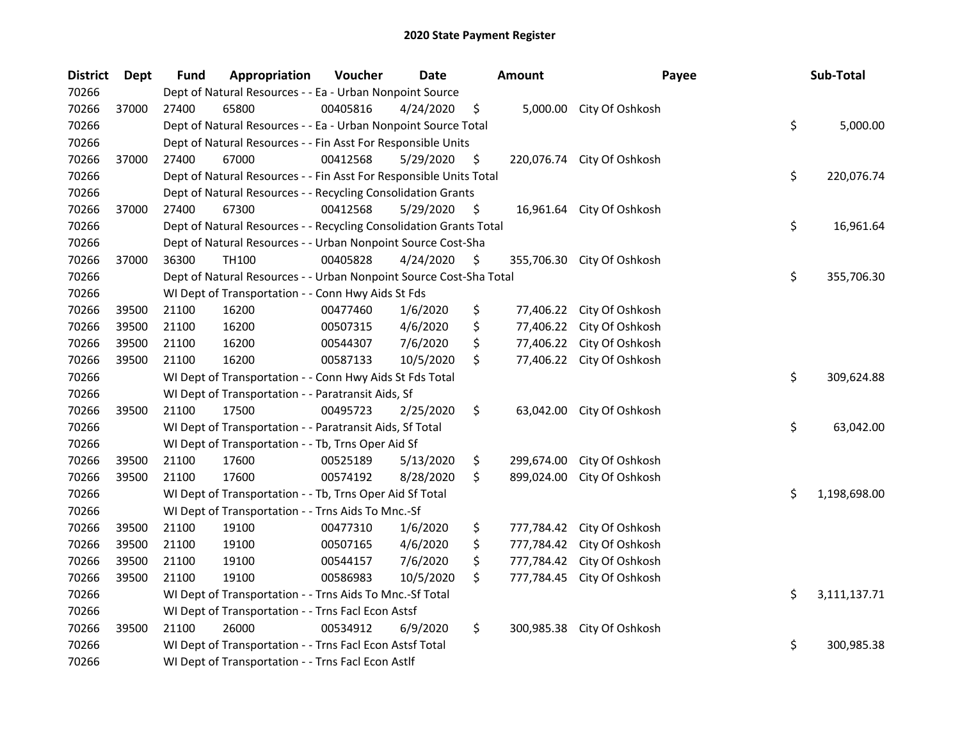| <b>District</b> | <b>Dept</b> | <b>Fund</b> | Appropriation                                                      | Voucher  | <b>Date</b> |     | <b>Amount</b> | Payee                     | Sub-Total          |
|-----------------|-------------|-------------|--------------------------------------------------------------------|----------|-------------|-----|---------------|---------------------------|--------------------|
| 70266           |             |             | Dept of Natural Resources - - Ea - Urban Nonpoint Source           |          |             |     |               |                           |                    |
| 70266           | 37000       | 27400       | 65800                                                              | 00405816 | 4/24/2020   | \$. | 5,000.00      | City Of Oshkosh           |                    |
| 70266           |             |             | Dept of Natural Resources - - Ea - Urban Nonpoint Source Total     |          |             |     |               |                           | \$<br>5,000.00     |
| 70266           |             |             | Dept of Natural Resources - - Fin Asst For Responsible Units       |          |             |     |               |                           |                    |
| 70266           | 37000       | 27400       | 67000                                                              | 00412568 | 5/29/2020   | \$  | 220,076.74    | City Of Oshkosh           |                    |
| 70266           |             |             | Dept of Natural Resources - - Fin Asst For Responsible Units Total |          |             |     |               |                           | \$<br>220,076.74   |
| 70266           |             |             | Dept of Natural Resources - - Recycling Consolidation Grants       |          |             |     |               |                           |                    |
| 70266           | 37000       | 27400       | 67300                                                              | 00412568 | 5/29/2020   | \$  |               | 16,961.64 City Of Oshkosh |                    |
| 70266           |             |             | Dept of Natural Resources - - Recycling Consolidation Grants Total |          |             |     |               |                           | \$<br>16,961.64    |
| 70266           |             |             | Dept of Natural Resources - - Urban Nonpoint Source Cost-Sha       |          |             |     |               |                           |                    |
| 70266           | 37000       | 36300       | TH100                                                              | 00405828 | 4/24/2020   | \$  | 355,706.30    | City Of Oshkosh           |                    |
| 70266           |             |             | Dept of Natural Resources - - Urban Nonpoint Source Cost-Sha Total |          |             |     |               |                           | \$<br>355,706.30   |
| 70266           |             |             | WI Dept of Transportation - - Conn Hwy Aids St Fds                 |          |             |     |               |                           |                    |
| 70266           | 39500       | 21100       | 16200                                                              | 00477460 | 1/6/2020    | \$  | 77,406.22     | City Of Oshkosh           |                    |
| 70266           | 39500       | 21100       | 16200                                                              | 00507315 | 4/6/2020    | \$  | 77,406.22     | City Of Oshkosh           |                    |
| 70266           | 39500       | 21100       | 16200                                                              | 00544307 | 7/6/2020    | \$  | 77,406.22     | City Of Oshkosh           |                    |
| 70266           | 39500       | 21100       | 16200                                                              | 00587133 | 10/5/2020   | \$  | 77,406.22     | City Of Oshkosh           |                    |
| 70266           |             |             | WI Dept of Transportation - - Conn Hwy Aids St Fds Total           |          |             |     |               |                           | \$<br>309,624.88   |
| 70266           |             |             | WI Dept of Transportation - - Paratransit Aids, Sf                 |          |             |     |               |                           |                    |
| 70266           | 39500       | 21100       | 17500                                                              | 00495723 | 2/25/2020   | \$  | 63,042.00     | City Of Oshkosh           |                    |
| 70266           |             |             | WI Dept of Transportation - - Paratransit Aids, Sf Total           |          |             |     |               |                           | \$<br>63,042.00    |
| 70266           |             |             | WI Dept of Transportation - - Tb, Trns Oper Aid Sf                 |          |             |     |               |                           |                    |
| 70266           | 39500       | 21100       | 17600                                                              | 00525189 | 5/13/2020   | \$  | 299,674.00    | City Of Oshkosh           |                    |
| 70266           | 39500       | 21100       | 17600                                                              | 00574192 | 8/28/2020   | \$  | 899,024.00    | City Of Oshkosh           |                    |
| 70266           |             |             | WI Dept of Transportation - - Tb, Trns Oper Aid Sf Total           |          |             |     |               |                           | \$<br>1,198,698.00 |
| 70266           |             |             | WI Dept of Transportation - - Trns Aids To Mnc.-Sf                 |          |             |     |               |                           |                    |
| 70266           | 39500       | 21100       | 19100                                                              | 00477310 | 1/6/2020    | \$  | 777,784.42    | City Of Oshkosh           |                    |
| 70266           | 39500       | 21100       | 19100                                                              | 00507165 | 4/6/2020    | \$  | 777,784.42    | City Of Oshkosh           |                    |
| 70266           | 39500       | 21100       | 19100                                                              | 00544157 | 7/6/2020    | \$  | 777,784.42    | City Of Oshkosh           |                    |
| 70266           | 39500       | 21100       | 19100                                                              | 00586983 | 10/5/2020   | \$  | 777,784.45    | City Of Oshkosh           |                    |
| 70266           |             |             | WI Dept of Transportation - - Trns Aids To Mnc.-Sf Total           |          |             |     |               |                           | \$<br>3,111,137.71 |
| 70266           |             |             | WI Dept of Transportation - - Trns Facl Econ Astsf                 |          |             |     |               |                           |                    |
| 70266           | 39500       | 21100       | 26000                                                              | 00534912 | 6/9/2020    | \$  | 300,985.38    | City Of Oshkosh           |                    |
| 70266           |             |             | WI Dept of Transportation - - Trns Facl Econ Astsf Total           |          |             |     |               |                           | \$<br>300,985.38   |
| 70266           |             |             | WI Dept of Transportation - - Trns Facl Econ Astlf                 |          |             |     |               |                           |                    |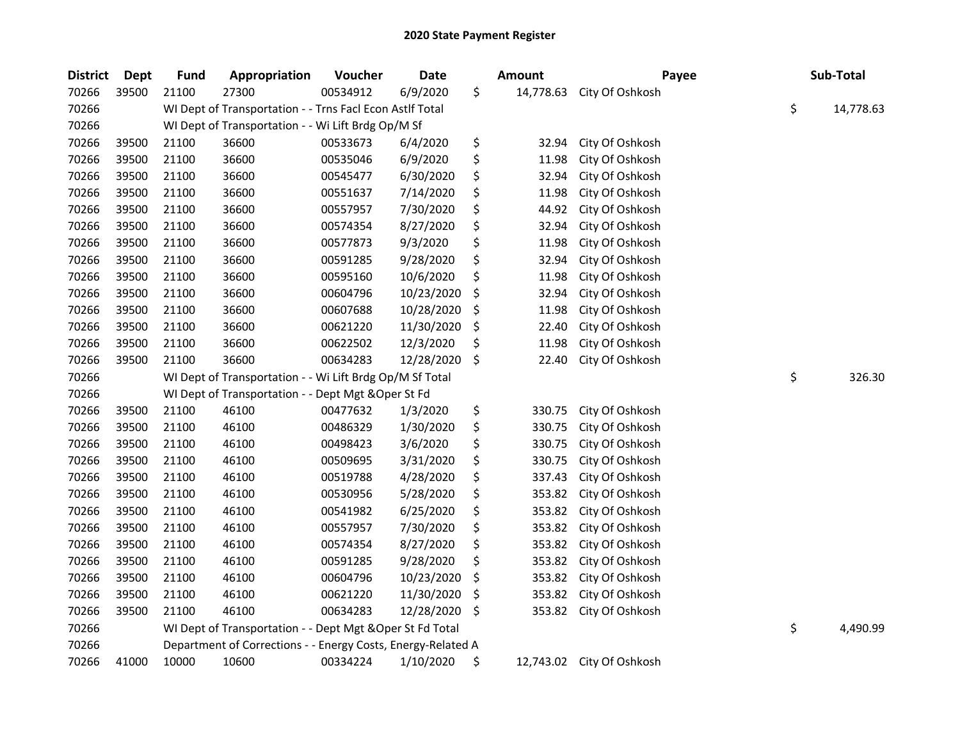| <b>District</b> | <b>Dept</b> | <b>Fund</b> | Appropriation                                                | Voucher  | <b>Date</b> |    | <b>Amount</b> | Payee                     | Sub-Total       |
|-----------------|-------------|-------------|--------------------------------------------------------------|----------|-------------|----|---------------|---------------------------|-----------------|
| 70266           | 39500       | 21100       | 27300                                                        | 00534912 | 6/9/2020    | \$ | 14,778.63     | City Of Oshkosh           |                 |
| 70266           |             |             | WI Dept of Transportation - - Trns Facl Econ Astlf Total     |          |             |    |               |                           | \$<br>14,778.63 |
| 70266           |             |             | WI Dept of Transportation - - Wi Lift Brdg Op/M Sf           |          |             |    |               |                           |                 |
| 70266           | 39500       | 21100       | 36600                                                        | 00533673 | 6/4/2020    | \$ | 32.94         | City Of Oshkosh           |                 |
| 70266           | 39500       | 21100       | 36600                                                        | 00535046 | 6/9/2020    | \$ | 11.98         | City Of Oshkosh           |                 |
| 70266           | 39500       | 21100       | 36600                                                        | 00545477 | 6/30/2020   | \$ | 32.94         | City Of Oshkosh           |                 |
| 70266           | 39500       | 21100       | 36600                                                        | 00551637 | 7/14/2020   | \$ | 11.98         | City Of Oshkosh           |                 |
| 70266           | 39500       | 21100       | 36600                                                        | 00557957 | 7/30/2020   | \$ | 44.92         | City Of Oshkosh           |                 |
| 70266           | 39500       | 21100       | 36600                                                        | 00574354 | 8/27/2020   | \$ | 32.94         | City Of Oshkosh           |                 |
| 70266           | 39500       | 21100       | 36600                                                        | 00577873 | 9/3/2020    | \$ | 11.98         | City Of Oshkosh           |                 |
| 70266           | 39500       | 21100       | 36600                                                        | 00591285 | 9/28/2020   | \$ | 32.94         | City Of Oshkosh           |                 |
| 70266           | 39500       | 21100       | 36600                                                        | 00595160 | 10/6/2020   | \$ | 11.98         | City Of Oshkosh           |                 |
| 70266           | 39500       | 21100       | 36600                                                        | 00604796 | 10/23/2020  | \$ | 32.94         | City Of Oshkosh           |                 |
| 70266           | 39500       | 21100       | 36600                                                        | 00607688 | 10/28/2020  | \$ | 11.98         | City Of Oshkosh           |                 |
| 70266           | 39500       | 21100       | 36600                                                        | 00621220 | 11/30/2020  | \$ | 22.40         | City Of Oshkosh           |                 |
| 70266           | 39500       | 21100       | 36600                                                        | 00622502 | 12/3/2020   | Ś  | 11.98         | City Of Oshkosh           |                 |
| 70266           | 39500       | 21100       | 36600                                                        | 00634283 | 12/28/2020  | \$ | 22.40         | City Of Oshkosh           |                 |
| 70266           |             |             | WI Dept of Transportation - - Wi Lift Brdg Op/M Sf Total     |          |             |    |               |                           | \$<br>326.30    |
| 70266           |             |             | WI Dept of Transportation - - Dept Mgt & Oper St Fd          |          |             |    |               |                           |                 |
| 70266           | 39500       | 21100       | 46100                                                        | 00477632 | 1/3/2020    | \$ | 330.75        | City Of Oshkosh           |                 |
| 70266           | 39500       | 21100       | 46100                                                        | 00486329 | 1/30/2020   | \$ | 330.75        | City Of Oshkosh           |                 |
| 70266           | 39500       | 21100       | 46100                                                        | 00498423 | 3/6/2020    | \$ | 330.75        | City Of Oshkosh           |                 |
| 70266           | 39500       | 21100       | 46100                                                        | 00509695 | 3/31/2020   | \$ | 330.75        | City Of Oshkosh           |                 |
| 70266           | 39500       | 21100       | 46100                                                        | 00519788 | 4/28/2020   | \$ | 337.43        | City Of Oshkosh           |                 |
| 70266           | 39500       | 21100       | 46100                                                        | 00530956 | 5/28/2020   | \$ | 353.82        | City Of Oshkosh           |                 |
| 70266           | 39500       | 21100       | 46100                                                        | 00541982 | 6/25/2020   | \$ | 353.82        | City Of Oshkosh           |                 |
| 70266           | 39500       | 21100       | 46100                                                        | 00557957 | 7/30/2020   | \$ | 353.82        | City Of Oshkosh           |                 |
| 70266           | 39500       | 21100       | 46100                                                        | 00574354 | 8/27/2020   | \$ | 353.82        | City Of Oshkosh           |                 |
| 70266           | 39500       | 21100       | 46100                                                        | 00591285 | 9/28/2020   | \$ | 353.82        | City Of Oshkosh           |                 |
| 70266           | 39500       | 21100       | 46100                                                        | 00604796 | 10/23/2020  | \$ | 353.82        | City Of Oshkosh           |                 |
| 70266           | 39500       | 21100       | 46100                                                        | 00621220 | 11/30/2020  | \$ | 353.82        | City Of Oshkosh           |                 |
| 70266           | 39500       | 21100       | 46100                                                        | 00634283 | 12/28/2020  | \$ | 353.82        | City Of Oshkosh           |                 |
| 70266           |             |             | WI Dept of Transportation - - Dept Mgt & Oper St Fd Total    |          |             |    |               |                           | \$<br>4,490.99  |
| 70266           |             |             | Department of Corrections - - Energy Costs, Energy-Related A |          |             |    |               |                           |                 |
| 70266           | 41000       | 10000       | 10600                                                        | 00334224 | 1/10/2020   | \$ |               | 12,743.02 City Of Oshkosh |                 |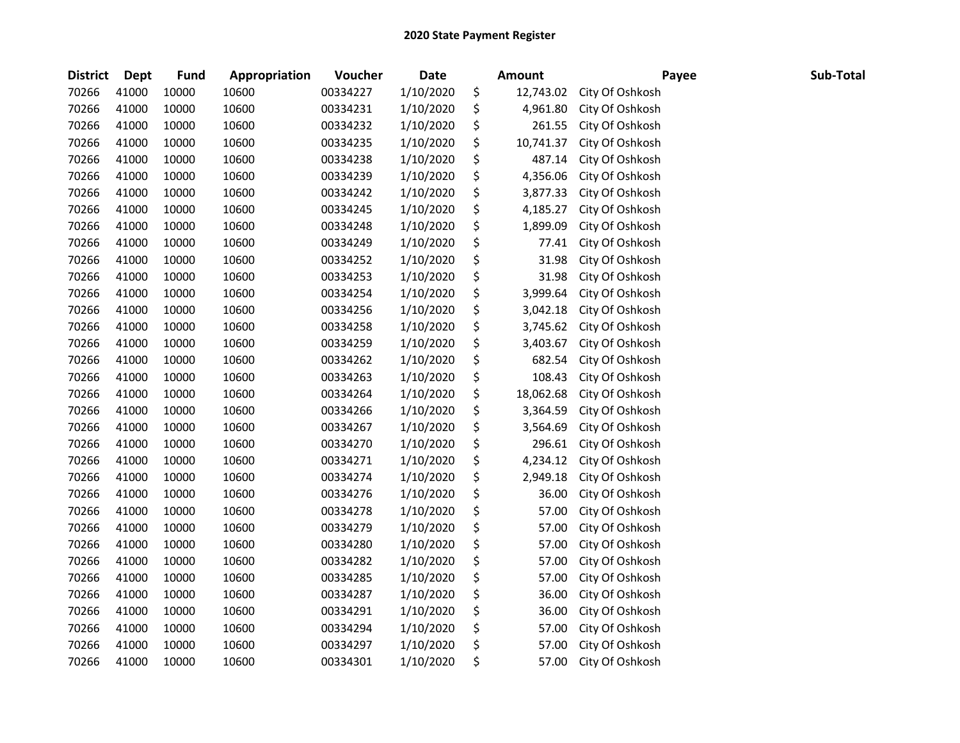| <b>District</b> | Dept  | <b>Fund</b> | Appropriation | Voucher  | <b>Date</b> | <b>Amount</b>   | Payee           | Sub-Total |
|-----------------|-------|-------------|---------------|----------|-------------|-----------------|-----------------|-----------|
| 70266           | 41000 | 10000       | 10600         | 00334227 | 1/10/2020   | \$<br>12,743.02 | City Of Oshkosh |           |
| 70266           | 41000 | 10000       | 10600         | 00334231 | 1/10/2020   | \$<br>4,961.80  | City Of Oshkosh |           |
| 70266           | 41000 | 10000       | 10600         | 00334232 | 1/10/2020   | \$<br>261.55    | City Of Oshkosh |           |
| 70266           | 41000 | 10000       | 10600         | 00334235 | 1/10/2020   | \$<br>10,741.37 | City Of Oshkosh |           |
| 70266           | 41000 | 10000       | 10600         | 00334238 | 1/10/2020   | \$<br>487.14    | City Of Oshkosh |           |
| 70266           | 41000 | 10000       | 10600         | 00334239 | 1/10/2020   | \$<br>4,356.06  | City Of Oshkosh |           |
| 70266           | 41000 | 10000       | 10600         | 00334242 | 1/10/2020   | \$<br>3,877.33  | City Of Oshkosh |           |
| 70266           | 41000 | 10000       | 10600         | 00334245 | 1/10/2020   | \$<br>4,185.27  | City Of Oshkosh |           |
| 70266           | 41000 | 10000       | 10600         | 00334248 | 1/10/2020   | \$<br>1,899.09  | City Of Oshkosh |           |
| 70266           | 41000 | 10000       | 10600         | 00334249 | 1/10/2020   | \$<br>77.41     | City Of Oshkosh |           |
| 70266           | 41000 | 10000       | 10600         | 00334252 | 1/10/2020   | \$<br>31.98     | City Of Oshkosh |           |
| 70266           | 41000 | 10000       | 10600         | 00334253 | 1/10/2020   | \$<br>31.98     | City Of Oshkosh |           |
| 70266           | 41000 | 10000       | 10600         | 00334254 | 1/10/2020   | \$<br>3,999.64  | City Of Oshkosh |           |
| 70266           | 41000 | 10000       | 10600         | 00334256 | 1/10/2020   | \$<br>3,042.18  | City Of Oshkosh |           |
| 70266           | 41000 | 10000       | 10600         | 00334258 | 1/10/2020   | \$<br>3,745.62  | City Of Oshkosh |           |
| 70266           | 41000 | 10000       | 10600         | 00334259 | 1/10/2020   | \$<br>3,403.67  | City Of Oshkosh |           |
| 70266           | 41000 | 10000       | 10600         | 00334262 | 1/10/2020   | \$<br>682.54    | City Of Oshkosh |           |
| 70266           | 41000 | 10000       | 10600         | 00334263 | 1/10/2020   | \$<br>108.43    | City Of Oshkosh |           |
| 70266           | 41000 | 10000       | 10600         | 00334264 | 1/10/2020   | \$<br>18,062.68 | City Of Oshkosh |           |
| 70266           | 41000 | 10000       | 10600         | 00334266 | 1/10/2020   | \$<br>3,364.59  | City Of Oshkosh |           |
| 70266           | 41000 | 10000       | 10600         | 00334267 | 1/10/2020   | \$<br>3,564.69  | City Of Oshkosh |           |
| 70266           | 41000 | 10000       | 10600         | 00334270 | 1/10/2020   | \$<br>296.61    | City Of Oshkosh |           |
| 70266           | 41000 | 10000       | 10600         | 00334271 | 1/10/2020   | \$<br>4,234.12  | City Of Oshkosh |           |
| 70266           | 41000 | 10000       | 10600         | 00334274 | 1/10/2020   | \$<br>2,949.18  | City Of Oshkosh |           |
| 70266           | 41000 | 10000       | 10600         | 00334276 | 1/10/2020   | \$<br>36.00     | City Of Oshkosh |           |
| 70266           | 41000 | 10000       | 10600         | 00334278 | 1/10/2020   | \$<br>57.00     | City Of Oshkosh |           |
| 70266           | 41000 | 10000       | 10600         | 00334279 | 1/10/2020   | \$<br>57.00     | City Of Oshkosh |           |
| 70266           | 41000 | 10000       | 10600         | 00334280 | 1/10/2020   | \$<br>57.00     | City Of Oshkosh |           |
| 70266           | 41000 | 10000       | 10600         | 00334282 | 1/10/2020   | \$<br>57.00     | City Of Oshkosh |           |
| 70266           | 41000 | 10000       | 10600         | 00334285 | 1/10/2020   | \$<br>57.00     | City Of Oshkosh |           |
| 70266           | 41000 | 10000       | 10600         | 00334287 | 1/10/2020   | \$<br>36.00     | City Of Oshkosh |           |
| 70266           | 41000 | 10000       | 10600         | 00334291 | 1/10/2020   | \$<br>36.00     | City Of Oshkosh |           |
| 70266           | 41000 | 10000       | 10600         | 00334294 | 1/10/2020   | \$<br>57.00     | City Of Oshkosh |           |
| 70266           | 41000 | 10000       | 10600         | 00334297 | 1/10/2020   | \$<br>57.00     | City Of Oshkosh |           |
| 70266           | 41000 | 10000       | 10600         | 00334301 | 1/10/2020   | \$<br>57.00     | City Of Oshkosh |           |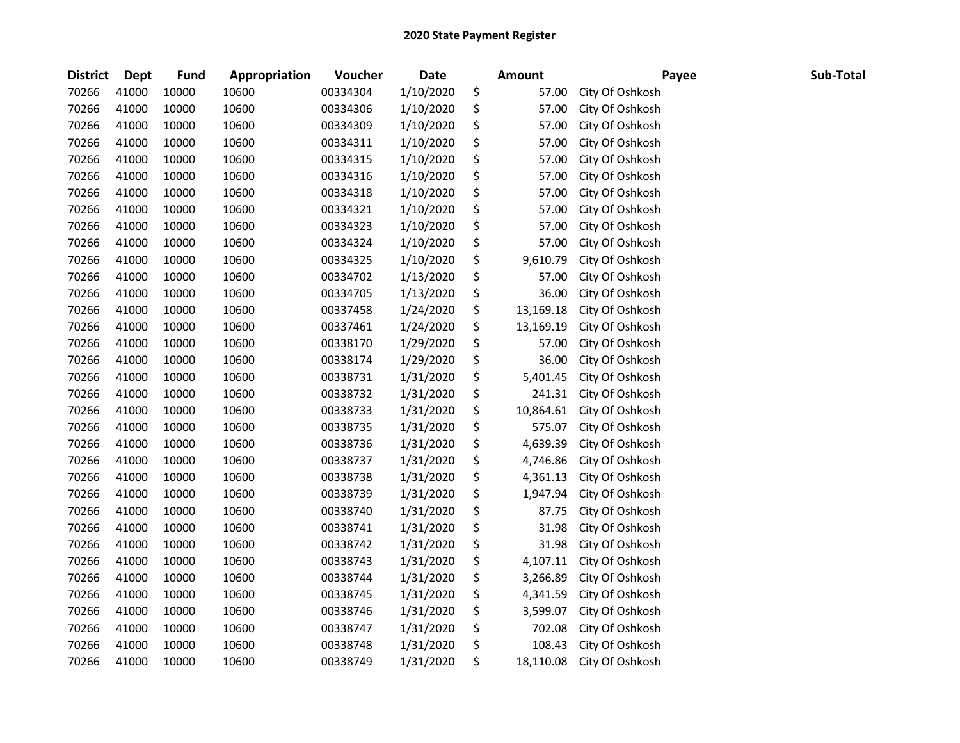| <b>District</b> | Dept  | <b>Fund</b> | Appropriation | Voucher  | <b>Date</b> | <b>Amount</b>   | Payee           | Sub-Total |
|-----------------|-------|-------------|---------------|----------|-------------|-----------------|-----------------|-----------|
| 70266           | 41000 | 10000       | 10600         | 00334304 | 1/10/2020   | \$<br>57.00     | City Of Oshkosh |           |
| 70266           | 41000 | 10000       | 10600         | 00334306 | 1/10/2020   | \$<br>57.00     | City Of Oshkosh |           |
| 70266           | 41000 | 10000       | 10600         | 00334309 | 1/10/2020   | \$<br>57.00     | City Of Oshkosh |           |
| 70266           | 41000 | 10000       | 10600         | 00334311 | 1/10/2020   | \$<br>57.00     | City Of Oshkosh |           |
| 70266           | 41000 | 10000       | 10600         | 00334315 | 1/10/2020   | \$<br>57.00     | City Of Oshkosh |           |
| 70266           | 41000 | 10000       | 10600         | 00334316 | 1/10/2020   | \$<br>57.00     | City Of Oshkosh |           |
| 70266           | 41000 | 10000       | 10600         | 00334318 | 1/10/2020   | \$<br>57.00     | City Of Oshkosh |           |
| 70266           | 41000 | 10000       | 10600         | 00334321 | 1/10/2020   | \$<br>57.00     | City Of Oshkosh |           |
| 70266           | 41000 | 10000       | 10600         | 00334323 | 1/10/2020   | \$<br>57.00     | City Of Oshkosh |           |
| 70266           | 41000 | 10000       | 10600         | 00334324 | 1/10/2020   | \$<br>57.00     | City Of Oshkosh |           |
| 70266           | 41000 | 10000       | 10600         | 00334325 | 1/10/2020   | \$<br>9,610.79  | City Of Oshkosh |           |
| 70266           | 41000 | 10000       | 10600         | 00334702 | 1/13/2020   | \$<br>57.00     | City Of Oshkosh |           |
| 70266           | 41000 | 10000       | 10600         | 00334705 | 1/13/2020   | \$<br>36.00     | City Of Oshkosh |           |
| 70266           | 41000 | 10000       | 10600         | 00337458 | 1/24/2020   | \$<br>13,169.18 | City Of Oshkosh |           |
| 70266           | 41000 | 10000       | 10600         | 00337461 | 1/24/2020   | \$<br>13,169.19 | City Of Oshkosh |           |
| 70266           | 41000 | 10000       | 10600         | 00338170 | 1/29/2020   | \$<br>57.00     | City Of Oshkosh |           |
| 70266           | 41000 | 10000       | 10600         | 00338174 | 1/29/2020   | \$<br>36.00     | City Of Oshkosh |           |
| 70266           | 41000 | 10000       | 10600         | 00338731 | 1/31/2020   | \$<br>5,401.45  | City Of Oshkosh |           |
| 70266           | 41000 | 10000       | 10600         | 00338732 | 1/31/2020   | \$<br>241.31    | City Of Oshkosh |           |
| 70266           | 41000 | 10000       | 10600         | 00338733 | 1/31/2020   | \$<br>10,864.61 | City Of Oshkosh |           |
| 70266           | 41000 | 10000       | 10600         | 00338735 | 1/31/2020   | \$<br>575.07    | City Of Oshkosh |           |
| 70266           | 41000 | 10000       | 10600         | 00338736 | 1/31/2020   | \$<br>4,639.39  | City Of Oshkosh |           |
| 70266           | 41000 | 10000       | 10600         | 00338737 | 1/31/2020   | \$<br>4,746.86  | City Of Oshkosh |           |
| 70266           | 41000 | 10000       | 10600         | 00338738 | 1/31/2020   | \$<br>4,361.13  | City Of Oshkosh |           |
| 70266           | 41000 | 10000       | 10600         | 00338739 | 1/31/2020   | \$<br>1,947.94  | City Of Oshkosh |           |
| 70266           | 41000 | 10000       | 10600         | 00338740 | 1/31/2020   | \$<br>87.75     | City Of Oshkosh |           |
| 70266           | 41000 | 10000       | 10600         | 00338741 | 1/31/2020   | \$<br>31.98     | City Of Oshkosh |           |
| 70266           | 41000 | 10000       | 10600         | 00338742 | 1/31/2020   | \$<br>31.98     | City Of Oshkosh |           |
| 70266           | 41000 | 10000       | 10600         | 00338743 | 1/31/2020   | \$<br>4,107.11  | City Of Oshkosh |           |
| 70266           | 41000 | 10000       | 10600         | 00338744 | 1/31/2020   | \$<br>3,266.89  | City Of Oshkosh |           |
| 70266           | 41000 | 10000       | 10600         | 00338745 | 1/31/2020   | \$<br>4,341.59  | City Of Oshkosh |           |
| 70266           | 41000 | 10000       | 10600         | 00338746 | 1/31/2020   | \$<br>3,599.07  | City Of Oshkosh |           |
| 70266           | 41000 | 10000       | 10600         | 00338747 | 1/31/2020   | \$<br>702.08    | City Of Oshkosh |           |
| 70266           | 41000 | 10000       | 10600         | 00338748 | 1/31/2020   | \$<br>108.43    | City Of Oshkosh |           |
| 70266           | 41000 | 10000       | 10600         | 00338749 | 1/31/2020   | \$<br>18,110.08 | City Of Oshkosh |           |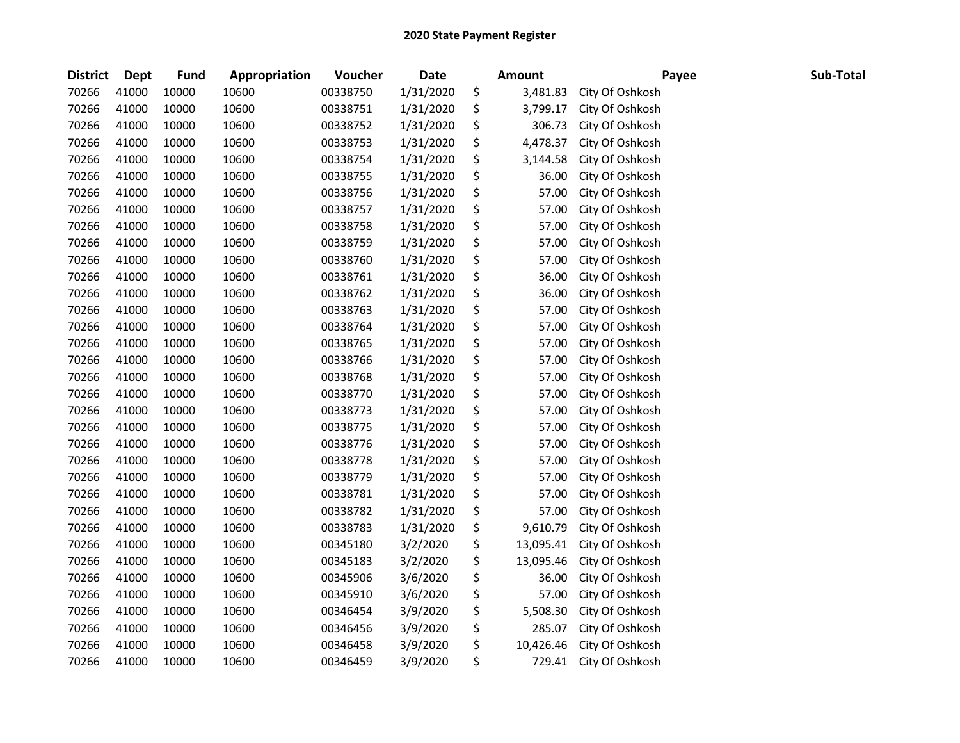| <b>District</b> | <b>Dept</b> | Fund  | Appropriation | Voucher  | <b>Date</b> | Amount          | Payee           | Sub-Total |
|-----------------|-------------|-------|---------------|----------|-------------|-----------------|-----------------|-----------|
| 70266           | 41000       | 10000 | 10600         | 00338750 | 1/31/2020   | \$<br>3,481.83  | City Of Oshkosh |           |
| 70266           | 41000       | 10000 | 10600         | 00338751 | 1/31/2020   | \$<br>3,799.17  | City Of Oshkosh |           |
| 70266           | 41000       | 10000 | 10600         | 00338752 | 1/31/2020   | \$<br>306.73    | City Of Oshkosh |           |
| 70266           | 41000       | 10000 | 10600         | 00338753 | 1/31/2020   | \$<br>4,478.37  | City Of Oshkosh |           |
| 70266           | 41000       | 10000 | 10600         | 00338754 | 1/31/2020   | \$<br>3,144.58  | City Of Oshkosh |           |
| 70266           | 41000       | 10000 | 10600         | 00338755 | 1/31/2020   | \$<br>36.00     | City Of Oshkosh |           |
| 70266           | 41000       | 10000 | 10600         | 00338756 | 1/31/2020   | \$<br>57.00     | City Of Oshkosh |           |
| 70266           | 41000       | 10000 | 10600         | 00338757 | 1/31/2020   | \$<br>57.00     | City Of Oshkosh |           |
| 70266           | 41000       | 10000 | 10600         | 00338758 | 1/31/2020   | \$<br>57.00     | City Of Oshkosh |           |
| 70266           | 41000       | 10000 | 10600         | 00338759 | 1/31/2020   | \$<br>57.00     | City Of Oshkosh |           |
| 70266           | 41000       | 10000 | 10600         | 00338760 | 1/31/2020   | \$<br>57.00     | City Of Oshkosh |           |
| 70266           | 41000       | 10000 | 10600         | 00338761 | 1/31/2020   | \$<br>36.00     | City Of Oshkosh |           |
| 70266           | 41000       | 10000 | 10600         | 00338762 | 1/31/2020   | \$<br>36.00     | City Of Oshkosh |           |
| 70266           | 41000       | 10000 | 10600         | 00338763 | 1/31/2020   | \$<br>57.00     | City Of Oshkosh |           |
| 70266           | 41000       | 10000 | 10600         | 00338764 | 1/31/2020   | \$<br>57.00     | City Of Oshkosh |           |
| 70266           | 41000       | 10000 | 10600         | 00338765 | 1/31/2020   | \$<br>57.00     | City Of Oshkosh |           |
| 70266           | 41000       | 10000 | 10600         | 00338766 | 1/31/2020   | \$<br>57.00     | City Of Oshkosh |           |
| 70266           | 41000       | 10000 | 10600         | 00338768 | 1/31/2020   | \$<br>57.00     | City Of Oshkosh |           |
| 70266           | 41000       | 10000 | 10600         | 00338770 | 1/31/2020   | \$<br>57.00     | City Of Oshkosh |           |
| 70266           | 41000       | 10000 | 10600         | 00338773 | 1/31/2020   | \$<br>57.00     | City Of Oshkosh |           |
| 70266           | 41000       | 10000 | 10600         | 00338775 | 1/31/2020   | \$<br>57.00     | City Of Oshkosh |           |
| 70266           | 41000       | 10000 | 10600         | 00338776 | 1/31/2020   | \$<br>57.00     | City Of Oshkosh |           |
| 70266           | 41000       | 10000 | 10600         | 00338778 | 1/31/2020   | \$<br>57.00     | City Of Oshkosh |           |
| 70266           | 41000       | 10000 | 10600         | 00338779 | 1/31/2020   | \$<br>57.00     | City Of Oshkosh |           |
| 70266           | 41000       | 10000 | 10600         | 00338781 | 1/31/2020   | \$<br>57.00     | City Of Oshkosh |           |
| 70266           | 41000       | 10000 | 10600         | 00338782 | 1/31/2020   | \$<br>57.00     | City Of Oshkosh |           |
| 70266           | 41000       | 10000 | 10600         | 00338783 | 1/31/2020   | \$<br>9,610.79  | City Of Oshkosh |           |
| 70266           | 41000       | 10000 | 10600         | 00345180 | 3/2/2020    | \$<br>13,095.41 | City Of Oshkosh |           |
| 70266           | 41000       | 10000 | 10600         | 00345183 | 3/2/2020    | \$<br>13,095.46 | City Of Oshkosh |           |
| 70266           | 41000       | 10000 | 10600         | 00345906 | 3/6/2020    | \$<br>36.00     | City Of Oshkosh |           |
| 70266           | 41000       | 10000 | 10600         | 00345910 | 3/6/2020    | \$<br>57.00     | City Of Oshkosh |           |
| 70266           | 41000       | 10000 | 10600         | 00346454 | 3/9/2020    | \$<br>5,508.30  | City Of Oshkosh |           |
| 70266           | 41000       | 10000 | 10600         | 00346456 | 3/9/2020    | \$<br>285.07    | City Of Oshkosh |           |
| 70266           | 41000       | 10000 | 10600         | 00346458 | 3/9/2020    | \$<br>10,426.46 | City Of Oshkosh |           |
| 70266           | 41000       | 10000 | 10600         | 00346459 | 3/9/2020    | \$<br>729.41    | City Of Oshkosh |           |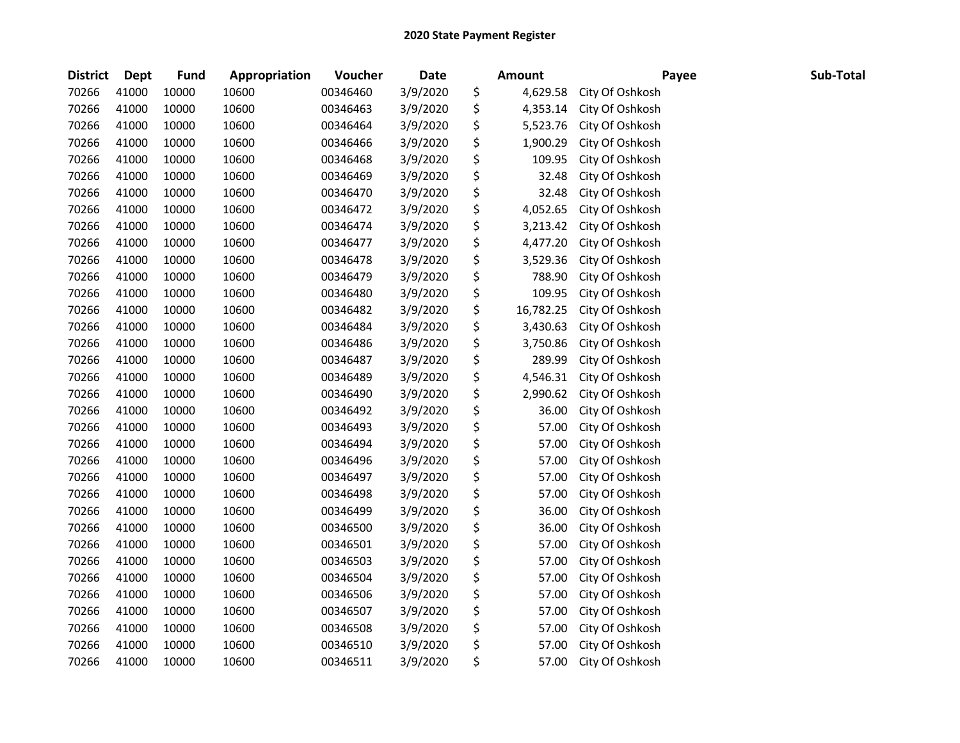| <b>District</b> | Dept  | <b>Fund</b> | Appropriation | Voucher  | <b>Date</b> | <b>Amount</b>   | Payee           | Sub-Total |
|-----------------|-------|-------------|---------------|----------|-------------|-----------------|-----------------|-----------|
| 70266           | 41000 | 10000       | 10600         | 00346460 | 3/9/2020    | \$<br>4,629.58  | City Of Oshkosh |           |
| 70266           | 41000 | 10000       | 10600         | 00346463 | 3/9/2020    | \$<br>4,353.14  | City Of Oshkosh |           |
| 70266           | 41000 | 10000       | 10600         | 00346464 | 3/9/2020    | \$<br>5,523.76  | City Of Oshkosh |           |
| 70266           | 41000 | 10000       | 10600         | 00346466 | 3/9/2020    | \$<br>1,900.29  | City Of Oshkosh |           |
| 70266           | 41000 | 10000       | 10600         | 00346468 | 3/9/2020    | \$<br>109.95    | City Of Oshkosh |           |
| 70266           | 41000 | 10000       | 10600         | 00346469 | 3/9/2020    | \$<br>32.48     | City Of Oshkosh |           |
| 70266           | 41000 | 10000       | 10600         | 00346470 | 3/9/2020    | \$<br>32.48     | City Of Oshkosh |           |
| 70266           | 41000 | 10000       | 10600         | 00346472 | 3/9/2020    | \$<br>4,052.65  | City Of Oshkosh |           |
| 70266           | 41000 | 10000       | 10600         | 00346474 | 3/9/2020    | \$<br>3,213.42  | City Of Oshkosh |           |
| 70266           | 41000 | 10000       | 10600         | 00346477 | 3/9/2020    | \$<br>4,477.20  | City Of Oshkosh |           |
| 70266           | 41000 | 10000       | 10600         | 00346478 | 3/9/2020    | \$<br>3,529.36  | City Of Oshkosh |           |
| 70266           | 41000 | 10000       | 10600         | 00346479 | 3/9/2020    | \$<br>788.90    | City Of Oshkosh |           |
| 70266           | 41000 | 10000       | 10600         | 00346480 | 3/9/2020    | \$<br>109.95    | City Of Oshkosh |           |
| 70266           | 41000 | 10000       | 10600         | 00346482 | 3/9/2020    | \$<br>16,782.25 | City Of Oshkosh |           |
| 70266           | 41000 | 10000       | 10600         | 00346484 | 3/9/2020    | \$<br>3,430.63  | City Of Oshkosh |           |
| 70266           | 41000 | 10000       | 10600         | 00346486 | 3/9/2020    | \$<br>3,750.86  | City Of Oshkosh |           |
| 70266           | 41000 | 10000       | 10600         | 00346487 | 3/9/2020    | \$<br>289.99    | City Of Oshkosh |           |
| 70266           | 41000 | 10000       | 10600         | 00346489 | 3/9/2020    | \$<br>4,546.31  | City Of Oshkosh |           |
| 70266           | 41000 | 10000       | 10600         | 00346490 | 3/9/2020    | \$<br>2,990.62  | City Of Oshkosh |           |
| 70266           | 41000 | 10000       | 10600         | 00346492 | 3/9/2020    | \$<br>36.00     | City Of Oshkosh |           |
| 70266           | 41000 | 10000       | 10600         | 00346493 | 3/9/2020    | \$<br>57.00     | City Of Oshkosh |           |
| 70266           | 41000 | 10000       | 10600         | 00346494 | 3/9/2020    | \$<br>57.00     | City Of Oshkosh |           |
| 70266           | 41000 | 10000       | 10600         | 00346496 | 3/9/2020    | \$<br>57.00     | City Of Oshkosh |           |
| 70266           | 41000 | 10000       | 10600         | 00346497 | 3/9/2020    | \$<br>57.00     | City Of Oshkosh |           |
| 70266           | 41000 | 10000       | 10600         | 00346498 | 3/9/2020    | \$<br>57.00     | City Of Oshkosh |           |
| 70266           | 41000 | 10000       | 10600         | 00346499 | 3/9/2020    | \$<br>36.00     | City Of Oshkosh |           |
| 70266           | 41000 | 10000       | 10600         | 00346500 | 3/9/2020    | \$<br>36.00     | City Of Oshkosh |           |
| 70266           | 41000 | 10000       | 10600         | 00346501 | 3/9/2020    | \$<br>57.00     | City Of Oshkosh |           |
| 70266           | 41000 | 10000       | 10600         | 00346503 | 3/9/2020    | \$<br>57.00     | City Of Oshkosh |           |
| 70266           | 41000 | 10000       | 10600         | 00346504 | 3/9/2020    | \$<br>57.00     | City Of Oshkosh |           |
| 70266           | 41000 | 10000       | 10600         | 00346506 | 3/9/2020    | \$<br>57.00     | City Of Oshkosh |           |
| 70266           | 41000 | 10000       | 10600         | 00346507 | 3/9/2020    | \$<br>57.00     | City Of Oshkosh |           |
| 70266           | 41000 | 10000       | 10600         | 00346508 | 3/9/2020    | \$<br>57.00     | City Of Oshkosh |           |
| 70266           | 41000 | 10000       | 10600         | 00346510 | 3/9/2020    | \$<br>57.00     | City Of Oshkosh |           |
| 70266           | 41000 | 10000       | 10600         | 00346511 | 3/9/2020    | \$<br>57.00     | City Of Oshkosh |           |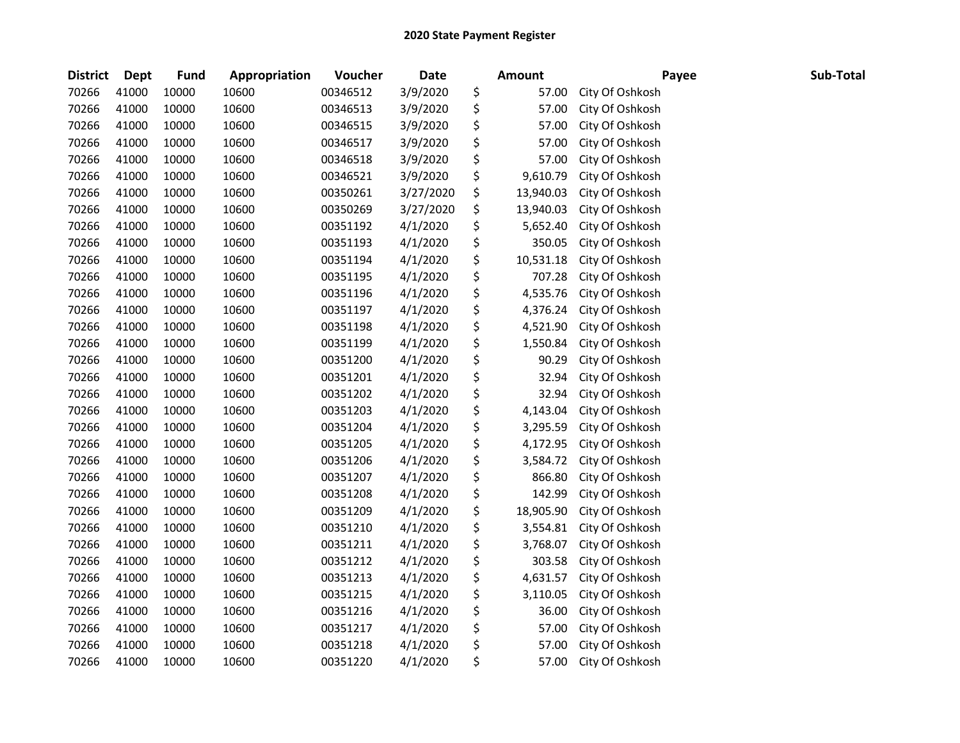| <b>District</b> | <b>Dept</b> | Fund  | Appropriation | Voucher  | <b>Date</b> | <b>Amount</b>   | Payee           | Sub-Total |
|-----------------|-------------|-------|---------------|----------|-------------|-----------------|-----------------|-----------|
| 70266           | 41000       | 10000 | 10600         | 00346512 | 3/9/2020    | \$<br>57.00     | City Of Oshkosh |           |
| 70266           | 41000       | 10000 | 10600         | 00346513 | 3/9/2020    | \$<br>57.00     | City Of Oshkosh |           |
| 70266           | 41000       | 10000 | 10600         | 00346515 | 3/9/2020    | \$<br>57.00     | City Of Oshkosh |           |
| 70266           | 41000       | 10000 | 10600         | 00346517 | 3/9/2020    | \$<br>57.00     | City Of Oshkosh |           |
| 70266           | 41000       | 10000 | 10600         | 00346518 | 3/9/2020    | \$<br>57.00     | City Of Oshkosh |           |
| 70266           | 41000       | 10000 | 10600         | 00346521 | 3/9/2020    | \$<br>9,610.79  | City Of Oshkosh |           |
| 70266           | 41000       | 10000 | 10600         | 00350261 | 3/27/2020   | \$<br>13,940.03 | City Of Oshkosh |           |
| 70266           | 41000       | 10000 | 10600         | 00350269 | 3/27/2020   | \$<br>13,940.03 | City Of Oshkosh |           |
| 70266           | 41000       | 10000 | 10600         | 00351192 | 4/1/2020    | \$<br>5,652.40  | City Of Oshkosh |           |
| 70266           | 41000       | 10000 | 10600         | 00351193 | 4/1/2020    | \$<br>350.05    | City Of Oshkosh |           |
| 70266           | 41000       | 10000 | 10600         | 00351194 | 4/1/2020    | \$<br>10,531.18 | City Of Oshkosh |           |
| 70266           | 41000       | 10000 | 10600         | 00351195 | 4/1/2020    | \$<br>707.28    | City Of Oshkosh |           |
| 70266           | 41000       | 10000 | 10600         | 00351196 | 4/1/2020    | \$<br>4,535.76  | City Of Oshkosh |           |
| 70266           | 41000       | 10000 | 10600         | 00351197 | 4/1/2020    | \$<br>4,376.24  | City Of Oshkosh |           |
| 70266           | 41000       | 10000 | 10600         | 00351198 | 4/1/2020    | \$<br>4,521.90  | City Of Oshkosh |           |
| 70266           | 41000       | 10000 | 10600         | 00351199 | 4/1/2020    | \$<br>1,550.84  | City Of Oshkosh |           |
| 70266           | 41000       | 10000 | 10600         | 00351200 | 4/1/2020    | \$<br>90.29     | City Of Oshkosh |           |
| 70266           | 41000       | 10000 | 10600         | 00351201 | 4/1/2020    | \$<br>32.94     | City Of Oshkosh |           |
| 70266           | 41000       | 10000 | 10600         | 00351202 | 4/1/2020    | \$<br>32.94     | City Of Oshkosh |           |
| 70266           | 41000       | 10000 | 10600         | 00351203 | 4/1/2020    | \$<br>4,143.04  | City Of Oshkosh |           |
| 70266           | 41000       | 10000 | 10600         | 00351204 | 4/1/2020    | \$<br>3,295.59  | City Of Oshkosh |           |
| 70266           | 41000       | 10000 | 10600         | 00351205 | 4/1/2020    | \$<br>4,172.95  | City Of Oshkosh |           |
| 70266           | 41000       | 10000 | 10600         | 00351206 | 4/1/2020    | \$<br>3,584.72  | City Of Oshkosh |           |
| 70266           | 41000       | 10000 | 10600         | 00351207 | 4/1/2020    | \$<br>866.80    | City Of Oshkosh |           |
| 70266           | 41000       | 10000 | 10600         | 00351208 | 4/1/2020    | \$<br>142.99    | City Of Oshkosh |           |
| 70266           | 41000       | 10000 | 10600         | 00351209 | 4/1/2020    | \$<br>18,905.90 | City Of Oshkosh |           |
| 70266           | 41000       | 10000 | 10600         | 00351210 | 4/1/2020    | \$<br>3,554.81  | City Of Oshkosh |           |
| 70266           | 41000       | 10000 | 10600         | 00351211 | 4/1/2020    | \$<br>3,768.07  | City Of Oshkosh |           |
| 70266           | 41000       | 10000 | 10600         | 00351212 | 4/1/2020    | \$<br>303.58    | City Of Oshkosh |           |
| 70266           | 41000       | 10000 | 10600         | 00351213 | 4/1/2020    | \$<br>4,631.57  | City Of Oshkosh |           |
| 70266           | 41000       | 10000 | 10600         | 00351215 | 4/1/2020    | \$<br>3,110.05  | City Of Oshkosh |           |
| 70266           | 41000       | 10000 | 10600         | 00351216 | 4/1/2020    | \$<br>36.00     | City Of Oshkosh |           |
| 70266           | 41000       | 10000 | 10600         | 00351217 | 4/1/2020    | \$<br>57.00     | City Of Oshkosh |           |
| 70266           | 41000       | 10000 | 10600         | 00351218 | 4/1/2020    | \$<br>57.00     | City Of Oshkosh |           |
| 70266           | 41000       | 10000 | 10600         | 00351220 | 4/1/2020    | \$<br>57.00     | City Of Oshkosh |           |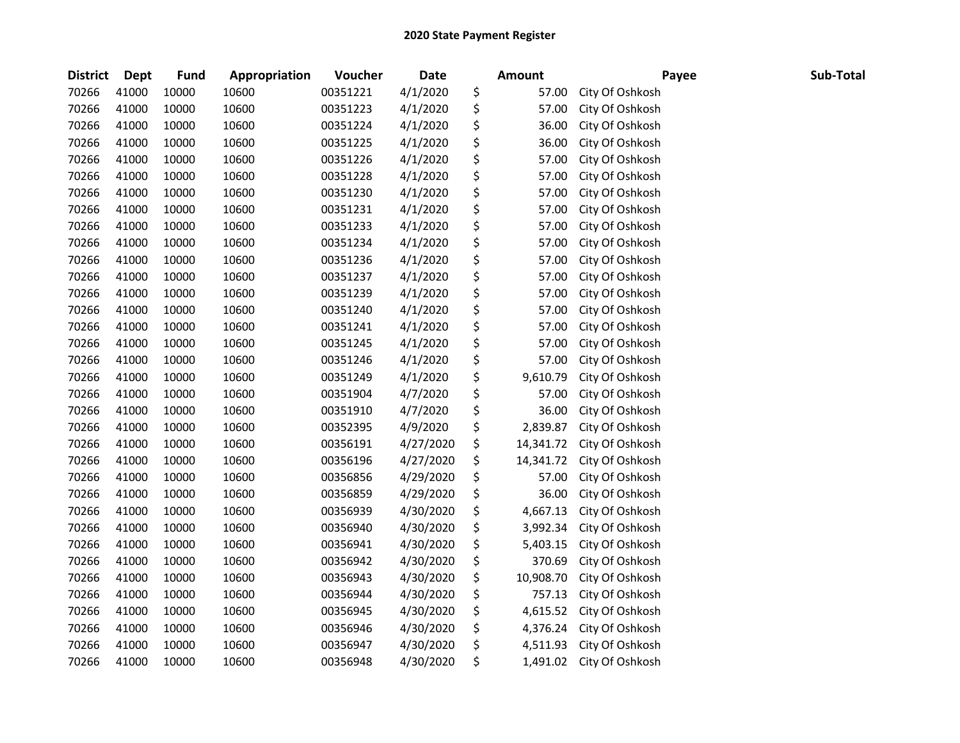| <b>District</b> | Dept  | <b>Fund</b> | Appropriation | Voucher  | <b>Date</b> | <b>Amount</b>   | Payee           | Sub-Total |
|-----------------|-------|-------------|---------------|----------|-------------|-----------------|-----------------|-----------|
| 70266           | 41000 | 10000       | 10600         | 00351221 | 4/1/2020    | \$<br>57.00     | City Of Oshkosh |           |
| 70266           | 41000 | 10000       | 10600         | 00351223 | 4/1/2020    | \$<br>57.00     | City Of Oshkosh |           |
| 70266           | 41000 | 10000       | 10600         | 00351224 | 4/1/2020    | \$<br>36.00     | City Of Oshkosh |           |
| 70266           | 41000 | 10000       | 10600         | 00351225 | 4/1/2020    | \$<br>36.00     | City Of Oshkosh |           |
| 70266           | 41000 | 10000       | 10600         | 00351226 | 4/1/2020    | \$<br>57.00     | City Of Oshkosh |           |
| 70266           | 41000 | 10000       | 10600         | 00351228 | 4/1/2020    | \$<br>57.00     | City Of Oshkosh |           |
| 70266           | 41000 | 10000       | 10600         | 00351230 | 4/1/2020    | \$<br>57.00     | City Of Oshkosh |           |
| 70266           | 41000 | 10000       | 10600         | 00351231 | 4/1/2020    | \$<br>57.00     | City Of Oshkosh |           |
| 70266           | 41000 | 10000       | 10600         | 00351233 | 4/1/2020    | \$<br>57.00     | City Of Oshkosh |           |
| 70266           | 41000 | 10000       | 10600         | 00351234 | 4/1/2020    | \$<br>57.00     | City Of Oshkosh |           |
| 70266           | 41000 | 10000       | 10600         | 00351236 | 4/1/2020    | \$<br>57.00     | City Of Oshkosh |           |
| 70266           | 41000 | 10000       | 10600         | 00351237 | 4/1/2020    | \$<br>57.00     | City Of Oshkosh |           |
| 70266           | 41000 | 10000       | 10600         | 00351239 | 4/1/2020    | \$<br>57.00     | City Of Oshkosh |           |
| 70266           | 41000 | 10000       | 10600         | 00351240 | 4/1/2020    | \$<br>57.00     | City Of Oshkosh |           |
| 70266           | 41000 | 10000       | 10600         | 00351241 | 4/1/2020    | \$<br>57.00     | City Of Oshkosh |           |
| 70266           | 41000 | 10000       | 10600         | 00351245 | 4/1/2020    | \$<br>57.00     | City Of Oshkosh |           |
| 70266           | 41000 | 10000       | 10600         | 00351246 | 4/1/2020    | \$<br>57.00     | City Of Oshkosh |           |
| 70266           | 41000 | 10000       | 10600         | 00351249 | 4/1/2020    | \$<br>9,610.79  | City Of Oshkosh |           |
| 70266           | 41000 | 10000       | 10600         | 00351904 | 4/7/2020    | \$<br>57.00     | City Of Oshkosh |           |
| 70266           | 41000 | 10000       | 10600         | 00351910 | 4/7/2020    | \$<br>36.00     | City Of Oshkosh |           |
| 70266           | 41000 | 10000       | 10600         | 00352395 | 4/9/2020    | \$<br>2,839.87  | City Of Oshkosh |           |
| 70266           | 41000 | 10000       | 10600         | 00356191 | 4/27/2020   | \$<br>14,341.72 | City Of Oshkosh |           |
| 70266           | 41000 | 10000       | 10600         | 00356196 | 4/27/2020   | \$<br>14,341.72 | City Of Oshkosh |           |
| 70266           | 41000 | 10000       | 10600         | 00356856 | 4/29/2020   | \$<br>57.00     | City Of Oshkosh |           |
| 70266           | 41000 | 10000       | 10600         | 00356859 | 4/29/2020   | \$<br>36.00     | City Of Oshkosh |           |
| 70266           | 41000 | 10000       | 10600         | 00356939 | 4/30/2020   | \$<br>4,667.13  | City Of Oshkosh |           |
| 70266           | 41000 | 10000       | 10600         | 00356940 | 4/30/2020   | \$<br>3,992.34  | City Of Oshkosh |           |
| 70266           | 41000 | 10000       | 10600         | 00356941 | 4/30/2020   | \$<br>5,403.15  | City Of Oshkosh |           |
| 70266           | 41000 | 10000       | 10600         | 00356942 | 4/30/2020   | \$<br>370.69    | City Of Oshkosh |           |
| 70266           | 41000 | 10000       | 10600         | 00356943 | 4/30/2020   | \$<br>10,908.70 | City Of Oshkosh |           |
| 70266           | 41000 | 10000       | 10600         | 00356944 | 4/30/2020   | \$<br>757.13    | City Of Oshkosh |           |
| 70266           | 41000 | 10000       | 10600         | 00356945 | 4/30/2020   | \$<br>4,615.52  | City Of Oshkosh |           |
| 70266           | 41000 | 10000       | 10600         | 00356946 | 4/30/2020   | \$<br>4,376.24  | City Of Oshkosh |           |
| 70266           | 41000 | 10000       | 10600         | 00356947 | 4/30/2020   | \$<br>4,511.93  | City Of Oshkosh |           |
| 70266           | 41000 | 10000       | 10600         | 00356948 | 4/30/2020   | \$<br>1,491.02  | City Of Oshkosh |           |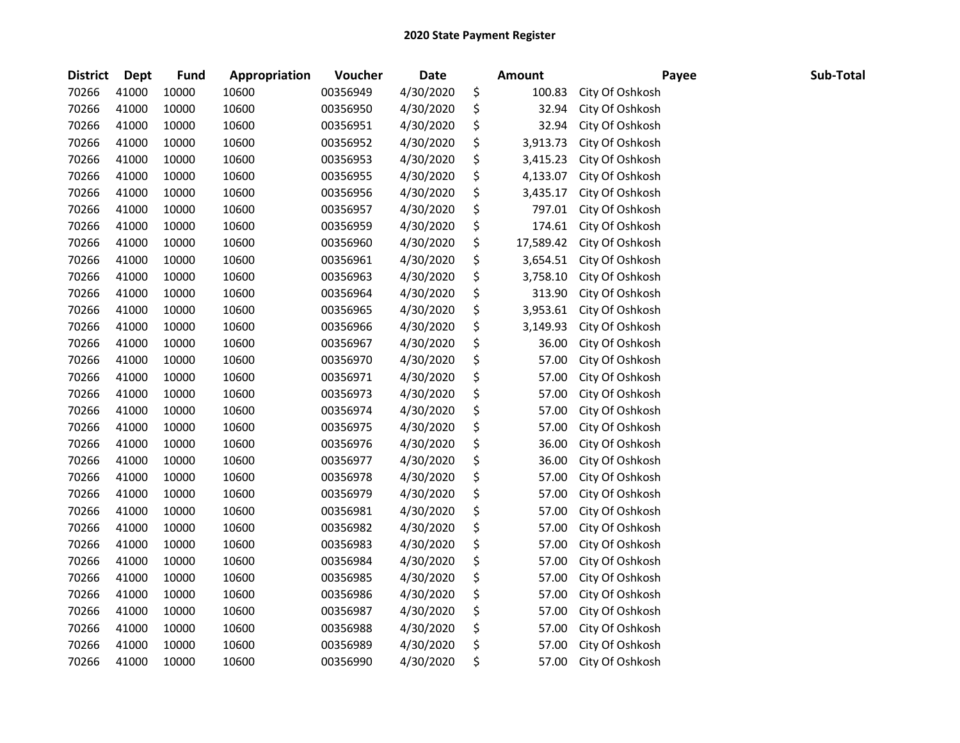| <b>District</b> | <b>Dept</b> | Fund  | Appropriation | Voucher  | <b>Date</b> | Amount          | Payee           | Sub-Total |
|-----------------|-------------|-------|---------------|----------|-------------|-----------------|-----------------|-----------|
| 70266           | 41000       | 10000 | 10600         | 00356949 | 4/30/2020   | \$<br>100.83    | City Of Oshkosh |           |
| 70266           | 41000       | 10000 | 10600         | 00356950 | 4/30/2020   | \$<br>32.94     | City Of Oshkosh |           |
| 70266           | 41000       | 10000 | 10600         | 00356951 | 4/30/2020   | \$<br>32.94     | City Of Oshkosh |           |
| 70266           | 41000       | 10000 | 10600         | 00356952 | 4/30/2020   | \$<br>3,913.73  | City Of Oshkosh |           |
| 70266           | 41000       | 10000 | 10600         | 00356953 | 4/30/2020   | \$<br>3,415.23  | City Of Oshkosh |           |
| 70266           | 41000       | 10000 | 10600         | 00356955 | 4/30/2020   | \$<br>4,133.07  | City Of Oshkosh |           |
| 70266           | 41000       | 10000 | 10600         | 00356956 | 4/30/2020   | \$<br>3,435.17  | City Of Oshkosh |           |
| 70266           | 41000       | 10000 | 10600         | 00356957 | 4/30/2020   | \$<br>797.01    | City Of Oshkosh |           |
| 70266           | 41000       | 10000 | 10600         | 00356959 | 4/30/2020   | \$<br>174.61    | City Of Oshkosh |           |
| 70266           | 41000       | 10000 | 10600         | 00356960 | 4/30/2020   | \$<br>17,589.42 | City Of Oshkosh |           |
| 70266           | 41000       | 10000 | 10600         | 00356961 | 4/30/2020   | \$<br>3,654.51  | City Of Oshkosh |           |
| 70266           | 41000       | 10000 | 10600         | 00356963 | 4/30/2020   | \$<br>3,758.10  | City Of Oshkosh |           |
| 70266           | 41000       | 10000 | 10600         | 00356964 | 4/30/2020   | \$<br>313.90    | City Of Oshkosh |           |
| 70266           | 41000       | 10000 | 10600         | 00356965 | 4/30/2020   | \$<br>3,953.61  | City Of Oshkosh |           |
| 70266           | 41000       | 10000 | 10600         | 00356966 | 4/30/2020   | \$<br>3,149.93  | City Of Oshkosh |           |
| 70266           | 41000       | 10000 | 10600         | 00356967 | 4/30/2020   | \$<br>36.00     | City Of Oshkosh |           |
| 70266           | 41000       | 10000 | 10600         | 00356970 | 4/30/2020   | \$<br>57.00     | City Of Oshkosh |           |
| 70266           | 41000       | 10000 | 10600         | 00356971 | 4/30/2020   | \$<br>57.00     | City Of Oshkosh |           |
| 70266           | 41000       | 10000 | 10600         | 00356973 | 4/30/2020   | \$<br>57.00     | City Of Oshkosh |           |
| 70266           | 41000       | 10000 | 10600         | 00356974 | 4/30/2020   | \$<br>57.00     | City Of Oshkosh |           |
| 70266           | 41000       | 10000 | 10600         | 00356975 | 4/30/2020   | \$<br>57.00     | City Of Oshkosh |           |
| 70266           | 41000       | 10000 | 10600         | 00356976 | 4/30/2020   | \$<br>36.00     | City Of Oshkosh |           |
| 70266           | 41000       | 10000 | 10600         | 00356977 | 4/30/2020   | \$<br>36.00     | City Of Oshkosh |           |
| 70266           | 41000       | 10000 | 10600         | 00356978 | 4/30/2020   | \$<br>57.00     | City Of Oshkosh |           |
| 70266           | 41000       | 10000 | 10600         | 00356979 | 4/30/2020   | \$<br>57.00     | City Of Oshkosh |           |
| 70266           | 41000       | 10000 | 10600         | 00356981 | 4/30/2020   | \$<br>57.00     | City Of Oshkosh |           |
| 70266           | 41000       | 10000 | 10600         | 00356982 | 4/30/2020   | \$<br>57.00     | City Of Oshkosh |           |
| 70266           | 41000       | 10000 | 10600         | 00356983 | 4/30/2020   | \$<br>57.00     | City Of Oshkosh |           |
| 70266           | 41000       | 10000 | 10600         | 00356984 | 4/30/2020   | \$<br>57.00     | City Of Oshkosh |           |
| 70266           | 41000       | 10000 | 10600         | 00356985 | 4/30/2020   | \$<br>57.00     | City Of Oshkosh |           |
| 70266           | 41000       | 10000 | 10600         | 00356986 | 4/30/2020   | \$<br>57.00     | City Of Oshkosh |           |
| 70266           | 41000       | 10000 | 10600         | 00356987 | 4/30/2020   | \$<br>57.00     | City Of Oshkosh |           |
| 70266           | 41000       | 10000 | 10600         | 00356988 | 4/30/2020   | \$<br>57.00     | City Of Oshkosh |           |
| 70266           | 41000       | 10000 | 10600         | 00356989 | 4/30/2020   | \$<br>57.00     | City Of Oshkosh |           |
| 70266           | 41000       | 10000 | 10600         | 00356990 | 4/30/2020   | \$<br>57.00     | City Of Oshkosh |           |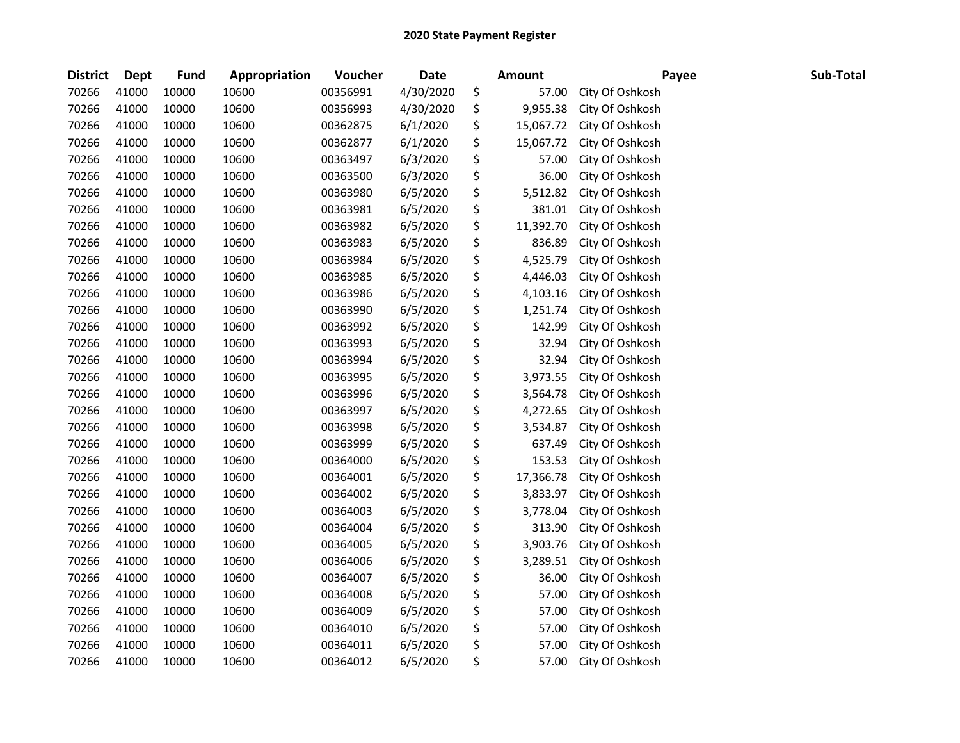| <b>District</b> | Dept  | <b>Fund</b> | Appropriation | Voucher  | <b>Date</b> | <b>Amount</b>   | Payee           | Sub-Total |
|-----------------|-------|-------------|---------------|----------|-------------|-----------------|-----------------|-----------|
| 70266           | 41000 | 10000       | 10600         | 00356991 | 4/30/2020   | \$<br>57.00     | City Of Oshkosh |           |
| 70266           | 41000 | 10000       | 10600         | 00356993 | 4/30/2020   | \$<br>9,955.38  | City Of Oshkosh |           |
| 70266           | 41000 | 10000       | 10600         | 00362875 | 6/1/2020    | \$<br>15,067.72 | City Of Oshkosh |           |
| 70266           | 41000 | 10000       | 10600         | 00362877 | 6/1/2020    | \$<br>15,067.72 | City Of Oshkosh |           |
| 70266           | 41000 | 10000       | 10600         | 00363497 | 6/3/2020    | \$<br>57.00     | City Of Oshkosh |           |
| 70266           | 41000 | 10000       | 10600         | 00363500 | 6/3/2020    | \$<br>36.00     | City Of Oshkosh |           |
| 70266           | 41000 | 10000       | 10600         | 00363980 | 6/5/2020    | \$<br>5,512.82  | City Of Oshkosh |           |
| 70266           | 41000 | 10000       | 10600         | 00363981 | 6/5/2020    | \$<br>381.01    | City Of Oshkosh |           |
| 70266           | 41000 | 10000       | 10600         | 00363982 | 6/5/2020    | \$<br>11,392.70 | City Of Oshkosh |           |
| 70266           | 41000 | 10000       | 10600         | 00363983 | 6/5/2020    | \$<br>836.89    | City Of Oshkosh |           |
| 70266           | 41000 | 10000       | 10600         | 00363984 | 6/5/2020    | \$<br>4,525.79  | City Of Oshkosh |           |
| 70266           | 41000 | 10000       | 10600         | 00363985 | 6/5/2020    | \$<br>4,446.03  | City Of Oshkosh |           |
| 70266           | 41000 | 10000       | 10600         | 00363986 | 6/5/2020    | \$<br>4,103.16  | City Of Oshkosh |           |
| 70266           | 41000 | 10000       | 10600         | 00363990 | 6/5/2020    | \$<br>1,251.74  | City Of Oshkosh |           |
| 70266           | 41000 | 10000       | 10600         | 00363992 | 6/5/2020    | \$<br>142.99    | City Of Oshkosh |           |
| 70266           | 41000 | 10000       | 10600         | 00363993 | 6/5/2020    | \$<br>32.94     | City Of Oshkosh |           |
| 70266           | 41000 | 10000       | 10600         | 00363994 | 6/5/2020    | \$<br>32.94     | City Of Oshkosh |           |
| 70266           | 41000 | 10000       | 10600         | 00363995 | 6/5/2020    | \$<br>3,973.55  | City Of Oshkosh |           |
| 70266           | 41000 | 10000       | 10600         | 00363996 | 6/5/2020    | \$<br>3,564.78  | City Of Oshkosh |           |
| 70266           | 41000 | 10000       | 10600         | 00363997 | 6/5/2020    | \$<br>4,272.65  | City Of Oshkosh |           |
| 70266           | 41000 | 10000       | 10600         | 00363998 | 6/5/2020    | \$<br>3,534.87  | City Of Oshkosh |           |
| 70266           | 41000 | 10000       | 10600         | 00363999 | 6/5/2020    | \$<br>637.49    | City Of Oshkosh |           |
| 70266           | 41000 | 10000       | 10600         | 00364000 | 6/5/2020    | \$<br>153.53    | City Of Oshkosh |           |
| 70266           | 41000 | 10000       | 10600         | 00364001 | 6/5/2020    | \$<br>17,366.78 | City Of Oshkosh |           |
| 70266           | 41000 | 10000       | 10600         | 00364002 | 6/5/2020    | \$<br>3,833.97  | City Of Oshkosh |           |
| 70266           | 41000 | 10000       | 10600         | 00364003 | 6/5/2020    | \$<br>3,778.04  | City Of Oshkosh |           |
| 70266           | 41000 | 10000       | 10600         | 00364004 | 6/5/2020    | \$<br>313.90    | City Of Oshkosh |           |
| 70266           | 41000 | 10000       | 10600         | 00364005 | 6/5/2020    | \$<br>3,903.76  | City Of Oshkosh |           |
| 70266           | 41000 | 10000       | 10600         | 00364006 | 6/5/2020    | \$<br>3,289.51  | City Of Oshkosh |           |
| 70266           | 41000 | 10000       | 10600         | 00364007 | 6/5/2020    | \$<br>36.00     | City Of Oshkosh |           |
| 70266           | 41000 | 10000       | 10600         | 00364008 | 6/5/2020    | \$<br>57.00     | City Of Oshkosh |           |
| 70266           | 41000 | 10000       | 10600         | 00364009 | 6/5/2020    | \$<br>57.00     | City Of Oshkosh |           |
| 70266           | 41000 | 10000       | 10600         | 00364010 | 6/5/2020    | \$<br>57.00     | City Of Oshkosh |           |
| 70266           | 41000 | 10000       | 10600         | 00364011 | 6/5/2020    | \$<br>57.00     | City Of Oshkosh |           |
| 70266           | 41000 | 10000       | 10600         | 00364012 | 6/5/2020    | \$<br>57.00     | City Of Oshkosh |           |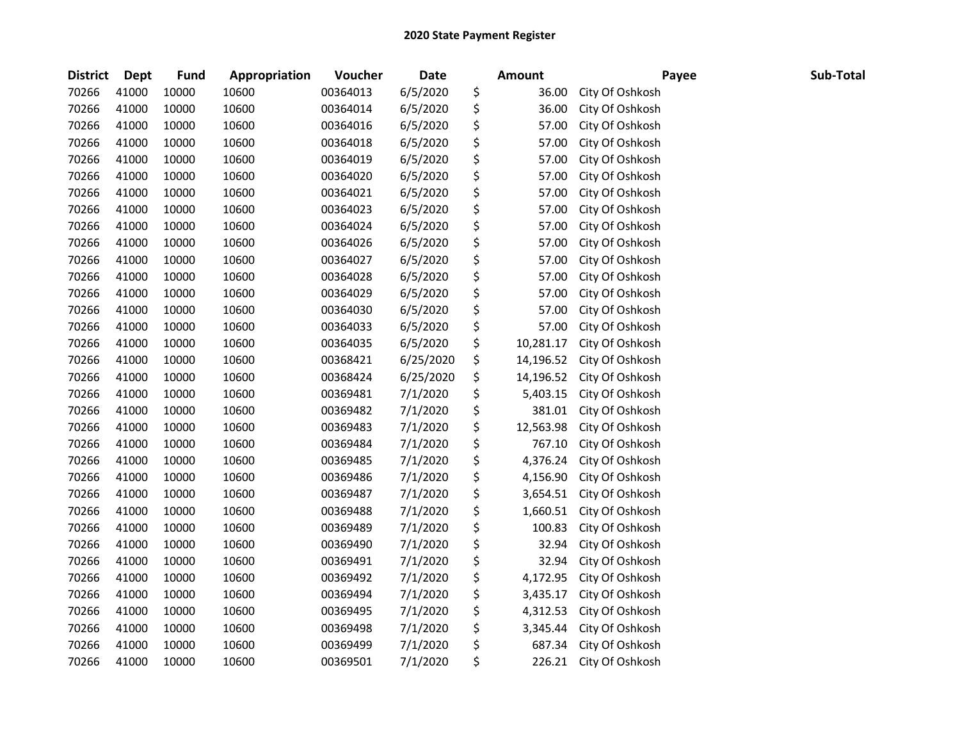| <b>District</b> | Dept  | <b>Fund</b> | Appropriation | Voucher  | <b>Date</b> | <b>Amount</b>   | Payee           | Sub-Total |
|-----------------|-------|-------------|---------------|----------|-------------|-----------------|-----------------|-----------|
| 70266           | 41000 | 10000       | 10600         | 00364013 | 6/5/2020    | \$<br>36.00     | City Of Oshkosh |           |
| 70266           | 41000 | 10000       | 10600         | 00364014 | 6/5/2020    | \$<br>36.00     | City Of Oshkosh |           |
| 70266           | 41000 | 10000       | 10600         | 00364016 | 6/5/2020    | \$<br>57.00     | City Of Oshkosh |           |
| 70266           | 41000 | 10000       | 10600         | 00364018 | 6/5/2020    | \$<br>57.00     | City Of Oshkosh |           |
| 70266           | 41000 | 10000       | 10600         | 00364019 | 6/5/2020    | \$<br>57.00     | City Of Oshkosh |           |
| 70266           | 41000 | 10000       | 10600         | 00364020 | 6/5/2020    | \$<br>57.00     | City Of Oshkosh |           |
| 70266           | 41000 | 10000       | 10600         | 00364021 | 6/5/2020    | \$<br>57.00     | City Of Oshkosh |           |
| 70266           | 41000 | 10000       | 10600         | 00364023 | 6/5/2020    | \$<br>57.00     | City Of Oshkosh |           |
| 70266           | 41000 | 10000       | 10600         | 00364024 | 6/5/2020    | \$<br>57.00     | City Of Oshkosh |           |
| 70266           | 41000 | 10000       | 10600         | 00364026 | 6/5/2020    | \$<br>57.00     | City Of Oshkosh |           |
| 70266           | 41000 | 10000       | 10600         | 00364027 | 6/5/2020    | \$<br>57.00     | City Of Oshkosh |           |
| 70266           | 41000 | 10000       | 10600         | 00364028 | 6/5/2020    | \$<br>57.00     | City Of Oshkosh |           |
| 70266           | 41000 | 10000       | 10600         | 00364029 | 6/5/2020    | \$<br>57.00     | City Of Oshkosh |           |
| 70266           | 41000 | 10000       | 10600         | 00364030 | 6/5/2020    | \$<br>57.00     | City Of Oshkosh |           |
| 70266           | 41000 | 10000       | 10600         | 00364033 | 6/5/2020    | \$<br>57.00     | City Of Oshkosh |           |
| 70266           | 41000 | 10000       | 10600         | 00364035 | 6/5/2020    | \$<br>10,281.17 | City Of Oshkosh |           |
| 70266           | 41000 | 10000       | 10600         | 00368421 | 6/25/2020   | \$<br>14,196.52 | City Of Oshkosh |           |
| 70266           | 41000 | 10000       | 10600         | 00368424 | 6/25/2020   | \$<br>14,196.52 | City Of Oshkosh |           |
| 70266           | 41000 | 10000       | 10600         | 00369481 | 7/1/2020    | \$<br>5,403.15  | City Of Oshkosh |           |
| 70266           | 41000 | 10000       | 10600         | 00369482 | 7/1/2020    | \$<br>381.01    | City Of Oshkosh |           |
| 70266           | 41000 | 10000       | 10600         | 00369483 | 7/1/2020    | \$<br>12,563.98 | City Of Oshkosh |           |
| 70266           | 41000 | 10000       | 10600         | 00369484 | 7/1/2020    | \$<br>767.10    | City Of Oshkosh |           |
| 70266           | 41000 | 10000       | 10600         | 00369485 | 7/1/2020    | \$<br>4,376.24  | City Of Oshkosh |           |
| 70266           | 41000 | 10000       | 10600         | 00369486 | 7/1/2020    | \$<br>4,156.90  | City Of Oshkosh |           |
| 70266           | 41000 | 10000       | 10600         | 00369487 | 7/1/2020    | \$<br>3,654.51  | City Of Oshkosh |           |
| 70266           | 41000 | 10000       | 10600         | 00369488 | 7/1/2020    | \$<br>1,660.51  | City Of Oshkosh |           |
| 70266           | 41000 | 10000       | 10600         | 00369489 | 7/1/2020    | \$<br>100.83    | City Of Oshkosh |           |
| 70266           | 41000 | 10000       | 10600         | 00369490 | 7/1/2020    | \$<br>32.94     | City Of Oshkosh |           |
| 70266           | 41000 | 10000       | 10600         | 00369491 | 7/1/2020    | \$<br>32.94     | City Of Oshkosh |           |
| 70266           | 41000 | 10000       | 10600         | 00369492 | 7/1/2020    | \$<br>4,172.95  | City Of Oshkosh |           |
| 70266           | 41000 | 10000       | 10600         | 00369494 | 7/1/2020    | \$<br>3,435.17  | City Of Oshkosh |           |
| 70266           | 41000 | 10000       | 10600         | 00369495 | 7/1/2020    | \$<br>4,312.53  | City Of Oshkosh |           |
| 70266           | 41000 | 10000       | 10600         | 00369498 | 7/1/2020    | \$<br>3,345.44  | City Of Oshkosh |           |
| 70266           | 41000 | 10000       | 10600         | 00369499 | 7/1/2020    | \$<br>687.34    | City Of Oshkosh |           |
| 70266           | 41000 | 10000       | 10600         | 00369501 | 7/1/2020    | \$<br>226.21    | City Of Oshkosh |           |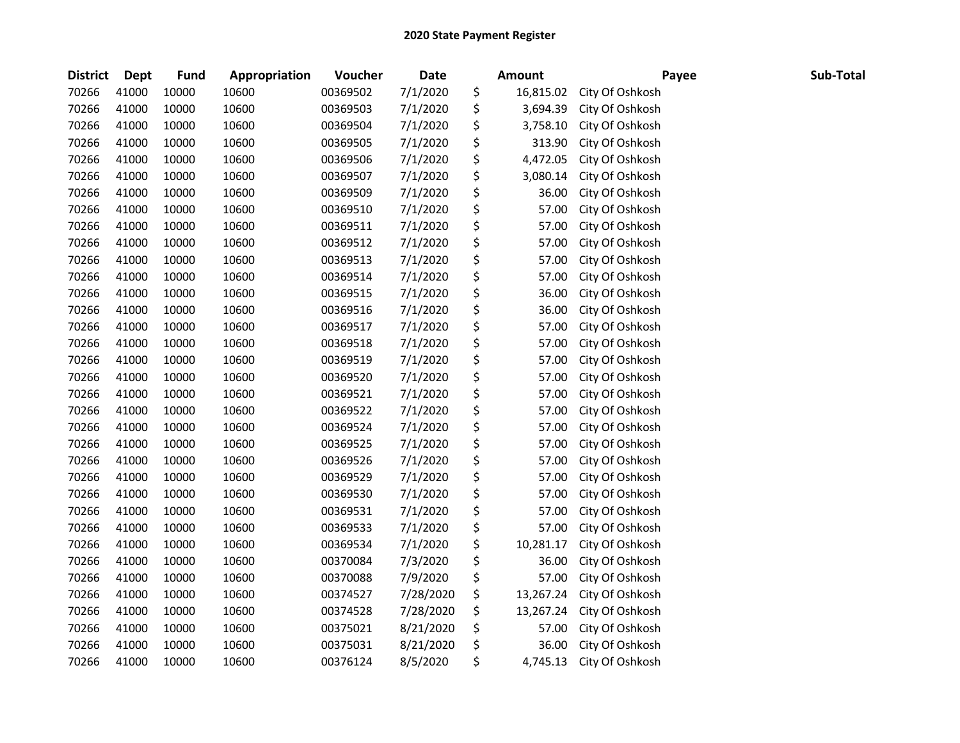| <b>District</b> | <b>Dept</b> | <b>Fund</b> | Appropriation | Voucher  | Date      | Amount          | Payee           | Sub-Total |
|-----------------|-------------|-------------|---------------|----------|-----------|-----------------|-----------------|-----------|
| 70266           | 41000       | 10000       | 10600         | 00369502 | 7/1/2020  | \$<br>16,815.02 | City Of Oshkosh |           |
| 70266           | 41000       | 10000       | 10600         | 00369503 | 7/1/2020  | \$<br>3,694.39  | City Of Oshkosh |           |
| 70266           | 41000       | 10000       | 10600         | 00369504 | 7/1/2020  | \$<br>3,758.10  | City Of Oshkosh |           |
| 70266           | 41000       | 10000       | 10600         | 00369505 | 7/1/2020  | \$<br>313.90    | City Of Oshkosh |           |
| 70266           | 41000       | 10000       | 10600         | 00369506 | 7/1/2020  | \$<br>4,472.05  | City Of Oshkosh |           |
| 70266           | 41000       | 10000       | 10600         | 00369507 | 7/1/2020  | \$<br>3,080.14  | City Of Oshkosh |           |
| 70266           | 41000       | 10000       | 10600         | 00369509 | 7/1/2020  | \$<br>36.00     | City Of Oshkosh |           |
| 70266           | 41000       | 10000       | 10600         | 00369510 | 7/1/2020  | \$<br>57.00     | City Of Oshkosh |           |
| 70266           | 41000       | 10000       | 10600         | 00369511 | 7/1/2020  | \$<br>57.00     | City Of Oshkosh |           |
| 70266           | 41000       | 10000       | 10600         | 00369512 | 7/1/2020  | \$<br>57.00     | City Of Oshkosh |           |
| 70266           | 41000       | 10000       | 10600         | 00369513 | 7/1/2020  | \$<br>57.00     | City Of Oshkosh |           |
| 70266           | 41000       | 10000       | 10600         | 00369514 | 7/1/2020  | \$<br>57.00     | City Of Oshkosh |           |
| 70266           | 41000       | 10000       | 10600         | 00369515 | 7/1/2020  | \$<br>36.00     | City Of Oshkosh |           |
| 70266           | 41000       | 10000       | 10600         | 00369516 | 7/1/2020  | \$<br>36.00     | City Of Oshkosh |           |
| 70266           | 41000       | 10000       | 10600         | 00369517 | 7/1/2020  | \$<br>57.00     | City Of Oshkosh |           |
| 70266           | 41000       | 10000       | 10600         | 00369518 | 7/1/2020  | \$<br>57.00     | City Of Oshkosh |           |
| 70266           | 41000       | 10000       | 10600         | 00369519 | 7/1/2020  | \$<br>57.00     | City Of Oshkosh |           |
| 70266           | 41000       | 10000       | 10600         | 00369520 | 7/1/2020  | \$<br>57.00     | City Of Oshkosh |           |
| 70266           | 41000       | 10000       | 10600         | 00369521 | 7/1/2020  | \$<br>57.00     | City Of Oshkosh |           |
| 70266           | 41000       | 10000       | 10600         | 00369522 | 7/1/2020  | \$<br>57.00     | City Of Oshkosh |           |
| 70266           | 41000       | 10000       | 10600         | 00369524 | 7/1/2020  | \$<br>57.00     | City Of Oshkosh |           |
| 70266           | 41000       | 10000       | 10600         | 00369525 | 7/1/2020  | \$<br>57.00     | City Of Oshkosh |           |
| 70266           | 41000       | 10000       | 10600         | 00369526 | 7/1/2020  | \$<br>57.00     | City Of Oshkosh |           |
| 70266           | 41000       | 10000       | 10600         | 00369529 | 7/1/2020  | \$<br>57.00     | City Of Oshkosh |           |
| 70266           | 41000       | 10000       | 10600         | 00369530 | 7/1/2020  | \$<br>57.00     | City Of Oshkosh |           |
| 70266           | 41000       | 10000       | 10600         | 00369531 | 7/1/2020  | \$<br>57.00     | City Of Oshkosh |           |
| 70266           | 41000       | 10000       | 10600         | 00369533 | 7/1/2020  | \$<br>57.00     | City Of Oshkosh |           |
| 70266           | 41000       | 10000       | 10600         | 00369534 | 7/1/2020  | \$<br>10,281.17 | City Of Oshkosh |           |
| 70266           | 41000       | 10000       | 10600         | 00370084 | 7/3/2020  | \$<br>36.00     | City Of Oshkosh |           |
| 70266           | 41000       | 10000       | 10600         | 00370088 | 7/9/2020  | \$<br>57.00     | City Of Oshkosh |           |
| 70266           | 41000       | 10000       | 10600         | 00374527 | 7/28/2020 | \$<br>13,267.24 | City Of Oshkosh |           |
| 70266           | 41000       | 10000       | 10600         | 00374528 | 7/28/2020 | \$<br>13,267.24 | City Of Oshkosh |           |
| 70266           | 41000       | 10000       | 10600         | 00375021 | 8/21/2020 | \$<br>57.00     | City Of Oshkosh |           |
| 70266           | 41000       | 10000       | 10600         | 00375031 | 8/21/2020 | \$<br>36.00     | City Of Oshkosh |           |
| 70266           | 41000       | 10000       | 10600         | 00376124 | 8/5/2020  | \$<br>4,745.13  | City Of Oshkosh |           |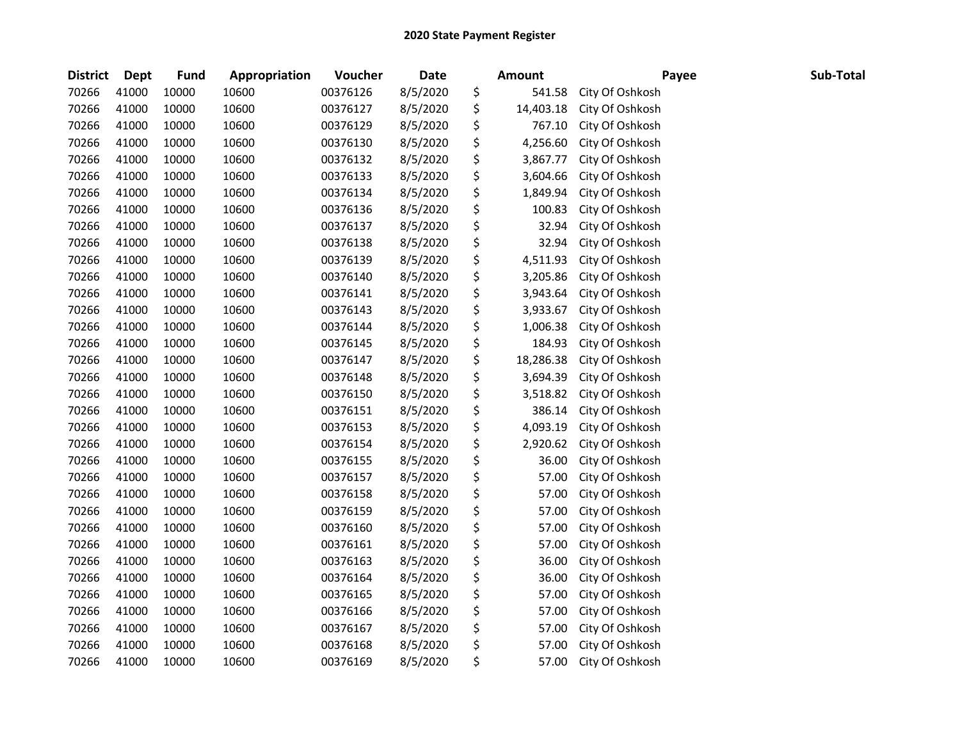| <b>District</b> | <b>Dept</b> | <b>Fund</b> | Appropriation | Voucher  | <b>Date</b> | Amount          | Payee           | Sub-Total |
|-----------------|-------------|-------------|---------------|----------|-------------|-----------------|-----------------|-----------|
| 70266           | 41000       | 10000       | 10600         | 00376126 | 8/5/2020    | \$<br>541.58    | City Of Oshkosh |           |
| 70266           | 41000       | 10000       | 10600         | 00376127 | 8/5/2020    | \$<br>14,403.18 | City Of Oshkosh |           |
| 70266           | 41000       | 10000       | 10600         | 00376129 | 8/5/2020    | \$<br>767.10    | City Of Oshkosh |           |
| 70266           | 41000       | 10000       | 10600         | 00376130 | 8/5/2020    | \$<br>4,256.60  | City Of Oshkosh |           |
| 70266           | 41000       | 10000       | 10600         | 00376132 | 8/5/2020    | \$<br>3,867.77  | City Of Oshkosh |           |
| 70266           | 41000       | 10000       | 10600         | 00376133 | 8/5/2020    | \$<br>3,604.66  | City Of Oshkosh |           |
| 70266           | 41000       | 10000       | 10600         | 00376134 | 8/5/2020    | \$<br>1,849.94  | City Of Oshkosh |           |
| 70266           | 41000       | 10000       | 10600         | 00376136 | 8/5/2020    | \$<br>100.83    | City Of Oshkosh |           |
| 70266           | 41000       | 10000       | 10600         | 00376137 | 8/5/2020    | \$<br>32.94     | City Of Oshkosh |           |
| 70266           | 41000       | 10000       | 10600         | 00376138 | 8/5/2020    | \$<br>32.94     | City Of Oshkosh |           |
| 70266           | 41000       | 10000       | 10600         | 00376139 | 8/5/2020    | \$<br>4,511.93  | City Of Oshkosh |           |
| 70266           | 41000       | 10000       | 10600         | 00376140 | 8/5/2020    | \$<br>3,205.86  | City Of Oshkosh |           |
| 70266           | 41000       | 10000       | 10600         | 00376141 | 8/5/2020    | \$<br>3,943.64  | City Of Oshkosh |           |
| 70266           | 41000       | 10000       | 10600         | 00376143 | 8/5/2020    | \$<br>3,933.67  | City Of Oshkosh |           |
| 70266           | 41000       | 10000       | 10600         | 00376144 | 8/5/2020    | \$<br>1,006.38  | City Of Oshkosh |           |
| 70266           | 41000       | 10000       | 10600         | 00376145 | 8/5/2020    | \$<br>184.93    | City Of Oshkosh |           |
| 70266           | 41000       | 10000       | 10600         | 00376147 | 8/5/2020    | \$<br>18,286.38 | City Of Oshkosh |           |
| 70266           | 41000       | 10000       | 10600         | 00376148 | 8/5/2020    | \$<br>3,694.39  | City Of Oshkosh |           |
| 70266           | 41000       | 10000       | 10600         | 00376150 | 8/5/2020    | \$<br>3,518.82  | City Of Oshkosh |           |
| 70266           | 41000       | 10000       | 10600         | 00376151 | 8/5/2020    | \$<br>386.14    | City Of Oshkosh |           |
| 70266           | 41000       | 10000       | 10600         | 00376153 | 8/5/2020    | \$<br>4,093.19  | City Of Oshkosh |           |
| 70266           | 41000       | 10000       | 10600         | 00376154 | 8/5/2020    | \$<br>2,920.62  | City Of Oshkosh |           |
| 70266           | 41000       | 10000       | 10600         | 00376155 | 8/5/2020    | \$<br>36.00     | City Of Oshkosh |           |
| 70266           | 41000       | 10000       | 10600         | 00376157 | 8/5/2020    | \$<br>57.00     | City Of Oshkosh |           |
| 70266           | 41000       | 10000       | 10600         | 00376158 | 8/5/2020    | \$<br>57.00     | City Of Oshkosh |           |
| 70266           | 41000       | 10000       | 10600         | 00376159 | 8/5/2020    | \$<br>57.00     | City Of Oshkosh |           |
| 70266           | 41000       | 10000       | 10600         | 00376160 | 8/5/2020    | \$<br>57.00     | City Of Oshkosh |           |
| 70266           | 41000       | 10000       | 10600         | 00376161 | 8/5/2020    | \$<br>57.00     | City Of Oshkosh |           |
| 70266           | 41000       | 10000       | 10600         | 00376163 | 8/5/2020    | \$<br>36.00     | City Of Oshkosh |           |
| 70266           | 41000       | 10000       | 10600         | 00376164 | 8/5/2020    | \$<br>36.00     | City Of Oshkosh |           |
| 70266           | 41000       | 10000       | 10600         | 00376165 | 8/5/2020    | \$<br>57.00     | City Of Oshkosh |           |
| 70266           | 41000       | 10000       | 10600         | 00376166 | 8/5/2020    | \$<br>57.00     | City Of Oshkosh |           |
| 70266           | 41000       | 10000       | 10600         | 00376167 | 8/5/2020    | \$<br>57.00     | City Of Oshkosh |           |
| 70266           | 41000       | 10000       | 10600         | 00376168 | 8/5/2020    | \$<br>57.00     | City Of Oshkosh |           |
| 70266           | 41000       | 10000       | 10600         | 00376169 | 8/5/2020    | \$<br>57.00     | City Of Oshkosh |           |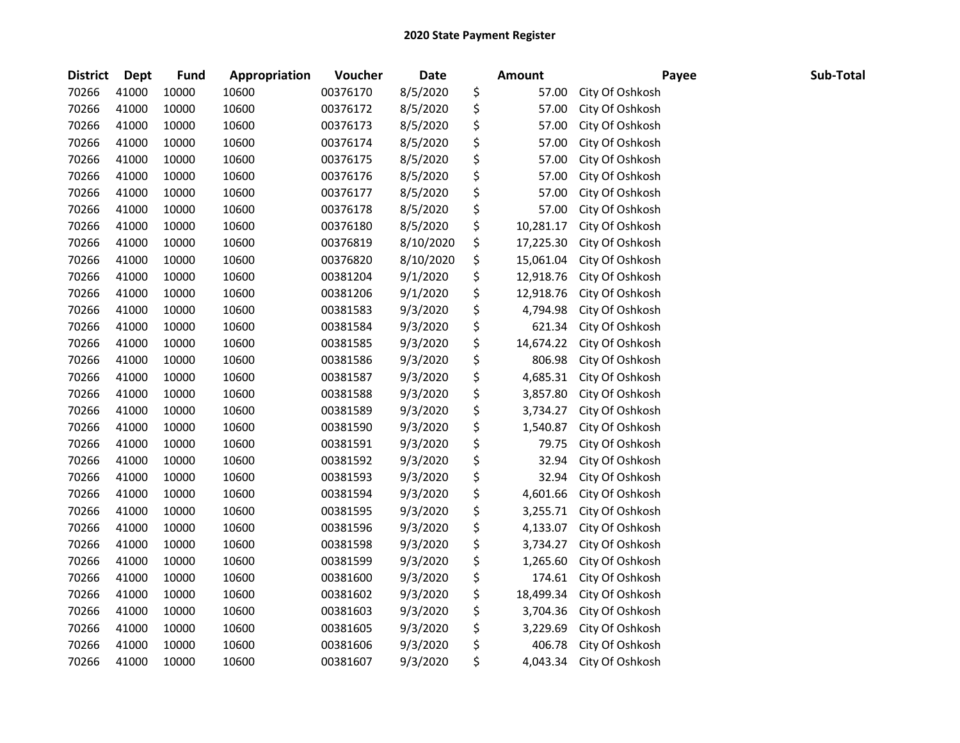## 2020 State Payment Register

| <b>District</b> | <b>Dept</b> | Fund  | Appropriation | Voucher  | <b>Date</b> | <b>Amount</b>   | Payee           | Sub-Total |
|-----------------|-------------|-------|---------------|----------|-------------|-----------------|-----------------|-----------|
| 70266           | 41000       | 10000 | 10600         | 00376170 | 8/5/2020    | \$<br>57.00     | City Of Oshkosh |           |
| 70266           | 41000       | 10000 | 10600         | 00376172 | 8/5/2020    | \$<br>57.00     | City Of Oshkosh |           |
| 70266           | 41000       | 10000 | 10600         | 00376173 | 8/5/2020    | \$<br>57.00     | City Of Oshkosh |           |
| 70266           | 41000       | 10000 | 10600         | 00376174 | 8/5/2020    | \$<br>57.00     | City Of Oshkosh |           |
| 70266           | 41000       | 10000 | 10600         | 00376175 | 8/5/2020    | \$<br>57.00     | City Of Oshkosh |           |
| 70266           | 41000       | 10000 | 10600         | 00376176 | 8/5/2020    | \$<br>57.00     | City Of Oshkosh |           |
| 70266           | 41000       | 10000 | 10600         | 00376177 | 8/5/2020    | \$<br>57.00     | City Of Oshkosh |           |
| 70266           | 41000       | 10000 | 10600         | 00376178 | 8/5/2020    | \$<br>57.00     | City Of Oshkosh |           |
| 70266           | 41000       | 10000 | 10600         | 00376180 | 8/5/2020    | \$<br>10,281.17 | City Of Oshkosh |           |
| 70266           | 41000       | 10000 | 10600         | 00376819 | 8/10/2020   | \$<br>17,225.30 | City Of Oshkosh |           |
| 70266           | 41000       | 10000 | 10600         | 00376820 | 8/10/2020   | \$<br>15,061.04 | City Of Oshkosh |           |
| 70266           | 41000       | 10000 | 10600         | 00381204 | 9/1/2020    | \$<br>12,918.76 | City Of Oshkosh |           |
| 70266           | 41000       | 10000 | 10600         | 00381206 | 9/1/2020    | \$<br>12,918.76 | City Of Oshkosh |           |
| 70266           | 41000       | 10000 | 10600         | 00381583 | 9/3/2020    | \$<br>4,794.98  | City Of Oshkosh |           |
| 70266           | 41000       | 10000 | 10600         | 00381584 | 9/3/2020    | \$<br>621.34    | City Of Oshkosh |           |
| 70266           | 41000       | 10000 | 10600         | 00381585 | 9/3/2020    | \$<br>14,674.22 | City Of Oshkosh |           |
| 70266           | 41000       | 10000 | 10600         | 00381586 | 9/3/2020    | \$<br>806.98    | City Of Oshkosh |           |
| 70266           | 41000       | 10000 | 10600         | 00381587 | 9/3/2020    | \$<br>4,685.31  | City Of Oshkosh |           |
| 70266           | 41000       | 10000 | 10600         | 00381588 | 9/3/2020    | \$<br>3,857.80  | City Of Oshkosh |           |
| 70266           | 41000       | 10000 | 10600         | 00381589 | 9/3/2020    | \$<br>3,734.27  | City Of Oshkosh |           |
| 70266           | 41000       | 10000 | 10600         | 00381590 | 9/3/2020    | \$<br>1,540.87  | City Of Oshkosh |           |
| 70266           | 41000       | 10000 | 10600         | 00381591 | 9/3/2020    | \$<br>79.75     | City Of Oshkosh |           |
| 70266           | 41000       | 10000 | 10600         | 00381592 | 9/3/2020    | \$<br>32.94     | City Of Oshkosh |           |
| 70266           | 41000       | 10000 | 10600         | 00381593 | 9/3/2020    | \$<br>32.94     | City Of Oshkosh |           |
| 70266           | 41000       | 10000 | 10600         | 00381594 | 9/3/2020    | \$<br>4,601.66  | City Of Oshkosh |           |
| 70266           | 41000       | 10000 | 10600         | 00381595 | 9/3/2020    | \$<br>3,255.71  | City Of Oshkosh |           |
| 70266           | 41000       | 10000 | 10600         | 00381596 | 9/3/2020    | \$<br>4,133.07  | City Of Oshkosh |           |
| 70266           | 41000       | 10000 | 10600         | 00381598 | 9/3/2020    | \$<br>3,734.27  | City Of Oshkosh |           |
| 70266           | 41000       | 10000 | 10600         | 00381599 | 9/3/2020    | \$<br>1,265.60  | City Of Oshkosh |           |
| 70266           | 41000       | 10000 | 10600         | 00381600 | 9/3/2020    | \$<br>174.61    | City Of Oshkosh |           |
| 70266           | 41000       | 10000 | 10600         | 00381602 | 9/3/2020    | \$<br>18,499.34 | City Of Oshkosh |           |
| 70266           | 41000       | 10000 | 10600         | 00381603 | 9/3/2020    | \$<br>3,704.36  | City Of Oshkosh |           |
| 70266           | 41000       | 10000 | 10600         | 00381605 | 9/3/2020    | \$<br>3,229.69  | City Of Oshkosh |           |
| 70266           | 41000       | 10000 | 10600         | 00381606 | 9/3/2020    | \$<br>406.78    | City Of Oshkosh |           |
| 70266           | 41000       | 10000 | 10600         | 00381607 | 9/3/2020    | \$<br>4,043.34  | City Of Oshkosh |           |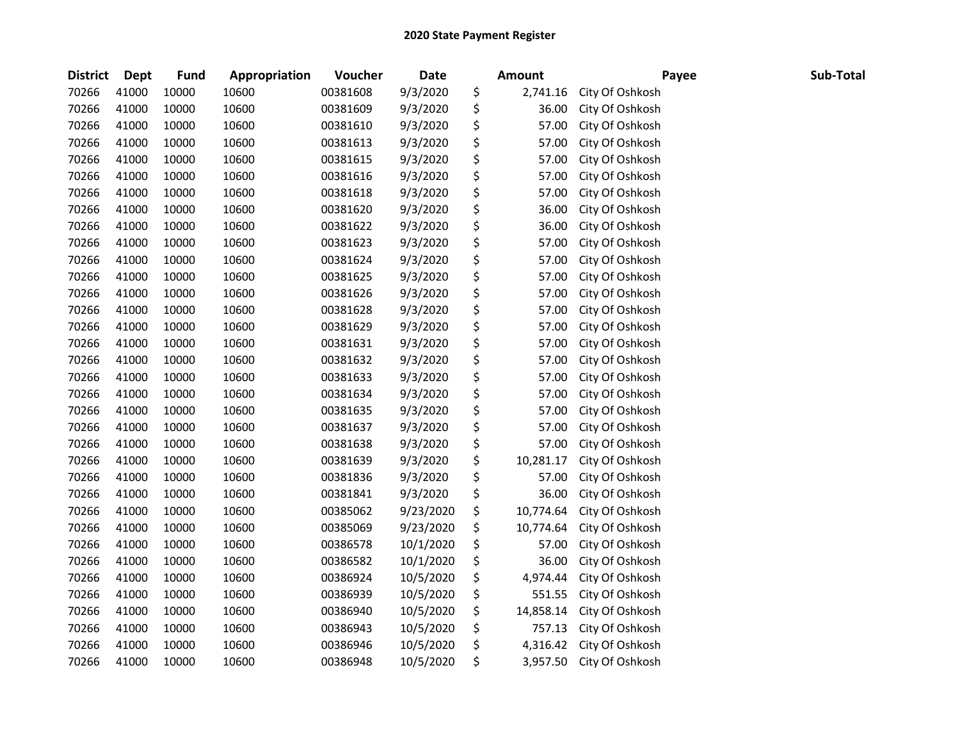| <b>District</b> | Dept  | <b>Fund</b> | Appropriation | Voucher  | <b>Date</b> | <b>Amount</b>   | Payee           | Sub-Total |
|-----------------|-------|-------------|---------------|----------|-------------|-----------------|-----------------|-----------|
| 70266           | 41000 | 10000       | 10600         | 00381608 | 9/3/2020    | \$<br>2,741.16  | City Of Oshkosh |           |
| 70266           | 41000 | 10000       | 10600         | 00381609 | 9/3/2020    | \$<br>36.00     | City Of Oshkosh |           |
| 70266           | 41000 | 10000       | 10600         | 00381610 | 9/3/2020    | \$<br>57.00     | City Of Oshkosh |           |
| 70266           | 41000 | 10000       | 10600         | 00381613 | 9/3/2020    | \$<br>57.00     | City Of Oshkosh |           |
| 70266           | 41000 | 10000       | 10600         | 00381615 | 9/3/2020    | \$<br>57.00     | City Of Oshkosh |           |
| 70266           | 41000 | 10000       | 10600         | 00381616 | 9/3/2020    | \$<br>57.00     | City Of Oshkosh |           |
| 70266           | 41000 | 10000       | 10600         | 00381618 | 9/3/2020    | \$<br>57.00     | City Of Oshkosh |           |
| 70266           | 41000 | 10000       | 10600         | 00381620 | 9/3/2020    | \$<br>36.00     | City Of Oshkosh |           |
| 70266           | 41000 | 10000       | 10600         | 00381622 | 9/3/2020    | \$<br>36.00     | City Of Oshkosh |           |
| 70266           | 41000 | 10000       | 10600         | 00381623 | 9/3/2020    | \$<br>57.00     | City Of Oshkosh |           |
| 70266           | 41000 | 10000       | 10600         | 00381624 | 9/3/2020    | \$<br>57.00     | City Of Oshkosh |           |
| 70266           | 41000 | 10000       | 10600         | 00381625 | 9/3/2020    | \$<br>57.00     | City Of Oshkosh |           |
| 70266           | 41000 | 10000       | 10600         | 00381626 | 9/3/2020    | \$<br>57.00     | City Of Oshkosh |           |
| 70266           | 41000 | 10000       | 10600         | 00381628 | 9/3/2020    | \$<br>57.00     | City Of Oshkosh |           |
| 70266           | 41000 | 10000       | 10600         | 00381629 | 9/3/2020    | \$<br>57.00     | City Of Oshkosh |           |
| 70266           | 41000 | 10000       | 10600         | 00381631 | 9/3/2020    | \$<br>57.00     | City Of Oshkosh |           |
| 70266           | 41000 | 10000       | 10600         | 00381632 | 9/3/2020    | \$<br>57.00     | City Of Oshkosh |           |
| 70266           | 41000 | 10000       | 10600         | 00381633 | 9/3/2020    | \$<br>57.00     | City Of Oshkosh |           |
| 70266           | 41000 | 10000       | 10600         | 00381634 | 9/3/2020    | \$<br>57.00     | City Of Oshkosh |           |
| 70266           | 41000 | 10000       | 10600         | 00381635 | 9/3/2020    | \$<br>57.00     | City Of Oshkosh |           |
| 70266           | 41000 | 10000       | 10600         | 00381637 | 9/3/2020    | \$<br>57.00     | City Of Oshkosh |           |
| 70266           | 41000 | 10000       | 10600         | 00381638 | 9/3/2020    | \$<br>57.00     | City Of Oshkosh |           |
| 70266           | 41000 | 10000       | 10600         | 00381639 | 9/3/2020    | \$<br>10,281.17 | City Of Oshkosh |           |
| 70266           | 41000 | 10000       | 10600         | 00381836 | 9/3/2020    | \$<br>57.00     | City Of Oshkosh |           |
| 70266           | 41000 | 10000       | 10600         | 00381841 | 9/3/2020    | \$<br>36.00     | City Of Oshkosh |           |
| 70266           | 41000 | 10000       | 10600         | 00385062 | 9/23/2020   | \$<br>10,774.64 | City Of Oshkosh |           |
| 70266           | 41000 | 10000       | 10600         | 00385069 | 9/23/2020   | \$<br>10,774.64 | City Of Oshkosh |           |
| 70266           | 41000 | 10000       | 10600         | 00386578 | 10/1/2020   | \$<br>57.00     | City Of Oshkosh |           |
| 70266           | 41000 | 10000       | 10600         | 00386582 | 10/1/2020   | \$<br>36.00     | City Of Oshkosh |           |
| 70266           | 41000 | 10000       | 10600         | 00386924 | 10/5/2020   | \$<br>4,974.44  | City Of Oshkosh |           |
| 70266           | 41000 | 10000       | 10600         | 00386939 | 10/5/2020   | \$<br>551.55    | City Of Oshkosh |           |
| 70266           | 41000 | 10000       | 10600         | 00386940 | 10/5/2020   | \$<br>14,858.14 | City Of Oshkosh |           |
| 70266           | 41000 | 10000       | 10600         | 00386943 | 10/5/2020   | \$<br>757.13    | City Of Oshkosh |           |
| 70266           | 41000 | 10000       | 10600         | 00386946 | 10/5/2020   | \$<br>4,316.42  | City Of Oshkosh |           |
| 70266           | 41000 | 10000       | 10600         | 00386948 | 10/5/2020   | \$<br>3,957.50  | City Of Oshkosh |           |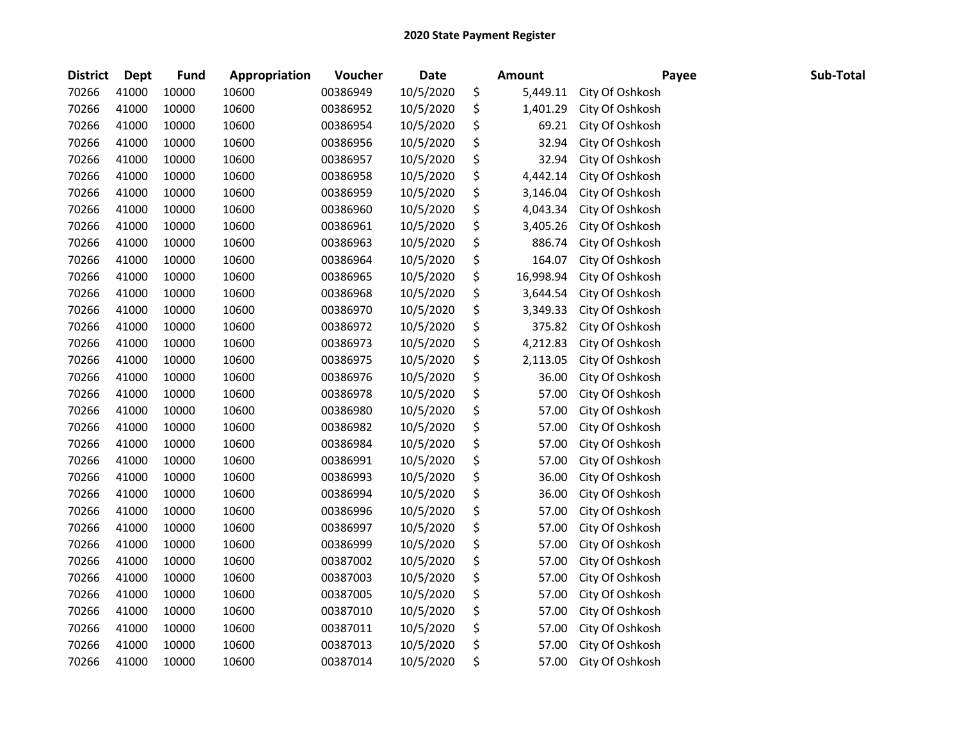| <b>District</b> | Dept  | <b>Fund</b> | Appropriation | Voucher  | <b>Date</b> | <b>Amount</b>   | Payee           | Sub-Total |
|-----------------|-------|-------------|---------------|----------|-------------|-----------------|-----------------|-----------|
| 70266           | 41000 | 10000       | 10600         | 00386949 | 10/5/2020   | \$<br>5,449.11  | City Of Oshkosh |           |
| 70266           | 41000 | 10000       | 10600         | 00386952 | 10/5/2020   | \$<br>1,401.29  | City Of Oshkosh |           |
| 70266           | 41000 | 10000       | 10600         | 00386954 | 10/5/2020   | \$<br>69.21     | City Of Oshkosh |           |
| 70266           | 41000 | 10000       | 10600         | 00386956 | 10/5/2020   | \$<br>32.94     | City Of Oshkosh |           |
| 70266           | 41000 | 10000       | 10600         | 00386957 | 10/5/2020   | \$<br>32.94     | City Of Oshkosh |           |
| 70266           | 41000 | 10000       | 10600         | 00386958 | 10/5/2020   | \$<br>4,442.14  | City Of Oshkosh |           |
| 70266           | 41000 | 10000       | 10600         | 00386959 | 10/5/2020   | \$<br>3,146.04  | City Of Oshkosh |           |
| 70266           | 41000 | 10000       | 10600         | 00386960 | 10/5/2020   | \$<br>4,043.34  | City Of Oshkosh |           |
| 70266           | 41000 | 10000       | 10600         | 00386961 | 10/5/2020   | \$<br>3,405.26  | City Of Oshkosh |           |
| 70266           | 41000 | 10000       | 10600         | 00386963 | 10/5/2020   | \$<br>886.74    | City Of Oshkosh |           |
| 70266           | 41000 | 10000       | 10600         | 00386964 | 10/5/2020   | \$<br>164.07    | City Of Oshkosh |           |
| 70266           | 41000 | 10000       | 10600         | 00386965 | 10/5/2020   | \$<br>16,998.94 | City Of Oshkosh |           |
| 70266           | 41000 | 10000       | 10600         | 00386968 | 10/5/2020   | \$<br>3,644.54  | City Of Oshkosh |           |
| 70266           | 41000 | 10000       | 10600         | 00386970 | 10/5/2020   | \$<br>3,349.33  | City Of Oshkosh |           |
| 70266           | 41000 | 10000       | 10600         | 00386972 | 10/5/2020   | \$<br>375.82    | City Of Oshkosh |           |
| 70266           | 41000 | 10000       | 10600         | 00386973 | 10/5/2020   | \$<br>4,212.83  | City Of Oshkosh |           |
| 70266           | 41000 | 10000       | 10600         | 00386975 | 10/5/2020   | \$<br>2,113.05  | City Of Oshkosh |           |
| 70266           | 41000 | 10000       | 10600         | 00386976 | 10/5/2020   | \$<br>36.00     | City Of Oshkosh |           |
| 70266           | 41000 | 10000       | 10600         | 00386978 | 10/5/2020   | \$<br>57.00     | City Of Oshkosh |           |
| 70266           | 41000 | 10000       | 10600         | 00386980 | 10/5/2020   | \$<br>57.00     | City Of Oshkosh |           |
| 70266           | 41000 | 10000       | 10600         | 00386982 | 10/5/2020   | \$<br>57.00     | City Of Oshkosh |           |
| 70266           | 41000 | 10000       | 10600         | 00386984 | 10/5/2020   | \$<br>57.00     | City Of Oshkosh |           |
| 70266           | 41000 | 10000       | 10600         | 00386991 | 10/5/2020   | \$<br>57.00     | City Of Oshkosh |           |
| 70266           | 41000 | 10000       | 10600         | 00386993 | 10/5/2020   | \$<br>36.00     | City Of Oshkosh |           |
| 70266           | 41000 | 10000       | 10600         | 00386994 | 10/5/2020   | \$<br>36.00     | City Of Oshkosh |           |
| 70266           | 41000 | 10000       | 10600         | 00386996 | 10/5/2020   | \$<br>57.00     | City Of Oshkosh |           |
| 70266           | 41000 | 10000       | 10600         | 00386997 | 10/5/2020   | \$<br>57.00     | City Of Oshkosh |           |
| 70266           | 41000 | 10000       | 10600         | 00386999 | 10/5/2020   | \$<br>57.00     | City Of Oshkosh |           |
| 70266           | 41000 | 10000       | 10600         | 00387002 | 10/5/2020   | \$<br>57.00     | City Of Oshkosh |           |
| 70266           | 41000 | 10000       | 10600         | 00387003 | 10/5/2020   | \$<br>57.00     | City Of Oshkosh |           |
| 70266           | 41000 | 10000       | 10600         | 00387005 | 10/5/2020   | \$<br>57.00     | City Of Oshkosh |           |
| 70266           | 41000 | 10000       | 10600         | 00387010 | 10/5/2020   | \$<br>57.00     | City Of Oshkosh |           |
| 70266           | 41000 | 10000       | 10600         | 00387011 | 10/5/2020   | \$<br>57.00     | City Of Oshkosh |           |
| 70266           | 41000 | 10000       | 10600         | 00387013 | 10/5/2020   | \$<br>57.00     | City Of Oshkosh |           |
| 70266           | 41000 | 10000       | 10600         | 00387014 | 10/5/2020   | \$<br>57.00     | City Of Oshkosh |           |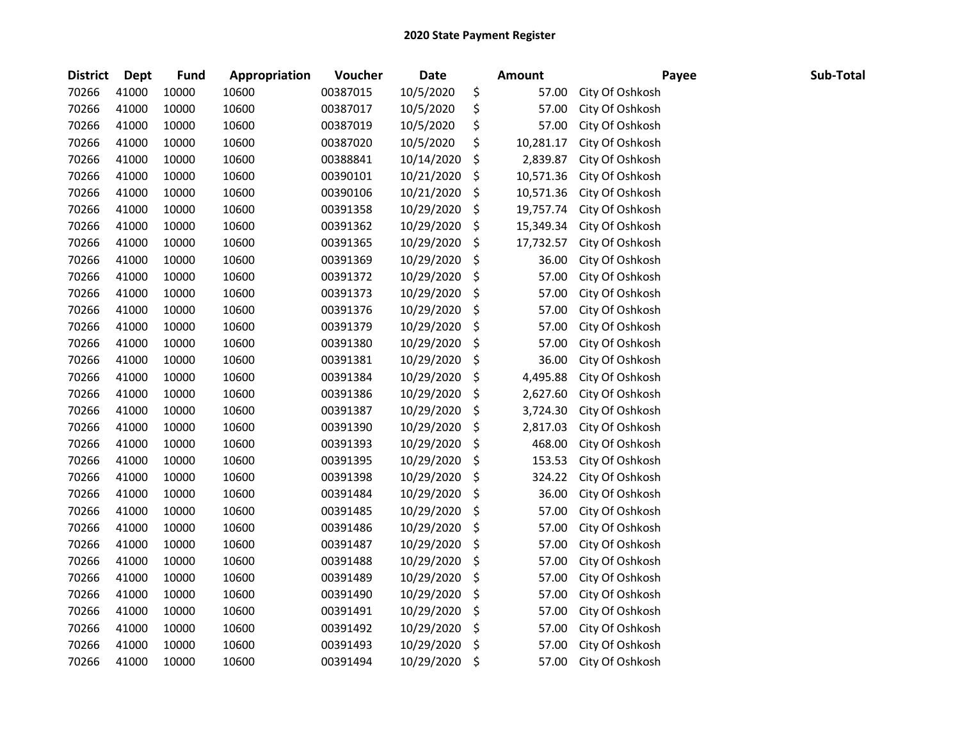| <b>District</b> | <b>Dept</b> | <b>Fund</b> | Appropriation | Voucher  | <b>Date</b> | <b>Amount</b>   | Payee           | Sub-Total |
|-----------------|-------------|-------------|---------------|----------|-------------|-----------------|-----------------|-----------|
| 70266           | 41000       | 10000       | 10600         | 00387015 | 10/5/2020   | \$<br>57.00     | City Of Oshkosh |           |
| 70266           | 41000       | 10000       | 10600         | 00387017 | 10/5/2020   | \$<br>57.00     | City Of Oshkosh |           |
| 70266           | 41000       | 10000       | 10600         | 00387019 | 10/5/2020   | \$<br>57.00     | City Of Oshkosh |           |
| 70266           | 41000       | 10000       | 10600         | 00387020 | 10/5/2020   | \$<br>10,281.17 | City Of Oshkosh |           |
| 70266           | 41000       | 10000       | 10600         | 00388841 | 10/14/2020  | \$<br>2,839.87  | City Of Oshkosh |           |
| 70266           | 41000       | 10000       | 10600         | 00390101 | 10/21/2020  | \$<br>10,571.36 | City Of Oshkosh |           |
| 70266           | 41000       | 10000       | 10600         | 00390106 | 10/21/2020  | \$<br>10,571.36 | City Of Oshkosh |           |
| 70266           | 41000       | 10000       | 10600         | 00391358 | 10/29/2020  | \$<br>19,757.74 | City Of Oshkosh |           |
| 70266           | 41000       | 10000       | 10600         | 00391362 | 10/29/2020  | \$<br>15,349.34 | City Of Oshkosh |           |
| 70266           | 41000       | 10000       | 10600         | 00391365 | 10/29/2020  | \$<br>17,732.57 | City Of Oshkosh |           |
| 70266           | 41000       | 10000       | 10600         | 00391369 | 10/29/2020  | \$<br>36.00     | City Of Oshkosh |           |
| 70266           | 41000       | 10000       | 10600         | 00391372 | 10/29/2020  | \$<br>57.00     | City Of Oshkosh |           |
| 70266           | 41000       | 10000       | 10600         | 00391373 | 10/29/2020  | \$<br>57.00     | City Of Oshkosh |           |
| 70266           | 41000       | 10000       | 10600         | 00391376 | 10/29/2020  | \$<br>57.00     | City Of Oshkosh |           |
| 70266           | 41000       | 10000       | 10600         | 00391379 | 10/29/2020  | \$<br>57.00     | City Of Oshkosh |           |
| 70266           | 41000       | 10000       | 10600         | 00391380 | 10/29/2020  | \$<br>57.00     | City Of Oshkosh |           |
| 70266           | 41000       | 10000       | 10600         | 00391381 | 10/29/2020  | \$<br>36.00     | City Of Oshkosh |           |
| 70266           | 41000       | 10000       | 10600         | 00391384 | 10/29/2020  | \$<br>4,495.88  | City Of Oshkosh |           |
| 70266           | 41000       | 10000       | 10600         | 00391386 | 10/29/2020  | \$<br>2,627.60  | City Of Oshkosh |           |
| 70266           | 41000       | 10000       | 10600         | 00391387 | 10/29/2020  | \$<br>3,724.30  | City Of Oshkosh |           |
| 70266           | 41000       | 10000       | 10600         | 00391390 | 10/29/2020  | \$<br>2,817.03  | City Of Oshkosh |           |
| 70266           | 41000       | 10000       | 10600         | 00391393 | 10/29/2020  | \$<br>468.00    | City Of Oshkosh |           |
| 70266           | 41000       | 10000       | 10600         | 00391395 | 10/29/2020  | \$<br>153.53    | City Of Oshkosh |           |
| 70266           | 41000       | 10000       | 10600         | 00391398 | 10/29/2020  | \$<br>324.22    | City Of Oshkosh |           |
| 70266           | 41000       | 10000       | 10600         | 00391484 | 10/29/2020  | \$<br>36.00     | City Of Oshkosh |           |
| 70266           | 41000       | 10000       | 10600         | 00391485 | 10/29/2020  | \$<br>57.00     | City Of Oshkosh |           |
| 70266           | 41000       | 10000       | 10600         | 00391486 | 10/29/2020  | \$<br>57.00     | City Of Oshkosh |           |
| 70266           | 41000       | 10000       | 10600         | 00391487 | 10/29/2020  | \$<br>57.00     | City Of Oshkosh |           |
| 70266           | 41000       | 10000       | 10600         | 00391488 | 10/29/2020  | \$<br>57.00     | City Of Oshkosh |           |
| 70266           | 41000       | 10000       | 10600         | 00391489 | 10/29/2020  | \$<br>57.00     | City Of Oshkosh |           |
| 70266           | 41000       | 10000       | 10600         | 00391490 | 10/29/2020  | \$<br>57.00     | City Of Oshkosh |           |
| 70266           | 41000       | 10000       | 10600         | 00391491 | 10/29/2020  | \$<br>57.00     | City Of Oshkosh |           |
| 70266           | 41000       | 10000       | 10600         | 00391492 | 10/29/2020  | \$<br>57.00     | City Of Oshkosh |           |
| 70266           | 41000       | 10000       | 10600         | 00391493 | 10/29/2020  | \$<br>57.00     | City Of Oshkosh |           |
| 70266           | 41000       | 10000       | 10600         | 00391494 | 10/29/2020  | \$<br>57.00     | City Of Oshkosh |           |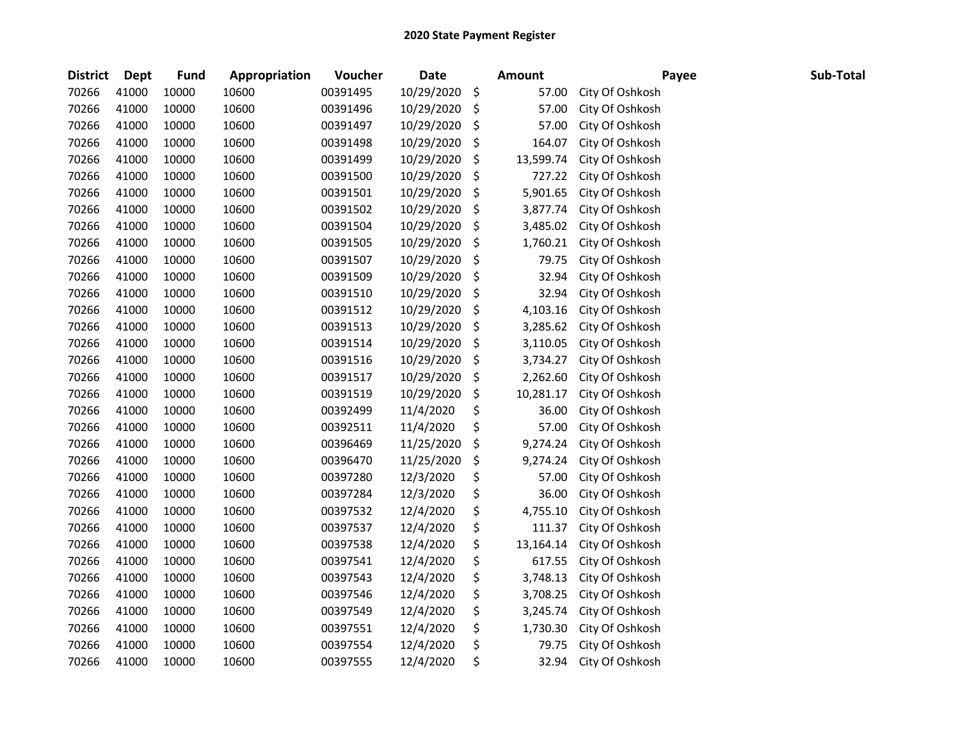| <b>District</b> | <b>Dept</b> | Fund  | Appropriation | Voucher  | <b>Date</b> | <b>Amount</b>   | Payee           | Sub-Total |
|-----------------|-------------|-------|---------------|----------|-------------|-----------------|-----------------|-----------|
| 70266           | 41000       | 10000 | 10600         | 00391495 | 10/29/2020  | \$<br>57.00     | City Of Oshkosh |           |
| 70266           | 41000       | 10000 | 10600         | 00391496 | 10/29/2020  | \$<br>57.00     | City Of Oshkosh |           |
| 70266           | 41000       | 10000 | 10600         | 00391497 | 10/29/2020  | \$<br>57.00     | City Of Oshkosh |           |
| 70266           | 41000       | 10000 | 10600         | 00391498 | 10/29/2020  | \$<br>164.07    | City Of Oshkosh |           |
| 70266           | 41000       | 10000 | 10600         | 00391499 | 10/29/2020  | \$<br>13,599.74 | City Of Oshkosh |           |
| 70266           | 41000       | 10000 | 10600         | 00391500 | 10/29/2020  | \$<br>727.22    | City Of Oshkosh |           |
| 70266           | 41000       | 10000 | 10600         | 00391501 | 10/29/2020  | \$<br>5,901.65  | City Of Oshkosh |           |
| 70266           | 41000       | 10000 | 10600         | 00391502 | 10/29/2020  | \$<br>3,877.74  | City Of Oshkosh |           |
| 70266           | 41000       | 10000 | 10600         | 00391504 | 10/29/2020  | \$<br>3,485.02  | City Of Oshkosh |           |
| 70266           | 41000       | 10000 | 10600         | 00391505 | 10/29/2020  | \$<br>1,760.21  | City Of Oshkosh |           |
| 70266           | 41000       | 10000 | 10600         | 00391507 | 10/29/2020  | \$<br>79.75     | City Of Oshkosh |           |
| 70266           | 41000       | 10000 | 10600         | 00391509 | 10/29/2020  | \$<br>32.94     | City Of Oshkosh |           |
| 70266           | 41000       | 10000 | 10600         | 00391510 | 10/29/2020  | \$<br>32.94     | City Of Oshkosh |           |
| 70266           | 41000       | 10000 | 10600         | 00391512 | 10/29/2020  | \$<br>4,103.16  | City Of Oshkosh |           |
| 70266           | 41000       | 10000 | 10600         | 00391513 | 10/29/2020  | \$<br>3,285.62  | City Of Oshkosh |           |
| 70266           | 41000       | 10000 | 10600         | 00391514 | 10/29/2020  | \$<br>3,110.05  | City Of Oshkosh |           |
| 70266           | 41000       | 10000 | 10600         | 00391516 | 10/29/2020  | \$<br>3,734.27  | City Of Oshkosh |           |
| 70266           | 41000       | 10000 | 10600         | 00391517 | 10/29/2020  | \$<br>2,262.60  | City Of Oshkosh |           |
| 70266           | 41000       | 10000 | 10600         | 00391519 | 10/29/2020  | \$<br>10,281.17 | City Of Oshkosh |           |
| 70266           | 41000       | 10000 | 10600         | 00392499 | 11/4/2020   | \$<br>36.00     | City Of Oshkosh |           |
| 70266           | 41000       | 10000 | 10600         | 00392511 | 11/4/2020   | \$<br>57.00     | City Of Oshkosh |           |
| 70266           | 41000       | 10000 | 10600         | 00396469 | 11/25/2020  | \$<br>9,274.24  | City Of Oshkosh |           |
| 70266           | 41000       | 10000 | 10600         | 00396470 | 11/25/2020  | \$<br>9,274.24  | City Of Oshkosh |           |
| 70266           | 41000       | 10000 | 10600         | 00397280 | 12/3/2020   | \$<br>57.00     | City Of Oshkosh |           |
| 70266           | 41000       | 10000 | 10600         | 00397284 | 12/3/2020   | \$<br>36.00     | City Of Oshkosh |           |
| 70266           | 41000       | 10000 | 10600         | 00397532 | 12/4/2020   | \$<br>4,755.10  | City Of Oshkosh |           |
| 70266           | 41000       | 10000 | 10600         | 00397537 | 12/4/2020   | \$<br>111.37    | City Of Oshkosh |           |
| 70266           | 41000       | 10000 | 10600         | 00397538 | 12/4/2020   | \$<br>13,164.14 | City Of Oshkosh |           |
| 70266           | 41000       | 10000 | 10600         | 00397541 | 12/4/2020   | \$<br>617.55    | City Of Oshkosh |           |
| 70266           | 41000       | 10000 | 10600         | 00397543 | 12/4/2020   | \$<br>3,748.13  | City Of Oshkosh |           |
| 70266           | 41000       | 10000 | 10600         | 00397546 | 12/4/2020   | \$<br>3,708.25  | City Of Oshkosh |           |
| 70266           | 41000       | 10000 | 10600         | 00397549 | 12/4/2020   | \$<br>3,245.74  | City Of Oshkosh |           |
| 70266           | 41000       | 10000 | 10600         | 00397551 | 12/4/2020   | \$<br>1,730.30  | City Of Oshkosh |           |
| 70266           | 41000       | 10000 | 10600         | 00397554 | 12/4/2020   | \$<br>79.75     | City Of Oshkosh |           |
| 70266           | 41000       | 10000 | 10600         | 00397555 | 12/4/2020   | \$<br>32.94     | City Of Oshkosh |           |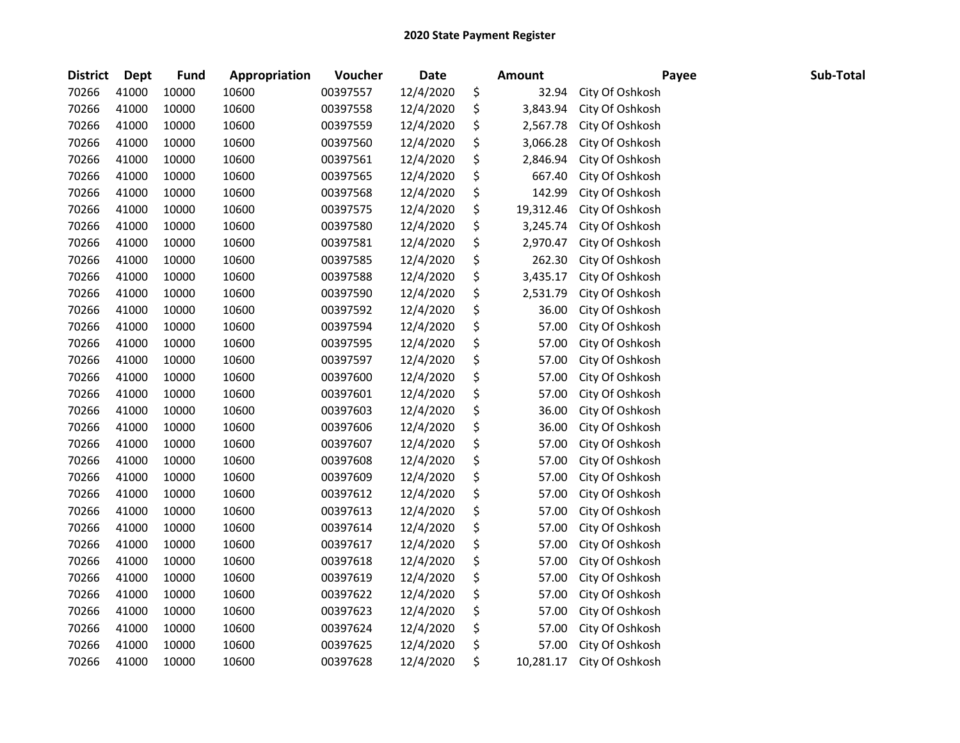| <b>District</b> | <b>Dept</b> | <b>Fund</b> | Appropriation | Voucher  | <b>Date</b> | <b>Amount</b>   | Payee           | Sub-Total |
|-----------------|-------------|-------------|---------------|----------|-------------|-----------------|-----------------|-----------|
| 70266           | 41000       | 10000       | 10600         | 00397557 | 12/4/2020   | \$<br>32.94     | City Of Oshkosh |           |
| 70266           | 41000       | 10000       | 10600         | 00397558 | 12/4/2020   | \$<br>3,843.94  | City Of Oshkosh |           |
| 70266           | 41000       | 10000       | 10600         | 00397559 | 12/4/2020   | \$<br>2,567.78  | City Of Oshkosh |           |
| 70266           | 41000       | 10000       | 10600         | 00397560 | 12/4/2020   | \$<br>3,066.28  | City Of Oshkosh |           |
| 70266           | 41000       | 10000       | 10600         | 00397561 | 12/4/2020   | \$<br>2,846.94  | City Of Oshkosh |           |
| 70266           | 41000       | 10000       | 10600         | 00397565 | 12/4/2020   | \$<br>667.40    | City Of Oshkosh |           |
| 70266           | 41000       | 10000       | 10600         | 00397568 | 12/4/2020   | \$<br>142.99    | City Of Oshkosh |           |
| 70266           | 41000       | 10000       | 10600         | 00397575 | 12/4/2020   | \$<br>19,312.46 | City Of Oshkosh |           |
| 70266           | 41000       | 10000       | 10600         | 00397580 | 12/4/2020   | \$<br>3,245.74  | City Of Oshkosh |           |
| 70266           | 41000       | 10000       | 10600         | 00397581 | 12/4/2020   | \$<br>2,970.47  | City Of Oshkosh |           |
| 70266           | 41000       | 10000       | 10600         | 00397585 | 12/4/2020   | \$<br>262.30    | City Of Oshkosh |           |
| 70266           | 41000       | 10000       | 10600         | 00397588 | 12/4/2020   | \$<br>3,435.17  | City Of Oshkosh |           |
| 70266           | 41000       | 10000       | 10600         | 00397590 | 12/4/2020   | \$<br>2,531.79  | City Of Oshkosh |           |
| 70266           | 41000       | 10000       | 10600         | 00397592 | 12/4/2020   | \$<br>36.00     | City Of Oshkosh |           |
| 70266           | 41000       | 10000       | 10600         | 00397594 | 12/4/2020   | \$<br>57.00     | City Of Oshkosh |           |
| 70266           | 41000       | 10000       | 10600         | 00397595 | 12/4/2020   | \$<br>57.00     | City Of Oshkosh |           |
| 70266           | 41000       | 10000       | 10600         | 00397597 | 12/4/2020   | \$<br>57.00     | City Of Oshkosh |           |
| 70266           | 41000       | 10000       | 10600         | 00397600 | 12/4/2020   | \$<br>57.00     | City Of Oshkosh |           |
| 70266           | 41000       | 10000       | 10600         | 00397601 | 12/4/2020   | \$<br>57.00     | City Of Oshkosh |           |
| 70266           | 41000       | 10000       | 10600         | 00397603 | 12/4/2020   | \$<br>36.00     | City Of Oshkosh |           |
| 70266           | 41000       | 10000       | 10600         | 00397606 | 12/4/2020   | \$<br>36.00     | City Of Oshkosh |           |
| 70266           | 41000       | 10000       | 10600         | 00397607 | 12/4/2020   | \$<br>57.00     | City Of Oshkosh |           |
| 70266           | 41000       | 10000       | 10600         | 00397608 | 12/4/2020   | \$<br>57.00     | City Of Oshkosh |           |
| 70266           | 41000       | 10000       | 10600         | 00397609 | 12/4/2020   | \$<br>57.00     | City Of Oshkosh |           |
| 70266           | 41000       | 10000       | 10600         | 00397612 | 12/4/2020   | \$<br>57.00     | City Of Oshkosh |           |
| 70266           | 41000       | 10000       | 10600         | 00397613 | 12/4/2020   | \$<br>57.00     | City Of Oshkosh |           |
| 70266           | 41000       | 10000       | 10600         | 00397614 | 12/4/2020   | \$<br>57.00     | City Of Oshkosh |           |
| 70266           | 41000       | 10000       | 10600         | 00397617 | 12/4/2020   | \$<br>57.00     | City Of Oshkosh |           |
| 70266           | 41000       | 10000       | 10600         | 00397618 | 12/4/2020   | \$<br>57.00     | City Of Oshkosh |           |
| 70266           | 41000       | 10000       | 10600         | 00397619 | 12/4/2020   | \$<br>57.00     | City Of Oshkosh |           |
| 70266           | 41000       | 10000       | 10600         | 00397622 | 12/4/2020   | \$<br>57.00     | City Of Oshkosh |           |
| 70266           | 41000       | 10000       | 10600         | 00397623 | 12/4/2020   | \$<br>57.00     | City Of Oshkosh |           |
| 70266           | 41000       | 10000       | 10600         | 00397624 | 12/4/2020   | \$<br>57.00     | City Of Oshkosh |           |
| 70266           | 41000       | 10000       | 10600         | 00397625 | 12/4/2020   | \$<br>57.00     | City Of Oshkosh |           |
| 70266           | 41000       | 10000       | 10600         | 00397628 | 12/4/2020   | \$<br>10,281.17 | City Of Oshkosh |           |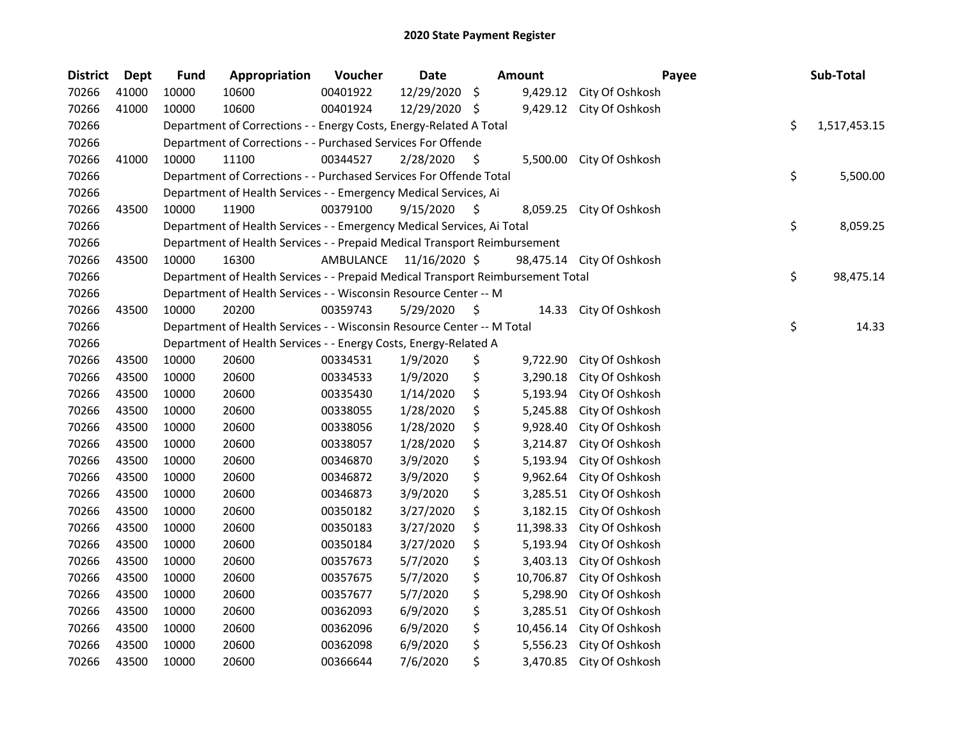| <b>District</b> | <b>Dept</b> | <b>Fund</b> | Appropriation                                                                   | Voucher   | Date          |                    | <b>Amount</b> | Payee                     | Sub-Total          |
|-----------------|-------------|-------------|---------------------------------------------------------------------------------|-----------|---------------|--------------------|---------------|---------------------------|--------------------|
| 70266           | 41000       | 10000       | 10600                                                                           | 00401922  | 12/29/2020    | $\ddot{\varsigma}$ | 9,429.12      | City Of Oshkosh           |                    |
| 70266           | 41000       | 10000       | 10600                                                                           | 00401924  | 12/29/2020 \$ |                    | 9,429.12      | City Of Oshkosh           |                    |
| 70266           |             |             | Department of Corrections - - Energy Costs, Energy-Related A Total              |           |               |                    |               |                           | \$<br>1,517,453.15 |
| 70266           |             |             | Department of Corrections - - Purchased Services For Offende                    |           |               |                    |               |                           |                    |
| 70266           | 41000       | 10000       | 11100                                                                           | 00344527  | 2/28/2020     | \$                 | 5,500.00      | City Of Oshkosh           |                    |
| 70266           |             |             | Department of Corrections - - Purchased Services For Offende Total              |           |               |                    |               |                           | \$<br>5,500.00     |
| 70266           |             |             | Department of Health Services - - Emergency Medical Services, Ai                |           |               |                    |               |                           |                    |
| 70266           | 43500       | 10000       | 11900                                                                           | 00379100  | 9/15/2020     | \$.                | 8,059.25      | City Of Oshkosh           |                    |
| 70266           |             |             | Department of Health Services - - Emergency Medical Services, Ai Total          |           |               |                    |               |                           | \$<br>8,059.25     |
| 70266           |             |             | Department of Health Services - - Prepaid Medical Transport Reimbursement       |           |               |                    |               |                           |                    |
| 70266           | 43500       | 10000       | 16300                                                                           | AMBULANCE | 11/16/2020 \$ |                    |               | 98,475.14 City Of Oshkosh |                    |
| 70266           |             |             | Department of Health Services - - Prepaid Medical Transport Reimbursement Total |           |               |                    |               |                           | \$<br>98,475.14    |
| 70266           |             |             | Department of Health Services - - Wisconsin Resource Center -- M                |           |               |                    |               |                           |                    |
| 70266           | 43500       | 10000       | 20200                                                                           | 00359743  | 5/29/2020     | \$.                | 14.33         | City Of Oshkosh           |                    |
| 70266           |             |             | Department of Health Services - - Wisconsin Resource Center -- M Total          |           |               |                    |               |                           | \$<br>14.33        |
| 70266           |             |             | Department of Health Services - - Energy Costs, Energy-Related A                |           |               |                    |               |                           |                    |
| 70266           | 43500       | 10000       | 20600                                                                           | 00334531  | 1/9/2020      | \$                 | 9,722.90      | City Of Oshkosh           |                    |
| 70266           | 43500       | 10000       | 20600                                                                           | 00334533  | 1/9/2020      | \$                 | 3,290.18      | City Of Oshkosh           |                    |
| 70266           | 43500       | 10000       | 20600                                                                           | 00335430  | 1/14/2020     | \$                 | 5,193.94      | City Of Oshkosh           |                    |
| 70266           | 43500       | 10000       | 20600                                                                           | 00338055  | 1/28/2020     | \$                 | 5,245.88      | City Of Oshkosh           |                    |
| 70266           | 43500       | 10000       | 20600                                                                           | 00338056  | 1/28/2020     | \$                 | 9,928.40      | City Of Oshkosh           |                    |
| 70266           | 43500       | 10000       | 20600                                                                           | 00338057  | 1/28/2020     | \$                 | 3,214.87      | City Of Oshkosh           |                    |
| 70266           | 43500       | 10000       | 20600                                                                           | 00346870  | 3/9/2020      | \$                 | 5,193.94      | City Of Oshkosh           |                    |
| 70266           | 43500       | 10000       | 20600                                                                           | 00346872  | 3/9/2020      | \$                 | 9,962.64      | City Of Oshkosh           |                    |
| 70266           | 43500       | 10000       | 20600                                                                           | 00346873  | 3/9/2020      | \$                 | 3,285.51      | City Of Oshkosh           |                    |
| 70266           | 43500       | 10000       | 20600                                                                           | 00350182  | 3/27/2020     | \$                 | 3,182.15      | City Of Oshkosh           |                    |
| 70266           | 43500       | 10000       | 20600                                                                           | 00350183  | 3/27/2020     | \$                 | 11,398.33     | City Of Oshkosh           |                    |
| 70266           | 43500       | 10000       | 20600                                                                           | 00350184  | 3/27/2020     | \$                 | 5,193.94      | City Of Oshkosh           |                    |
| 70266           | 43500       | 10000       | 20600                                                                           | 00357673  | 5/7/2020      | \$                 | 3,403.13      | City Of Oshkosh           |                    |
| 70266           | 43500       | 10000       | 20600                                                                           | 00357675  | 5/7/2020      | \$                 | 10,706.87     | City Of Oshkosh           |                    |
| 70266           | 43500       | 10000       | 20600                                                                           | 00357677  | 5/7/2020      | \$                 | 5,298.90      | City Of Oshkosh           |                    |
| 70266           | 43500       | 10000       | 20600                                                                           | 00362093  | 6/9/2020      | \$                 | 3,285.51      | City Of Oshkosh           |                    |
| 70266           | 43500       | 10000       | 20600                                                                           | 00362096  | 6/9/2020      | \$                 | 10,456.14     | City Of Oshkosh           |                    |
| 70266           | 43500       | 10000       | 20600                                                                           | 00362098  | 6/9/2020      | \$                 | 5,556.23      | City Of Oshkosh           |                    |
| 70266           | 43500       | 10000       | 20600                                                                           | 00366644  | 7/6/2020      | \$                 | 3,470.85      | City Of Oshkosh           |                    |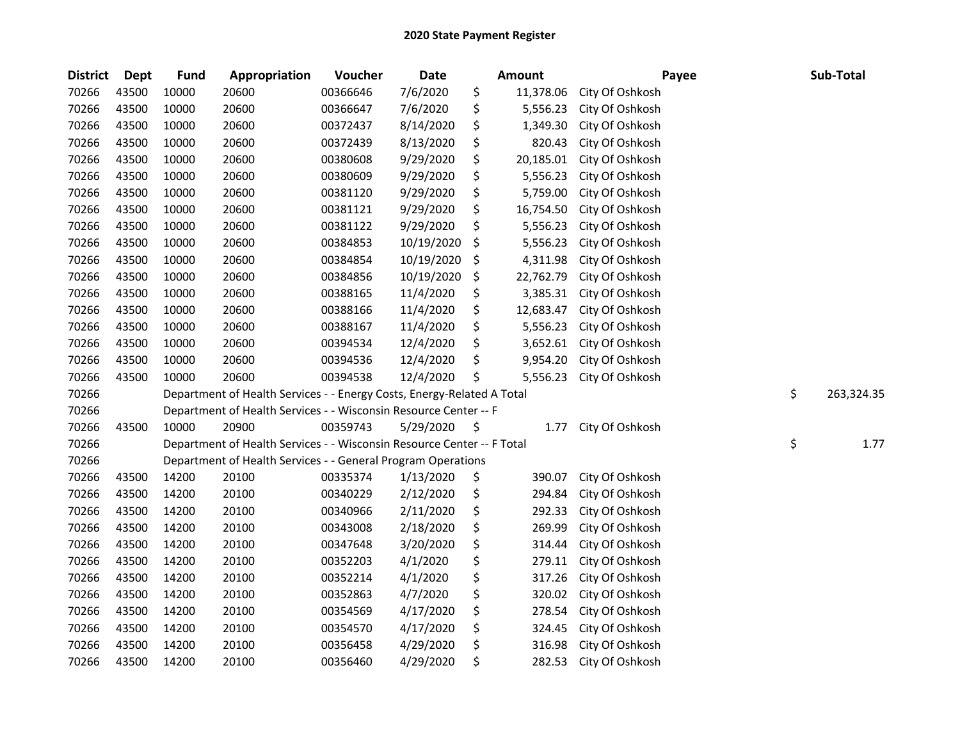| <b>District</b> | <b>Dept</b> | <b>Fund</b> | Appropriation                                                          | Voucher  | <b>Date</b> | Amount          | Payee           | Sub-Total        |
|-----------------|-------------|-------------|------------------------------------------------------------------------|----------|-------------|-----------------|-----------------|------------------|
| 70266           | 43500       | 10000       | 20600                                                                  | 00366646 | 7/6/2020    | \$<br>11,378.06 | City Of Oshkosh |                  |
| 70266           | 43500       | 10000       | 20600                                                                  | 00366647 | 7/6/2020    | \$<br>5,556.23  | City Of Oshkosh |                  |
| 70266           | 43500       | 10000       | 20600                                                                  | 00372437 | 8/14/2020   | \$<br>1,349.30  | City Of Oshkosh |                  |
| 70266           | 43500       | 10000       | 20600                                                                  | 00372439 | 8/13/2020   | \$<br>820.43    | City Of Oshkosh |                  |
| 70266           | 43500       | 10000       | 20600                                                                  | 00380608 | 9/29/2020   | \$<br>20,185.01 | City Of Oshkosh |                  |
| 70266           | 43500       | 10000       | 20600                                                                  | 00380609 | 9/29/2020   | \$<br>5,556.23  | City Of Oshkosh |                  |
| 70266           | 43500       | 10000       | 20600                                                                  | 00381120 | 9/29/2020   | \$<br>5,759.00  | City Of Oshkosh |                  |
| 70266           | 43500       | 10000       | 20600                                                                  | 00381121 | 9/29/2020   | \$<br>16,754.50 | City Of Oshkosh |                  |
| 70266           | 43500       | 10000       | 20600                                                                  | 00381122 | 9/29/2020   | \$<br>5,556.23  | City Of Oshkosh |                  |
| 70266           | 43500       | 10000       | 20600                                                                  | 00384853 | 10/19/2020  | \$<br>5,556.23  | City Of Oshkosh |                  |
| 70266           | 43500       | 10000       | 20600                                                                  | 00384854 | 10/19/2020  | \$<br>4,311.98  | City Of Oshkosh |                  |
| 70266           | 43500       | 10000       | 20600                                                                  | 00384856 | 10/19/2020  | \$<br>22,762.79 | City Of Oshkosh |                  |
| 70266           | 43500       | 10000       | 20600                                                                  | 00388165 | 11/4/2020   | \$<br>3,385.31  | City Of Oshkosh |                  |
| 70266           | 43500       | 10000       | 20600                                                                  | 00388166 | 11/4/2020   | \$<br>12,683.47 | City Of Oshkosh |                  |
| 70266           | 43500       | 10000       | 20600                                                                  | 00388167 | 11/4/2020   | \$<br>5,556.23  | City Of Oshkosh |                  |
| 70266           | 43500       | 10000       | 20600                                                                  | 00394534 | 12/4/2020   | \$<br>3,652.61  | City Of Oshkosh |                  |
| 70266           | 43500       | 10000       | 20600                                                                  | 00394536 | 12/4/2020   | \$<br>9,954.20  | City Of Oshkosh |                  |
| 70266           | 43500       | 10000       | 20600                                                                  | 00394538 | 12/4/2020   | \$<br>5,556.23  | City Of Oshkosh |                  |
| 70266           |             |             | Department of Health Services - - Energy Costs, Energy-Related A Total |          |             |                 |                 | \$<br>263,324.35 |
| 70266           |             |             | Department of Health Services - - Wisconsin Resource Center -- F       |          |             |                 |                 |                  |
| 70266           | 43500       | 10000       | 20900                                                                  | 00359743 | 5/29/2020   | \$<br>1.77      | City Of Oshkosh |                  |
| 70266           |             |             | Department of Health Services - - Wisconsin Resource Center -- F Total |          |             |                 |                 | \$<br>1.77       |
| 70266           |             |             | Department of Health Services - - General Program Operations           |          |             |                 |                 |                  |
| 70266           | 43500       | 14200       | 20100                                                                  | 00335374 | 1/13/2020   | \$<br>390.07    | City Of Oshkosh |                  |
| 70266           | 43500       | 14200       | 20100                                                                  | 00340229 | 2/12/2020   | \$<br>294.84    | City Of Oshkosh |                  |
| 70266           | 43500       | 14200       | 20100                                                                  | 00340966 | 2/11/2020   | \$<br>292.33    | City Of Oshkosh |                  |
| 70266           | 43500       | 14200       | 20100                                                                  | 00343008 | 2/18/2020   | \$<br>269.99    | City Of Oshkosh |                  |
| 70266           | 43500       | 14200       | 20100                                                                  | 00347648 | 3/20/2020   | \$<br>314.44    | City Of Oshkosh |                  |
| 70266           | 43500       | 14200       | 20100                                                                  | 00352203 | 4/1/2020    | \$<br>279.11    | City Of Oshkosh |                  |
| 70266           | 43500       | 14200       | 20100                                                                  | 00352214 | 4/1/2020    | \$<br>317.26    | City Of Oshkosh |                  |
| 70266           | 43500       | 14200       | 20100                                                                  | 00352863 | 4/7/2020    | \$<br>320.02    | City Of Oshkosh |                  |
| 70266           | 43500       | 14200       | 20100                                                                  | 00354569 | 4/17/2020   | \$<br>278.54    | City Of Oshkosh |                  |
| 70266           | 43500       | 14200       | 20100                                                                  | 00354570 | 4/17/2020   | \$<br>324.45    | City Of Oshkosh |                  |
| 70266           | 43500       | 14200       | 20100                                                                  | 00356458 | 4/29/2020   | \$<br>316.98    | City Of Oshkosh |                  |
| 70266           | 43500       | 14200       | 20100                                                                  | 00356460 | 4/29/2020   | \$<br>282.53    | City Of Oshkosh |                  |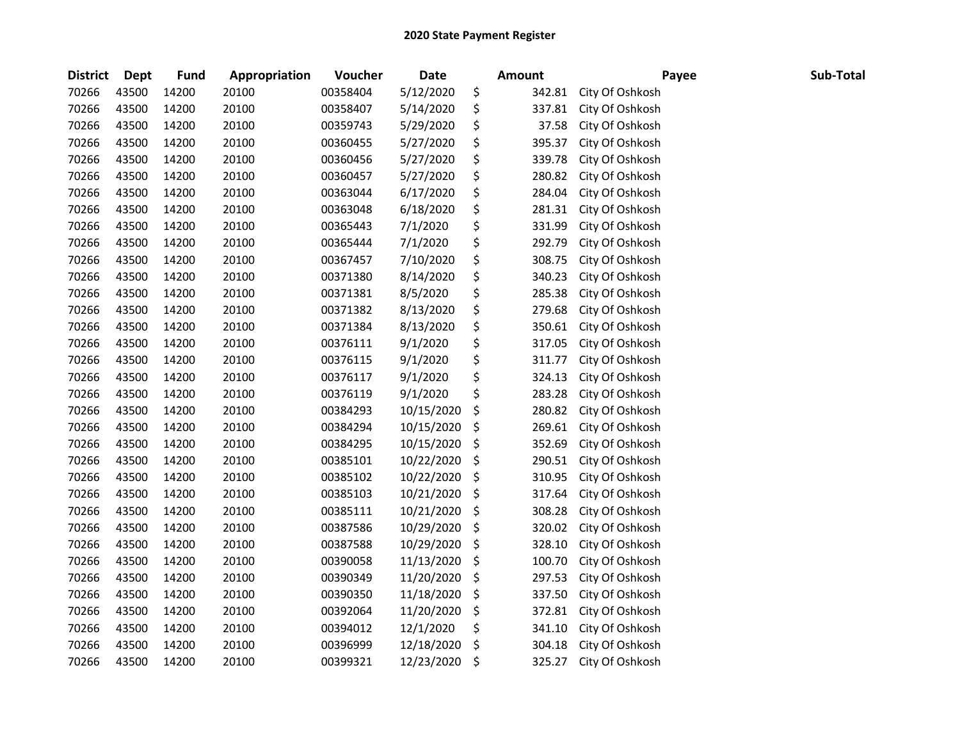| <b>District</b> | <b>Dept</b> | <b>Fund</b> | Appropriation | Voucher  | <b>Date</b> | <b>Amount</b> | Payee           | Sub-Total |
|-----------------|-------------|-------------|---------------|----------|-------------|---------------|-----------------|-----------|
| 70266           | 43500       | 14200       | 20100         | 00358404 | 5/12/2020   | \$<br>342.81  | City Of Oshkosh |           |
| 70266           | 43500       | 14200       | 20100         | 00358407 | 5/14/2020   | \$<br>337.81  | City Of Oshkosh |           |
| 70266           | 43500       | 14200       | 20100         | 00359743 | 5/29/2020   | \$<br>37.58   | City Of Oshkosh |           |
| 70266           | 43500       | 14200       | 20100         | 00360455 | 5/27/2020   | \$<br>395.37  | City Of Oshkosh |           |
| 70266           | 43500       | 14200       | 20100         | 00360456 | 5/27/2020   | \$<br>339.78  | City Of Oshkosh |           |
| 70266           | 43500       | 14200       | 20100         | 00360457 | 5/27/2020   | \$<br>280.82  | City Of Oshkosh |           |
| 70266           | 43500       | 14200       | 20100         | 00363044 | 6/17/2020   | \$<br>284.04  | City Of Oshkosh |           |
| 70266           | 43500       | 14200       | 20100         | 00363048 | 6/18/2020   | \$<br>281.31  | City Of Oshkosh |           |
| 70266           | 43500       | 14200       | 20100         | 00365443 | 7/1/2020    | \$<br>331.99  | City Of Oshkosh |           |
| 70266           | 43500       | 14200       | 20100         | 00365444 | 7/1/2020    | \$<br>292.79  | City Of Oshkosh |           |
| 70266           | 43500       | 14200       | 20100         | 00367457 | 7/10/2020   | \$<br>308.75  | City Of Oshkosh |           |
| 70266           | 43500       | 14200       | 20100         | 00371380 | 8/14/2020   | \$<br>340.23  | City Of Oshkosh |           |
| 70266           | 43500       | 14200       | 20100         | 00371381 | 8/5/2020    | \$<br>285.38  | City Of Oshkosh |           |
| 70266           | 43500       | 14200       | 20100         | 00371382 | 8/13/2020   | \$<br>279.68  | City Of Oshkosh |           |
| 70266           | 43500       | 14200       | 20100         | 00371384 | 8/13/2020   | \$<br>350.61  | City Of Oshkosh |           |
| 70266           | 43500       | 14200       | 20100         | 00376111 | 9/1/2020    | \$<br>317.05  | City Of Oshkosh |           |
| 70266           | 43500       | 14200       | 20100         | 00376115 | 9/1/2020    | \$<br>311.77  | City Of Oshkosh |           |
| 70266           | 43500       | 14200       | 20100         | 00376117 | 9/1/2020    | \$<br>324.13  | City Of Oshkosh |           |
| 70266           | 43500       | 14200       | 20100         | 00376119 | 9/1/2020    | \$<br>283.28  | City Of Oshkosh |           |
| 70266           | 43500       | 14200       | 20100         | 00384293 | 10/15/2020  | \$<br>280.82  | City Of Oshkosh |           |
| 70266           | 43500       | 14200       | 20100         | 00384294 | 10/15/2020  | \$<br>269.61  | City Of Oshkosh |           |
| 70266           | 43500       | 14200       | 20100         | 00384295 | 10/15/2020  | \$<br>352.69  | City Of Oshkosh |           |
| 70266           | 43500       | 14200       | 20100         | 00385101 | 10/22/2020  | \$<br>290.51  | City Of Oshkosh |           |
| 70266           | 43500       | 14200       | 20100         | 00385102 | 10/22/2020  | \$<br>310.95  | City Of Oshkosh |           |
| 70266           | 43500       | 14200       | 20100         | 00385103 | 10/21/2020  | \$<br>317.64  | City Of Oshkosh |           |
| 70266           | 43500       | 14200       | 20100         | 00385111 | 10/21/2020  | \$<br>308.28  | City Of Oshkosh |           |
| 70266           | 43500       | 14200       | 20100         | 00387586 | 10/29/2020  | \$<br>320.02  | City Of Oshkosh |           |
| 70266           | 43500       | 14200       | 20100         | 00387588 | 10/29/2020  | \$<br>328.10  | City Of Oshkosh |           |
| 70266           | 43500       | 14200       | 20100         | 00390058 | 11/13/2020  | \$<br>100.70  | City Of Oshkosh |           |
| 70266           | 43500       | 14200       | 20100         | 00390349 | 11/20/2020  | \$<br>297.53  | City Of Oshkosh |           |
| 70266           | 43500       | 14200       | 20100         | 00390350 | 11/18/2020  | \$<br>337.50  | City Of Oshkosh |           |
| 70266           | 43500       | 14200       | 20100         | 00392064 | 11/20/2020  | \$<br>372.81  | City Of Oshkosh |           |
| 70266           | 43500       | 14200       | 20100         | 00394012 | 12/1/2020   | \$<br>341.10  | City Of Oshkosh |           |
| 70266           | 43500       | 14200       | 20100         | 00396999 | 12/18/2020  | \$<br>304.18  | City Of Oshkosh |           |
| 70266           | 43500       | 14200       | 20100         | 00399321 | 12/23/2020  | \$<br>325.27  | City Of Oshkosh |           |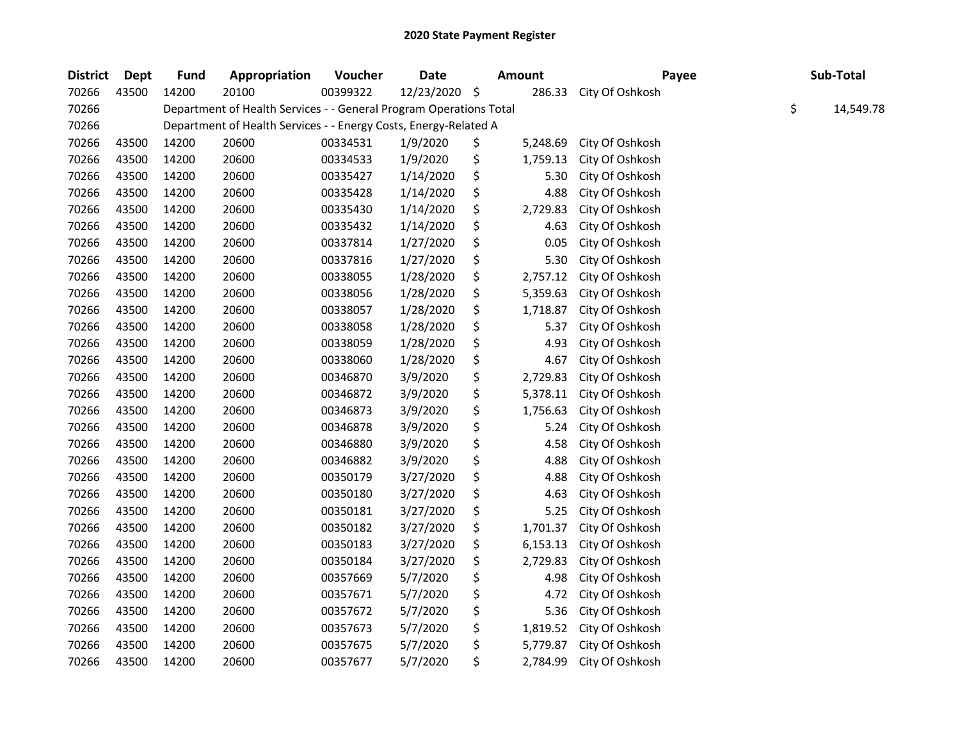| <b>District</b> | Dept  | <b>Fund</b> | Appropriation                                                      | Voucher  | <b>Date</b> | <b>Amount</b>  | Payee           | Sub-Total       |
|-----------------|-------|-------------|--------------------------------------------------------------------|----------|-------------|----------------|-----------------|-----------------|
| 70266           | 43500 | 14200       | 20100                                                              | 00399322 | 12/23/2020  | \$<br>286.33   | City Of Oshkosh |                 |
| 70266           |       |             | Department of Health Services - - General Program Operations Total |          |             |                |                 | \$<br>14,549.78 |
| 70266           |       |             | Department of Health Services - - Energy Costs, Energy-Related A   |          |             |                |                 |                 |
| 70266           | 43500 | 14200       | 20600                                                              | 00334531 | 1/9/2020    | \$<br>5,248.69 | City Of Oshkosh |                 |
| 70266           | 43500 | 14200       | 20600                                                              | 00334533 | 1/9/2020    | \$<br>1,759.13 | City Of Oshkosh |                 |
| 70266           | 43500 | 14200       | 20600                                                              | 00335427 | 1/14/2020   | \$<br>5.30     | City Of Oshkosh |                 |
| 70266           | 43500 | 14200       | 20600                                                              | 00335428 | 1/14/2020   | \$<br>4.88     | City Of Oshkosh |                 |
| 70266           | 43500 | 14200       | 20600                                                              | 00335430 | 1/14/2020   | \$<br>2,729.83 | City Of Oshkosh |                 |
| 70266           | 43500 | 14200       | 20600                                                              | 00335432 | 1/14/2020   | \$<br>4.63     | City Of Oshkosh |                 |
| 70266           | 43500 | 14200       | 20600                                                              | 00337814 | 1/27/2020   | \$<br>0.05     | City Of Oshkosh |                 |
| 70266           | 43500 | 14200       | 20600                                                              | 00337816 | 1/27/2020   | \$<br>5.30     | City Of Oshkosh |                 |
| 70266           | 43500 | 14200       | 20600                                                              | 00338055 | 1/28/2020   | \$<br>2,757.12 | City Of Oshkosh |                 |
| 70266           | 43500 | 14200       | 20600                                                              | 00338056 | 1/28/2020   | \$<br>5,359.63 | City Of Oshkosh |                 |
| 70266           | 43500 | 14200       | 20600                                                              | 00338057 | 1/28/2020   | \$<br>1,718.87 | City Of Oshkosh |                 |
| 70266           | 43500 | 14200       | 20600                                                              | 00338058 | 1/28/2020   | \$<br>5.37     | City Of Oshkosh |                 |
| 70266           | 43500 | 14200       | 20600                                                              | 00338059 | 1/28/2020   | \$<br>4.93     | City Of Oshkosh |                 |
| 70266           | 43500 | 14200       | 20600                                                              | 00338060 | 1/28/2020   | \$<br>4.67     | City Of Oshkosh |                 |
| 70266           | 43500 | 14200       | 20600                                                              | 00346870 | 3/9/2020    | \$<br>2,729.83 | City Of Oshkosh |                 |
| 70266           | 43500 | 14200       | 20600                                                              | 00346872 | 3/9/2020    | \$<br>5,378.11 | City Of Oshkosh |                 |
| 70266           | 43500 | 14200       | 20600                                                              | 00346873 | 3/9/2020    | \$<br>1,756.63 | City Of Oshkosh |                 |
| 70266           | 43500 | 14200       | 20600                                                              | 00346878 | 3/9/2020    | \$<br>5.24     | City Of Oshkosh |                 |
| 70266           | 43500 | 14200       | 20600                                                              | 00346880 | 3/9/2020    | \$<br>4.58     | City Of Oshkosh |                 |
| 70266           | 43500 | 14200       | 20600                                                              | 00346882 | 3/9/2020    | \$<br>4.88     | City Of Oshkosh |                 |
| 70266           | 43500 | 14200       | 20600                                                              | 00350179 | 3/27/2020   | \$<br>4.88     | City Of Oshkosh |                 |
| 70266           | 43500 | 14200       | 20600                                                              | 00350180 | 3/27/2020   | \$<br>4.63     | City Of Oshkosh |                 |
| 70266           | 43500 | 14200       | 20600                                                              | 00350181 | 3/27/2020   | \$<br>5.25     | City Of Oshkosh |                 |
| 70266           | 43500 | 14200       | 20600                                                              | 00350182 | 3/27/2020   | \$<br>1,701.37 | City Of Oshkosh |                 |
| 70266           | 43500 | 14200       | 20600                                                              | 00350183 | 3/27/2020   | \$<br>6,153.13 | City Of Oshkosh |                 |
| 70266           | 43500 | 14200       | 20600                                                              | 00350184 | 3/27/2020   | \$<br>2,729.83 | City Of Oshkosh |                 |
| 70266           | 43500 | 14200       | 20600                                                              | 00357669 | 5/7/2020    | \$<br>4.98     | City Of Oshkosh |                 |
| 70266           | 43500 | 14200       | 20600                                                              | 00357671 | 5/7/2020    | \$<br>4.72     | City Of Oshkosh |                 |
| 70266           | 43500 | 14200       | 20600                                                              | 00357672 | 5/7/2020    | \$<br>5.36     | City Of Oshkosh |                 |
| 70266           | 43500 | 14200       | 20600                                                              | 00357673 | 5/7/2020    | \$<br>1,819.52 | City Of Oshkosh |                 |
| 70266           | 43500 | 14200       | 20600                                                              | 00357675 | 5/7/2020    | \$<br>5,779.87 | City Of Oshkosh |                 |
| 70266           | 43500 | 14200       | 20600                                                              | 00357677 | 5/7/2020    | \$<br>2,784.99 | City Of Oshkosh |                 |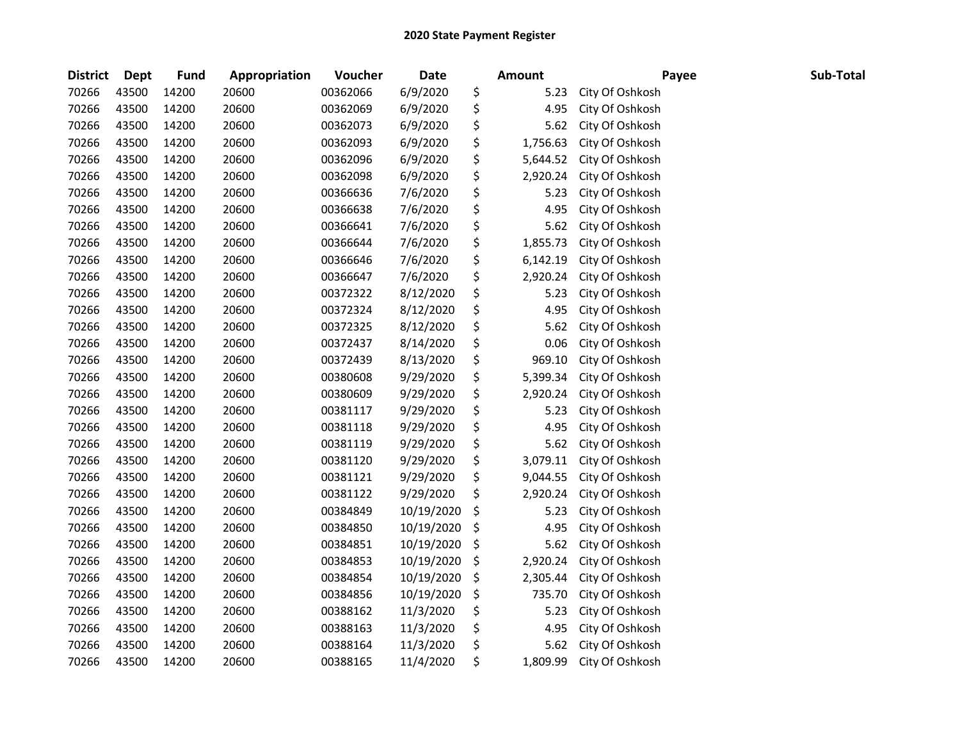| <b>District</b> | <b>Dept</b> | Fund  | Appropriation | Voucher  | <b>Date</b> | Amount         | Payee           | Sub-Total |
|-----------------|-------------|-------|---------------|----------|-------------|----------------|-----------------|-----------|
| 70266           | 43500       | 14200 | 20600         | 00362066 | 6/9/2020    | \$<br>5.23     | City Of Oshkosh |           |
| 70266           | 43500       | 14200 | 20600         | 00362069 | 6/9/2020    | \$<br>4.95     | City Of Oshkosh |           |
| 70266           | 43500       | 14200 | 20600         | 00362073 | 6/9/2020    | \$<br>5.62     | City Of Oshkosh |           |
| 70266           | 43500       | 14200 | 20600         | 00362093 | 6/9/2020    | \$<br>1,756.63 | City Of Oshkosh |           |
| 70266           | 43500       | 14200 | 20600         | 00362096 | 6/9/2020    | \$<br>5,644.52 | City Of Oshkosh |           |
| 70266           | 43500       | 14200 | 20600         | 00362098 | 6/9/2020    | \$<br>2,920.24 | City Of Oshkosh |           |
| 70266           | 43500       | 14200 | 20600         | 00366636 | 7/6/2020    | \$<br>5.23     | City Of Oshkosh |           |
| 70266           | 43500       | 14200 | 20600         | 00366638 | 7/6/2020    | \$<br>4.95     | City Of Oshkosh |           |
| 70266           | 43500       | 14200 | 20600         | 00366641 | 7/6/2020    | \$<br>5.62     | City Of Oshkosh |           |
| 70266           | 43500       | 14200 | 20600         | 00366644 | 7/6/2020    | \$<br>1,855.73 | City Of Oshkosh |           |
| 70266           | 43500       | 14200 | 20600         | 00366646 | 7/6/2020    | \$<br>6,142.19 | City Of Oshkosh |           |
| 70266           | 43500       | 14200 | 20600         | 00366647 | 7/6/2020    | \$<br>2,920.24 | City Of Oshkosh |           |
| 70266           | 43500       | 14200 | 20600         | 00372322 | 8/12/2020   | \$<br>5.23     | City Of Oshkosh |           |
| 70266           | 43500       | 14200 | 20600         | 00372324 | 8/12/2020   | \$<br>4.95     | City Of Oshkosh |           |
| 70266           | 43500       | 14200 | 20600         | 00372325 | 8/12/2020   | \$<br>5.62     | City Of Oshkosh |           |
| 70266           | 43500       | 14200 | 20600         | 00372437 | 8/14/2020   | \$<br>0.06     | City Of Oshkosh |           |
| 70266           | 43500       | 14200 | 20600         | 00372439 | 8/13/2020   | \$<br>969.10   | City Of Oshkosh |           |
| 70266           | 43500       | 14200 | 20600         | 00380608 | 9/29/2020   | \$<br>5,399.34 | City Of Oshkosh |           |
| 70266           | 43500       | 14200 | 20600         | 00380609 | 9/29/2020   | \$<br>2,920.24 | City Of Oshkosh |           |
| 70266           | 43500       | 14200 | 20600         | 00381117 | 9/29/2020   | \$<br>5.23     | City Of Oshkosh |           |
| 70266           | 43500       | 14200 | 20600         | 00381118 | 9/29/2020   | \$<br>4.95     | City Of Oshkosh |           |
| 70266           | 43500       | 14200 | 20600         | 00381119 | 9/29/2020   | \$<br>5.62     | City Of Oshkosh |           |
| 70266           | 43500       | 14200 | 20600         | 00381120 | 9/29/2020   | \$<br>3,079.11 | City Of Oshkosh |           |
| 70266           | 43500       | 14200 | 20600         | 00381121 | 9/29/2020   | \$<br>9,044.55 | City Of Oshkosh |           |
| 70266           | 43500       | 14200 | 20600         | 00381122 | 9/29/2020   | \$<br>2,920.24 | City Of Oshkosh |           |
| 70266           | 43500       | 14200 | 20600         | 00384849 | 10/19/2020  | \$<br>5.23     | City Of Oshkosh |           |
| 70266           | 43500       | 14200 | 20600         | 00384850 | 10/19/2020  | \$<br>4.95     | City Of Oshkosh |           |
| 70266           | 43500       | 14200 | 20600         | 00384851 | 10/19/2020  | \$<br>5.62     | City Of Oshkosh |           |
| 70266           | 43500       | 14200 | 20600         | 00384853 | 10/19/2020  | \$<br>2,920.24 | City Of Oshkosh |           |
| 70266           | 43500       | 14200 | 20600         | 00384854 | 10/19/2020  | \$<br>2,305.44 | City Of Oshkosh |           |
| 70266           | 43500       | 14200 | 20600         | 00384856 | 10/19/2020  | \$<br>735.70   | City Of Oshkosh |           |
| 70266           | 43500       | 14200 | 20600         | 00388162 | 11/3/2020   | \$<br>5.23     | City Of Oshkosh |           |
| 70266           | 43500       | 14200 | 20600         | 00388163 | 11/3/2020   | \$<br>4.95     | City Of Oshkosh |           |
| 70266           | 43500       | 14200 | 20600         | 00388164 | 11/3/2020   | \$<br>5.62     | City Of Oshkosh |           |
| 70266           | 43500       | 14200 | 20600         | 00388165 | 11/4/2020   | \$<br>1,809.99 | City Of Oshkosh |           |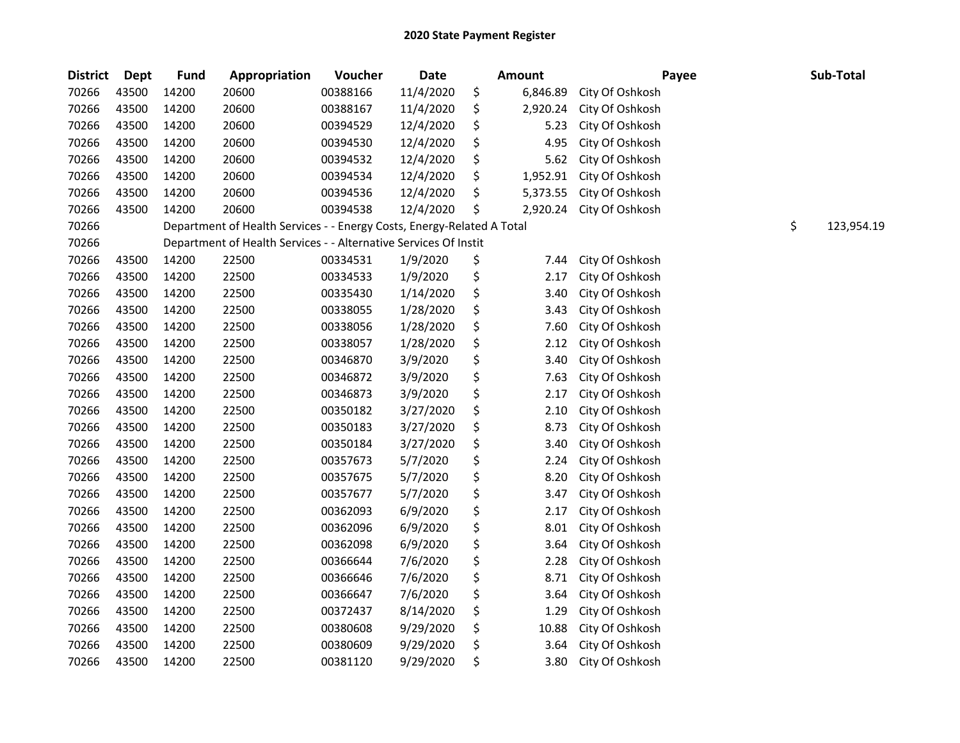| <b>District</b> | <b>Dept</b> | <b>Fund</b> | Appropriation                                                          | Voucher  | <b>Date</b> | Amount         | Payee           | Sub-Total        |
|-----------------|-------------|-------------|------------------------------------------------------------------------|----------|-------------|----------------|-----------------|------------------|
| 70266           | 43500       | 14200       | 20600                                                                  | 00388166 | 11/4/2020   | \$<br>6,846.89 | City Of Oshkosh |                  |
| 70266           | 43500       | 14200       | 20600                                                                  | 00388167 | 11/4/2020   | \$<br>2,920.24 | City Of Oshkosh |                  |
| 70266           | 43500       | 14200       | 20600                                                                  | 00394529 | 12/4/2020   | \$<br>5.23     | City Of Oshkosh |                  |
| 70266           | 43500       | 14200       | 20600                                                                  | 00394530 | 12/4/2020   | \$<br>4.95     | City Of Oshkosh |                  |
| 70266           | 43500       | 14200       | 20600                                                                  | 00394532 | 12/4/2020   | \$<br>5.62     | City Of Oshkosh |                  |
| 70266           | 43500       | 14200       | 20600                                                                  | 00394534 | 12/4/2020   | \$<br>1,952.91 | City Of Oshkosh |                  |
| 70266           | 43500       | 14200       | 20600                                                                  | 00394536 | 12/4/2020   | \$<br>5,373.55 | City Of Oshkosh |                  |
| 70266           | 43500       | 14200       | 20600                                                                  | 00394538 | 12/4/2020   | \$<br>2,920.24 | City Of Oshkosh |                  |
| 70266           |             |             | Department of Health Services - - Energy Costs, Energy-Related A Total |          |             |                |                 | \$<br>123,954.19 |
| 70266           |             |             | Department of Health Services - - Alternative Services Of Instit       |          |             |                |                 |                  |
| 70266           | 43500       | 14200       | 22500                                                                  | 00334531 | 1/9/2020    | \$<br>7.44     | City Of Oshkosh |                  |
| 70266           | 43500       | 14200       | 22500                                                                  | 00334533 | 1/9/2020    | \$<br>2.17     | City Of Oshkosh |                  |
| 70266           | 43500       | 14200       | 22500                                                                  | 00335430 | 1/14/2020   | \$<br>3.40     | City Of Oshkosh |                  |
| 70266           | 43500       | 14200       | 22500                                                                  | 00338055 | 1/28/2020   | \$<br>3.43     | City Of Oshkosh |                  |
| 70266           | 43500       | 14200       | 22500                                                                  | 00338056 | 1/28/2020   | \$<br>7.60     | City Of Oshkosh |                  |
| 70266           | 43500       | 14200       | 22500                                                                  | 00338057 | 1/28/2020   | \$<br>2.12     | City Of Oshkosh |                  |
| 70266           | 43500       | 14200       | 22500                                                                  | 00346870 | 3/9/2020    | \$<br>3.40     | City Of Oshkosh |                  |
| 70266           | 43500       | 14200       | 22500                                                                  | 00346872 | 3/9/2020    | \$<br>7.63     | City Of Oshkosh |                  |
| 70266           | 43500       | 14200       | 22500                                                                  | 00346873 | 3/9/2020    | \$<br>2.17     | City Of Oshkosh |                  |
| 70266           | 43500       | 14200       | 22500                                                                  | 00350182 | 3/27/2020   | \$<br>2.10     | City Of Oshkosh |                  |
| 70266           | 43500       | 14200       | 22500                                                                  | 00350183 | 3/27/2020   | \$<br>8.73     | City Of Oshkosh |                  |
| 70266           | 43500       | 14200       | 22500                                                                  | 00350184 | 3/27/2020   | \$<br>3.40     | City Of Oshkosh |                  |
| 70266           | 43500       | 14200       | 22500                                                                  | 00357673 | 5/7/2020    | \$<br>2.24     | City Of Oshkosh |                  |
| 70266           | 43500       | 14200       | 22500                                                                  | 00357675 | 5/7/2020    | \$<br>8.20     | City Of Oshkosh |                  |
| 70266           | 43500       | 14200       | 22500                                                                  | 00357677 | 5/7/2020    | \$<br>3.47     | City Of Oshkosh |                  |
| 70266           | 43500       | 14200       | 22500                                                                  | 00362093 | 6/9/2020    | \$<br>2.17     | City Of Oshkosh |                  |
| 70266           | 43500       | 14200       | 22500                                                                  | 00362096 | 6/9/2020    | \$<br>8.01     | City Of Oshkosh |                  |
| 70266           | 43500       | 14200       | 22500                                                                  | 00362098 | 6/9/2020    | \$<br>3.64     | City Of Oshkosh |                  |
| 70266           | 43500       | 14200       | 22500                                                                  | 00366644 | 7/6/2020    | \$<br>2.28     | City Of Oshkosh |                  |
| 70266           | 43500       | 14200       | 22500                                                                  | 00366646 | 7/6/2020    | \$<br>8.71     | City Of Oshkosh |                  |
| 70266           | 43500       | 14200       | 22500                                                                  | 00366647 | 7/6/2020    | \$<br>3.64     | City Of Oshkosh |                  |
| 70266           | 43500       | 14200       | 22500                                                                  | 00372437 | 8/14/2020   | \$<br>1.29     | City Of Oshkosh |                  |
| 70266           | 43500       | 14200       | 22500                                                                  | 00380608 | 9/29/2020   | \$<br>10.88    | City Of Oshkosh |                  |
| 70266           | 43500       | 14200       | 22500                                                                  | 00380609 | 9/29/2020   | \$<br>3.64     | City Of Oshkosh |                  |
| 70266           | 43500       | 14200       | 22500                                                                  | 00381120 | 9/29/2020   | \$<br>3.80     | City Of Oshkosh |                  |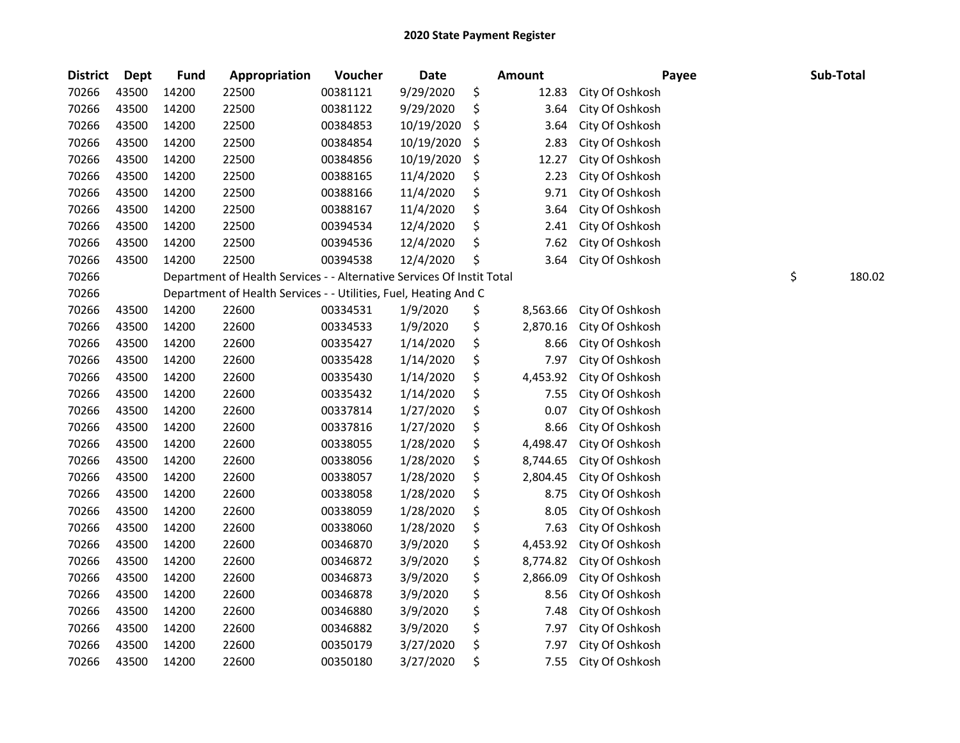| <b>District</b> | Dept  | <b>Fund</b> | Appropriation                                                          | Voucher  | Date       | <b>Amount</b>  | Payee           | Sub-Total |        |
|-----------------|-------|-------------|------------------------------------------------------------------------|----------|------------|----------------|-----------------|-----------|--------|
| 70266           | 43500 | 14200       | 22500                                                                  | 00381121 | 9/29/2020  | \$<br>12.83    | City Of Oshkosh |           |        |
| 70266           | 43500 | 14200       | 22500                                                                  | 00381122 | 9/29/2020  | \$<br>3.64     | City Of Oshkosh |           |        |
| 70266           | 43500 | 14200       | 22500                                                                  | 00384853 | 10/19/2020 | \$<br>3.64     | City Of Oshkosh |           |        |
| 70266           | 43500 | 14200       | 22500                                                                  | 00384854 | 10/19/2020 | \$<br>2.83     | City Of Oshkosh |           |        |
| 70266           | 43500 | 14200       | 22500                                                                  | 00384856 | 10/19/2020 | \$<br>12.27    | City Of Oshkosh |           |        |
| 70266           | 43500 | 14200       | 22500                                                                  | 00388165 | 11/4/2020  | \$<br>2.23     | City Of Oshkosh |           |        |
| 70266           | 43500 | 14200       | 22500                                                                  | 00388166 | 11/4/2020  | \$<br>9.71     | City Of Oshkosh |           |        |
| 70266           | 43500 | 14200       | 22500                                                                  | 00388167 | 11/4/2020  | \$<br>3.64     | City Of Oshkosh |           |        |
| 70266           | 43500 | 14200       | 22500                                                                  | 00394534 | 12/4/2020  | \$<br>2.41     | City Of Oshkosh |           |        |
| 70266           | 43500 | 14200       | 22500                                                                  | 00394536 | 12/4/2020  | \$<br>7.62     | City Of Oshkosh |           |        |
| 70266           | 43500 | 14200       | 22500                                                                  | 00394538 | 12/4/2020  | \$<br>3.64     | City Of Oshkosh |           |        |
| 70266           |       |             | Department of Health Services - - Alternative Services Of Instit Total |          |            |                |                 | \$        | 180.02 |
| 70266           |       |             | Department of Health Services - - Utilities, Fuel, Heating And C       |          |            |                |                 |           |        |
| 70266           | 43500 | 14200       | 22600                                                                  | 00334531 | 1/9/2020   | \$<br>8,563.66 | City Of Oshkosh |           |        |
| 70266           | 43500 | 14200       | 22600                                                                  | 00334533 | 1/9/2020   | \$<br>2,870.16 | City Of Oshkosh |           |        |
| 70266           | 43500 | 14200       | 22600                                                                  | 00335427 | 1/14/2020  | \$<br>8.66     | City Of Oshkosh |           |        |
| 70266           | 43500 | 14200       | 22600                                                                  | 00335428 | 1/14/2020  | \$<br>7.97     | City Of Oshkosh |           |        |
| 70266           | 43500 | 14200       | 22600                                                                  | 00335430 | 1/14/2020  | \$<br>4,453.92 | City Of Oshkosh |           |        |
| 70266           | 43500 | 14200       | 22600                                                                  | 00335432 | 1/14/2020  | \$<br>7.55     | City Of Oshkosh |           |        |
| 70266           | 43500 | 14200       | 22600                                                                  | 00337814 | 1/27/2020  | \$<br>0.07     | City Of Oshkosh |           |        |
| 70266           | 43500 | 14200       | 22600                                                                  | 00337816 | 1/27/2020  | \$<br>8.66     | City Of Oshkosh |           |        |
| 70266           | 43500 | 14200       | 22600                                                                  | 00338055 | 1/28/2020  | \$<br>4,498.47 | City Of Oshkosh |           |        |
| 70266           | 43500 | 14200       | 22600                                                                  | 00338056 | 1/28/2020  | \$<br>8,744.65 | City Of Oshkosh |           |        |
| 70266           | 43500 | 14200       | 22600                                                                  | 00338057 | 1/28/2020  | \$<br>2,804.45 | City Of Oshkosh |           |        |
| 70266           | 43500 | 14200       | 22600                                                                  | 00338058 | 1/28/2020  | \$<br>8.75     | City Of Oshkosh |           |        |
| 70266           | 43500 | 14200       | 22600                                                                  | 00338059 | 1/28/2020  | \$<br>8.05     | City Of Oshkosh |           |        |
| 70266           | 43500 | 14200       | 22600                                                                  | 00338060 | 1/28/2020  | \$<br>7.63     | City Of Oshkosh |           |        |
| 70266           | 43500 | 14200       | 22600                                                                  | 00346870 | 3/9/2020   | \$<br>4,453.92 | City Of Oshkosh |           |        |
| 70266           | 43500 | 14200       | 22600                                                                  | 00346872 | 3/9/2020   | \$<br>8,774.82 | City Of Oshkosh |           |        |
| 70266           | 43500 | 14200       | 22600                                                                  | 00346873 | 3/9/2020   | \$<br>2,866.09 | City Of Oshkosh |           |        |
| 70266           | 43500 | 14200       | 22600                                                                  | 00346878 | 3/9/2020   | \$<br>8.56     | City Of Oshkosh |           |        |
| 70266           | 43500 | 14200       | 22600                                                                  | 00346880 | 3/9/2020   | \$<br>7.48     | City Of Oshkosh |           |        |
| 70266           | 43500 | 14200       | 22600                                                                  | 00346882 | 3/9/2020   | \$<br>7.97     | City Of Oshkosh |           |        |
| 70266           | 43500 | 14200       | 22600                                                                  | 00350179 | 3/27/2020  | \$<br>7.97     | City Of Oshkosh |           |        |
| 70266           | 43500 | 14200       | 22600                                                                  | 00350180 | 3/27/2020  | \$<br>7.55     | City Of Oshkosh |           |        |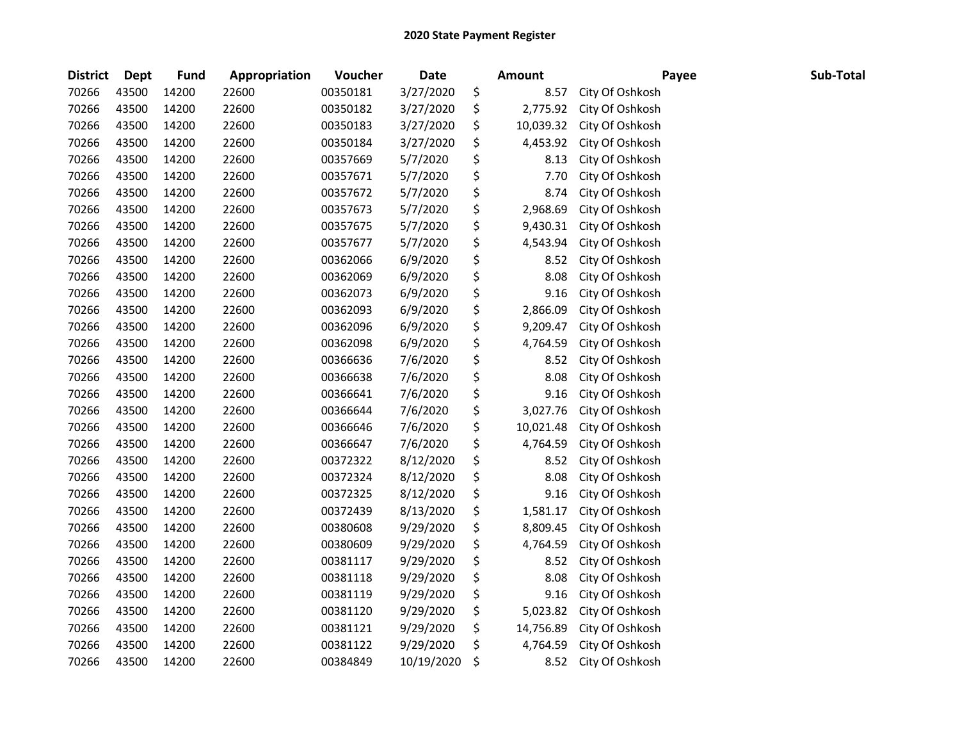| <b>District</b> | Dept  | <b>Fund</b> | Appropriation | Voucher  | <b>Date</b> | <b>Amount</b>   | Payee           | Sub-Total |  |
|-----------------|-------|-------------|---------------|----------|-------------|-----------------|-----------------|-----------|--|
| 70266           | 43500 | 14200       | 22600         | 00350181 | 3/27/2020   | \$<br>8.57      | City Of Oshkosh |           |  |
| 70266           | 43500 | 14200       | 22600         | 00350182 | 3/27/2020   | \$<br>2,775.92  | City Of Oshkosh |           |  |
| 70266           | 43500 | 14200       | 22600         | 00350183 | 3/27/2020   | \$<br>10,039.32 | City Of Oshkosh |           |  |
| 70266           | 43500 | 14200       | 22600         | 00350184 | 3/27/2020   | \$<br>4,453.92  | City Of Oshkosh |           |  |
| 70266           | 43500 | 14200       | 22600         | 00357669 | 5/7/2020    | \$<br>8.13      | City Of Oshkosh |           |  |
| 70266           | 43500 | 14200       | 22600         | 00357671 | 5/7/2020    | \$<br>7.70      | City Of Oshkosh |           |  |
| 70266           | 43500 | 14200       | 22600         | 00357672 | 5/7/2020    | \$<br>8.74      | City Of Oshkosh |           |  |
| 70266           | 43500 | 14200       | 22600         | 00357673 | 5/7/2020    | \$<br>2,968.69  | City Of Oshkosh |           |  |
| 70266           | 43500 | 14200       | 22600         | 00357675 | 5/7/2020    | \$<br>9,430.31  | City Of Oshkosh |           |  |
| 70266           | 43500 | 14200       | 22600         | 00357677 | 5/7/2020    | \$<br>4,543.94  | City Of Oshkosh |           |  |
| 70266           | 43500 | 14200       | 22600         | 00362066 | 6/9/2020    | \$<br>8.52      | City Of Oshkosh |           |  |
| 70266           | 43500 | 14200       | 22600         | 00362069 | 6/9/2020    | \$<br>8.08      | City Of Oshkosh |           |  |
| 70266           | 43500 | 14200       | 22600         | 00362073 | 6/9/2020    | \$<br>9.16      | City Of Oshkosh |           |  |
| 70266           | 43500 | 14200       | 22600         | 00362093 | 6/9/2020    | \$<br>2,866.09  | City Of Oshkosh |           |  |
| 70266           | 43500 | 14200       | 22600         | 00362096 | 6/9/2020    | \$<br>9,209.47  | City Of Oshkosh |           |  |
| 70266           | 43500 | 14200       | 22600         | 00362098 | 6/9/2020    | \$<br>4,764.59  | City Of Oshkosh |           |  |
| 70266           | 43500 | 14200       | 22600         | 00366636 | 7/6/2020    | \$<br>8.52      | City Of Oshkosh |           |  |
| 70266           | 43500 | 14200       | 22600         | 00366638 | 7/6/2020    | \$<br>8.08      | City Of Oshkosh |           |  |
| 70266           | 43500 | 14200       | 22600         | 00366641 | 7/6/2020    | \$<br>9.16      | City Of Oshkosh |           |  |
| 70266           | 43500 | 14200       | 22600         | 00366644 | 7/6/2020    | \$<br>3,027.76  | City Of Oshkosh |           |  |
| 70266           | 43500 | 14200       | 22600         | 00366646 | 7/6/2020    | \$<br>10,021.48 | City Of Oshkosh |           |  |
| 70266           | 43500 | 14200       | 22600         | 00366647 | 7/6/2020    | \$<br>4,764.59  | City Of Oshkosh |           |  |
| 70266           | 43500 | 14200       | 22600         | 00372322 | 8/12/2020   | \$<br>8.52      | City Of Oshkosh |           |  |
| 70266           | 43500 | 14200       | 22600         | 00372324 | 8/12/2020   | \$<br>8.08      | City Of Oshkosh |           |  |
| 70266           | 43500 | 14200       | 22600         | 00372325 | 8/12/2020   | \$<br>9.16      | City Of Oshkosh |           |  |
| 70266           | 43500 | 14200       | 22600         | 00372439 | 8/13/2020   | \$<br>1,581.17  | City Of Oshkosh |           |  |
| 70266           | 43500 | 14200       | 22600         | 00380608 | 9/29/2020   | \$<br>8,809.45  | City Of Oshkosh |           |  |
| 70266           | 43500 | 14200       | 22600         | 00380609 | 9/29/2020   | \$<br>4,764.59  | City Of Oshkosh |           |  |
| 70266           | 43500 | 14200       | 22600         | 00381117 | 9/29/2020   | \$<br>8.52      | City Of Oshkosh |           |  |
| 70266           | 43500 | 14200       | 22600         | 00381118 | 9/29/2020   | \$<br>8.08      | City Of Oshkosh |           |  |
| 70266           | 43500 | 14200       | 22600         | 00381119 | 9/29/2020   | \$<br>9.16      | City Of Oshkosh |           |  |
| 70266           | 43500 | 14200       | 22600         | 00381120 | 9/29/2020   | \$<br>5,023.82  | City Of Oshkosh |           |  |
| 70266           | 43500 | 14200       | 22600         | 00381121 | 9/29/2020   | \$<br>14,756.89 | City Of Oshkosh |           |  |
| 70266           | 43500 | 14200       | 22600         | 00381122 | 9/29/2020   | \$<br>4,764.59  | City Of Oshkosh |           |  |
| 70266           | 43500 | 14200       | 22600         | 00384849 | 10/19/2020  | \$<br>8.52      | City Of Oshkosh |           |  |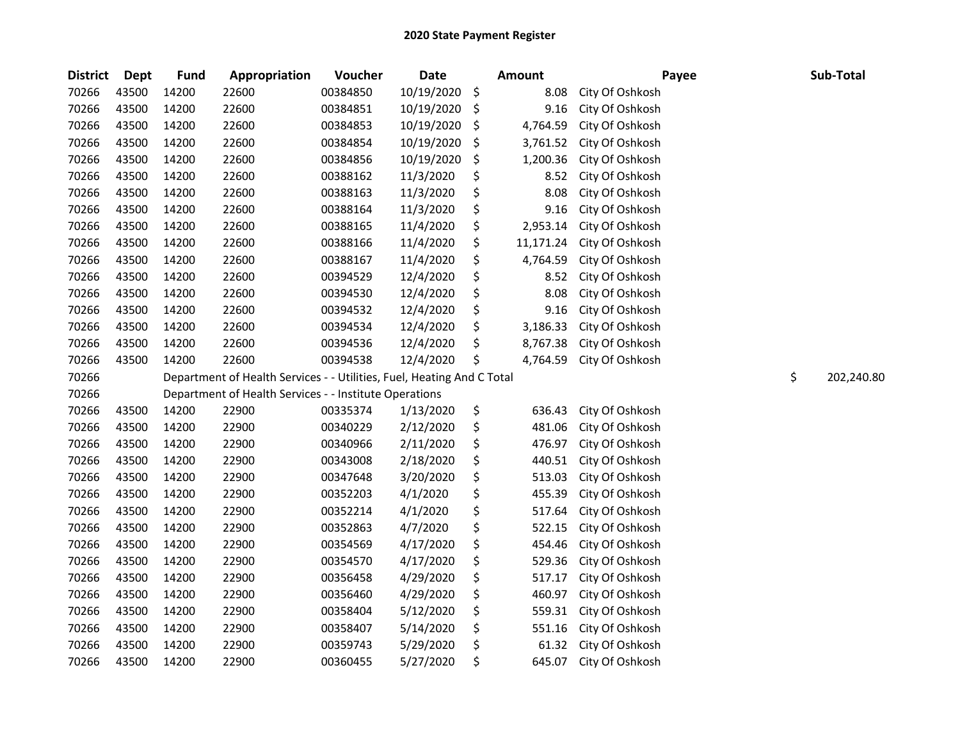| <b>District</b> | <b>Dept</b> | <b>Fund</b> | Appropriation                                                          | Voucher  | <b>Date</b> | Amount          | Payee           | Sub-Total        |
|-----------------|-------------|-------------|------------------------------------------------------------------------|----------|-------------|-----------------|-----------------|------------------|
| 70266           | 43500       | 14200       | 22600                                                                  | 00384850 | 10/19/2020  | \$<br>8.08      | City Of Oshkosh |                  |
| 70266           | 43500       | 14200       | 22600                                                                  | 00384851 | 10/19/2020  | \$<br>9.16      | City Of Oshkosh |                  |
| 70266           | 43500       | 14200       | 22600                                                                  | 00384853 | 10/19/2020  | \$<br>4,764.59  | City Of Oshkosh |                  |
| 70266           | 43500       | 14200       | 22600                                                                  | 00384854 | 10/19/2020  | \$<br>3,761.52  | City Of Oshkosh |                  |
| 70266           | 43500       | 14200       | 22600                                                                  | 00384856 | 10/19/2020  | \$<br>1,200.36  | City Of Oshkosh |                  |
| 70266           | 43500       | 14200       | 22600                                                                  | 00388162 | 11/3/2020   | \$<br>8.52      | City Of Oshkosh |                  |
| 70266           | 43500       | 14200       | 22600                                                                  | 00388163 | 11/3/2020   | \$<br>8.08      | City Of Oshkosh |                  |
| 70266           | 43500       | 14200       | 22600                                                                  | 00388164 | 11/3/2020   | \$<br>9.16      | City Of Oshkosh |                  |
| 70266           | 43500       | 14200       | 22600                                                                  | 00388165 | 11/4/2020   | \$<br>2,953.14  | City Of Oshkosh |                  |
| 70266           | 43500       | 14200       | 22600                                                                  | 00388166 | 11/4/2020   | \$<br>11,171.24 | City Of Oshkosh |                  |
| 70266           | 43500       | 14200       | 22600                                                                  | 00388167 | 11/4/2020   | \$<br>4,764.59  | City Of Oshkosh |                  |
| 70266           | 43500       | 14200       | 22600                                                                  | 00394529 | 12/4/2020   | \$<br>8.52      | City Of Oshkosh |                  |
| 70266           | 43500       | 14200       | 22600                                                                  | 00394530 | 12/4/2020   | \$<br>8.08      | City Of Oshkosh |                  |
| 70266           | 43500       | 14200       | 22600                                                                  | 00394532 | 12/4/2020   | \$<br>9.16      | City Of Oshkosh |                  |
| 70266           | 43500       | 14200       | 22600                                                                  | 00394534 | 12/4/2020   | \$<br>3,186.33  | City Of Oshkosh |                  |
| 70266           | 43500       | 14200       | 22600                                                                  | 00394536 | 12/4/2020   | \$<br>8,767.38  | City Of Oshkosh |                  |
| 70266           | 43500       | 14200       | 22600                                                                  | 00394538 | 12/4/2020   | \$<br>4,764.59  | City Of Oshkosh |                  |
| 70266           |             |             | Department of Health Services - - Utilities, Fuel, Heating And C Total |          |             |                 |                 | \$<br>202,240.80 |
| 70266           |             |             | Department of Health Services - - Institute Operations                 |          |             |                 |                 |                  |
| 70266           | 43500       | 14200       | 22900                                                                  | 00335374 | 1/13/2020   | \$<br>636.43    | City Of Oshkosh |                  |
| 70266           | 43500       | 14200       | 22900                                                                  | 00340229 | 2/12/2020   | \$<br>481.06    | City Of Oshkosh |                  |
| 70266           | 43500       | 14200       | 22900                                                                  | 00340966 | 2/11/2020   | \$<br>476.97    | City Of Oshkosh |                  |
| 70266           | 43500       | 14200       | 22900                                                                  | 00343008 | 2/18/2020   | \$<br>440.51    | City Of Oshkosh |                  |
| 70266           | 43500       | 14200       | 22900                                                                  | 00347648 | 3/20/2020   | \$<br>513.03    | City Of Oshkosh |                  |
| 70266           | 43500       | 14200       | 22900                                                                  | 00352203 | 4/1/2020    | \$<br>455.39    | City Of Oshkosh |                  |
| 70266           | 43500       | 14200       | 22900                                                                  | 00352214 | 4/1/2020    | \$<br>517.64    | City Of Oshkosh |                  |
| 70266           | 43500       | 14200       | 22900                                                                  | 00352863 | 4/7/2020    | \$<br>522.15    | City Of Oshkosh |                  |
| 70266           | 43500       | 14200       | 22900                                                                  | 00354569 | 4/17/2020   | \$<br>454.46    | City Of Oshkosh |                  |
| 70266           | 43500       | 14200       | 22900                                                                  | 00354570 | 4/17/2020   | \$<br>529.36    | City Of Oshkosh |                  |
| 70266           | 43500       | 14200       | 22900                                                                  | 00356458 | 4/29/2020   | \$<br>517.17    | City Of Oshkosh |                  |
| 70266           | 43500       | 14200       | 22900                                                                  | 00356460 | 4/29/2020   | \$<br>460.97    | City Of Oshkosh |                  |
| 70266           | 43500       | 14200       | 22900                                                                  | 00358404 | 5/12/2020   | \$<br>559.31    | City Of Oshkosh |                  |
| 70266           | 43500       | 14200       | 22900                                                                  | 00358407 | 5/14/2020   | \$<br>551.16    | City Of Oshkosh |                  |
| 70266           | 43500       | 14200       | 22900                                                                  | 00359743 | 5/29/2020   | \$<br>61.32     | City Of Oshkosh |                  |
| 70266           | 43500       | 14200       | 22900                                                                  | 00360455 | 5/27/2020   | \$<br>645.07    | City Of Oshkosh |                  |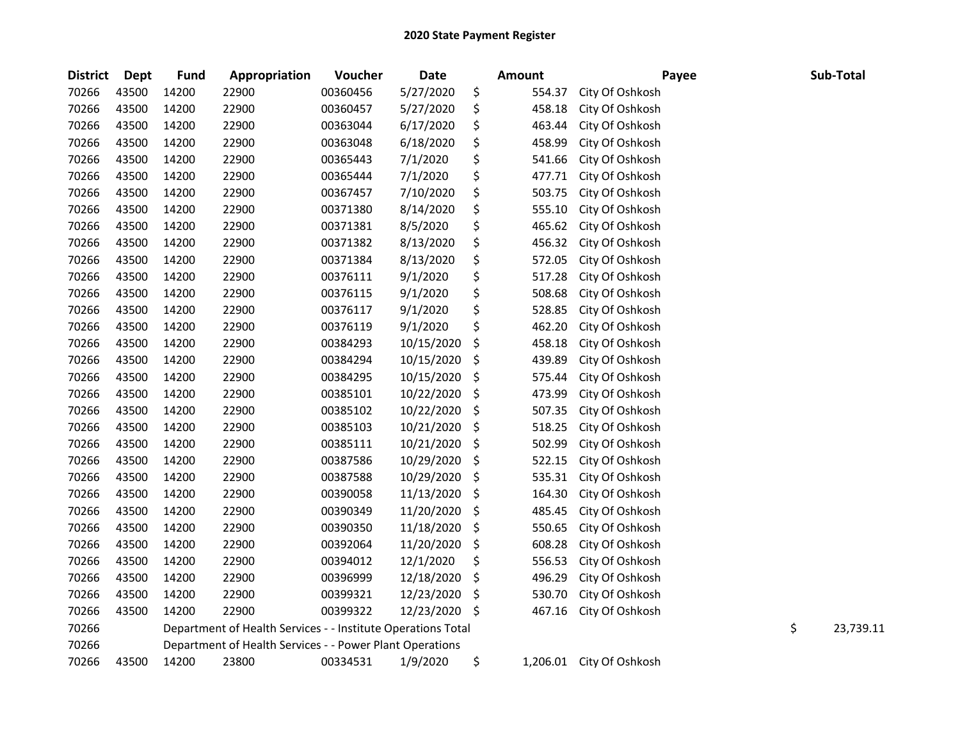| <b>District</b> | Dept  | <b>Fund</b> | Appropriation                                                | Voucher  | <b>Date</b> | <b>Amount</b> | Payee                    | Sub-Total       |
|-----------------|-------|-------------|--------------------------------------------------------------|----------|-------------|---------------|--------------------------|-----------------|
| 70266           | 43500 | 14200       | 22900                                                        | 00360456 | 5/27/2020   | \$<br>554.37  | City Of Oshkosh          |                 |
| 70266           | 43500 | 14200       | 22900                                                        | 00360457 | 5/27/2020   | \$<br>458.18  | City Of Oshkosh          |                 |
| 70266           | 43500 | 14200       | 22900                                                        | 00363044 | 6/17/2020   | \$<br>463.44  | City Of Oshkosh          |                 |
| 70266           | 43500 | 14200       | 22900                                                        | 00363048 | 6/18/2020   | \$<br>458.99  | City Of Oshkosh          |                 |
| 70266           | 43500 | 14200       | 22900                                                        | 00365443 | 7/1/2020    | \$<br>541.66  | City Of Oshkosh          |                 |
| 70266           | 43500 | 14200       | 22900                                                        | 00365444 | 7/1/2020    | \$<br>477.71  | City Of Oshkosh          |                 |
| 70266           | 43500 | 14200       | 22900                                                        | 00367457 | 7/10/2020   | \$<br>503.75  | City Of Oshkosh          |                 |
| 70266           | 43500 | 14200       | 22900                                                        | 00371380 | 8/14/2020   | \$<br>555.10  | City Of Oshkosh          |                 |
| 70266           | 43500 | 14200       | 22900                                                        | 00371381 | 8/5/2020    | \$<br>465.62  | City Of Oshkosh          |                 |
| 70266           | 43500 | 14200       | 22900                                                        | 00371382 | 8/13/2020   | \$<br>456.32  | City Of Oshkosh          |                 |
| 70266           | 43500 | 14200       | 22900                                                        | 00371384 | 8/13/2020   | \$<br>572.05  | City Of Oshkosh          |                 |
| 70266           | 43500 | 14200       | 22900                                                        | 00376111 | 9/1/2020    | \$<br>517.28  | City Of Oshkosh          |                 |
| 70266           | 43500 | 14200       | 22900                                                        | 00376115 | 9/1/2020    | \$<br>508.68  | City Of Oshkosh          |                 |
| 70266           | 43500 | 14200       | 22900                                                        | 00376117 | 9/1/2020    | \$<br>528.85  | City Of Oshkosh          |                 |
| 70266           | 43500 | 14200       | 22900                                                        | 00376119 | 9/1/2020    | \$<br>462.20  | City Of Oshkosh          |                 |
| 70266           | 43500 | 14200       | 22900                                                        | 00384293 | 10/15/2020  | \$<br>458.18  | City Of Oshkosh          |                 |
| 70266           | 43500 | 14200       | 22900                                                        | 00384294 | 10/15/2020  | \$<br>439.89  | City Of Oshkosh          |                 |
| 70266           | 43500 | 14200       | 22900                                                        | 00384295 | 10/15/2020  | \$<br>575.44  | City Of Oshkosh          |                 |
| 70266           | 43500 | 14200       | 22900                                                        | 00385101 | 10/22/2020  | \$<br>473.99  | City Of Oshkosh          |                 |
| 70266           | 43500 | 14200       | 22900                                                        | 00385102 | 10/22/2020  | \$<br>507.35  | City Of Oshkosh          |                 |
| 70266           | 43500 | 14200       | 22900                                                        | 00385103 | 10/21/2020  | \$<br>518.25  | City Of Oshkosh          |                 |
| 70266           | 43500 | 14200       | 22900                                                        | 00385111 | 10/21/2020  | \$<br>502.99  | City Of Oshkosh          |                 |
| 70266           | 43500 | 14200       | 22900                                                        | 00387586 | 10/29/2020  | \$<br>522.15  | City Of Oshkosh          |                 |
| 70266           | 43500 | 14200       | 22900                                                        | 00387588 | 10/29/2020  | \$<br>535.31  | City Of Oshkosh          |                 |
| 70266           | 43500 | 14200       | 22900                                                        | 00390058 | 11/13/2020  | \$<br>164.30  | City Of Oshkosh          |                 |
| 70266           | 43500 | 14200       | 22900                                                        | 00390349 | 11/20/2020  | \$<br>485.45  | City Of Oshkosh          |                 |
| 70266           | 43500 | 14200       | 22900                                                        | 00390350 | 11/18/2020  | \$<br>550.65  | City Of Oshkosh          |                 |
| 70266           | 43500 | 14200       | 22900                                                        | 00392064 | 11/20/2020  | \$<br>608.28  | City Of Oshkosh          |                 |
| 70266           | 43500 | 14200       | 22900                                                        | 00394012 | 12/1/2020   | \$<br>556.53  | City Of Oshkosh          |                 |
| 70266           | 43500 | 14200       | 22900                                                        | 00396999 | 12/18/2020  | \$<br>496.29  | City Of Oshkosh          |                 |
| 70266           | 43500 | 14200       | 22900                                                        | 00399321 | 12/23/2020  | \$<br>530.70  | City Of Oshkosh          |                 |
| 70266           | 43500 | 14200       | 22900                                                        | 00399322 | 12/23/2020  | \$<br>467.16  | City Of Oshkosh          |                 |
| 70266           |       |             | Department of Health Services - - Institute Operations Total |          |             |               |                          | \$<br>23,739.11 |
| 70266           |       |             | Department of Health Services - - Power Plant Operations     |          |             |               |                          |                 |
| 70266           | 43500 | 14200       | 23800                                                        | 00334531 | 1/9/2020    | \$            | 1,206.01 City Of Oshkosh |                 |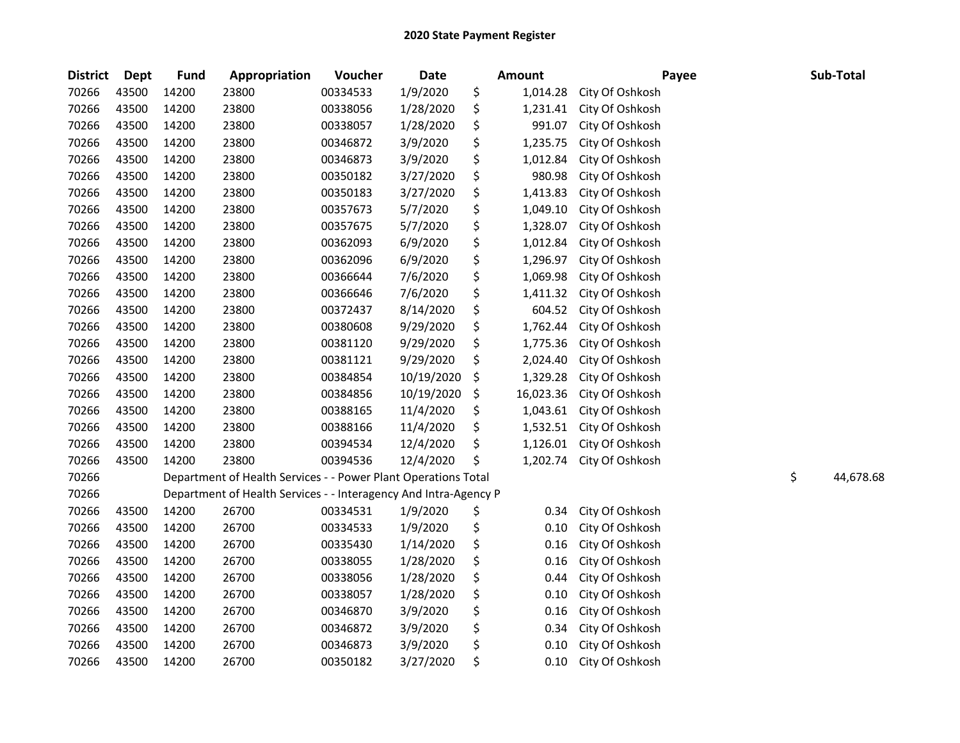| <b>District</b> | <b>Dept</b> | <b>Fund</b> | Appropriation                                                    | Voucher  | <b>Date</b> | <b>Amount</b>   | Payee           | Sub-Total       |
|-----------------|-------------|-------------|------------------------------------------------------------------|----------|-------------|-----------------|-----------------|-----------------|
| 70266           | 43500       | 14200       | 23800                                                            | 00334533 | 1/9/2020    | \$<br>1,014.28  | City Of Oshkosh |                 |
| 70266           | 43500       | 14200       | 23800                                                            | 00338056 | 1/28/2020   | \$<br>1,231.41  | City Of Oshkosh |                 |
| 70266           | 43500       | 14200       | 23800                                                            | 00338057 | 1/28/2020   | \$<br>991.07    | City Of Oshkosh |                 |
| 70266           | 43500       | 14200       | 23800                                                            | 00346872 | 3/9/2020    | \$<br>1,235.75  | City Of Oshkosh |                 |
| 70266           | 43500       | 14200       | 23800                                                            | 00346873 | 3/9/2020    | \$<br>1,012.84  | City Of Oshkosh |                 |
| 70266           | 43500       | 14200       | 23800                                                            | 00350182 | 3/27/2020   | \$<br>980.98    | City Of Oshkosh |                 |
| 70266           | 43500       | 14200       | 23800                                                            | 00350183 | 3/27/2020   | \$<br>1,413.83  | City Of Oshkosh |                 |
| 70266           | 43500       | 14200       | 23800                                                            | 00357673 | 5/7/2020    | \$<br>1,049.10  | City Of Oshkosh |                 |
| 70266           | 43500       | 14200       | 23800                                                            | 00357675 | 5/7/2020    | \$<br>1,328.07  | City Of Oshkosh |                 |
| 70266           | 43500       | 14200       | 23800                                                            | 00362093 | 6/9/2020    | \$<br>1,012.84  | City Of Oshkosh |                 |
| 70266           | 43500       | 14200       | 23800                                                            | 00362096 | 6/9/2020    | \$<br>1,296.97  | City Of Oshkosh |                 |
| 70266           | 43500       | 14200       | 23800                                                            | 00366644 | 7/6/2020    | \$<br>1,069.98  | City Of Oshkosh |                 |
| 70266           | 43500       | 14200       | 23800                                                            | 00366646 | 7/6/2020    | \$<br>1,411.32  | City Of Oshkosh |                 |
| 70266           | 43500       | 14200       | 23800                                                            | 00372437 | 8/14/2020   | \$<br>604.52    | City Of Oshkosh |                 |
| 70266           | 43500       | 14200       | 23800                                                            | 00380608 | 9/29/2020   | \$<br>1,762.44  | City Of Oshkosh |                 |
| 70266           | 43500       | 14200       | 23800                                                            | 00381120 | 9/29/2020   | \$<br>1,775.36  | City Of Oshkosh |                 |
| 70266           | 43500       | 14200       | 23800                                                            | 00381121 | 9/29/2020   | \$<br>2,024.40  | City Of Oshkosh |                 |
| 70266           | 43500       | 14200       | 23800                                                            | 00384854 | 10/19/2020  | \$<br>1,329.28  | City Of Oshkosh |                 |
| 70266           | 43500       | 14200       | 23800                                                            | 00384856 | 10/19/2020  | \$<br>16,023.36 | City Of Oshkosh |                 |
| 70266           | 43500       | 14200       | 23800                                                            | 00388165 | 11/4/2020   | \$<br>1,043.61  | City Of Oshkosh |                 |
| 70266           | 43500       | 14200       | 23800                                                            | 00388166 | 11/4/2020   | \$<br>1,532.51  | City Of Oshkosh |                 |
| 70266           | 43500       | 14200       | 23800                                                            | 00394534 | 12/4/2020   | \$<br>1,126.01  | City Of Oshkosh |                 |
| 70266           | 43500       | 14200       | 23800                                                            | 00394536 | 12/4/2020   | \$<br>1,202.74  | City Of Oshkosh |                 |
| 70266           |             |             | Department of Health Services - - Power Plant Operations Total   |          |             |                 |                 | \$<br>44,678.68 |
| 70266           |             |             | Department of Health Services - - Interagency And Intra-Agency P |          |             |                 |                 |                 |
| 70266           | 43500       | 14200       | 26700                                                            | 00334531 | 1/9/2020    | \$<br>0.34      | City Of Oshkosh |                 |
| 70266           | 43500       | 14200       | 26700                                                            | 00334533 | 1/9/2020    | \$<br>0.10      | City Of Oshkosh |                 |
| 70266           | 43500       | 14200       | 26700                                                            | 00335430 | 1/14/2020   | \$<br>0.16      | City Of Oshkosh |                 |
| 70266           | 43500       | 14200       | 26700                                                            | 00338055 | 1/28/2020   | \$<br>0.16      | City Of Oshkosh |                 |
| 70266           | 43500       | 14200       | 26700                                                            | 00338056 | 1/28/2020   | \$<br>0.44      | City Of Oshkosh |                 |
| 70266           | 43500       | 14200       | 26700                                                            | 00338057 | 1/28/2020   | \$<br>0.10      | City Of Oshkosh |                 |
| 70266           | 43500       | 14200       | 26700                                                            | 00346870 | 3/9/2020    | \$<br>0.16      | City Of Oshkosh |                 |
| 70266           | 43500       | 14200       | 26700                                                            | 00346872 | 3/9/2020    | \$<br>0.34      | City Of Oshkosh |                 |
| 70266           | 43500       | 14200       | 26700                                                            | 00346873 | 3/9/2020    | \$<br>0.10      | City Of Oshkosh |                 |
| 70266           | 43500       | 14200       | 26700                                                            | 00350182 | 3/27/2020   | \$<br>0.10      | City Of Oshkosh |                 |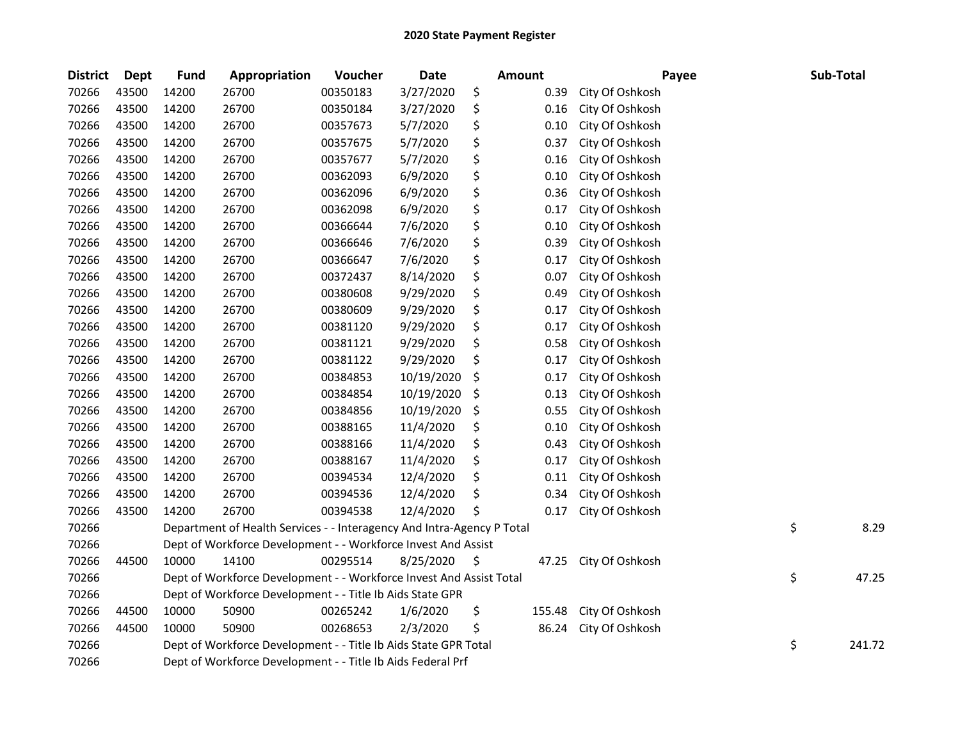| <b>District</b> | <b>Dept</b> | <b>Fund</b>                                                 | Appropriation                                                          | Voucher  | <b>Date</b> |    | <b>Amount</b> | Payee           |    | Sub-Total |
|-----------------|-------------|-------------------------------------------------------------|------------------------------------------------------------------------|----------|-------------|----|---------------|-----------------|----|-----------|
| 70266           | 43500       | 14200                                                       | 26700                                                                  | 00350183 | 3/27/2020   | \$ | 0.39          | City Of Oshkosh |    |           |
| 70266           | 43500       | 14200                                                       | 26700                                                                  | 00350184 | 3/27/2020   | \$ | 0.16          | City Of Oshkosh |    |           |
| 70266           | 43500       | 14200                                                       | 26700                                                                  | 00357673 | 5/7/2020    | \$ | 0.10          | City Of Oshkosh |    |           |
| 70266           | 43500       | 14200                                                       | 26700                                                                  | 00357675 | 5/7/2020    | \$ | 0.37          | City Of Oshkosh |    |           |
| 70266           | 43500       | 14200                                                       | 26700                                                                  | 00357677 | 5/7/2020    | \$ | 0.16          | City Of Oshkosh |    |           |
| 70266           | 43500       | 14200                                                       | 26700                                                                  | 00362093 | 6/9/2020    | \$ | 0.10          | City Of Oshkosh |    |           |
| 70266           | 43500       | 14200                                                       | 26700                                                                  | 00362096 | 6/9/2020    | \$ | 0.36          | City Of Oshkosh |    |           |
| 70266           | 43500       | 14200                                                       | 26700                                                                  | 00362098 | 6/9/2020    | \$ | 0.17          | City Of Oshkosh |    |           |
| 70266           | 43500       | 14200                                                       | 26700                                                                  | 00366644 | 7/6/2020    | \$ | 0.10          | City Of Oshkosh |    |           |
| 70266           | 43500       | 14200                                                       | 26700                                                                  | 00366646 | 7/6/2020    | \$ | 0.39          | City Of Oshkosh |    |           |
| 70266           | 43500       | 14200                                                       | 26700                                                                  | 00366647 | 7/6/2020    | \$ | 0.17          | City Of Oshkosh |    |           |
| 70266           | 43500       | 14200                                                       | 26700                                                                  | 00372437 | 8/14/2020   | \$ | 0.07          | City Of Oshkosh |    |           |
| 70266           | 43500       | 14200                                                       | 26700                                                                  | 00380608 | 9/29/2020   | \$ | 0.49          | City Of Oshkosh |    |           |
| 70266           | 43500       | 14200                                                       | 26700                                                                  | 00380609 | 9/29/2020   | \$ | 0.17          | City Of Oshkosh |    |           |
| 70266           | 43500       | 14200                                                       | 26700                                                                  | 00381120 | 9/29/2020   | \$ | 0.17          | City Of Oshkosh |    |           |
| 70266           | 43500       | 14200                                                       | 26700                                                                  | 00381121 | 9/29/2020   | \$ | 0.58          | City Of Oshkosh |    |           |
| 70266           | 43500       | 14200                                                       | 26700                                                                  | 00381122 | 9/29/2020   | \$ | 0.17          | City Of Oshkosh |    |           |
| 70266           | 43500       | 14200                                                       | 26700                                                                  | 00384853 | 10/19/2020  | \$ | 0.17          | City Of Oshkosh |    |           |
| 70266           | 43500       | 14200                                                       | 26700                                                                  | 00384854 | 10/19/2020  | \$ | 0.13          | City Of Oshkosh |    |           |
| 70266           | 43500       | 14200                                                       | 26700                                                                  | 00384856 | 10/19/2020  | \$ | 0.55          | City Of Oshkosh |    |           |
| 70266           | 43500       | 14200                                                       | 26700                                                                  | 00388165 | 11/4/2020   | \$ | 0.10          | City Of Oshkosh |    |           |
| 70266           | 43500       | 14200                                                       | 26700                                                                  | 00388166 | 11/4/2020   | \$ | 0.43          | City Of Oshkosh |    |           |
| 70266           | 43500       | 14200                                                       | 26700                                                                  | 00388167 | 11/4/2020   | \$ | 0.17          | City Of Oshkosh |    |           |
| 70266           | 43500       | 14200                                                       | 26700                                                                  | 00394534 | 12/4/2020   | \$ | 0.11          | City Of Oshkosh |    |           |
| 70266           | 43500       | 14200                                                       | 26700                                                                  | 00394536 | 12/4/2020   | \$ | 0.34          | City Of Oshkosh |    |           |
| 70266           | 43500       | 14200                                                       | 26700                                                                  | 00394538 | 12/4/2020   | \$ | 0.17          | City Of Oshkosh |    |           |
| 70266           |             |                                                             | Department of Health Services - - Interagency And Intra-Agency P Total |          |             |    |               |                 | \$ | 8.29      |
| 70266           |             |                                                             | Dept of Workforce Development - - Workforce Invest And Assist          |          |             |    |               |                 |    |           |
| 70266           | 44500       | 10000                                                       | 14100                                                                  | 00295514 | 8/25/2020   | \$ | 47.25         | City Of Oshkosh |    |           |
| 70266           |             |                                                             | Dept of Workforce Development - - Workforce Invest And Assist Total    |          |             |    |               |                 | \$ | 47.25     |
| 70266           |             |                                                             | Dept of Workforce Development - - Title Ib Aids State GPR              |          |             |    |               |                 |    |           |
| 70266           | 44500       | 10000                                                       | 50900                                                                  | 00265242 | 1/6/2020    | \$ | 155.48        | City Of Oshkosh |    |           |
| 70266           | 44500       | 10000                                                       | 50900                                                                  | 00268653 | 2/3/2020    | \$ | 86.24         | City Of Oshkosh |    |           |
| 70266           |             |                                                             | Dept of Workforce Development - - Title Ib Aids State GPR Total        |          |             |    |               |                 | \$ | 241.72    |
| 70266           |             | Dept of Workforce Development - - Title Ib Aids Federal Prf |                                                                        |          |             |    |               |                 |    |           |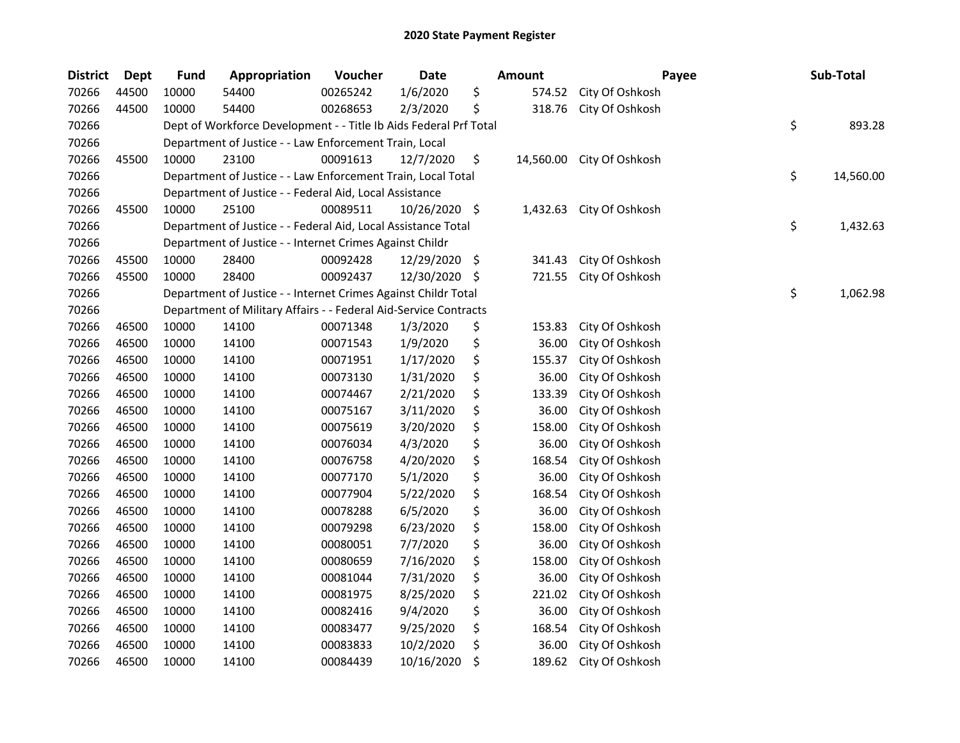| <b>District</b> | <b>Dept</b> | <b>Fund</b> | Appropriation                                                     | Voucher  | Date          |     | Amount    | Payee           | Sub-Total       |
|-----------------|-------------|-------------|-------------------------------------------------------------------|----------|---------------|-----|-----------|-----------------|-----------------|
| 70266           | 44500       | 10000       | 54400                                                             | 00265242 | 1/6/2020      | \$  | 574.52    | City Of Oshkosh |                 |
| 70266           | 44500       | 10000       | 54400                                                             | 00268653 | 2/3/2020      | \$  | 318.76    | City Of Oshkosh |                 |
| 70266           |             |             | Dept of Workforce Development - - Title Ib Aids Federal Prf Total |          |               |     |           |                 | \$<br>893.28    |
| 70266           |             |             | Department of Justice - - Law Enforcement Train, Local            |          |               |     |           |                 |                 |
| 70266           | 45500       | 10000       | 23100                                                             | 00091613 | 12/7/2020     | \$  | 14,560.00 | City Of Oshkosh |                 |
| 70266           |             |             | Department of Justice - - Law Enforcement Train, Local Total      |          |               |     |           |                 | \$<br>14,560.00 |
| 70266           |             |             | Department of Justice - - Federal Aid, Local Assistance           |          |               |     |           |                 |                 |
| 70266           | 45500       | 10000       | 25100                                                             | 00089511 | 10/26/2020 \$ |     | 1,432.63  | City Of Oshkosh |                 |
| 70266           |             |             | Department of Justice - - Federal Aid, Local Assistance Total     |          |               |     |           |                 | \$<br>1,432.63  |
| 70266           |             |             | Department of Justice - - Internet Crimes Against Childr          |          |               |     |           |                 |                 |
| 70266           | 45500       | 10000       | 28400                                                             | 00092428 | 12/29/2020    | -\$ | 341.43    | City Of Oshkosh |                 |
| 70266           | 45500       | 10000       | 28400                                                             | 00092437 | 12/30/2020    | -\$ | 721.55    | City Of Oshkosh |                 |
| 70266           |             |             | Department of Justice - - Internet Crimes Against Childr Total    |          |               |     |           |                 | \$<br>1,062.98  |
| 70266           |             |             | Department of Military Affairs - - Federal Aid-Service Contracts  |          |               |     |           |                 |                 |
| 70266           | 46500       | 10000       | 14100                                                             | 00071348 | 1/3/2020      | \$  | 153.83    | City Of Oshkosh |                 |
| 70266           | 46500       | 10000       | 14100                                                             | 00071543 | 1/9/2020      | \$  | 36.00     | City Of Oshkosh |                 |
| 70266           | 46500       | 10000       | 14100                                                             | 00071951 | 1/17/2020     | \$  | 155.37    | City Of Oshkosh |                 |
| 70266           | 46500       | 10000       | 14100                                                             | 00073130 | 1/31/2020     | \$  | 36.00     | City Of Oshkosh |                 |
| 70266           | 46500       | 10000       | 14100                                                             | 00074467 | 2/21/2020     | \$  | 133.39    | City Of Oshkosh |                 |
| 70266           | 46500       | 10000       | 14100                                                             | 00075167 | 3/11/2020     | \$  | 36.00     | City Of Oshkosh |                 |
| 70266           | 46500       | 10000       | 14100                                                             | 00075619 | 3/20/2020     | \$  | 158.00    | City Of Oshkosh |                 |
| 70266           | 46500       | 10000       | 14100                                                             | 00076034 | 4/3/2020      | \$  | 36.00     | City Of Oshkosh |                 |
| 70266           | 46500       | 10000       | 14100                                                             | 00076758 | 4/20/2020     | \$  | 168.54    | City Of Oshkosh |                 |
| 70266           | 46500       | 10000       | 14100                                                             | 00077170 | 5/1/2020      | \$  | 36.00     | City Of Oshkosh |                 |
| 70266           | 46500       | 10000       | 14100                                                             | 00077904 | 5/22/2020     | \$  | 168.54    | City Of Oshkosh |                 |
| 70266           | 46500       | 10000       | 14100                                                             | 00078288 | 6/5/2020      | \$  | 36.00     | City Of Oshkosh |                 |
| 70266           | 46500       | 10000       | 14100                                                             | 00079298 | 6/23/2020     | \$  | 158.00    | City Of Oshkosh |                 |
| 70266           | 46500       | 10000       | 14100                                                             | 00080051 | 7/7/2020      | \$  | 36.00     | City Of Oshkosh |                 |
| 70266           | 46500       | 10000       | 14100                                                             | 00080659 | 7/16/2020     | \$  | 158.00    | City Of Oshkosh |                 |
| 70266           | 46500       | 10000       | 14100                                                             | 00081044 | 7/31/2020     | \$  | 36.00     | City Of Oshkosh |                 |
| 70266           | 46500       | 10000       | 14100                                                             | 00081975 | 8/25/2020     | \$  | 221.02    | City Of Oshkosh |                 |
| 70266           | 46500       | 10000       | 14100                                                             | 00082416 | 9/4/2020      | \$  | 36.00     | City Of Oshkosh |                 |
| 70266           | 46500       | 10000       | 14100                                                             | 00083477 | 9/25/2020     | \$  | 168.54    | City Of Oshkosh |                 |
| 70266           | 46500       | 10000       | 14100                                                             | 00083833 | 10/2/2020     | \$  | 36.00     | City Of Oshkosh |                 |
| 70266           | 46500       | 10000       | 14100                                                             | 00084439 | 10/16/2020    | \$  | 189.62    | City Of Oshkosh |                 |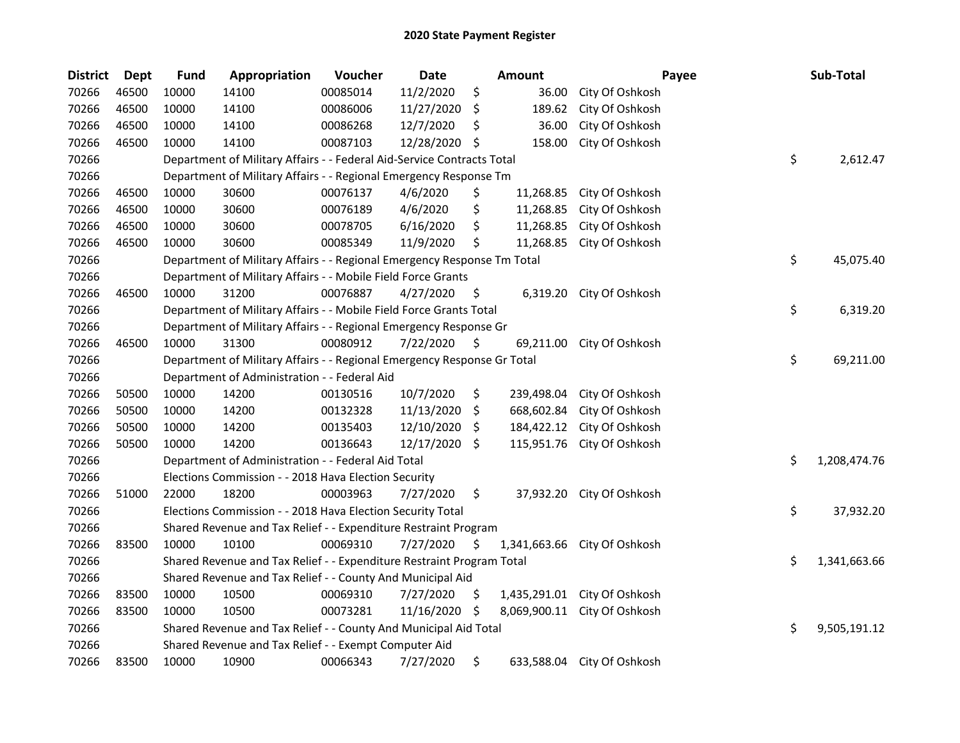| <b>District</b> | <b>Dept</b> | <b>Fund</b> | Appropriation                                                           | Voucher  | <b>Date</b> |     | Amount       | Payee                      | Sub-Total          |
|-----------------|-------------|-------------|-------------------------------------------------------------------------|----------|-------------|-----|--------------|----------------------------|--------------------|
| 70266           | 46500       | 10000       | 14100                                                                   | 00085014 | 11/2/2020   | \$  | 36.00        | City Of Oshkosh            |                    |
| 70266           | 46500       | 10000       | 14100                                                                   | 00086006 | 11/27/2020  | \$  | 189.62       | City Of Oshkosh            |                    |
| 70266           | 46500       | 10000       | 14100                                                                   | 00086268 | 12/7/2020   | S   | 36.00        | City Of Oshkosh            |                    |
| 70266           | 46500       | 10000       | 14100                                                                   | 00087103 | 12/28/2020  | \$  | 158.00       | City Of Oshkosh            |                    |
| 70266           |             |             | Department of Military Affairs - - Federal Aid-Service Contracts Total  |          |             |     |              |                            | \$<br>2,612.47     |
| 70266           |             |             | Department of Military Affairs - - Regional Emergency Response Tm       |          |             |     |              |                            |                    |
| 70266           | 46500       | 10000       | 30600                                                                   | 00076137 | 4/6/2020    | \$  | 11,268.85    | City Of Oshkosh            |                    |
| 70266           | 46500       | 10000       | 30600                                                                   | 00076189 | 4/6/2020    | \$  | 11,268.85    | City Of Oshkosh            |                    |
| 70266           | 46500       | 10000       | 30600                                                                   | 00078705 | 6/16/2020   | \$  | 11,268.85    | City Of Oshkosh            |                    |
| 70266           | 46500       | 10000       | 30600                                                                   | 00085349 | 11/9/2020   | \$  | 11,268.85    | City Of Oshkosh            |                    |
| 70266           |             |             | Department of Military Affairs - - Regional Emergency Response Tm Total |          |             |     |              |                            | \$<br>45,075.40    |
| 70266           |             |             | Department of Military Affairs - - Mobile Field Force Grants            |          |             |     |              |                            |                    |
| 70266           | 46500       | 10000       | 31200                                                                   | 00076887 | 4/27/2020   | \$  | 6,319.20     | City Of Oshkosh            |                    |
| 70266           |             |             | Department of Military Affairs - - Mobile Field Force Grants Total      |          |             |     |              |                            | \$<br>6,319.20     |
| 70266           |             |             | Department of Military Affairs - - Regional Emergency Response Gr       |          |             |     |              |                            |                    |
| 70266           | 46500       | 10000       | 31300                                                                   | 00080912 | 7/22/2020   | \$  | 69,211.00    | City Of Oshkosh            |                    |
| 70266           |             |             | Department of Military Affairs - - Regional Emergency Response Gr Total |          |             |     |              |                            | \$<br>69,211.00    |
| 70266           |             |             | Department of Administration - - Federal Aid                            |          |             |     |              |                            |                    |
| 70266           | 50500       | 10000       | 14200                                                                   | 00130516 | 10/7/2020   | \$  | 239,498.04   | City Of Oshkosh            |                    |
| 70266           | 50500       | 10000       | 14200                                                                   | 00132328 | 11/13/2020  | \$. | 668,602.84   | City Of Oshkosh            |                    |
| 70266           | 50500       | 10000       | 14200                                                                   | 00135403 | 12/10/2020  | S.  | 184,422.12   | City Of Oshkosh            |                    |
| 70266           | 50500       | 10000       | 14200                                                                   | 00136643 | 12/17/2020  | \$  | 115,951.76   | City Of Oshkosh            |                    |
| 70266           |             |             | Department of Administration - - Federal Aid Total                      |          |             |     |              |                            | \$<br>1,208,474.76 |
| 70266           |             |             | Elections Commission - - 2018 Hava Election Security                    |          |             |     |              |                            |                    |
| 70266           | 51000       | 22000       | 18200                                                                   | 00003963 | 7/27/2020   | \$  | 37,932.20    | City Of Oshkosh            |                    |
| 70266           |             |             | Elections Commission - - 2018 Hava Election Security Total              |          |             |     |              |                            | \$<br>37,932.20    |
| 70266           |             |             | Shared Revenue and Tax Relief - - Expenditure Restraint Program         |          |             |     |              |                            |                    |
| 70266           | 83500       | 10000       | 10100                                                                   | 00069310 | 7/27/2020   | \$  | 1,341,663.66 | City Of Oshkosh            |                    |
| 70266           |             |             | Shared Revenue and Tax Relief - - Expenditure Restraint Program Total   |          |             |     |              |                            | \$<br>1,341,663.66 |
| 70266           |             |             | Shared Revenue and Tax Relief - - County And Municipal Aid              |          |             |     |              |                            |                    |
| 70266           | 83500       | 10000       | 10500                                                                   | 00069310 | 7/27/2020   | \$  | 1,435,291.01 | City Of Oshkosh            |                    |
| 70266           | 83500       | 10000       | 10500                                                                   | 00073281 | 11/16/2020  | S.  | 8,069,900.11 | City Of Oshkosh            |                    |
| 70266           |             |             | Shared Revenue and Tax Relief - - County And Municipal Aid Total        |          |             |     |              |                            | \$<br>9,505,191.12 |
| 70266           |             |             | Shared Revenue and Tax Relief - - Exempt Computer Aid                   |          |             |     |              |                            |                    |
| 70266           | 83500       | 10000       | 10900                                                                   | 00066343 | 7/27/2020   | \$  |              | 633,588.04 City Of Oshkosh |                    |